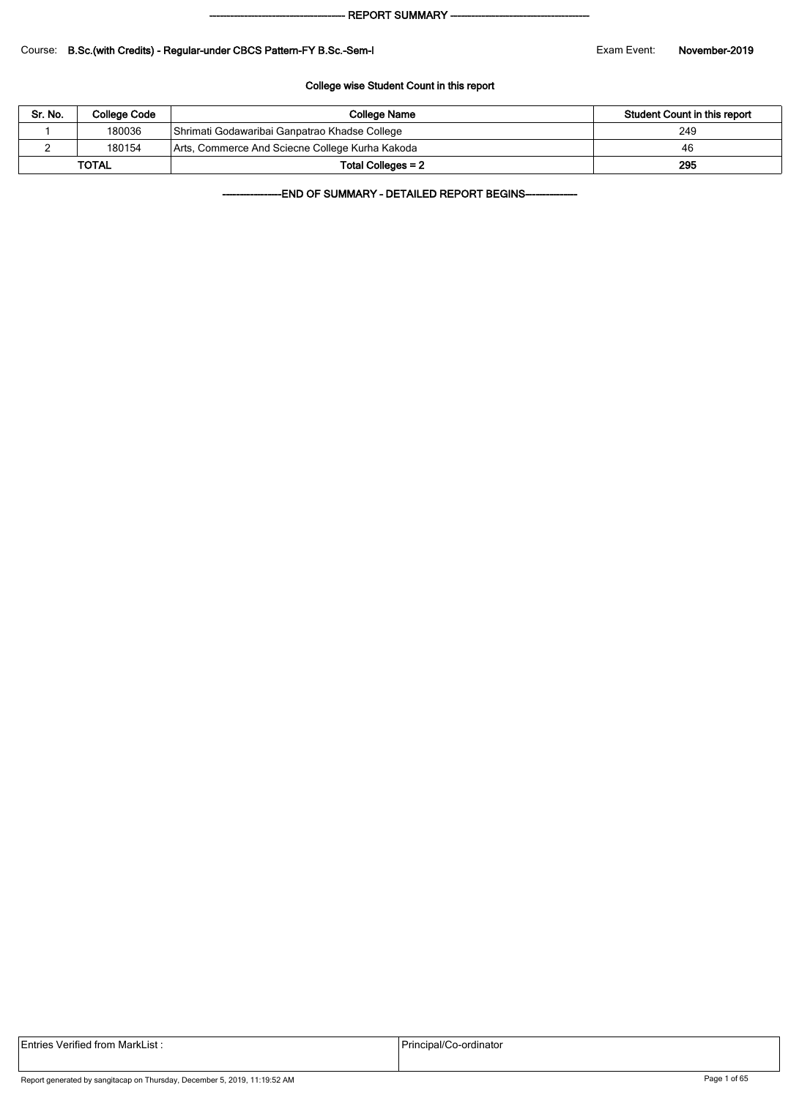#### - REPORT SUMMARY --

#### Course: B.Sc.(with Credits) - Regular-under CBCS Pattern-FY B.Sc.-Sem-I Exam Exam Event: November-2019

#### College wise Student Count in this report

| Sr. No. | College Code | College Name                                    | Student Count in this report |
|---------|--------------|-------------------------------------------------|------------------------------|
|         | 180036       | Shrimati Godawaribai Ganpatrao Khadse College   | 249                          |
|         | 180154       | Arts, Commerce And Sciecne College Kurha Kakoda | 46                           |
|         | <b>TOTAL</b> | Total Colleges = 2                              | 295                          |

-END OF SUMMARY - DETAILED REPORT BEGINS-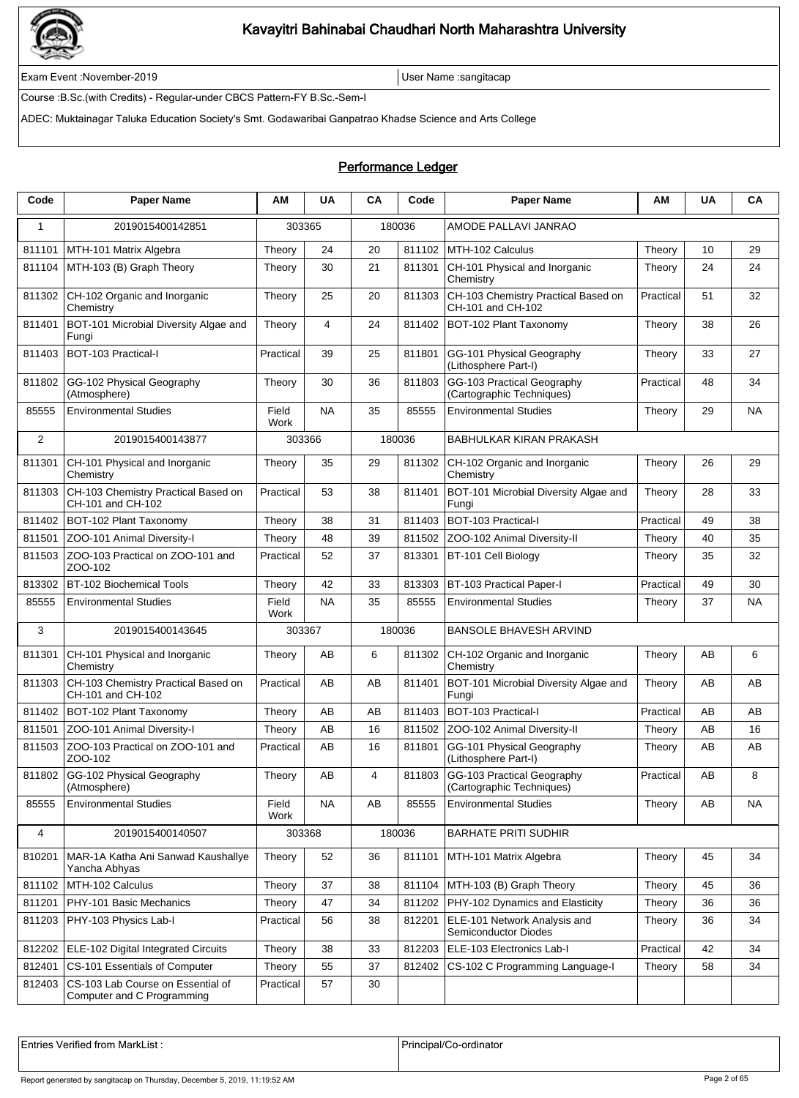

Exam Event :November-2019 User Name :sangitacap

Course :B.Sc.(with Credits) - Regular-under CBCS Pattern-FY B.Sc.-Sem-I

ADEC: Muktainagar Taluka Education Society's Smt. Godawaribai Ganpatrao Khadse Science and Arts College

### Performance Ledger

| Code         | <b>Paper Name</b>                                               | ΑM            | <b>UA</b> | CA | Code   | <b>Paper Name</b>                                        | ΑM        | <b>UA</b> | CА        |
|--------------|-----------------------------------------------------------------|---------------|-----------|----|--------|----------------------------------------------------------|-----------|-----------|-----------|
| $\mathbf{1}$ | 2019015400142851                                                | 303365        |           |    | 180036 | AMODE PALLAVI JANRAO                                     |           |           |           |
| 811101       | MTH-101 Matrix Algebra                                          | Theory        | 24        | 20 | 811102 | MTH-102 Calculus                                         | Theory    | 10        | 29        |
| 811104       | MTH-103 (B) Graph Theory                                        | Theory        | 30        | 21 | 811301 | CH-101 Physical and Inorganic<br>Chemistry               | Theory    | 24        | 24        |
| 811302       | CH-102 Organic and Inorganic<br>Chemistry                       | Theory        | 25        | 20 | 811303 | CH-103 Chemistry Practical Based on<br>CH-101 and CH-102 | Practical | 51        | 32        |
| 811401       | BOT-101 Microbial Diversity Algae and<br>Fungi                  | Theory        | 4         | 24 | 811402 | BOT-102 Plant Taxonomy                                   | Theory    | 38        | 26        |
| 811403       | BOT-103 Practical-I                                             | Practical     | 39        | 25 | 811801 | GG-101 Physical Geography<br>(Lithosphere Part-I)        | Theory    | 33        | 27        |
| 811802       | GG-102 Physical Geography<br>(Atmosphere)                       | Theory        | 30        | 36 | 811803 | GG-103 Practical Geography<br>(Cartographic Techniques)  | Practical | 48        | 34        |
| 85555        | <b>Environmental Studies</b>                                    | Field<br>Work | <b>NA</b> | 35 | 85555  | <b>Environmental Studies</b>                             | Theory    | 29        | NA        |
| 2            | 2019015400143877                                                | 303366        |           |    | 180036 | BABHULKAR KIRAN PRAKASH                                  |           |           |           |
| 811301       | CH-101 Physical and Inorganic<br>Chemistry                      | Theory        | 35        | 29 | 811302 | CH-102 Organic and Inorganic<br>Chemistry                | Theory    | 26        | 29        |
| 811303       | CH-103 Chemistry Practical Based on<br>CH-101 and CH-102        | Practical     | 53        | 38 | 811401 | BOT-101 Microbial Diversity Algae and<br>Fungi           | Theory    | 28        | 33        |
| 811402       | BOT-102 Plant Taxonomy                                          | Theory        | 38        | 31 | 811403 | BOT-103 Practical-I                                      | Practical | 49        | 38        |
| 811501       | ZOO-101 Animal Diversity-I                                      | Theory        | 48        | 39 | 811502 | ZOO-102 Animal Diversity-II                              | Theory    | 40        | 35        |
| 811503       | ZOO-103 Practical on ZOO-101 and<br>ZOO-102                     | Practical     | 52        | 37 | 813301 | BT-101 Cell Biology                                      | Theory    | 35        | 32        |
| 813302       | BT-102 Biochemical Tools                                        | Theory        | 42        | 33 | 813303 | <b>BT-103 Practical Paper-I</b>                          | Practical | 49        | 30        |
| 85555        | <b>Environmental Studies</b>                                    | Field<br>Work | <b>NA</b> | 35 | 85555  | <b>Environmental Studies</b>                             | Theory    | 37        | NA        |
| 3            | 2019015400143645                                                | 303367        |           |    | 180036 | <b>BANSOLE BHAVESH ARVIND</b>                            |           |           |           |
| 811301       | CH-101 Physical and Inorganic<br>Chemistry                      | Theory        | AB        | 6  | 811302 | CH-102 Organic and Inorganic<br>Chemistry                | Theory    | AB        | 6         |
| 811303       | CH-103 Chemistry Practical Based on<br>CH-101 and CH-102        | Practical     | AВ        | AB | 811401 | BOT-101 Microbial Diversity Algae and<br>Fungi           | Theory    | AB        | AB        |
| 811402       | BOT-102 Plant Taxonomy                                          | Theory        | AB        | AB | 811403 | BOT-103 Practical-I                                      | Practical | AB        | AB        |
| 811501       | ZOO-101 Animal Diversity-I                                      | Theory        | AΒ        | 16 | 811502 | ZOO-102 Animal Diversity-II                              | Theory    | AB        | 16        |
| 811503       | ZOO-103 Practical on ZOO-101 and<br>ZOO-102                     | Practical     | AΒ        | 16 | 811801 | GG-101 Physical Geography<br>(Lithosphere Part-I)        | Theory    | AB        | AB        |
| 811802       | GG-102 Physical Geography<br>(Atmosphere)                       | Theory        | AB        | 4  | 811803 | GG-103 Practical Geography<br>(Cartographic Techniques)  | Practical | AB        | 8         |
| 85555        | <b>Environmental Studies</b>                                    | Field<br>Work | <b>NA</b> | AB | 85555  | <b>Environmental Studies</b>                             | Theory    | AB        | <b>NA</b> |
| 4            | 2019015400140507                                                | 303368        |           |    | 180036 | <b>BARHATE PRITI SUDHIR</b>                              |           |           |           |
| 810201       | MAR-1A Katha Ani Sanwad Kaushallye<br>Yancha Abhyas             | Theory        | 52        | 36 | 811101 | MTH-101 Matrix Algebra                                   | Theory    | 45        | 34        |
| 811102       | MTH-102 Calculus                                                | Theory        | 37        | 38 | 811104 | MTH-103 (B) Graph Theory                                 | Theory    | 45        | 36        |
| 811201       | PHY-101 Basic Mechanics                                         | Theory        | 47        | 34 | 811202 | PHY-102 Dynamics and Elasticity                          | Theory    | 36        | 36        |
| 811203       | PHY-103 Physics Lab-I                                           | Practical     | 56        | 38 | 812201 | ELE-101 Network Analysis and<br>Semiconductor Diodes     | Theory    | 36        | 34        |
| 812202       | ELE-102 Digital Integrated Circuits                             | Theory        | 38        | 33 | 812203 | ELE-103 Electronics Lab-I                                | Practical | 42        | 34        |
| 812401       | CS-101 Essentials of Computer                                   | Theory        | 55        | 37 | 812402 | CS-102 C Programming Language-I                          | Theory    | 58        | 34        |
| 812403       | CS-103 Lab Course on Essential of<br>Computer and C Programming | Practical     | 57        | 30 |        |                                                          |           |           |           |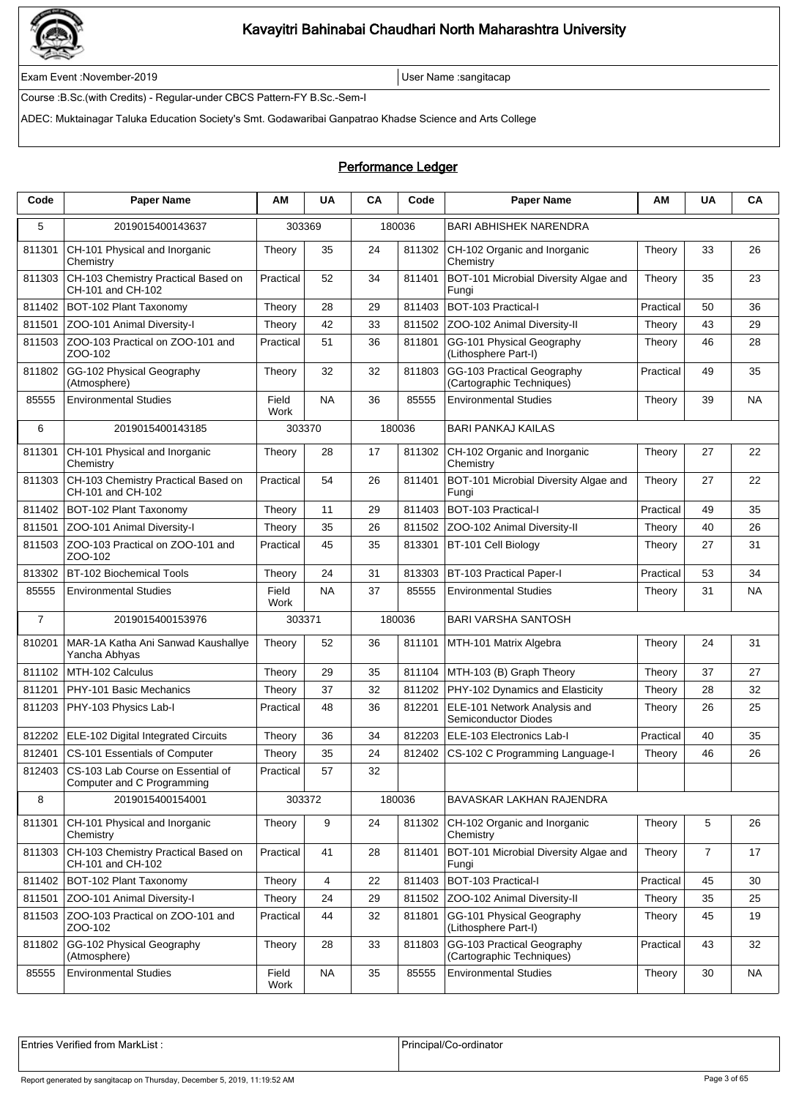

Exam Event :November-2019 User Name :sangitacap

Course :B.Sc.(with Credits) - Regular-under CBCS Pattern-FY B.Sc.-Sem-I

ADEC: Muktainagar Taluka Education Society's Smt. Godawaribai Ganpatrao Khadse Science and Arts College

### Performance Ledger

| Code           | <b>Paper Name</b>                                                      | ΑM            | <b>UA</b> | CA | Code   | <b>Paper Name</b>                                       | ΑM        | <b>UA</b>      | CA        |
|----------------|------------------------------------------------------------------------|---------------|-----------|----|--------|---------------------------------------------------------|-----------|----------------|-----------|
| 5              | 2019015400143637                                                       | 303369        |           |    | 180036 | <b>BARI ABHISHEK NARENDRA</b>                           |           |                |           |
| 811301         | CH-101 Physical and Inorganic<br>Chemistry                             | Theory        | 35        | 24 | 811302 | CH-102 Organic and Inorganic<br>Chemistry               | Theory    | 33             | 26        |
| 811303         | CH-103 Chemistry Practical Based on<br>CH-101 and CH-102               | Practical     | 52        | 34 | 811401 | BOT-101 Microbial Diversity Algae and<br>Fungi          | Theory    | 35             | 23        |
| 811402         | BOT-102 Plant Taxonomy                                                 | Theory        | 28        | 29 | 811403 | BOT-103 Practical-I                                     | Practical | 50             | 36        |
| 811501         | ZOO-101 Animal Diversity-I                                             | Theory        | 42        | 33 | 811502 | ZOO-102 Animal Diversity-II                             | Theory    | 43             | 29        |
| 811503         | ZOO-103 Practical on ZOO-101 and<br>ZOO-102                            | Practical     | 51        | 36 | 811801 | GG-101 Physical Geography<br>(Lithosphere Part-I)       | Theory    | 46             | 28        |
| 811802         | GG-102 Physical Geography<br>(Atmosphere)                              | Theory        | 32        | 32 | 811803 | GG-103 Practical Geography<br>(Cartographic Techniques) | Practical | 49             | 35        |
| 85555          | <b>Environmental Studies</b>                                           | Field<br>Work | <b>NA</b> | 36 | 85555  | <b>Environmental Studies</b>                            | Theory    | 39             | NA        |
| 6              | 2019015400143185                                                       | 303370        |           |    | 180036 | <b>BARI PANKAJ KAILAS</b>                               |           |                |           |
| 811301         | CH-101 Physical and Inorganic<br>Chemistry                             | Theory        | 28        | 17 | 811302 | CH-102 Organic and Inorganic<br>Chemistry               | Theory    | 27             | 22        |
| 811303         | CH-103 Chemistry Practical Based on<br>CH-101 and CH-102               | Practical     | 54        | 26 | 811401 | BOT-101 Microbial Diversity Algae and<br>Fungi          | Theory    | 27             | 22        |
| 811402         | BOT-102 Plant Taxonomy                                                 | Theory        | 11        | 29 | 811403 | BOT-103 Practical-I                                     | Practical | 49             | 35        |
| 811501         | ZOO-101 Animal Diversity-I                                             | Theory        | 35        | 26 | 811502 | ZOO-102 Animal Diversity-II                             | Theory    | 40             | 26        |
| 811503         | ZOO-103 Practical on ZOO-101 and<br>ZOO-102                            | Practical     | 45        | 35 | 813301 | BT-101 Cell Biology                                     | Theory    | 27             | 31        |
| 813302         | BT-102 Biochemical Tools                                               | Theory        | 24        | 31 | 813303 | BT-103 Practical Paper-I                                | Practical | 53             | 34        |
| 85555          | <b>Environmental Studies</b>                                           | Field<br>Work | <b>NA</b> | 37 | 85555  | <b>Environmental Studies</b>                            | Theory    | 31             | <b>NA</b> |
| $\overline{7}$ | 2019015400153976                                                       | 303371        |           |    | 180036 | BARI VARSHA SANTOSH                                     |           |                |           |
| 810201         | MAR-1A Katha Ani Sanwad Kaushallye<br>Yancha Abhyas                    | Theory        | 52        | 36 | 811101 | MTH-101 Matrix Algebra                                  | Theory    | 24             | 31        |
| 811102         | MTH-102 Calculus                                                       | Theory        | 29        | 35 | 811104 | MTH-103 (B) Graph Theory                                | Theory    | 37             | 27        |
| 811201         | PHY-101 Basic Mechanics                                                | Theory        | 37        | 32 | 811202 | PHY-102 Dynamics and Elasticity                         | Theory    | 28             | 32        |
| 811203         | PHY-103 Physics Lab-I                                                  | Practical     | 48        | 36 | 812201 | ELE-101 Network Analysis and<br>Semiconductor Diodes    | Theory    | 26             | 25        |
| 812202         | ELE-102 Digital Integrated Circuits                                    | Theory        | 36        | 34 | 812203 | ELE-103 Electronics Lab-I                               | Practical | 40             | 35        |
| 812401         | CS-101 Essentials of Computer                                          | Theory        | 35        | 24 | 812402 | CS-102 C Programming Language-I                         | Theory    | 46             | 26        |
|                | 812403 CS-103 Lab Course on Essential of<br>Computer and C Programming | Practical     | 57        | 32 |        |                                                         |           |                |           |
| 8              | 2019015400154001                                                       | 303372        |           |    | 180036 | BAVASKAR LAKHAN RAJENDRA                                |           |                |           |
| 811301         | CH-101 Physical and Inorganic<br>Chemistry                             | Theory        | 9         | 24 | 811302 | CH-102 Organic and Inorganic<br>Chemistry               | Theory    | 5              | 26        |
| 811303         | CH-103 Chemistry Practical Based on<br>CH-101 and CH-102               | Practical     | 41        | 28 | 811401 | BOT-101 Microbial Diversity Algae and<br>Fungi          | Theory    | $\overline{7}$ | 17        |
| 811402         | BOT-102 Plant Taxonomy                                                 | Theory        | 4         | 22 | 811403 | BOT-103 Practical-I                                     | Practical | 45             | 30        |
| 811501         | ZOO-101 Animal Diversity-I                                             | Theory        | 24        | 29 | 811502 | ZOO-102 Animal Diversity-II                             | Theory    | 35             | 25        |
| 811503         | ZOO-103 Practical on ZOO-101 and<br>ZOO-102                            | Practical     | 44        | 32 | 811801 | GG-101 Physical Geography<br>(Lithosphere Part-I)       | Theory    | 45             | 19        |
| 811802         | GG-102 Physical Geography<br>(Atmosphere)                              | Theory        | 28        | 33 | 811803 | GG-103 Practical Geography<br>(Cartographic Techniques) | Practical | 43             | 32        |
| 85555          | <b>Environmental Studies</b>                                           | Field<br>Work | <b>NA</b> | 35 | 85555  | <b>Environmental Studies</b>                            | Theory    | 30             | <b>NA</b> |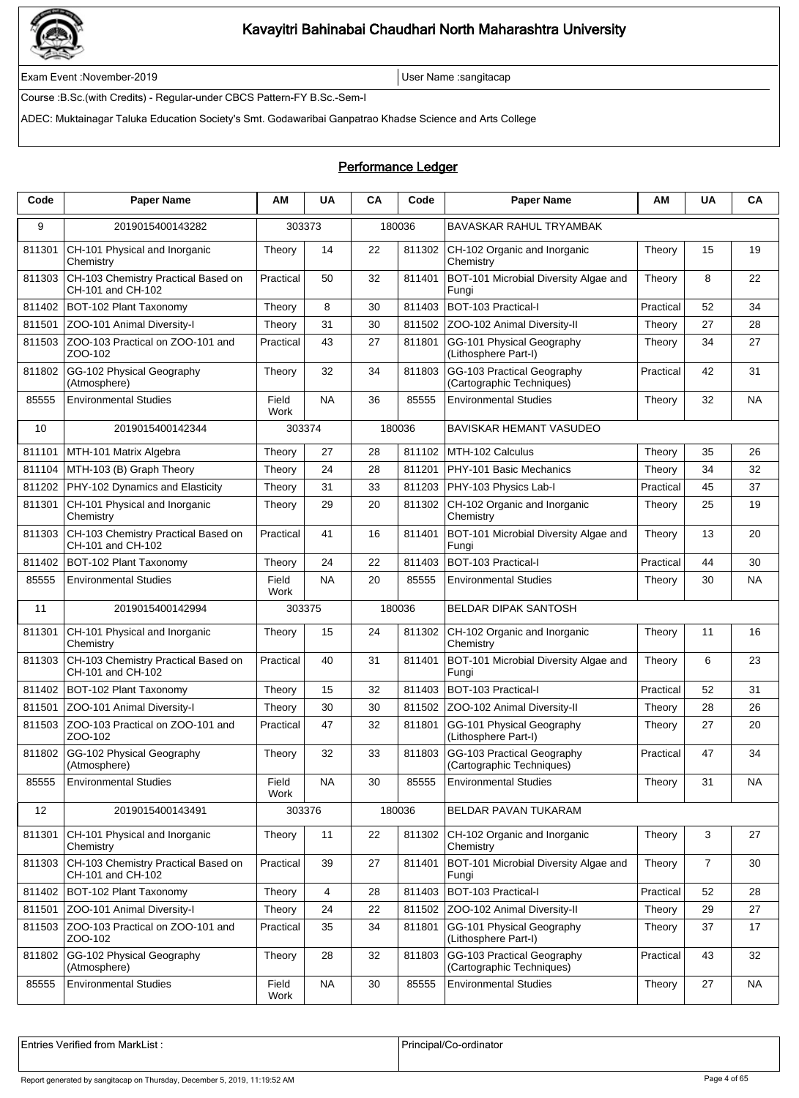

Exam Event :November-2019 User Name :sangitacap

Course :B.Sc.(with Credits) - Regular-under CBCS Pattern-FY B.Sc.-Sem-I

ADEC: Muktainagar Taluka Education Society's Smt. Godawaribai Ganpatrao Khadse Science and Arts College

### Performance Ledger

| Code   | <b>Paper Name</b>                                        | ΑM            | <b>UA</b> | CA | Code   | <b>Paper Name</b>                                       | АΜ        | <b>UA</b>      | CA        |
|--------|----------------------------------------------------------|---------------|-----------|----|--------|---------------------------------------------------------|-----------|----------------|-----------|
| 9      | 2019015400143282                                         | 303373        |           |    | 180036 | BAVASKAR RAHUL TRYAMBAK                                 |           |                |           |
| 811301 | CH-101 Physical and Inorganic<br>Chemistry               | Theory        | 14        | 22 | 811302 | CH-102 Organic and Inorganic<br>Chemistry               | Theory    | 15             | 19        |
| 811303 | CH-103 Chemistry Practical Based on<br>CH-101 and CH-102 | Practical     | 50        | 32 | 811401 | BOT-101 Microbial Diversity Algae and<br>Fungi          | Theory    | 8              | 22        |
| 811402 | BOT-102 Plant Taxonomy                                   | Theory        | 8         | 30 | 811403 | BOT-103 Practical-I                                     | Practical | 52             | 34        |
| 811501 | ZOO-101 Animal Diversity-I                               | Theory        | 31        | 30 | 811502 | ZOO-102 Animal Diversity-II                             | Theory    | 27             | 28        |
| 811503 | ZOO-103 Practical on ZOO-101 and<br>ZOO-102              | Practical     | 43        | 27 | 811801 | GG-101 Physical Geography<br>(Lithosphere Part-I)       | Theory    | 34             | 27        |
| 811802 | GG-102 Physical Geography<br>(Atmosphere)                | Theory        | 32        | 34 | 811803 | GG-103 Practical Geography<br>(Cartographic Techniques) | Practical | 42             | 31        |
| 85555  | <b>Environmental Studies</b>                             | Field<br>Work | <b>NA</b> | 36 | 85555  | <b>Environmental Studies</b>                            | Theory    | 32             | NA        |
| 10     | 2019015400142344                                         | 303374        |           |    | 180036 | BAVISKAR HEMANT VASUDEO                                 |           |                |           |
| 811101 | MTH-101 Matrix Algebra                                   | Theory        | 27        | 28 | 811102 | MTH-102 Calculus                                        | Theory    | 35             | 26        |
| 811104 | MTH-103 (B) Graph Theory                                 | Theory        | 24        | 28 | 811201 | PHY-101 Basic Mechanics                                 | Theory    | 34             | 32        |
| 811202 | PHY-102 Dynamics and Elasticity                          | Theory        | 31        | 33 | 811203 | PHY-103 Physics Lab-I                                   | Practical | 45             | 37        |
| 811301 | CH-101 Physical and Inorganic<br>Chemistry               | Theory        | 29        | 20 | 811302 | CH-102 Organic and Inorganic<br>Chemistry               | Theory    | 25             | 19        |
| 811303 | CH-103 Chemistry Practical Based on<br>CH-101 and CH-102 | Practical     | 41        | 16 | 811401 | BOT-101 Microbial Diversity Algae and<br>Fungi          | Theory    | 13             | 20        |
| 811402 | BOT-102 Plant Taxonomy                                   | Theory        | 24        | 22 | 811403 | BOT-103 Practical-I                                     | Practical | 44             | 30        |
| 85555  | <b>Environmental Studies</b>                             | Field<br>Work | <b>NA</b> | 20 | 85555  | <b>Environmental Studies</b>                            | Theory    | 30             | ΝA        |
| 11     | 2019015400142994                                         | 303375        |           |    | 180036 | <b>BELDAR DIPAK SANTOSH</b>                             |           |                |           |
| 811301 | CH-101 Physical and Inorganic<br>Chemistry               | Theory        | 15        | 24 | 811302 | CH-102 Organic and Inorganic<br>Chemistry               | Theory    | 11             | 16        |
| 811303 | CH-103 Chemistry Practical Based on<br>CH-101 and CH-102 | Practical     | 40        | 31 | 811401 | BOT-101 Microbial Diversity Algae and<br>Fungi          | Theory    | 6              | 23        |
| 811402 | BOT-102 Plant Taxonomy                                   | Theory        | 15        | 32 | 811403 | BOT-103 Practical-I                                     | Practical | 52             | 31        |
| 811501 | ZOO-101 Animal Diversity-I                               | Theory        | 30        | 30 | 811502 | ZOO-102 Animal Diversity-II                             | Theory    | 28             | 26        |
| 811503 | ZOO-103 Practical on ZOO-101 and<br>ZOO-102              | Practical     | 47        | 32 | 811801 | GG-101 Physical Geography<br>(Lithosphere Part-I)       | Theory    | 27             | 20        |
| 811802 | GG-102 Physical Geography<br>(Atmosphere)                | Theory        | 32        | 33 | 811803 | GG-103 Practical Geography<br>(Cartographic Techniques) | Practical | 47             | 34        |
| 85555  | <b>Environmental Studies</b>                             | Field<br>Work | <b>NA</b> | 30 | 85555  | <b>Environmental Studies</b>                            | Theory    | 31             | <b>NA</b> |
| 12     | 2019015400143491                                         | 303376        |           |    | 180036 | BELDAR PAVAN TUKARAM                                    |           |                |           |
| 811301 | CH-101 Physical and Inorganic<br>Chemistry               | Theory        | 11        | 22 | 811302 | CH-102 Organic and Inorganic<br>Chemistry               | Theory    | 3              | 27        |
| 811303 | CH-103 Chemistry Practical Based on<br>CH-101 and CH-102 | Practical     | 39        | 27 | 811401 | BOT-101 Microbial Diversity Algae and<br>Fungi          | Theory    | $\overline{7}$ | 30        |
| 811402 | BOT-102 Plant Taxonomy                                   | Theory        | 4         | 28 | 811403 | BOT-103 Practical-I                                     | Practical | 52             | 28        |
| 811501 | ZOO-101 Animal Diversity-I                               | Theory        | 24        | 22 | 811502 | ZOO-102 Animal Diversity-II                             | Theory    | 29             | 27        |
| 811503 | ZOO-103 Practical on ZOO-101 and<br>ZOO-102              | Practical     | 35        | 34 | 811801 | GG-101 Physical Geography<br>(Lithosphere Part-I)       | Theory    | 37             | 17        |
| 811802 | GG-102 Physical Geography<br>(Atmosphere)                | Theory        | 28        | 32 | 811803 | GG-103 Practical Geography<br>(Cartographic Techniques) | Practical | 43             | 32        |
| 85555  | <b>Environmental Studies</b>                             | Field<br>Work | <b>NA</b> | 30 | 85555  | <b>Environmental Studies</b>                            | Theory    | 27             | <b>NA</b> |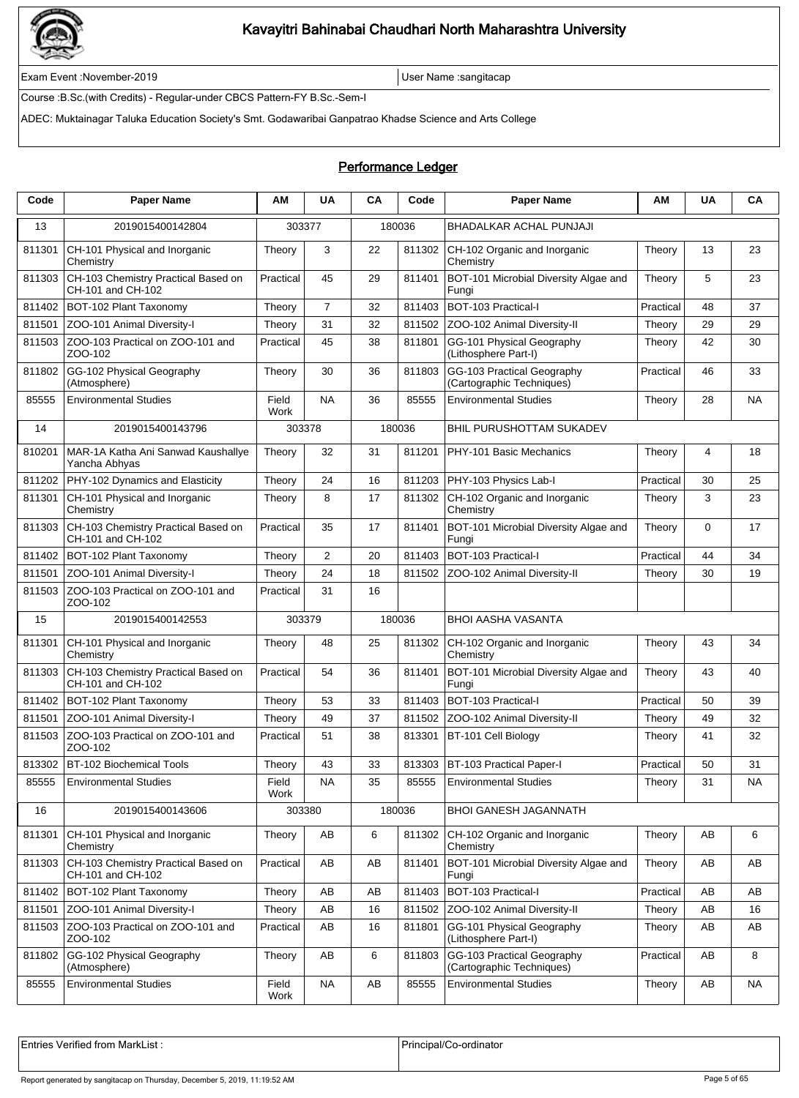

Exam Event :November-2019 User Name :sangitacap

Course :B.Sc.(with Credits) - Regular-under CBCS Pattern-FY B.Sc.-Sem-I

ADEC: Muktainagar Taluka Education Society's Smt. Godawaribai Ganpatrao Khadse Science and Arts College

### Performance Ledger

| Code   | <b>Paper Name</b>                                        | AM            | <b>UA</b>      | CA | Code   | <b>Paper Name</b>                                       | АΜ        | <b>UA</b> | CA        |
|--------|----------------------------------------------------------|---------------|----------------|----|--------|---------------------------------------------------------|-----------|-----------|-----------|
| 13     | 2019015400142804                                         | 303377        |                |    | 180036 | BHADALKAR ACHAL PUNJAJI                                 |           |           |           |
| 811301 | CH-101 Physical and Inorganic<br>Chemistry               | Theory        | 3              | 22 | 811302 | CH-102 Organic and Inorganic<br>Chemistry               | Theory    | 13        | 23        |
| 811303 | CH-103 Chemistry Practical Based on<br>CH-101 and CH-102 | Practical     | 45             | 29 | 811401 | BOT-101 Microbial Diversity Algae and<br>Fungi          | Theory    | 5         | 23        |
| 811402 | BOT-102 Plant Taxonomy                                   | Theory        | $\overline{7}$ | 32 | 811403 | BOT-103 Practical-I                                     | Practical | 48        | 37        |
| 811501 | ZOO-101 Animal Diversity-I                               | Theory        | 31             | 32 | 811502 | ZOO-102 Animal Diversity-II                             | Theory    | 29        | 29        |
| 811503 | ZOO-103 Practical on ZOO-101 and<br>ZOO-102              | Practical     | 45             | 38 | 811801 | GG-101 Physical Geography<br>(Lithosphere Part-I)       | Theory    | 42        | 30        |
| 811802 | GG-102 Physical Geography<br>(Atmosphere)                | Theory        | 30             | 36 | 811803 | GG-103 Practical Geography<br>(Cartographic Techniques) | Practical | 46        | 33        |
| 85555  | <b>Environmental Studies</b>                             | Field<br>Work | <b>NA</b>      | 36 | 85555  | <b>Environmental Studies</b>                            | Theory    | 28        | NA        |
| 14     | 2019015400143796                                         | 303378        |                |    | 180036 | BHIL PURUSHOTTAM SUKADEV                                |           |           |           |
| 810201 | MAR-1A Katha Ani Sanwad Kaushallye<br>Yancha Abhyas      | Theory        | 32             | 31 | 811201 | PHY-101 Basic Mechanics                                 | Theory    | 4         | 18        |
| 811202 | PHY-102 Dynamics and Elasticity                          | Theory        | 24             | 16 | 811203 | PHY-103 Physics Lab-I                                   | Practical | 30        | 25        |
| 811301 | CH-101 Physical and Inorganic<br>Chemistry               | Theory        | 8              | 17 | 811302 | CH-102 Organic and Inorganic<br>Chemistry               | Theory    | 3         | 23        |
| 811303 | CH-103 Chemistry Practical Based on<br>CH-101 and CH-102 | Practical     | 35             | 17 | 811401 | BOT-101 Microbial Diversity Algae and<br>Fungi          | Theory    | 0         | 17        |
| 811402 | BOT-102 Plant Taxonomy                                   | Theory        | $\overline{2}$ | 20 | 811403 | BOT-103 Practical-I                                     | Practical | 44        | 34        |
| 811501 | ZOO-101 Animal Diversity-I                               | Theory        | 24             | 18 | 811502 | ZOO-102 Animal Diversity-II                             | Theory    | 30        | 19        |
| 811503 | ZOO-103 Practical on ZOO-101 and<br>ZOO-102              | Practical     | 31             | 16 |        |                                                         |           |           |           |
| 15     | 2019015400142553                                         | 303379        |                |    | 180036 | BHOI AASHA VASANTA                                      |           |           |           |
| 811301 | CH-101 Physical and Inorganic<br>Chemistry               | Theory        | 48             | 25 | 811302 | CH-102 Organic and Inorganic<br>Chemistry               | Theory    | 43        | 34        |
| 811303 | CH-103 Chemistry Practical Based on<br>CH-101 and CH-102 | Practical     | 54             | 36 | 811401 | BOT-101 Microbial Diversity Algae and<br>Fungi          | Theory    | 43        | 40        |
| 811402 | BOT-102 Plant Taxonomy                                   | Theory        | 53             | 33 | 811403 | BOT-103 Practical-I                                     | Practical | 50        | 39        |
| 811501 | ZOO-101 Animal Diversity-I                               | Theory        | 49             | 37 | 811502 | ZOO-102 Animal Diversity-II                             | Theory    | 49        | 32        |
| 811503 | ZOO-103 Practical on ZOO-101 and<br>ZOO-102              | Practical     | 51             | 38 | 813301 | BT-101 Cell Biology                                     | Theory    | 41        | 32        |
| 813302 | BT-102 Biochemical Tools                                 | Theory        | 43             | 33 |        | 813303 BT-103 Practical Paper-I                         | Practical | 50        | 31        |
| 85555  | <b>Environmental Studies</b>                             | Field<br>Work | <b>NA</b>      | 35 | 85555  | <b>Environmental Studies</b>                            | Theory    | 31        | <b>NA</b> |
| 16     | 2019015400143606                                         | 303380        |                |    | 180036 | <b>BHOI GANESH JAGANNATH</b>                            |           |           |           |
| 811301 | CH-101 Physical and Inorganic<br>Chemistry               | Theory        | AВ             | 6  | 811302 | CH-102 Organic and Inorganic<br>Chemistry               | Theory    | AB        | 6         |
| 811303 | CH-103 Chemistry Practical Based on<br>CH-101 and CH-102 | Practical     | AB             | AB | 811401 | BOT-101 Microbial Diversity Algae and<br>Fungi          | Theory    | AB        | AB        |
| 811402 | BOT-102 Plant Taxonomy                                   | Theory        | AB             | AB | 811403 | BOT-103 Practical-I                                     | Practical | AB        | AB        |
| 811501 | ZOO-101 Animal Diversity-I                               | Theory        | AB             | 16 | 811502 | ZOO-102 Animal Diversity-II                             | Theory    | AB        | 16        |
| 811503 | ZOO-103 Practical on ZOO-101 and<br>ZOO-102              | Practical     | AB             | 16 | 811801 | GG-101 Physical Geography<br>(Lithosphere Part-I)       | Theory    | AB        | AB        |
| 811802 | GG-102 Physical Geography<br>(Atmosphere)                | Theory        | AB             | 6  | 811803 | GG-103 Practical Geography<br>(Cartographic Techniques) | Practical | AB        | 8         |
| 85555  | <b>Environmental Studies</b>                             | Field<br>Work | <b>NA</b>      | AB | 85555  | <b>Environmental Studies</b>                            | Theory    | AB        | <b>NA</b> |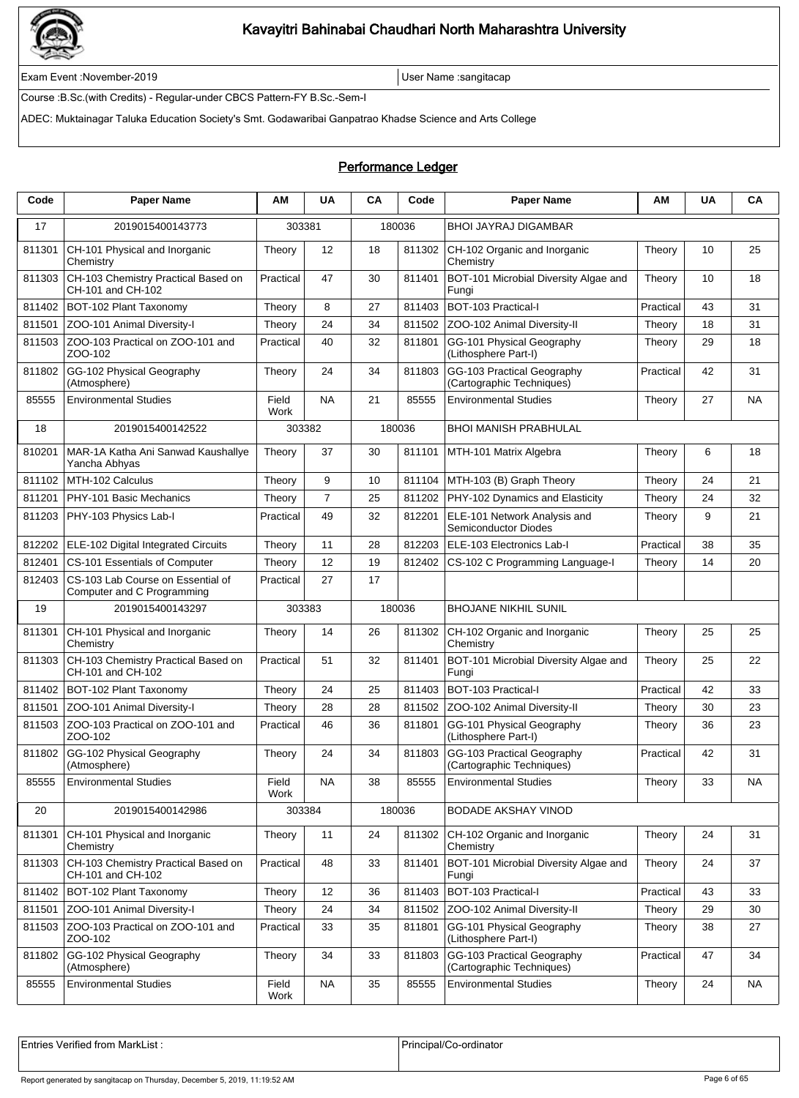

Exam Event :November-2019 User Name :sangitacap

Course :B.Sc.(with Credits) - Regular-under CBCS Pattern-FY B.Sc.-Sem-I

ADEC: Muktainagar Taluka Education Society's Smt. Godawaribai Ganpatrao Khadse Science and Arts College

### Performance Ledger

| Code   | <b>Paper Name</b>                                               | ΑM            | <b>UA</b>      | <b>CA</b> | Code   | <b>Paper Name</b>                                       | ΑM        | <b>UA</b> | CA        |
|--------|-----------------------------------------------------------------|---------------|----------------|-----------|--------|---------------------------------------------------------|-----------|-----------|-----------|
| 17     | 2019015400143773                                                | 303381        |                |           | 180036 | <b>BHOI JAYRAJ DIGAMBAR</b>                             |           |           |           |
| 811301 | CH-101 Physical and Inorganic<br>Chemistry                      | Theory        | 12             | 18        | 811302 | CH-102 Organic and Inorganic<br>Chemistry               | Theory    | 10        | 25        |
| 811303 | CH-103 Chemistry Practical Based on<br>CH-101 and CH-102        | Practical     | 47             | 30        | 811401 | BOT-101 Microbial Diversity Algae and<br>Fungi          | Theory    | 10        | 18        |
| 811402 | BOT-102 Plant Taxonomy                                          | Theory        | 8              | 27        | 811403 | <b>BOT-103 Practical-I</b>                              | Practical | 43        | 31        |
| 811501 | ZOO-101 Animal Diversity-I                                      | Theory        | 24             | 34        | 811502 | ZOO-102 Animal Diversity-II                             | Theory    | 18        | 31        |
| 811503 | ZOO-103 Practical on ZOO-101 and<br>ZOO-102                     | Practical     | 40             | 32        | 811801 | GG-101 Physical Geography<br>(Lithosphere Part-I)       | Theory    | 29        | 18        |
| 811802 | GG-102 Physical Geography<br>(Atmosphere)                       | Theory        | 24             | 34        | 811803 | GG-103 Practical Geography<br>(Cartographic Techniques) | Practical | 42        | 31        |
| 85555  | <b>Environmental Studies</b>                                    | Field<br>Work | <b>NA</b>      | 21        | 85555  | <b>Environmental Studies</b>                            | Theory    | 27        | NA        |
| 18     | 2019015400142522                                                | 303382        |                |           | 180036 | BHOI MANISH PRABHULAL                                   |           |           |           |
| 810201 | MAR-1A Katha Ani Sanwad Kaushallye<br>Yancha Abhyas             | Theory        | 37             | 30        | 811101 | MTH-101 Matrix Algebra                                  | Theory    | 6         | 18        |
| 811102 | MTH-102 Calculus                                                | Theory        | 9              | 10        | 811104 | MTH-103 (B) Graph Theory                                | Theory    | 24        | 21        |
| 811201 | PHY-101 Basic Mechanics                                         | Theory        | $\overline{7}$ | 25        | 811202 | PHY-102 Dynamics and Elasticity                         | Theory    | 24        | 32        |
| 811203 | PHY-103 Physics Lab-I                                           | Practical     | 49             | 32        | 812201 | ELE-101 Network Analysis and<br>Semiconductor Diodes    | Theory    | 9         | 21        |
| 812202 | ELE-102 Digital Integrated Circuits                             | Theory        | 11             | 28        | 812203 | ELE-103 Electronics Lab-I                               | Practical | 38        | 35        |
| 812401 | CS-101 Essentials of Computer                                   | Theory        | 12             | 19        | 812402 | CS-102 C Programming Language-I                         | Theory    | 14        | 20        |
| 812403 | CS-103 Lab Course on Essential of<br>Computer and C Programming | Practical     | 27             | 17        |        |                                                         |           |           |           |
| 19     | 2019015400143297                                                | 303383        |                |           | 180036 | BHOJANE NIKHIL SUNIL                                    |           |           |           |
| 811301 | CH-101 Physical and Inorganic<br>Chemistry                      | Theory        | 14             | 26        | 811302 | CH-102 Organic and Inorganic<br>Chemistry               | Theory    | 25        | 25        |
| 811303 | CH-103 Chemistry Practical Based on<br>CH-101 and CH-102        | Practical     | 51             | 32        | 811401 | BOT-101 Microbial Diversity Algae and<br>Fungi          | Theory    | 25        | 22        |
| 811402 | BOT-102 Plant Taxonomy                                          | Theory        | 24             | 25        | 811403 | BOT-103 Practical-I                                     | Practical | 42        | 33        |
| 811501 | ZOO-101 Animal Diversity-I                                      | Theory        | 28             | 28        | 811502 | ZOO-102 Animal Diversity-II                             | Theory    | 30        | 23        |
| 811503 | ZOO-103 Practical on ZOO-101 and<br>ZOO-102                     | Practical     | 46             | 36        | 811801 | GG-101 Physical Geography<br>(Lithosphere Part-I)       | Theory    | 36        | 23        |
| 811802 | GG-102 Physical Geography<br>(Atmosphere)                       | Theory        | 24             | 34        | 811803 | GG-103 Practical Geography<br>(Cartographic Techniques) | Practical | 42        | 31        |
| 85555  | <b>Environmental Studies</b>                                    | Field<br>Work | <b>NA</b>      | 38        | 85555  | <b>Environmental Studies</b>                            | Theory    | 33        | NA        |
| 20     | 2019015400142986                                                | 303384        |                |           | 180036 | <b>BODADE AKSHAY VINOD</b>                              |           |           |           |
| 811301 | CH-101 Physical and Inorganic<br>Chemistry                      | Theory        | 11             | 24        | 811302 | CH-102 Organic and Inorganic<br>Chemistry               | Theory    | 24        | 31        |
| 811303 | CH-103 Chemistry Practical Based on<br>CH-101 and CH-102        | Practical     | 48             | 33        | 811401 | BOT-101 Microbial Diversity Algae and<br>Fungi          | Theory    | 24        | 37        |
| 811402 | BOT-102 Plant Taxonomy                                          | Theory        | 12             | 36        | 811403 | BOT-103 Practical-I                                     | Practical | 43        | 33        |
| 811501 | ZOO-101 Animal Diversity-I                                      | Theory        | 24             | 34        | 811502 | ZOO-102 Animal Diversity-II                             | Theory    | 29        | 30        |
| 811503 | ZOO-103 Practical on ZOO-101 and<br>ZOO-102                     | Practical     | 33             | 35        | 811801 | GG-101 Physical Geography<br>(Lithosphere Part-I)       | Theory    | 38        | 27        |
| 811802 | GG-102 Physical Geography<br>(Atmosphere)                       | Theory        | 34             | 33        | 811803 | GG-103 Practical Geography<br>(Cartographic Techniques) | Practical | 47        | 34        |
| 85555  | <b>Environmental Studies</b>                                    | Field<br>Work | <b>NA</b>      | 35        | 85555  | <b>Environmental Studies</b>                            | Theory    | 24        | <b>NA</b> |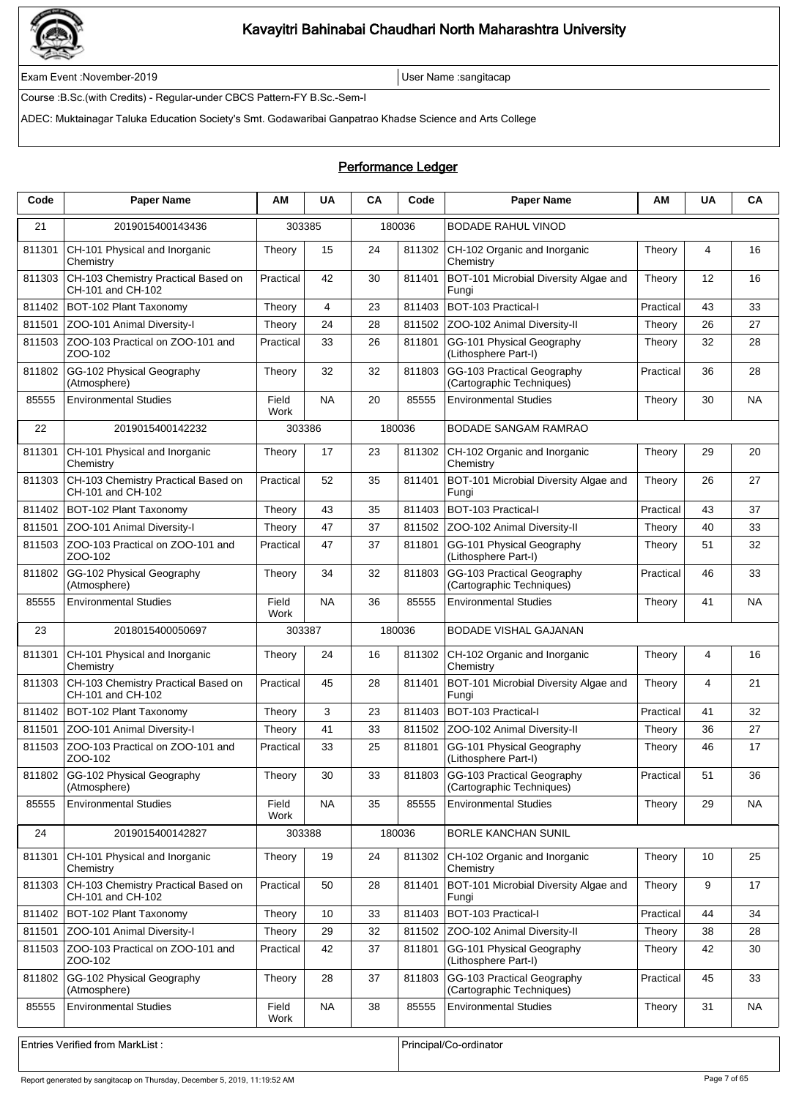

Exam Event :November-2019 User Name :sangitacap

Course :B.Sc.(with Credits) - Regular-under CBCS Pattern-FY B.Sc.-Sem-I

ADEC: Muktainagar Taluka Education Society's Smt. Godawaribai Ganpatrao Khadse Science and Arts College

### Performance Ledger

| Code   | <b>Paper Name</b>                                        | ΑM            | <b>UA</b> | <b>CA</b> | Code   | <b>Paper Name</b>                                              | АM        | <b>UA</b> | CA        |
|--------|----------------------------------------------------------|---------------|-----------|-----------|--------|----------------------------------------------------------------|-----------|-----------|-----------|
| 21     | 2019015400143436                                         | 303385        |           |           | 180036 | BODADE RAHUL VINOD                                             |           |           |           |
| 811301 | CH-101 Physical and Inorganic<br>Chemistry               | Theory        | 15        | 24        | 811302 | CH-102 Organic and Inorganic<br>Chemistry                      | Theory    | 4         | 16        |
| 811303 | CH-103 Chemistry Practical Based on<br>CH-101 and CH-102 | Practical     | 42        | 30        | 811401 | BOT-101 Microbial Diversity Algae and<br>Fungi                 | Theory    | 12        | 16        |
| 811402 | BOT-102 Plant Taxonomy                                   | Theory        | 4         | 23        | 811403 | BOT-103 Practical-I                                            | Practical | 43        | 33        |
| 811501 | ZOO-101 Animal Diversity-I                               | Theory        | 24        | 28        | 811502 | ZOO-102 Animal Diversity-II                                    | Theory    | 26        | 27        |
| 811503 | ZOO-103 Practical on ZOO-101 and<br>ZOO-102              | Practical     | 33        | 26        | 811801 | GG-101 Physical Geography<br>(Lithosphere Part-I)              | Theory    | 32        | 28        |
| 811802 | GG-102 Physical Geography<br>(Atmosphere)                | Theory        | 32        | 32        | 811803 | GG-103 Practical Geography<br>(Cartographic Techniques)        | Practical | 36        | 28        |
| 85555  | <b>Environmental Studies</b>                             | Field<br>Work | <b>NA</b> | 20        | 85555  | <b>Environmental Studies</b>                                   | Theory    | 30        | <b>NA</b> |
| 22     | 2019015400142232                                         | 303386        |           |           | 180036 | BODADE SANGAM RAMRAO                                           |           |           |           |
| 811301 | CH-101 Physical and Inorganic<br>Chemistry               | Theory        | 17        | 23        | 811302 | CH-102 Organic and Inorganic<br>Chemistry                      | Theory    | 29        | 20        |
| 811303 | CH-103 Chemistry Practical Based on<br>CH-101 and CH-102 | Practical     | 52        | 35        | 811401 | BOT-101 Microbial Diversity Algae and<br>Fungi                 | Theory    | 26        | 27        |
| 811402 | BOT-102 Plant Taxonomy                                   | Theory        | 43        | 35        | 811403 | <b>BOT-103 Practical-I</b>                                     | Practical | 43        | 37        |
| 811501 | ZOO-101 Animal Diversity-I                               | Theory        | 47        | 37        | 811502 | ZOO-102 Animal Diversity-II                                    | Theory    | 40        | 33        |
| 811503 | ZOO-103 Practical on ZOO-101 and<br>ZOO-102              | Practical     | 47        | 37        | 811801 | GG-101 Physical Geography<br>(Lithosphere Part-I)              | Theory    | 51        | 32        |
| 811802 | GG-102 Physical Geography<br>(Atmosphere)                | Theory        | 34        | 32        | 811803 | GG-103 Practical Geography<br>(Cartographic Techniques)        | Practical | 46        | 33        |
| 85555  | <b>Environmental Studies</b>                             | Field<br>Work | <b>NA</b> | 36        | 85555  | <b>Environmental Studies</b>                                   | Theory    | 41        | <b>NA</b> |
| 23     | 2018015400050697                                         | 303387        |           |           | 180036 | BODADE VISHAL GAJANAN                                          |           |           |           |
| 811301 | CH-101 Physical and Inorganic<br>Chemistry               | Theory        | 24        | 16        | 811302 | CH-102 Organic and Inorganic<br>Chemistry                      | Theory    | 4         | 16        |
| 811303 | CH-103 Chemistry Practical Based on<br>CH-101 and CH-102 | Practical     | 45        | 28        | 811401 | BOT-101 Microbial Diversity Algae and<br>Fungi                 | Theory    | 4         | 21        |
| 811402 | BOT-102 Plant Taxonomy                                   | Theory        | 3         | 23        | 811403 | BOT-103 Practical-I                                            | Practical | 41        | 32        |
| 811501 | ZOO-101 Animal Diversity-I                               | Theory        | 41        | 33        | 811502 | ZOO-102 Animal Diversity-II                                    | Theory    | 36        | 27        |
| 811503 | ZOO-103 Practical on ZOO-101 and<br>ZOO-102              | Practical     | 33        | 25        | 811801 | GG-101 Physical Geography<br>(Lithosphere Part-I)              | Theory    | 46        | 17        |
|        | 811802 GG-102 Physical Geography<br>(Atmosphere)         | Theory        | 30        | 33        |        | 811803 GG-103 Practical Geography<br>(Cartographic Techniques) | Practical | 51        | 36        |
| 85555  | <b>Environmental Studies</b>                             | Field<br>Work | NA.       | 35        | 85555  | <b>Environmental Studies</b>                                   | Theory    | 29        | NA        |
| 24     | 2019015400142827                                         | 303388        |           |           | 180036 | <b>BORLE KANCHAN SUNIL</b>                                     |           |           |           |
| 811301 | CH-101 Physical and Inorganic<br>Chemistry               | Theory        | 19        | 24        | 811302 | CH-102 Organic and Inorganic<br>Chemistry                      | Theory    | 10        | 25        |
| 811303 | CH-103 Chemistry Practical Based on<br>CH-101 and CH-102 | Practical     | 50        | 28        | 811401 | BOT-101 Microbial Diversity Algae and<br>Fungi                 | Theory    | 9         | 17        |
| 811402 | BOT-102 Plant Taxonomy                                   | Theory        | 10        | 33        | 811403 | BOT-103 Practical-I                                            | Practical | 44        | 34        |
| 811501 | ZOO-101 Animal Diversity-I                               | Theory        | 29        | 32        | 811502 | ZOO-102 Animal Diversity-II                                    | Theory    | 38        | 28        |
| 811503 | ZOO-103 Practical on ZOO-101 and<br>ZOO-102              | Practical     | 42        | 37        | 811801 | GG-101 Physical Geography<br>(Lithosphere Part-I)              | Theory    | 42        | 30        |
| 811802 | GG-102 Physical Geography<br>(Atmosphere)                | Theory        | 28        | 37        | 811803 | GG-103 Practical Geography<br>(Cartographic Techniques)        | Practical | 45        | 33        |
| 85555  | <b>Environmental Studies</b>                             | Field<br>Work | <b>NA</b> | 38        | 85555  | <b>Environmental Studies</b>                                   | Theory    | 31        | <b>NA</b> |
|        |                                                          |               |           |           |        |                                                                |           |           |           |

Entries Verified from MarkList : entries Verified from MarkList : Principal/Co-ordinator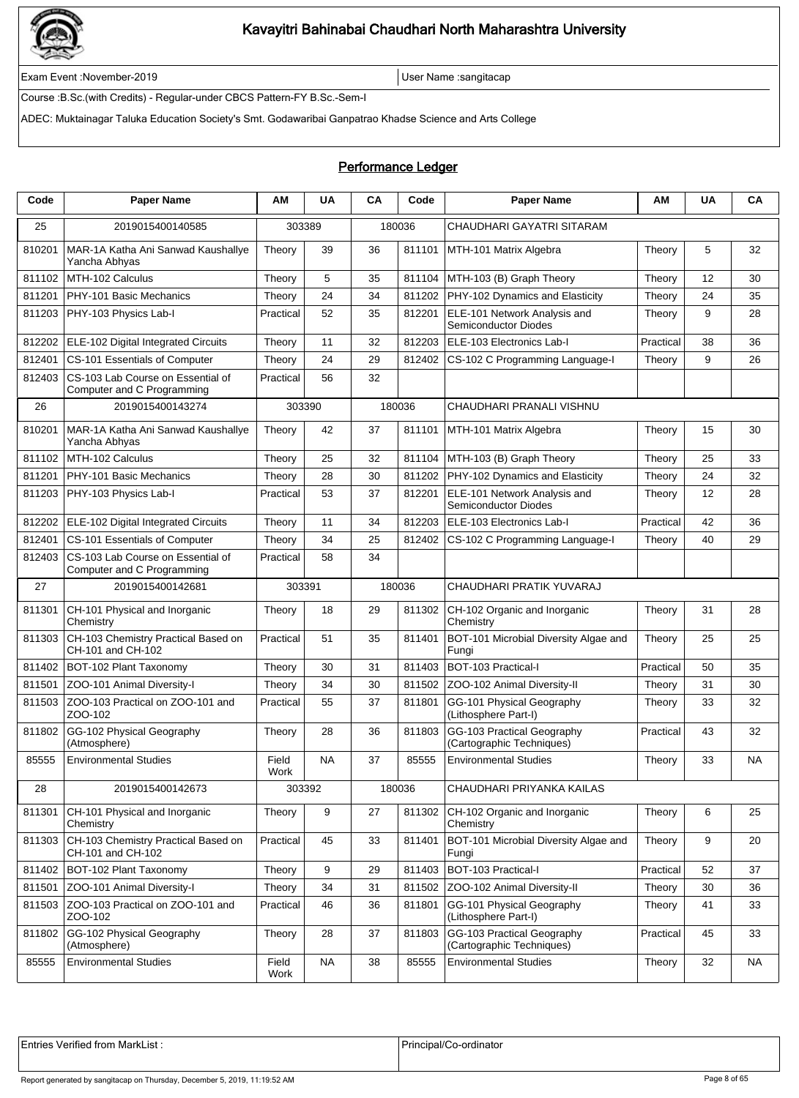

Exam Event :November-2019 User Name :sangitacap

Course :B.Sc.(with Credits) - Regular-under CBCS Pattern-FY B.Sc.-Sem-I

ADEC: Muktainagar Taluka Education Society's Smt. Godawaribai Ganpatrao Khadse Science and Arts College

### Performance Ledger

| Code   | <b>Paper Name</b>                                               | AМ            | <b>UA</b> | CA | Code   | <b>Paper Name</b>                                           | ΑМ        | <b>UA</b> | CA        |
|--------|-----------------------------------------------------------------|---------------|-----------|----|--------|-------------------------------------------------------------|-----------|-----------|-----------|
| 25     | 2019015400140585                                                |               | 303389    |    | 180036 | CHAUDHARI GAYATRI SITARAM                                   |           |           |           |
| 810201 | MAR-1A Katha Ani Sanwad Kaushallye<br>Yancha Abhyas             | Theory        | 39        | 36 | 811101 | MTH-101 Matrix Algebra                                      | Theory    | 5         | 32        |
| 811102 | MTH-102 Calculus                                                | Theory        | 5         | 35 | 811104 | MTH-103 (B) Graph Theory                                    | Theory    | 12        | 30        |
| 811201 | PHY-101 Basic Mechanics                                         | Theory        | 24        | 34 | 811202 | PHY-102 Dynamics and Elasticity                             | Theory    | 24        | 35        |
| 811203 | PHY-103 Physics Lab-I                                           | Practical     | 52        | 35 | 812201 | ELE-101 Network Analysis and<br>Semiconductor Diodes        | Theory    | 9         | 28        |
| 812202 | <b>ELE-102 Digital Integrated Circuits</b>                      | Theory        | 11        | 32 | 812203 | ELE-103 Electronics Lab-I                                   | Practical | 38        | 36        |
| 812401 | CS-101 Essentials of Computer                                   | Theory        | 24        | 29 | 812402 | CS-102 C Programming Language-I                             | Theory    | 9         | 26        |
| 812403 | CS-103 Lab Course on Essential of<br>Computer and C Programming | Practical     | 56        | 32 |        |                                                             |           |           |           |
| 26     | 2019015400143274                                                |               | 303390    |    | 180036 | CHAUDHARI PRANALI VISHNU                                    |           |           |           |
| 810201 | MAR-1A Katha Ani Sanwad Kaushallye<br>Yancha Abhyas             | Theory        | 42        | 37 | 811101 | MTH-101 Matrix Algebra                                      | Theory    | 15        | 30        |
| 811102 | MTH-102 Calculus                                                | Theory        | 25        | 32 | 811104 | MTH-103 (B) Graph Theory                                    | Theory    | 25        | 33        |
| 811201 | PHY-101 Basic Mechanics                                         | Theory        | 28        | 30 | 811202 | PHY-102 Dynamics and Elasticity                             | Theory    | 24        | 32        |
| 811203 | PHY-103 Physics Lab-I                                           | Practical     | 53        | 37 | 812201 | ELE-101 Network Analysis and<br><b>Semiconductor Diodes</b> | Theory    | 12        | 28        |
| 812202 | ELE-102 Digital Integrated Circuits                             | Theory        | 11        | 34 | 812203 | ELE-103 Electronics Lab-I                                   | Practical | 42        | 36        |
| 812401 | CS-101 Essentials of Computer                                   | Theory        | 34        | 25 | 812402 | CS-102 C Programming Language-I                             | Theory    | 40        | 29        |
| 812403 | CS-103 Lab Course on Essential of<br>Computer and C Programming | Practical     | 58        | 34 |        |                                                             |           |           |           |
| 27     | 2019015400142681                                                | 303391        |           |    | 180036 | CHAUDHARI PRATIK YUVARAJ                                    |           |           |           |
| 811301 | CH-101 Physical and Inorganic<br>Chemistry                      | Theory        | 18        | 29 | 811302 | CH-102 Organic and Inorganic<br>Chemistry                   | Theory    | 31        | 28        |
| 811303 | CH-103 Chemistry Practical Based on<br>CH-101 and CH-102        | Practical     | 51        | 35 | 811401 | BOT-101 Microbial Diversity Algae and<br>Fungi              | Theory    | 25        | 25        |
| 811402 | BOT-102 Plant Taxonomy                                          | Theory        | 30        | 31 | 811403 | BOT-103 Practical-I                                         | Practical | 50        | 35        |
| 811501 | ZOO-101 Animal Diversity-I                                      | Theory        | 34        | 30 | 811502 | ZOO-102 Animal Diversity-II                                 | Theory    | 31        | 30        |
| 811503 | ZOO-103 Practical on ZOO-101 and<br>ZOO-102                     | Practical     | 55        | 37 | 811801 | GG-101 Physical Geography<br>(Lithosphere Part-I)           | Theory    | 33        | 32        |
| 811802 | GG-102 Physical Geography<br>(Atmosphere)                       | Theory        | 28        | 36 | 811803 | GG-103 Practical Geography<br>(Cartographic Techniques)     | Practical | 43        | 32        |
| 85555  | <b>Environmental Studies</b>                                    | Field<br>Work | <b>NA</b> | 37 | 85555  | <b>Environmental Studies</b>                                | Theory    | 33        | <b>NA</b> |
| 28     | 2019015400142673                                                |               | 303392    |    | 180036 | CHAUDHARI PRIYANKA KAILAS                                   |           |           |           |
| 811301 | CH-101 Physical and Inorganic<br>Chemistry                      | Theory        | 9         | 27 | 811302 | CH-102 Organic and Inorganic<br>Chemistry                   | Theory    | 6         | 25        |
| 811303 | CH-103 Chemistry Practical Based on<br>CH-101 and CH-102        | Practical     | 45        | 33 | 811401 | BOT-101 Microbial Diversity Algae and<br>Fungi              | Theory    | 9         | 20        |
| 811402 | BOT-102 Plant Taxonomy                                          | Theory        | 9         | 29 | 811403 | BOT-103 Practical-I                                         | Practical | 52        | 37        |
| 811501 | ZOO-101 Animal Diversity-I                                      | Theory        | 34        | 31 | 811502 | ZOO-102 Animal Diversity-II                                 | Theory    | 30        | 36        |
| 811503 | ZOO-103 Practical on ZOO-101 and<br>ZOO-102                     | Practical     | 46        | 36 | 811801 | GG-101 Physical Geography<br>(Lithosphere Part-I)           | Theory    | 41        | 33        |
| 811802 | GG-102 Physical Geography<br>(Atmosphere)                       | Theory        | 28        | 37 | 811803 | GG-103 Practical Geography<br>(Cartographic Techniques)     | Practical | 45        | 33        |
| 85555  | <b>Environmental Studies</b>                                    | Field<br>Work | <b>NA</b> | 38 | 85555  | <b>Environmental Studies</b>                                | Theory    | 32        | <b>NA</b> |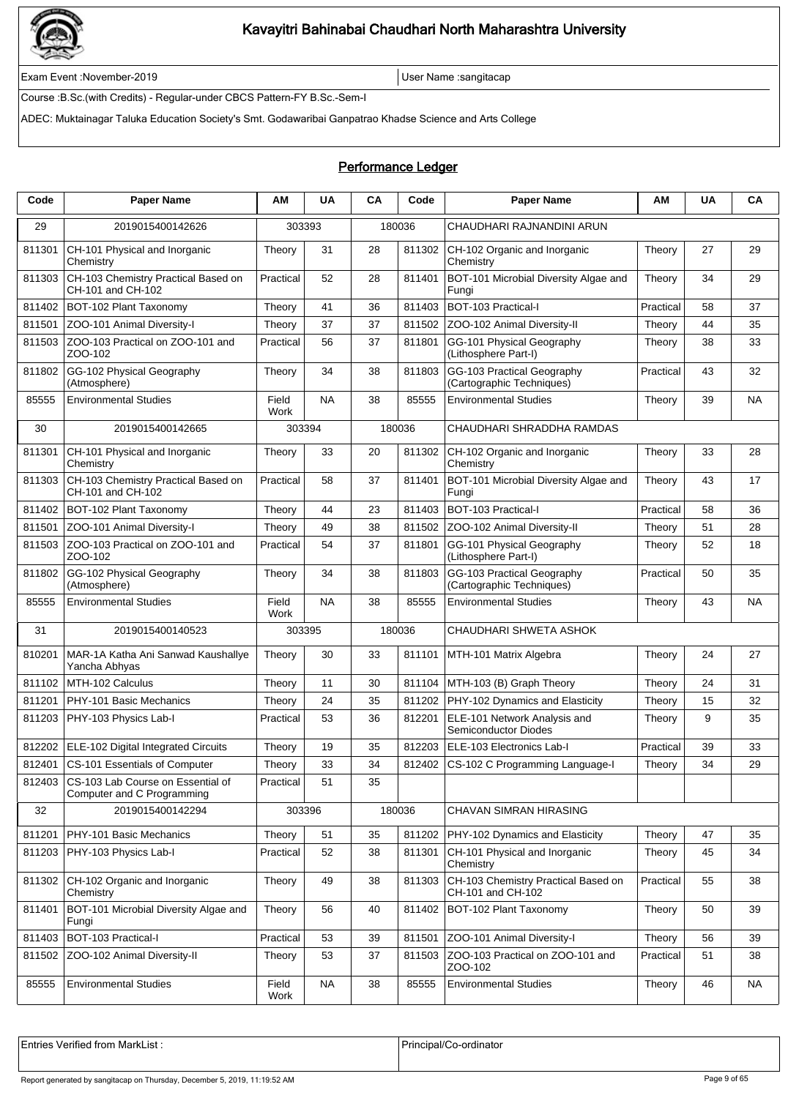

Exam Event :November-2019 User Name :sangitacap

Course :B.Sc.(with Credits) - Regular-under CBCS Pattern-FY B.Sc.-Sem-I

ADEC: Muktainagar Taluka Education Society's Smt. Godawaribai Ganpatrao Khadse Science and Arts College

### Performance Ledger

| Code   | <b>Paper Name</b>                                               | ΑM            | <b>UA</b> | <b>CA</b> | Code   | <b>Paper Name</b>                                        | ΑM        | <b>UA</b> | CA        |
|--------|-----------------------------------------------------------------|---------------|-----------|-----------|--------|----------------------------------------------------------|-----------|-----------|-----------|
| 29     | 2019015400142626                                                | 303393        |           |           | 180036 | CHAUDHARI RAJNANDINI ARUN                                |           |           |           |
| 811301 | CH-101 Physical and Inorganic<br>Chemistry                      | Theory        | 31        | 28        | 811302 | CH-102 Organic and Inorganic<br>Chemistry                | Theory    | 27        | 29        |
| 811303 | CH-103 Chemistry Practical Based on<br>CH-101 and CH-102        | Practical     | 52        | 28        | 811401 | BOT-101 Microbial Diversity Algae and<br>Fungi           | Theory    | 34        | 29        |
| 811402 | BOT-102 Plant Taxonomy                                          | Theory        | 41        | 36        | 811403 | <b>BOT-103 Practical-I</b>                               | Practical | 58        | 37        |
| 811501 | ZOO-101 Animal Diversity-I                                      | Theory        | 37        | 37        | 811502 | ZOO-102 Animal Diversity-II                              | Theory    | 44        | 35        |
| 811503 | ZOO-103 Practical on ZOO-101 and<br>ZOO-102                     | Practical     | 56        | 37        | 811801 | GG-101 Physical Geography<br>(Lithosphere Part-I)        | Theory    | 38        | 33        |
| 811802 | GG-102 Physical Geography<br>(Atmosphere)                       | Theory        | 34        | 38        | 811803 | GG-103 Practical Geography<br>(Cartographic Techniques)  | Practical | 43        | 32        |
| 85555  | <b>Environmental Studies</b>                                    | Field<br>Work | <b>NA</b> | 38        | 85555  | <b>Environmental Studies</b>                             | Theory    | 39        | <b>NA</b> |
| 30     | 2019015400142665                                                | 303394        |           |           | 180036 | CHAUDHARI SHRADDHA RAMDAS                                |           |           |           |
| 811301 | CH-101 Physical and Inorganic<br>Chemistry                      | Theory        | 33        | 20        | 811302 | CH-102 Organic and Inorganic<br>Chemistry                | Theory    | 33        | 28        |
| 811303 | CH-103 Chemistry Practical Based on<br>CH-101 and CH-102        | Practical     | 58        | 37        | 811401 | BOT-101 Microbial Diversity Algae and<br>Fungi           | Theory    | 43        | 17        |
| 811402 | BOT-102 Plant Taxonomy                                          | Theory        | 44        | 23        | 811403 | BOT-103 Practical-I                                      | Practical | 58        | 36        |
| 811501 | ZOO-101 Animal Diversity-I                                      | Theory        | 49        | 38        | 811502 | ZOO-102 Animal Diversity-II                              | Theory    | 51        | 28        |
| 811503 | ZOO-103 Practical on ZOO-101 and<br>ZOO-102                     | Practical     | 54        | 37        | 811801 | GG-101 Physical Geography<br>(Lithosphere Part-I)        | Theory    | 52        | 18        |
| 811802 | GG-102 Physical Geography<br>(Atmosphere)                       | Theory        | 34        | 38        | 811803 | GG-103 Practical Geography<br>(Cartographic Techniques)  | Practical | 50        | 35        |
| 85555  | <b>Environmental Studies</b>                                    | Field<br>Work | <b>NA</b> | 38        | 85555  | <b>Environmental Studies</b>                             | Theory    | 43        | NA        |
| 31     | 2019015400140523                                                | 303395        |           |           | 180036 | CHAUDHARI SHWETA ASHOK                                   |           |           |           |
| 810201 | MAR-1A Katha Ani Sanwad Kaushallye<br>Yancha Abhyas             | Theory        | 30        | 33        | 811101 | MTH-101 Matrix Algebra                                   | Theory    | 24        | 27        |
| 811102 | MTH-102 Calculus                                                | Theory        | 11        | 30        | 811104 | MTH-103 (B) Graph Theory                                 | Theory    | 24        | 31        |
| 811201 | PHY-101 Basic Mechanics                                         | Theory        | 24        | 35        | 811202 | PHY-102 Dynamics and Elasticity                          | Theory    | 15        | 32        |
| 811203 | PHY-103 Physics Lab-I                                           | Practical     | 53        | 36        | 812201 | ELE-101 Network Analysis and<br>Semiconductor Diodes     | Theory    | 9         | 35        |
| 812202 | ELE-102 Digital Integrated Circuits                             | Theory        | 19        | 35        | 812203 | ELE-103 Electronics Lab-I                                | Practical | 39        | 33        |
| 812401 | CS-101 Essentials of Computer                                   | Theory        | 33        | 34        | 812402 | CS-102 C Programming Language-I                          | Theory    | 34        | 29        |
| 812403 | CS-103 Lab Course on Essential of<br>Computer and C Programming | Practical     | 51        | 35        |        |                                                          |           |           |           |
| 32     | 2019015400142294                                                | 303396        |           |           | 180036 | CHAVAN SIMRAN HIRASING                                   |           |           |           |
| 811201 | PHY-101 Basic Mechanics                                         | Theory        | 51        | 35        | 811202 | <b>PHY-102 Dynamics and Elasticity</b>                   | Theory    | 47        | 35        |
| 811203 | PHY-103 Physics Lab-I                                           | Practical     | 52        | 38        | 811301 | CH-101 Physical and Inorganic<br>Chemistry               | Theory    | 45        | 34        |
| 811302 | CH-102 Organic and Inorganic<br>Chemistry                       | Theory        | 49        | 38        | 811303 | CH-103 Chemistry Practical Based on<br>CH-101 and CH-102 | Practical | 55        | 38        |
| 811401 | BOT-101 Microbial Diversity Algae and<br>Fungi                  | Theory        | 56        | 40        | 811402 | BOT-102 Plant Taxonomy                                   | Theory    | 50        | 39        |
| 811403 | BOT-103 Practical-I                                             | Practical     | 53        | 39        | 811501 | ZOO-101 Animal Diversity-I                               | Theory    | 56        | 39        |
| 811502 | ZOO-102 Animal Diversity-II                                     | Theory        | 53        | 37        | 811503 | ZOO-103 Practical on ZOO-101 and<br>ZOO-102              | Practical | 51        | 38        |
| 85555  | <b>Environmental Studies</b>                                    | Field<br>Work | <b>NA</b> | 38        | 85555  | <b>Environmental Studies</b>                             | Theory    | 46        | <b>NA</b> |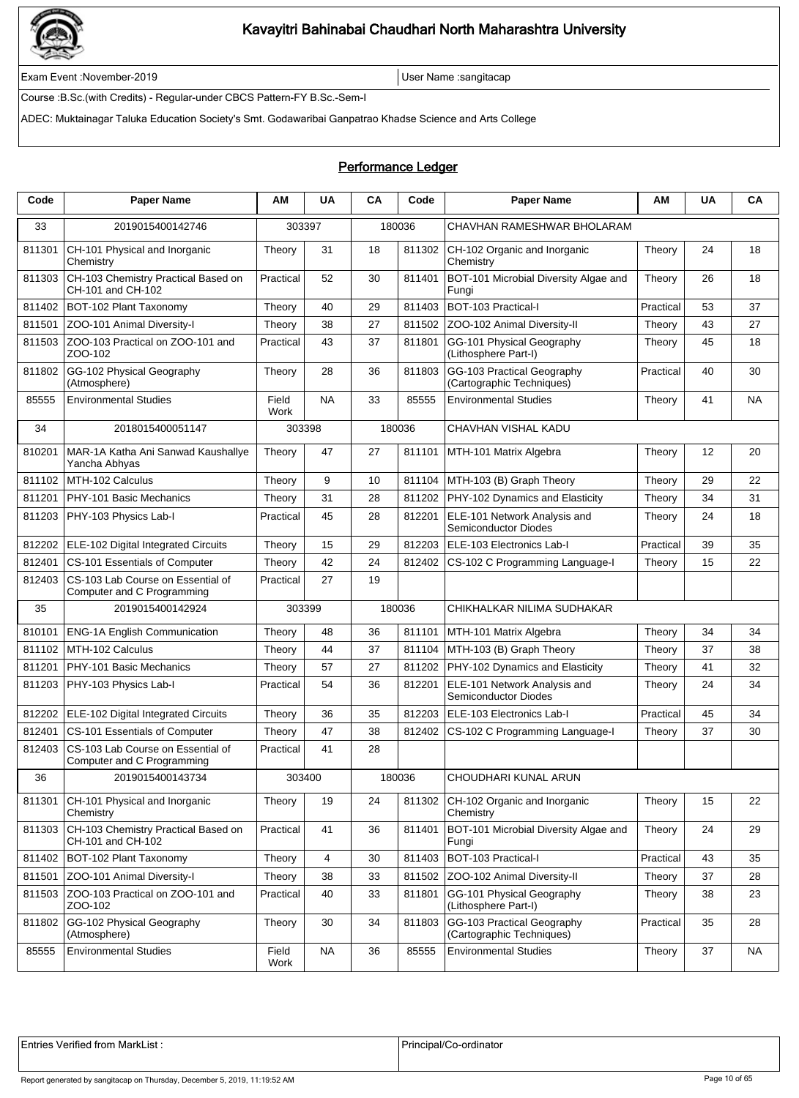

Exam Event :November-2019 User Name :sangitacap

Course :B.Sc.(with Credits) - Regular-under CBCS Pattern-FY B.Sc.-Sem-I

ADEC: Muktainagar Taluka Education Society's Smt. Godawaribai Ganpatrao Khadse Science and Arts College

### Performance Ledger

| Code   | <b>Paper Name</b>                                               | ΑM            | <b>UA</b> | CA | Code   | <b>Paper Name</b>                                           | ΑМ        | <b>UA</b> | CA        |
|--------|-----------------------------------------------------------------|---------------|-----------|----|--------|-------------------------------------------------------------|-----------|-----------|-----------|
| 33     | 2019015400142746                                                | 303397        |           |    | 180036 | CHAVHAN RAMESHWAR BHOLARAM                                  |           |           |           |
| 811301 | CH-101 Physical and Inorganic<br>Chemistry                      | Theory        | 31        | 18 | 811302 | CH-102 Organic and Inorganic<br>Chemistry                   | Theory    | 24        | 18        |
| 811303 | CH-103 Chemistry Practical Based on<br>CH-101 and CH-102        | Practical     | 52        | 30 | 811401 | BOT-101 Microbial Diversity Algae and<br>Fungi              | Theory    | 26        | 18        |
| 811402 | BOT-102 Plant Taxonomy                                          | Theory        | 40        | 29 | 811403 | BOT-103 Practical-I                                         | Practical | 53        | 37        |
| 811501 | ZOO-101 Animal Diversity-I                                      | Theory        | 38        | 27 | 811502 | ZOO-102 Animal Diversity-II                                 | Theory    | 43        | 27        |
| 811503 | ZOO-103 Practical on ZOO-101 and<br>ZOO-102                     | Practical     | 43        | 37 | 811801 | GG-101 Physical Geography<br>(Lithosphere Part-I)           | Theory    | 45        | 18        |
| 811802 | GG-102 Physical Geography<br>(Atmosphere)                       | Theory        | 28        | 36 | 811803 | GG-103 Practical Geography<br>(Cartographic Techniques)     | Practical | 40        | 30        |
| 85555  | <b>Environmental Studies</b>                                    | Field<br>Work | <b>NA</b> | 33 | 85555  | <b>Environmental Studies</b>                                | Theory    | 41        | <b>NA</b> |
| 34     | 2018015400051147                                                | 303398        |           |    | 180036 | CHAVHAN VISHAL KADU                                         |           |           |           |
| 810201 | MAR-1A Katha Ani Sanwad Kaushallye<br>Yancha Abhyas             | Theory        | 47        | 27 | 811101 | MTH-101 Matrix Algebra                                      | Theory    | 12        | 20        |
| 811102 | MTH-102 Calculus                                                | Theory        | 9         | 10 | 811104 | MTH-103 (B) Graph Theory                                    | Theory    | 29        | 22        |
| 811201 | PHY-101 Basic Mechanics                                         | Theory        | 31        | 28 | 811202 | PHY-102 Dynamics and Elasticity                             | Theory    | 34        | 31        |
| 811203 | PHY-103 Physics Lab-I                                           | Practical     | 45        | 28 | 812201 | ELE-101 Network Analysis and<br><b>Semiconductor Diodes</b> | Theory    | 24        | 18        |
| 812202 | ELE-102 Digital Integrated Circuits                             | Theory        | 15        | 29 | 812203 | ELE-103 Electronics Lab-I                                   | Practical | 39        | 35        |
| 812401 | CS-101 Essentials of Computer                                   | Theory        | 42        | 24 | 812402 | CS-102 C Programming Language-I                             | Theory    | 15        | 22        |
| 812403 | CS-103 Lab Course on Essential of<br>Computer and C Programming | Practical     | 27        | 19 |        |                                                             |           |           |           |
| 35     | 2019015400142924                                                | 303399        |           |    | 180036 | CHIKHALKAR NILIMA SUDHAKAR                                  |           |           |           |
| 810101 | <b>ENG-1A English Communication</b>                             | Theory        | 48        | 36 | 811101 | MTH-101 Matrix Algebra                                      | Theory    | 34        | 34        |
| 811102 | MTH-102 Calculus                                                | Theory        | 44        | 37 | 811104 | MTH-103 (B) Graph Theory                                    | Theory    | 37        | 38        |
| 811201 | PHY-101 Basic Mechanics                                         | Theory        | 57        | 27 | 811202 | PHY-102 Dynamics and Elasticity                             | Theory    | 41        | 32        |
| 811203 | PHY-103 Physics Lab-I                                           | Practical     | 54        | 36 | 812201 | ELE-101 Network Analysis and<br>Semiconductor Diodes        | Theory    | 24        | 34        |
| 812202 | ELE-102 Digital Integrated Circuits                             | Theory        | 36        | 35 | 812203 | ELE-103 Electronics Lab-I                                   | Practical | 45        | 34        |
| 812401 | CS-101 Essentials of Computer                                   | Theory        | 47        | 38 | 812402 | CS-102 C Programming Language-I                             | Theory    | 37        | 30        |
| 812403 | CS-103 Lab Course on Essential of<br>Computer and C Programming | Practical     | 41        | 28 |        |                                                             |           |           |           |
| 36     | 2019015400143734                                                |               | 303400    |    | 180036 | CHOUDHARI KUNAL ARUN                                        |           |           |           |
| 811301 | CH-101 Physical and Inorganic<br>Chemistry                      | Theory        | 19        | 24 | 811302 | CH-102 Organic and Inorganic<br>Chemistry                   | Theory    | 15        | 22        |
| 811303 | CH-103 Chemistry Practical Based on<br>CH-101 and CH-102        | Practical     | 41        | 36 | 811401 | BOT-101 Microbial Diversity Algae and<br>Fungi              | Theory    | 24        | 29        |
| 811402 | BOT-102 Plant Taxonomy                                          | Theory        | 4         | 30 | 811403 | BOT-103 Practical-I                                         | Practical | 43        | 35        |
| 811501 | ZOO-101 Animal Diversity-I                                      | Theory        | 38        | 33 | 811502 | ZOO-102 Animal Diversity-II                                 | Theory    | 37        | 28        |
| 811503 | ZOO-103 Practical on ZOO-101 and<br>ZOO-102                     | Practical     | 40        | 33 | 811801 | GG-101 Physical Geography<br>(Lithosphere Part-I)           | Theory    | 38        | 23        |
| 811802 | GG-102 Physical Geography<br>(Atmosphere)                       | Theory        | 30        | 34 | 811803 | GG-103 Practical Geography<br>(Cartographic Techniques)     | Practical | 35        | 28        |
| 85555  | <b>Environmental Studies</b>                                    | Field<br>Work | <b>NA</b> | 36 | 85555  | <b>Environmental Studies</b>                                | Theory    | 37        | <b>NA</b> |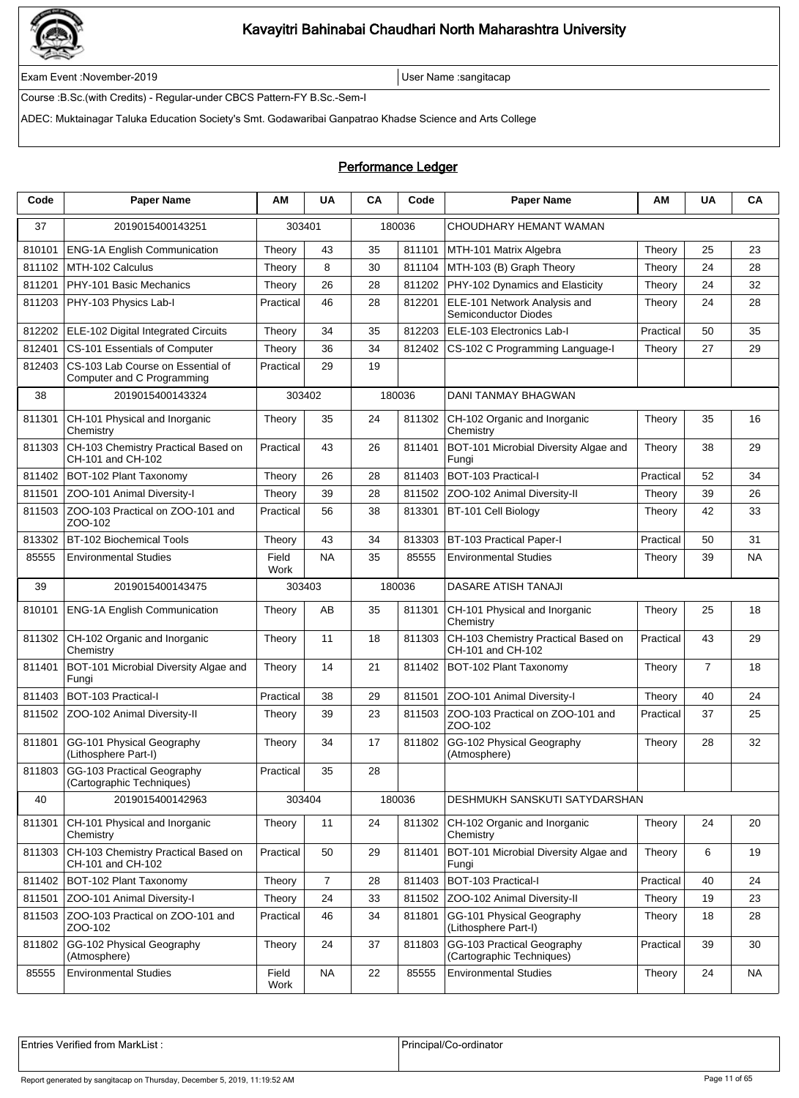

Exam Event :November-2019 User Name :sangitacap

Course :B.Sc.(with Credits) - Regular-under CBCS Pattern-FY B.Sc.-Sem-I

ADEC: Muktainagar Taluka Education Society's Smt. Godawaribai Ganpatrao Khadse Science and Arts College

### Performance Ledger

| Code   | <b>Paper Name</b>                                               | AМ            | <b>UA</b>      | <b>CA</b> | Code   | <b>Paper Name</b>                                        | ΑM        | <b>UA</b>      | CA        |
|--------|-----------------------------------------------------------------|---------------|----------------|-----------|--------|----------------------------------------------------------|-----------|----------------|-----------|
| 37     | 2019015400143251                                                |               | 303401         |           | 180036 | CHOUDHARY HEMANT WAMAN                                   |           |                |           |
| 810101 | <b>ENG-1A English Communication</b>                             | Theory        | 43             | 35        | 811101 | MTH-101 Matrix Algebra                                   | Theory    | 25             | 23        |
| 811102 | MTH-102 Calculus                                                | Theory        | 8              | 30        | 811104 | MTH-103 (B) Graph Theory                                 | Theory    | 24             | 28        |
| 811201 | PHY-101 Basic Mechanics                                         | Theory        | 26             | 28        | 811202 | PHY-102 Dynamics and Elasticity                          | Theory    | 24             | 32        |
| 811203 | PHY-103 Physics Lab-I                                           | Practical     | 46             | 28        | 812201 | ELE-101 Network Analysis and<br>Semiconductor Diodes     | Theory    | 24             | 28        |
| 812202 | ELE-102 Digital Integrated Circuits                             | Theory        | 34             | 35        | 812203 | ELE-103 Electronics Lab-I                                | Practical | 50             | 35        |
| 812401 | CS-101 Essentials of Computer                                   | Theory        | 36             | 34        | 812402 | CS-102 C Programming Language-I                          | Theory    | 27             | 29        |
| 812403 | CS-103 Lab Course on Essential of<br>Computer and C Programming | Practical     | 29             | 19        |        |                                                          |           |                |           |
| 38     | 2019015400143324                                                |               | 303402         |           | 180036 | <b>DANI TANMAY BHAGWAN</b>                               |           |                |           |
| 811301 | CH-101 Physical and Inorganic<br>Chemistry                      | Theory        | 35             | 24        | 811302 | CH-102 Organic and Inorganic<br>Chemistry                | Theory    | 35             | 16        |
| 811303 | CH-103 Chemistry Practical Based on<br>CH-101 and CH-102        | Practical     | 43             | 26        | 811401 | BOT-101 Microbial Diversity Algae and<br>Fungi           | Theory    | 38             | 29        |
| 811402 | BOT-102 Plant Taxonomy                                          | Theory        | 26             | 28        | 811403 | BOT-103 Practical-I                                      | Practical | 52             | 34        |
| 811501 | ZOO-101 Animal Diversity-I                                      | Theory        | 39             | 28        | 811502 | ZOO-102 Animal Diversity-II                              | Theory    | 39             | 26        |
| 811503 | ZOO-103 Practical on ZOO-101 and<br>ZOO-102                     | Practical     | 56             | 38        | 813301 | BT-101 Cell Biology                                      | Theory    | 42             | 33        |
| 813302 | BT-102 Biochemical Tools                                        | Theory        | 43             | 34        | 813303 | BT-103 Practical Paper-I                                 | Practical | 50             | 31        |
| 85555  | <b>Environmental Studies</b>                                    | Field<br>Work | <b>NA</b>      | 35        | 85555  | <b>Environmental Studies</b>                             | Theory    | 39             | <b>NA</b> |
| 39     | 2019015400143475                                                |               | 303403         |           | 180036 | <b>DASARE ATISH TANAJI</b>                               |           |                |           |
| 810101 | <b>ENG-1A English Communication</b>                             | Theory        | AB             | 35        | 811301 | CH-101 Physical and Inorganic<br>Chemistry               | Theory    | 25             | 18        |
| 811302 | CH-102 Organic and Inorganic<br>Chemistry                       | Theory        | 11             | 18        | 811303 | CH-103 Chemistry Practical Based on<br>CH-101 and CH-102 | Practical | 43             | 29        |
| 811401 | BOT-101 Microbial Diversity Algae and<br>Fungi                  | Theory        | 14             | 21        | 811402 | BOT-102 Plant Taxonomy                                   | Theory    | $\overline{7}$ | 18        |
| 811403 | BOT-103 Practical-I                                             | Practical     | 38             | 29        | 811501 | ZOO-101 Animal Diversity-I                               | Theory    | 40             | 24        |
| 811502 | ZOO-102 Animal Diversity-II                                     | Theory        | 39             | 23        | 811503 | ZOO-103 Practical on ZOO-101 and<br>ZOO-102              | Practical | 37             | 25        |
| 811801 | GG-101 Physical Geography<br>(Lithosphere Part-I)               | Theory        | 34             | 17        | 811802 | GG-102 Physical Geography<br>(Atmosphere)                | Theory    | 28             | 32        |
| 811803 | GG-103 Practical Geography<br>(Cartographic Techniques)         | Practical     | 35             | 28        |        |                                                          |           |                |           |
| 40     | 2019015400142963                                                |               | 303404         |           | 180036 | DESHMUKH SANSKUTI SATYDARSHAN                            |           |                |           |
| 811301 | CH-101 Physical and Inorganic<br>Chemistry                      | Theory        | 11             | 24        | 811302 | CH-102 Organic and Inorganic<br>Chemistry                | Theory    | 24             | 20        |
| 811303 | CH-103 Chemistry Practical Based on<br>CH-101 and CH-102        | Practical     | 50             | 29        | 811401 | BOT-101 Microbial Diversity Algae and<br>Fungi           | Theory    | 6              | 19        |
| 811402 | BOT-102 Plant Taxonomy                                          | Theory        | $\overline{7}$ | 28        | 811403 | BOT-103 Practical-I                                      | Practical | 40             | 24        |
| 811501 | ZOO-101 Animal Diversity-I                                      | Theory        | 24             | 33        | 811502 | ZOO-102 Animal Diversity-II                              | Theory    | 19             | 23        |
| 811503 | ZOO-103 Practical on ZOO-101 and<br>ZOO-102                     | Practical     | 46             | 34        | 811801 | GG-101 Physical Geography<br>(Lithosphere Part-I)        | Theory    | 18             | 28        |
| 811802 | GG-102 Physical Geography<br>(Atmosphere)                       | Theory        | 24             | 37        | 811803 | GG-103 Practical Geography<br>(Cartographic Techniques)  | Practical | 39             | 30        |
| 85555  | <b>Environmental Studies</b>                                    | Field<br>Work | <b>NA</b>      | 22        | 85555  | <b>Environmental Studies</b>                             | Theory    | 24             | <b>NA</b> |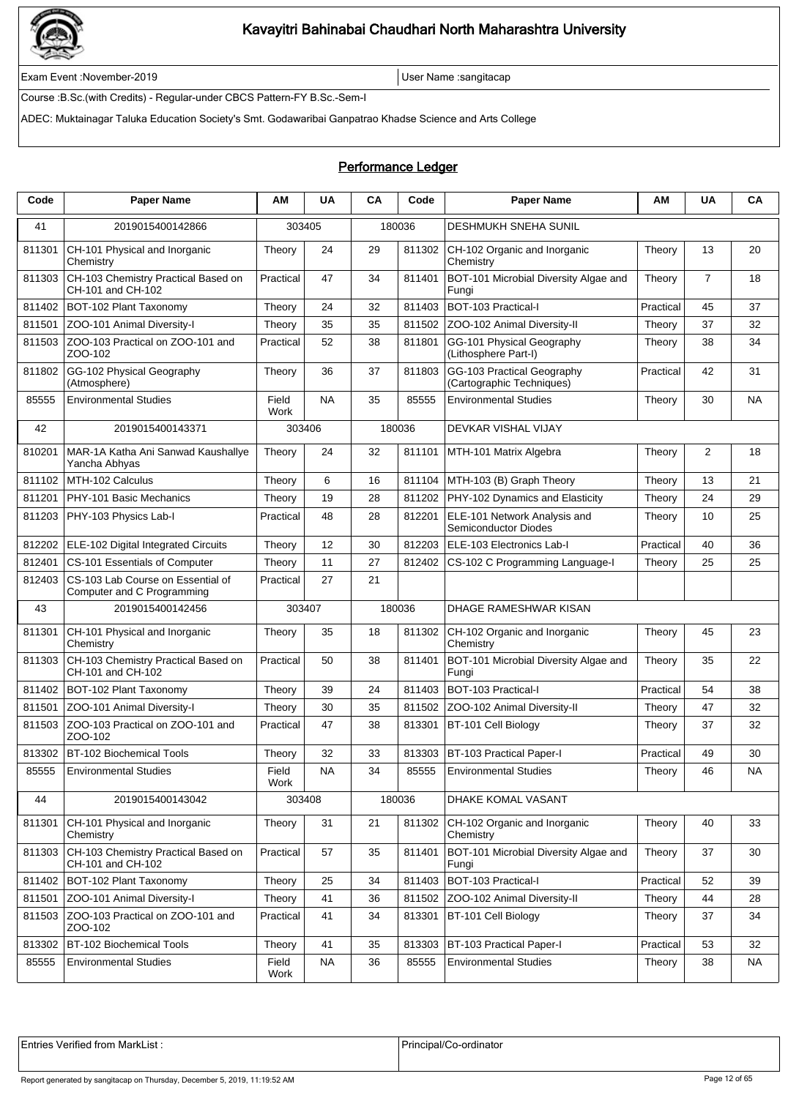

Exam Event :November-2019 User Name :sangitacap

Course :B.Sc.(with Credits) - Regular-under CBCS Pattern-FY B.Sc.-Sem-I

ADEC: Muktainagar Taluka Education Society's Smt. Godawaribai Ganpatrao Khadse Science and Arts College

### Performance Ledger

| Code   | <b>Paper Name</b>                                               | ΑM            | <b>UA</b> | CA | Code   | <b>Paper Name</b>                                           | ΑМ        | <b>UA</b>      | CA        |
|--------|-----------------------------------------------------------------|---------------|-----------|----|--------|-------------------------------------------------------------|-----------|----------------|-----------|
| 41     | 2019015400142866                                                | 303405        |           |    | 180036 | <b>DESHMUKH SNEHA SUNIL</b>                                 |           |                |           |
| 811301 | CH-101 Physical and Inorganic<br>Chemistry                      | Theory        | 24        | 29 | 811302 | CH-102 Organic and Inorganic<br>Chemistry                   | Theory    | 13             | 20        |
| 811303 | CH-103 Chemistry Practical Based on<br>CH-101 and CH-102        | Practical     | 47        | 34 | 811401 | BOT-101 Microbial Diversity Algae and<br>Fungi              | Theory    | $\overline{7}$ | 18        |
| 811402 | BOT-102 Plant Taxonomy                                          | Theory        | 24        | 32 | 811403 | BOT-103 Practical-I                                         | Practical | 45             | 37        |
| 811501 | ZOO-101 Animal Diversity-I                                      | Theory        | 35        | 35 | 811502 | ZOO-102 Animal Diversity-II                                 | Theory    | 37             | 32        |
| 811503 | ZOO-103 Practical on ZOO-101 and<br>ZOO-102                     | Practical     | 52        | 38 | 811801 | GG-101 Physical Geography<br>(Lithosphere Part-I)           | Theory    | 38             | 34        |
| 811802 | GG-102 Physical Geography<br>(Atmosphere)                       | Theory        | 36        | 37 | 811803 | GG-103 Practical Geography<br>(Cartographic Techniques)     | Practical | 42             | 31        |
| 85555  | <b>Environmental Studies</b>                                    | Field<br>Work | <b>NA</b> | 35 | 85555  | <b>Environmental Studies</b>                                | Theory    | 30             | <b>NA</b> |
| 42     | 2019015400143371                                                | 303406        |           |    | 180036 | DEVKAR VISHAL VIJAY                                         |           |                |           |
| 810201 | MAR-1A Katha Ani Sanwad Kaushallye<br>Yancha Abhyas             | Theory        | 24        | 32 | 811101 | MTH-101 Matrix Algebra                                      | Theory    | 2              | 18        |
| 811102 | MTH-102 Calculus                                                | Theory        | 6         | 16 | 811104 | MTH-103 (B) Graph Theory                                    | Theory    | 13             | 21        |
| 811201 | PHY-101 Basic Mechanics                                         | Theory        | 19        | 28 | 811202 | PHY-102 Dynamics and Elasticity                             | Theory    | 24             | 29        |
| 811203 | PHY-103 Physics Lab-I                                           | Practical     | 48        | 28 | 812201 | ELE-101 Network Analysis and<br><b>Semiconductor Diodes</b> | Theory    | 10             | 25        |
| 812202 | ELE-102 Digital Integrated Circuits                             | Theory        | 12        | 30 | 812203 | ELE-103 Electronics Lab-I                                   | Practical | 40             | 36        |
| 812401 | CS-101 Essentials of Computer                                   | Theory        | 11        | 27 | 812402 | CS-102 C Programming Language-I                             | Theory    | 25             | 25        |
| 812403 | CS-103 Lab Course on Essential of<br>Computer and C Programming | Practical     | 27        | 21 |        |                                                             |           |                |           |
| 43     | 2019015400142456                                                | 303407        |           |    | 180036 | DHAGE RAMESHWAR KISAN                                       |           |                |           |
| 811301 | CH-101 Physical and Inorganic<br>Chemistry                      | Theory        | 35        | 18 | 811302 | CH-102 Organic and Inorganic<br>Chemistry                   | Theory    | 45             | 23        |
| 811303 | CH-103 Chemistry Practical Based on<br>CH-101 and CH-102        | Practical     | 50        | 38 | 811401 | BOT-101 Microbial Diversity Algae and<br>Fungi              | Theory    | 35             | 22        |
| 811402 | BOT-102 Plant Taxonomy                                          | Theory        | 39        | 24 | 811403 | BOT-103 Practical-I                                         | Practical | 54             | 38        |
| 811501 | ZOO-101 Animal Diversity-I                                      | Theory        | 30        | 35 | 811502 | ZOO-102 Animal Diversity-II                                 | Theory    | 47             | 32        |
| 811503 | ZOO-103 Practical on ZOO-101 and<br>ZOO-102                     | Practical     | 47        | 38 | 813301 | BT-101 Cell Biology                                         | Theory    | 37             | 32        |
| 813302 | BT-102 Biochemical Tools                                        | Theory        | 32        | 33 | 813303 | <b>BT-103 Practical Paper-I</b>                             | Practical | 49             | 30        |
| 85555  | <b>Environmental Studies</b>                                    | Field<br>Work | NA        | 34 | 85555  | <b>Environmental Studies</b>                                | Theory    | 46             | ΝA        |
| 44     | 2019015400143042                                                | 303408        |           |    | 180036 | DHAKE KOMAL VASANT                                          |           |                |           |
| 811301 | CH-101 Physical and Inorganic<br>Chemistry                      | Theory        | 31        | 21 | 811302 | CH-102 Organic and Inorganic<br>Chemistry                   | Theory    | 40             | 33        |
| 811303 | CH-103 Chemistry Practical Based on<br>CH-101 and CH-102        | Practical     | 57        | 35 | 811401 | BOT-101 Microbial Diversity Algae and<br>Fungi              | Theory    | 37             | 30        |
| 811402 | BOT-102 Plant Taxonomy                                          | Theory        | 25        | 34 | 811403 | BOT-103 Practical-I                                         | Practical | 52             | 39        |
| 811501 | ZOO-101 Animal Diversity-I                                      | Theory        | 41        | 36 | 811502 | ZOO-102 Animal Diversity-II                                 | Theory    | 44             | 28        |
| 811503 | ZOO-103 Practical on ZOO-101 and<br>ZOO-102                     | Practical     | 41        | 34 | 813301 | BT-101 Cell Biology                                         | Theory    | 37             | 34        |
| 813302 | BT-102 Biochemical Tools                                        | Theory        | 41        | 35 | 813303 | <b>BT-103 Practical Paper-I</b>                             | Practical | 53             | 32        |
| 85555  | <b>Environmental Studies</b>                                    | Field<br>Work | <b>NA</b> | 36 | 85555  | <b>Environmental Studies</b>                                | Theory    | 38             | <b>NA</b> |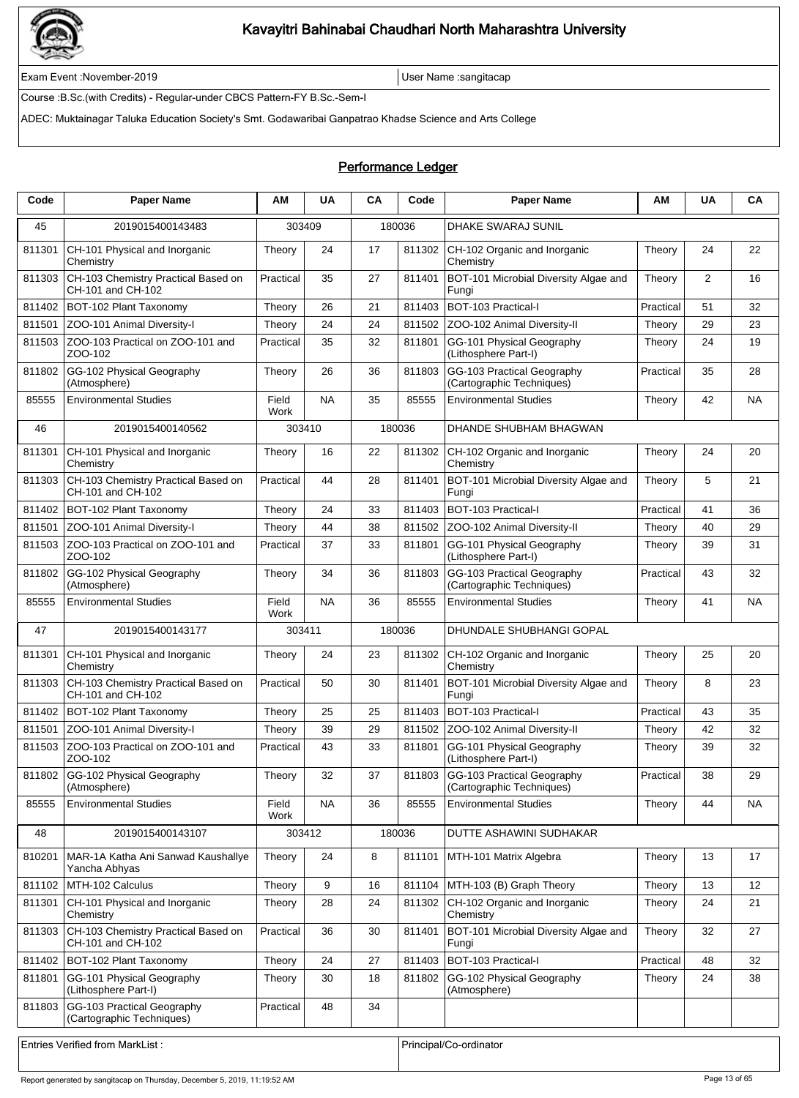

Exam Event :November-2019 User Name :sangitacap

Course :B.Sc.(with Credits) - Regular-under CBCS Pattern-FY B.Sc.-Sem-I

ADEC: Muktainagar Taluka Education Society's Smt. Godawaribai Ganpatrao Khadse Science and Arts College

### Performance Ledger

| Code   | <b>Paper Name</b>                                        | ΑM            | <b>UA</b> | CA | Code   | <b>Paper Name</b>                                              | ΑМ                   | <b>UA</b> | CA        |
|--------|----------------------------------------------------------|---------------|-----------|----|--------|----------------------------------------------------------------|----------------------|-----------|-----------|
| 45     | 2019015400143483                                         | 303409        |           |    | 180036 | <b>DHAKE SWARAJ SUNIL</b>                                      |                      |           |           |
| 811301 | CH-101 Physical and Inorganic<br>Chemistry               | Theory        | 24        | 17 | 811302 | CH-102 Organic and Inorganic<br>Chemistry                      | Theory               | 24        | 22        |
| 811303 | CH-103 Chemistry Practical Based on<br>CH-101 and CH-102 | Practical     | 35        | 27 | 811401 | BOT-101 Microbial Diversity Algae and<br>Fungi                 | Theory               | 2         | 16        |
| 811402 | BOT-102 Plant Taxonomy                                   | Theory        | 26        | 21 | 811403 | BOT-103 Practical-I                                            | Practical            | 51        | 32        |
| 811501 | ZOO-101 Animal Diversity-I                               | Theory        | 24        | 24 | 811502 | ZOO-102 Animal Diversity-II                                    | Theory               | 29        | 23        |
| 811503 | ZOO-103 Practical on ZOO-101 and<br>ZOO-102              | Practical     | 35        | 32 | 811801 | GG-101 Physical Geography<br>(Lithosphere Part-I)              | Theory               | 24        | 19        |
| 811802 | GG-102 Physical Geography<br>(Atmosphere)                | Theory        | 26        | 36 | 811803 | GG-103 Practical Geography<br>(Cartographic Techniques)        | Practical            | 35        | 28        |
| 85555  | <b>Environmental Studies</b>                             | Field<br>Work | <b>NA</b> | 35 | 85555  | <b>Environmental Studies</b>                                   | Theory               | 42        | <b>NA</b> |
| 46     | 2019015400140562                                         | 303410        |           |    | 180036 | DHANDE SHUBHAM BHAGWAN                                         |                      |           |           |
| 811301 | CH-101 Physical and Inorganic<br>Chemistry               | Theory        | 16        | 22 | 811302 | CH-102 Organic and Inorganic<br>Chemistry                      | Theory               | 24        | 20        |
| 811303 | CH-103 Chemistry Practical Based on<br>CH-101 and CH-102 | Practical     | 44        | 28 | 811401 | BOT-101 Microbial Diversity Algae and<br>Fungi                 | Theory               | 5         | 21        |
| 811402 | BOT-102 Plant Taxonomy                                   | Theory        | 24        | 33 | 811403 | BOT-103 Practical-I                                            | Practical            | 41        | 36        |
| 811501 | ZOO-101 Animal Diversity-I                               | Theory        | 44        | 38 | 811502 | ZOO-102 Animal Diversity-II                                    | Theory               | 40        | 29        |
| 811503 | ZOO-103 Practical on ZOO-101 and<br>ZOO-102              | Practical     | 37        | 33 | 811801 | GG-101 Physical Geography<br>(Lithosphere Part-I)              | Theory               | 39        | 31        |
| 811802 | GG-102 Physical Geography<br>(Atmosphere)                | Theory        | 34        | 36 | 811803 | GG-103 Practical Geography<br>(Cartographic Techniques)        | Practical            | 43        | 32        |
| 85555  | <b>Environmental Studies</b>                             | Field<br>Work | <b>NA</b> | 36 | 85555  | <b>Environmental Studies</b>                                   | Theory               | 41        | <b>NA</b> |
| 47     | 2019015400143177                                         | 303411        |           |    | 180036 | DHUNDALE SHUBHANGI GOPAL                                       |                      |           |           |
| 811301 | CH-101 Physical and Inorganic<br>Chemistry               | Theory        | 24        | 23 | 811302 | CH-102 Organic and Inorganic<br>Chemistry                      | Theory               | 25        | 20        |
| 811303 | CH-103 Chemistry Practical Based on<br>CH-101 and CH-102 | Practical     | 50        | 30 | 811401 | BOT-101 Microbial Diversity Algae and<br>Fungi                 | Theory               | 8         | 23        |
| 811402 | BOT-102 Plant Taxonomy                                   | Theory        | 25        | 25 | 811403 | <b>BOT-103 Practical-I</b>                                     | Practical            | 43        | 35        |
| 811501 | ZOO-101 Animal Diversity-I                               | Theory        | 39        | 29 | 811502 | ZOO-102 Animal Diversity-II                                    | Theory               | 42        | 32        |
| 811503 | ZOO-103 Practical on ZOO-101 and<br>ZOO-102              | Practical     | 43        | 33 | 811801 | GG-101 Physical Geography<br>(Lithosphere Part-I)              | Theory               | 39        | 32        |
|        | 811802 GG-102 Physical Geography<br>(Atmosphere)         | Theory        | 32        | 37 |        | 811803 GG-103 Practical Geography<br>(Cartographic Techniques) | P <sub>radical</sub> | 38        | 29        |
| 85555  | <b>Environmental Studies</b>                             | Field<br>Work | <b>NA</b> | 36 | 85555  | <b>Environmental Studies</b>                                   | Theory               | 44        | NA        |
| 48     | 2019015400143107                                         | 303412        |           |    | 180036 | DUTTE ASHAWINI SUDHAKAR                                        |                      |           |           |
| 810201 | MAR-1A Katha Ani Sanwad Kaushallye<br>Yancha Abhyas      | Theory        | 24        | 8  | 811101 | MTH-101 Matrix Algebra                                         | Theory               | 13        | 17        |
| 811102 | MTH-102 Calculus                                         | Theory        | 9         | 16 | 811104 | MTH-103 (B) Graph Theory                                       | Theory               | 13        | 12        |
| 811301 | CH-101 Physical and Inorganic<br>Chemistry               | Theory        | 28        | 24 | 811302 | CH-102 Organic and Inorganic<br>Chemistry                      | Theory               | 24        | 21        |
| 811303 | CH-103 Chemistry Practical Based on<br>CH-101 and CH-102 | Practical     | 36        | 30 | 811401 | BOT-101 Microbial Diversity Algae and<br>Fungi                 | Theory               | 32        | 27        |
| 811402 | BOT-102 Plant Taxonomy                                   | Theory        | 24        | 27 | 811403 | BOT-103 Practical-I                                            | Practical            | 48        | 32        |
| 811801 | GG-101 Physical Geography<br>(Lithosphere Part-I)        | Theory        | 30        | 18 | 811802 | GG-102 Physical Geography<br>(Atmosphere)                      | Theory               | 24        | 38        |
| 811803 | GG-103 Practical Geography<br>(Cartographic Techniques)  | Practical     | 48        | 34 |        |                                                                |                      |           |           |
|        | Entries Verified from MarkList:                          |               |           |    |        | Principal/Co-ordinator                                         |                      |           |           |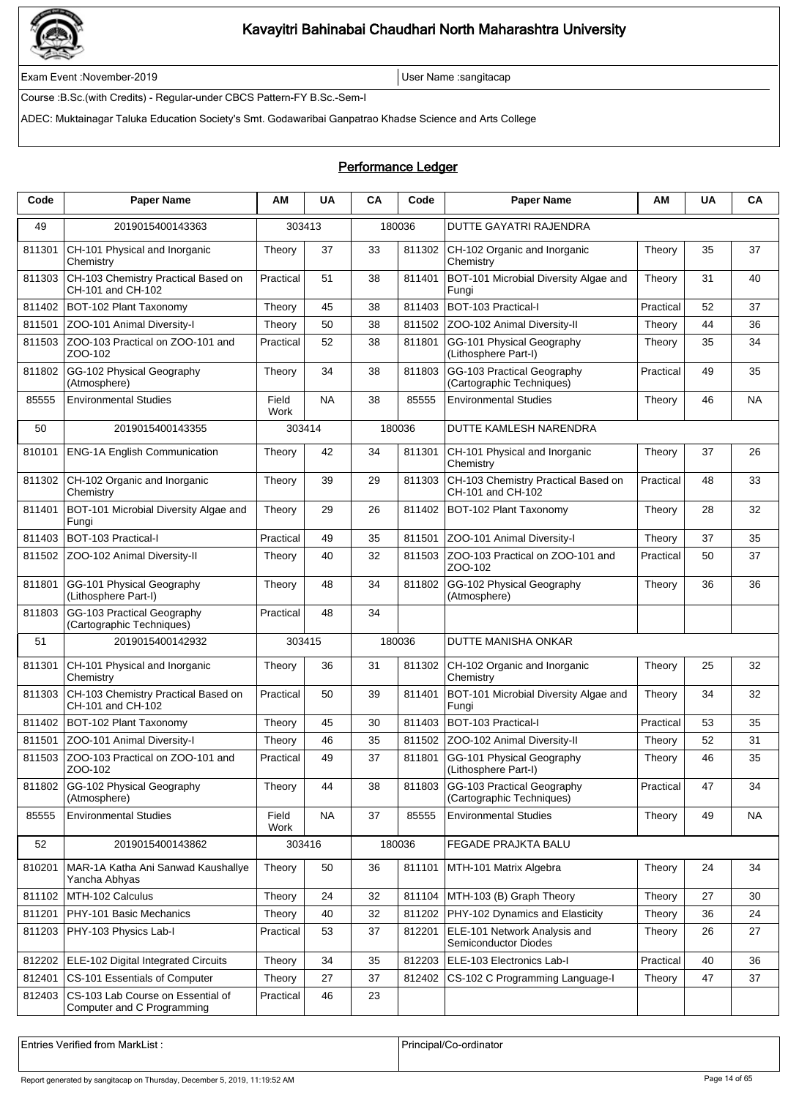

Exam Event :November-2019 User Name :sangitacap

Course :B.Sc.(with Credits) - Regular-under CBCS Pattern-FY B.Sc.-Sem-I

ADEC: Muktainagar Taluka Education Society's Smt. Godawaribai Ganpatrao Khadse Science and Arts College

### Performance Ledger

| Code   | <b>Paper Name</b>                                               | ΑM            | <b>UA</b> | CA | Code   | <b>Paper Name</b>                                        | ΑМ        | <b>UA</b> | CA        |
|--------|-----------------------------------------------------------------|---------------|-----------|----|--------|----------------------------------------------------------|-----------|-----------|-----------|
| 49     | 2019015400143363                                                | 303413        |           |    | 180036 | DUTTE GAYATRI RAJENDRA                                   |           |           |           |
| 811301 | CH-101 Physical and Inorganic<br>Chemistry                      | Theory        | 37        | 33 | 811302 | CH-102 Organic and Inorganic<br>Chemistry                | Theory    | 35        | 37        |
| 811303 | CH-103 Chemistry Practical Based on<br>CH-101 and CH-102        | Practical     | 51        | 38 | 811401 | BOT-101 Microbial Diversity Algae and<br>Fungi           | Theory    | 31        | 40        |
| 811402 | BOT-102 Plant Taxonomy                                          | Theory        | 45        | 38 | 811403 | BOT-103 Practical-I                                      | Practical | 52        | 37        |
| 811501 | ZOO-101 Animal Diversity-I                                      | Theory        | 50        | 38 | 811502 | ZOO-102 Animal Diversity-II                              | Theory    | 44        | 36        |
| 811503 | ZOO-103 Practical on ZOO-101 and<br>ZOO-102                     | Practical     | 52        | 38 | 811801 | GG-101 Physical Geography<br>(Lithosphere Part-I)        | Theory    | 35        | 34        |
| 811802 | GG-102 Physical Geography<br>(Atmosphere)                       | Theory        | 34        | 38 | 811803 | GG-103 Practical Geography<br>(Cartographic Techniques)  | Practical | 49        | 35        |
| 85555  | <b>Environmental Studies</b>                                    | Field<br>Work | <b>NA</b> | 38 | 85555  | <b>Environmental Studies</b>                             | Theory    | 46        | NA        |
| 50     | 2019015400143355                                                | 303414        |           |    | 180036 | DUTTE KAMLESH NARENDRA                                   |           |           |           |
| 810101 | <b>ENG-1A English Communication</b>                             | Theory        | 42        | 34 | 811301 | CH-101 Physical and Inorganic<br>Chemistry               | Theory    | 37        | 26        |
| 811302 | CH-102 Organic and Inorganic<br>Chemistry                       | Theory        | 39        | 29 | 811303 | CH-103 Chemistry Practical Based on<br>CH-101 and CH-102 | Practical | 48        | 33        |
| 811401 | BOT-101 Microbial Diversity Algae and<br>Fungi                  | Theory        | 29        | 26 | 811402 | BOT-102 Plant Taxonomy                                   | Theory    | 28        | 32        |
| 811403 | BOT-103 Practical-I                                             | Practical     | 49        | 35 | 811501 | ZOO-101 Animal Diversity-I                               | Theory    | 37        | 35        |
| 811502 | ZOO-102 Animal Diversity-II                                     | Theory        | 40        | 32 | 811503 | ZOO-103 Practical on ZOO-101 and<br>ZOO-102              | Practical | 50        | 37        |
| 811801 | GG-101 Physical Geography<br>(Lithosphere Part-I)               | Theory        | 48        | 34 | 811802 | GG-102 Physical Geography<br>(Atmosphere)                | Theory    | 36        | 36        |
| 811803 | GG-103 Practical Geography<br>(Cartographic Techniques)         | Practical     | 48        | 34 |        |                                                          |           |           |           |
| 51     | 2019015400142932                                                | 303415        |           |    | 180036 | DUTTE MANISHA ONKAR                                      |           |           |           |
| 811301 | CH-101 Physical and Inorganic<br>Chemistry                      | Theory        | 36        | 31 | 811302 | CH-102 Organic and Inorganic<br>Chemistry                | Theory    | 25        | 32        |
| 811303 | CH-103 Chemistry Practical Based on<br>CH-101 and CH-102        | Practical     | 50        | 39 | 811401 | BOT-101 Microbial Diversity Algae and<br>Fungi           | Theory    | 34        | 32        |
| 811402 | BOT-102 Plant Taxonomy                                          | Theory        | 45        | 30 | 811403 | BOT-103 Practical-I                                      | Practical | 53        | 35        |
| 811501 | ZOO-101 Animal Diversity-I                                      | Theory        | 46        | 35 | 811502 | ZOO-102 Animal Diversity-II                              | Theory    | 52        | 31        |
| 811503 | ZOO-103 Practical on ZOO-101 and<br>ZOO-102                     | Practical     | 49        | 37 | 811801 | GG-101 Physical Geography<br>(Lithosphere Part-I)        | Theory    | 46        | 35        |
| 811802 | GG-102 Physical Geography<br>(Atmosphere)                       | Theory        | 44        | 38 | 811803 | GG-103 Practical Geography<br>(Cartographic Techniques)  | Practical | 47        | 34        |
| 85555  | <b>Environmental Studies</b>                                    | Field<br>Work | <b>NA</b> | 37 | 85555  | <b>Environmental Studies</b>                             | Theory    | 49        | <b>NA</b> |
| 52     | 2019015400143862                                                | 303416        |           |    | 180036 | FEGADE PRAJKTA BALU                                      |           |           |           |
| 810201 | MAR-1A Katha Ani Sanwad Kaushallye<br>Yancha Abhyas             | Theory        | 50        | 36 | 811101 | MTH-101 Matrix Algebra                                   | Theory    | 24        | 34        |
| 811102 | MTH-102 Calculus                                                | Theory        | 24        | 32 | 811104 | MTH-103 (B) Graph Theory                                 | Theory    | 27        | 30        |
| 811201 | PHY-101 Basic Mechanics                                         | Theory        | 40        | 32 | 811202 | PHY-102 Dynamics and Elasticity                          | Theory    | 36        | 24        |
| 811203 | PHY-103 Physics Lab-I                                           | Practical     | 53        | 37 | 812201 | ELE-101 Network Analysis and<br>Semiconductor Diodes     | Theory    | 26        | 27        |
| 812202 | ELE-102 Digital Integrated Circuits                             | Theory        | 34        | 35 | 812203 | ELE-103 Electronics Lab-I                                | Practical | 40        | 36        |
| 812401 | CS-101 Essentials of Computer                                   | Theory        | 27        | 37 | 812402 | CS-102 C Programming Language-I                          | Theory    | 47        | 37        |
| 812403 | CS-103 Lab Course on Essential of<br>Computer and C Programming | Practical     | 46        | 23 |        |                                                          |           |           |           |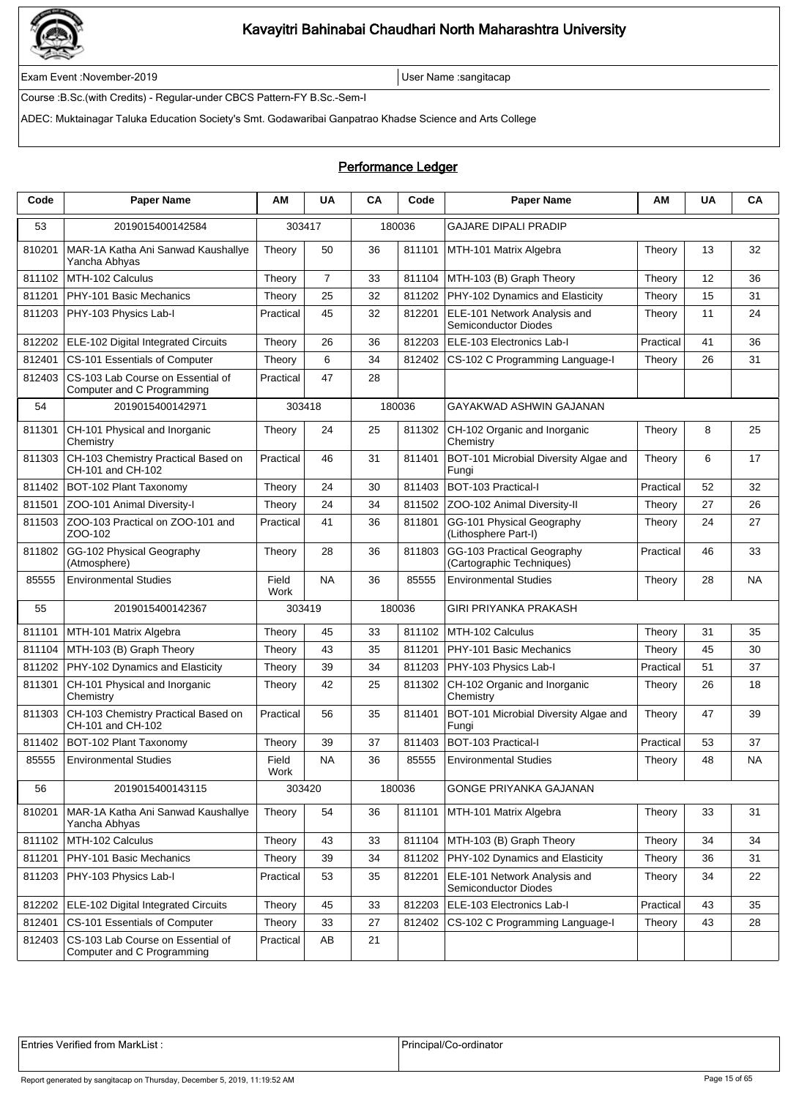

Exam Event :November-2019 User Name :sangitacap

Course :B.Sc.(with Credits) - Regular-under CBCS Pattern-FY B.Sc.-Sem-I

ADEC: Muktainagar Taluka Education Society's Smt. Godawaribai Ganpatrao Khadse Science and Arts College

### Performance Ledger

| Code   | <b>Paper Name</b>                                               | ΑM            | <b>UA</b>      | CA | Code   | <b>Paper Name</b>                                           | ΑM        | <b>UA</b> | CA  |
|--------|-----------------------------------------------------------------|---------------|----------------|----|--------|-------------------------------------------------------------|-----------|-----------|-----|
| 53     | 2019015400142584                                                | 303417        |                |    | 180036 | <b>GAJARE DIPALI PRADIP</b>                                 |           |           |     |
| 810201 | MAR-1A Katha Ani Sanwad Kaushallye<br>Yancha Abhyas             | Theory        | 50             | 36 | 811101 | MTH-101 Matrix Algebra                                      | Theory    | 13        | 32  |
| 811102 | MTH-102 Calculus                                                | Theory        | $\overline{7}$ | 33 | 811104 | MTH-103 (B) Graph Theory                                    | Theory    | 12        | 36  |
| 811201 | PHY-101 Basic Mechanics                                         | Theory        | 25             | 32 | 811202 | PHY-102 Dynamics and Elasticity                             | Theory    | 15        | 31  |
| 811203 | PHY-103 Physics Lab-I                                           | Practical     | 45             | 32 | 812201 | ELE-101 Network Analysis and<br><b>Semiconductor Diodes</b> | Theory    | 11        | 24  |
| 812202 | ELE-102 Digital Integrated Circuits                             | Theory        | 26             | 36 | 812203 | ELE-103 Electronics Lab-I                                   | Practical | 41        | 36  |
| 812401 | CS-101 Essentials of Computer                                   | Theory        | 6              | 34 | 812402 | CS-102 C Programming Language-I                             | Theory    | 26        | 31  |
| 812403 | CS-103 Lab Course on Essential of<br>Computer and C Programming | Practical     | 47             | 28 |        |                                                             |           |           |     |
| 54     | 2019015400142971                                                | 303418        |                |    | 180036 | GAYAKWAD ASHWIN GAJANAN                                     |           |           |     |
| 811301 | CH-101 Physical and Inorganic<br>Chemistry                      | Theory        | 24             | 25 | 811302 | CH-102 Organic and Inorganic<br>Chemistry                   | Theory    | 8         | 25  |
| 811303 | CH-103 Chemistry Practical Based on<br>CH-101 and CH-102        | Practical     | 46             | 31 | 811401 | BOT-101 Microbial Diversity Algae and<br>Fungi              | Theory    | 6         | 17  |
| 811402 | BOT-102 Plant Taxonomy                                          | Theory        | 24             | 30 | 811403 | BOT-103 Practical-I                                         | Practical | 52        | 32  |
| 811501 | ZOO-101 Animal Diversity-I                                      | Theory        | 24             | 34 | 811502 | ZOO-102 Animal Diversity-II                                 | Theory    | 27        | 26  |
| 811503 | ZOO-103 Practical on ZOO-101 and<br>ZOO-102                     | Practical     | 41             | 36 | 811801 | GG-101 Physical Geography<br>(Lithosphere Part-I)           | Theory    | 24        | 27  |
| 811802 | GG-102 Physical Geography<br>(Atmosphere)                       | Theory        | 28             | 36 | 811803 | GG-103 Practical Geography<br>(Cartographic Techniques)     | Practical | 46        | 33  |
| 85555  | <b>Environmental Studies</b>                                    | Field<br>Work | <b>NA</b>      | 36 | 85555  | <b>Environmental Studies</b>                                | Theory    | 28        | ΝA  |
| 55     | 2019015400142367                                                | 303419        |                |    | 180036 | GIRI PRIYANKA PRAKASH                                       |           |           |     |
| 811101 | MTH-101 Matrix Algebra                                          | Theory        | 45             | 33 | 811102 | MTH-102 Calculus                                            | Theory    | 31        | 35  |
| 811104 | MTH-103 (B) Graph Theory                                        | Theory        | 43             | 35 | 811201 | PHY-101 Basic Mechanics                                     | Theory    | 45        | 30  |
| 811202 | PHY-102 Dynamics and Elasticity                                 | Theory        | 39             | 34 | 811203 | PHY-103 Physics Lab-I                                       | Practical | 51        | 37  |
| 811301 | CH-101 Physical and Inorganic<br>Chemistry                      | Theory        | 42             | 25 | 811302 | CH-102 Organic and Inorganic<br>Chemistry                   | Theory    | 26        | 18  |
| 811303 | CH-103 Chemistry Practical Based on<br>CH-101 and CH-102        | Practical     | 56             | 35 | 811401 | BOT-101 Microbial Diversity Algae and<br>Fungi              | Theory    | 47        | 39  |
| 811402 | BOT-102 Plant Taxonomy                                          | Theory        | 39             | 37 | 811403 | BOT-103 Practical-I                                         | Practical | 53        | 37  |
| 85555  | <b>Environmental Studies</b>                                    | Field<br>Work | <b>NA</b>      | 36 | 85555  | <b>Environmental Studies</b>                                | Theory    | 48        | NA. |
| 56     | 2019015400143115                                                | 303420        |                |    | 180036 | GONGE PRIYANKA GAJANAN                                      |           |           |     |
| 810201 | MAR-1A Katha Ani Sanwad Kaushallye<br>Yancha Abhyas             | Theory        | 54             | 36 | 811101 | MTH-101 Matrix Algebra                                      | Theory    | 33        | 31  |
| 811102 | MTH-102 Calculus                                                | Theory        | 43             | 33 | 811104 | MTH-103 (B) Graph Theory                                    | Theory    | 34        | 34  |
| 811201 | PHY-101 Basic Mechanics                                         | Theory        | 39             | 34 | 811202 | PHY-102 Dynamics and Elasticity                             | Theory    | 36        | 31  |
| 811203 | PHY-103 Physics Lab-I                                           | Practical     | 53             | 35 | 812201 | ELE-101 Network Analysis and<br>Semiconductor Diodes        | Theory    | 34        | 22  |
| 812202 | ELE-102 Digital Integrated Circuits                             | Theory        | 45             | 33 | 812203 | ELE-103 Electronics Lab-I                                   | Practical | 43        | 35  |
| 812401 | CS-101 Essentials of Computer                                   | Theory        | 33             | 27 | 812402 | CS-102 C Programming Language-I                             | Theory    | 43        | 28  |
| 812403 | CS-103 Lab Course on Essential of<br>Computer and C Programming | Practical     | AB             | 21 |        |                                                             |           |           |     |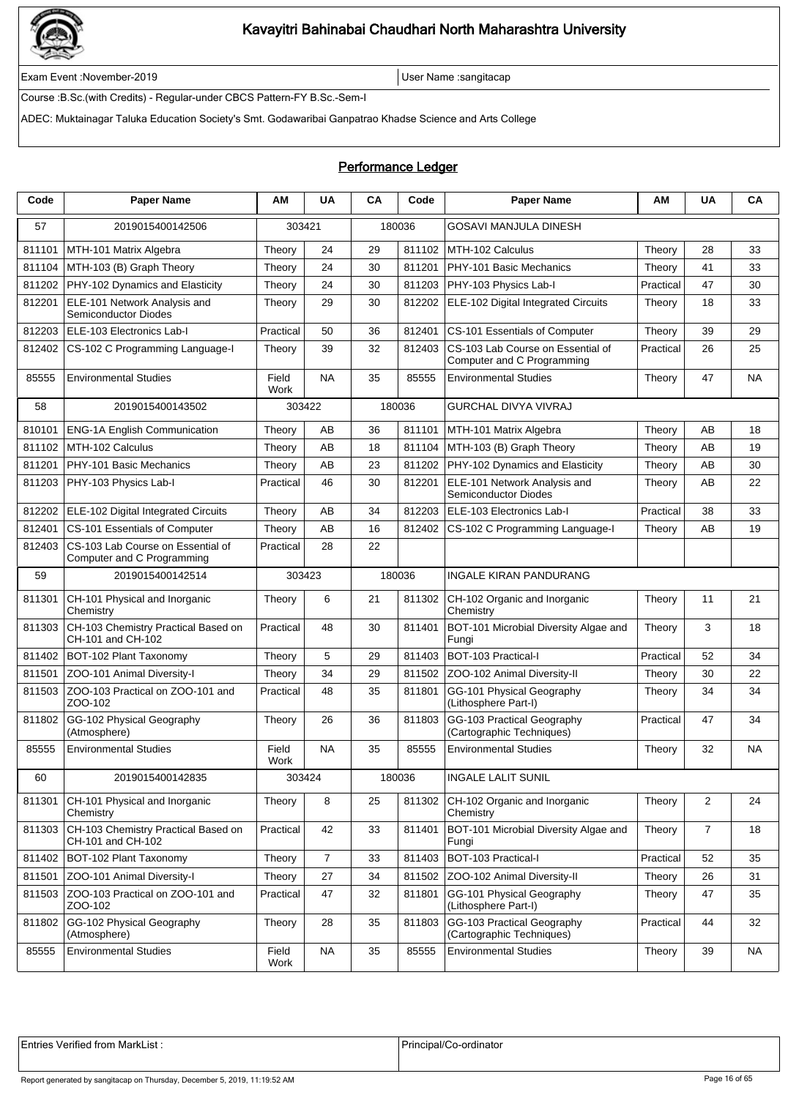

Exam Event :November-2019 User Name :sangitacap

Course :B.Sc.(with Credits) - Regular-under CBCS Pattern-FY B.Sc.-Sem-I

ADEC: Muktainagar Taluka Education Society's Smt. Godawaribai Ganpatrao Khadse Science and Arts College

### Performance Ledger

| Code   | <b>Paper Name</b>                                               | АΜ            | <b>UA</b> | CA | Code   | <b>Paper Name</b>                                               | ΑM        | UA             | CA        |
|--------|-----------------------------------------------------------------|---------------|-----------|----|--------|-----------------------------------------------------------------|-----------|----------------|-----------|
| 57     | 2019015400142506                                                | 303421        |           |    | 180036 | GOSAVI MANJULA DINESH                                           |           |                |           |
| 811101 | MTH-101 Matrix Algebra                                          | Theory        | 24        | 29 | 811102 | MTH-102 Calculus                                                | Theory    | 28             | 33        |
| 811104 | MTH-103 (B) Graph Theory                                        | Theory        | 24        | 30 | 811201 | PHY-101 Basic Mechanics                                         | Theory    | 41             | 33        |
| 811202 | PHY-102 Dynamics and Elasticity                                 | Theory        | 24        | 30 | 811203 | PHY-103 Physics Lab-I                                           | Practical | 47             | 30        |
| 812201 | ELE-101 Network Analysis and<br><b>Semiconductor Diodes</b>     | Theory        | 29        | 30 | 812202 | ELE-102 Digital Integrated Circuits                             | Theory    | 18             | 33        |
| 812203 | ELE-103 Electronics Lab-I                                       | Practical     | 50        | 36 | 812401 | CS-101 Essentials of Computer                                   | Theory    | 39             | 29        |
| 812402 | CS-102 C Programming Language-I                                 | Theory        | 39        | 32 | 812403 | CS-103 Lab Course on Essential of<br>Computer and C Programming | Practical | 26             | 25        |
| 85555  | <b>Environmental Studies</b>                                    | Field<br>Work | <b>NA</b> | 35 | 85555  | <b>Environmental Studies</b>                                    | Theory    | 47             | <b>NA</b> |
| 58     | 2019015400143502                                                | 303422        |           |    | 180036 | <b>GURCHAL DIVYA VIVRAJ</b>                                     |           |                |           |
| 810101 | <b>ENG-1A English Communication</b>                             | Theory        | AB        | 36 | 811101 | MTH-101 Matrix Algebra                                          | Theory    | AB             | 18        |
| 811102 | MTH-102 Calculus                                                | Theory        | AB        | 18 | 811104 | MTH-103 (B) Graph Theory                                        | Theory    | AB             | 19        |
| 811201 | PHY-101 Basic Mechanics                                         | Theory        | AΒ        | 23 | 811202 | PHY-102 Dynamics and Elasticity                                 | Theory    | AB             | 30        |
| 811203 | PHY-103 Physics Lab-I                                           | Practical     | 46        | 30 | 812201 | ELE-101 Network Analysis and<br>Semiconductor Diodes            | Theory    | AB             | 22        |
| 812202 | ELE-102 Digital Integrated Circuits                             | Theory        | AB        | 34 | 812203 | ELE-103 Electronics Lab-I                                       | Practical | 38             | 33        |
| 812401 | CS-101 Essentials of Computer                                   | Theory        | AΒ        | 16 | 812402 | CS-102 C Programming Language-I                                 | Theory    | AB             | 19        |
| 812403 | CS-103 Lab Course on Essential of<br>Computer and C Programming | Practical     | 28        | 22 |        |                                                                 |           |                |           |
| 59     | 2019015400142514                                                | 303423        |           |    | 180036 | <b>INGALE KIRAN PANDURANG</b>                                   |           |                |           |
| 811301 | CH-101 Physical and Inorganic<br>Chemistry                      | Theory        | 6         | 21 | 811302 | CH-102 Organic and Inorganic<br>Chemistry                       | Theory    | 11             | 21        |
| 811303 | CH-103 Chemistry Practical Based on<br>CH-101 and CH-102        | Practical     | 48        | 30 | 811401 | BOT-101 Microbial Diversity Algae and<br>Fungi                  | Theory    | 3              | 18        |
| 811402 | BOT-102 Plant Taxonomy                                          | Theory        | 5         | 29 | 811403 | BOT-103 Practical-I                                             | Practical | 52             | 34        |
| 811501 | ZOO-101 Animal Diversity-I                                      | Theory        | 34        | 29 | 811502 | ZOO-102 Animal Diversity-II                                     | Theory    | 30             | 22        |
| 811503 | ZOO-103 Practical on ZOO-101 and<br>ZOO-102                     | Practical     | 48        | 35 | 811801 | GG-101 Physical Geography<br>(Lithosphere Part-I)               | Theory    | 34             | 34        |
| 811802 | GG-102 Physical Geography<br>(Atmosphere)                       | Theory        | 26        | 36 | 811803 | GG-103 Practical Geography<br>(Cartographic Techniques)         | Practical | 47             | 34        |
| 85555  | <b>Environmental Studies</b>                                    | Field<br>Work | <b>NA</b> | 35 | 85555  | <b>Environmental Studies</b>                                    | Theory    | 32             | NA        |
| 60     | 2019015400142835                                                | 303424        |           |    | 180036 | <b>INGALE LALIT SUNIL</b>                                       |           |                |           |
| 811301 | CH-101 Physical and Inorganic<br>Chemistry                      | Theory        | 8         | 25 | 811302 | CH-102 Organic and Inorganic<br>Chemistry                       | Theory    | $\overline{2}$ | 24        |
| 811303 | CH-103 Chemistry Practical Based on<br>CH-101 and CH-102        | Practical     | 42        | 33 | 811401 | BOT-101 Microbial Diversity Algae and<br>Fungi                  | Theory    | $\overline{7}$ | 18        |
| 811402 | BOT-102 Plant Taxonomy                                          | Theory        | 7         | 33 | 811403 | BOT-103 Practical-I                                             | Practical | 52             | 35        |
| 811501 | ZOO-101 Animal Diversity-I                                      | Theory        | 27        | 34 | 811502 | ZOO-102 Animal Diversity-II                                     | Theory    | 26             | 31        |
| 811503 | ZOO-103 Practical on ZOO-101 and<br>ZOO-102                     | Practical     | 47        | 32 | 811801 | GG-101 Physical Geography<br>(Lithosphere Part-I)               | Theory    | 47             | 35        |
| 811802 | GG-102 Physical Geography<br>(Atmosphere)                       | Theory        | 28        | 35 | 811803 | GG-103 Practical Geography<br>(Cartographic Techniques)         | Practical | 44             | 32        |
| 85555  | <b>Environmental Studies</b>                                    | Field<br>Work | <b>NA</b> | 35 | 85555  | <b>Environmental Studies</b>                                    | Theory    | 39             | <b>NA</b> |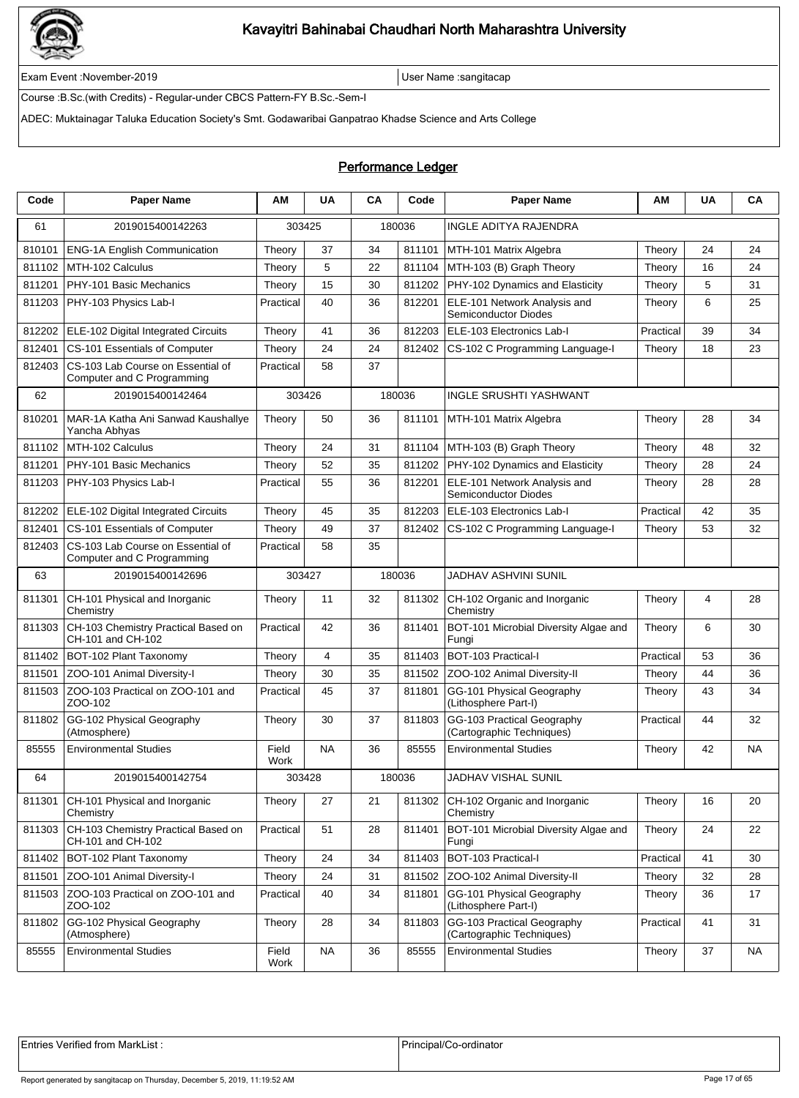

Exam Event :November-2019 User Name :sangitacap

Course :B.Sc.(with Credits) - Regular-under CBCS Pattern-FY B.Sc.-Sem-I

ADEC: Muktainagar Taluka Education Society's Smt. Godawaribai Ganpatrao Khadse Science and Arts College

### Performance Ledger

| Code   | <b>Paper Name</b>                                               | ΑM            | <b>UA</b>      | <b>CA</b> | Code   | <b>Paper Name</b>                                       | AM        | <b>UA</b> | CА        |
|--------|-----------------------------------------------------------------|---------------|----------------|-----------|--------|---------------------------------------------------------|-----------|-----------|-----------|
| 61     | 2019015400142263                                                | 303425        |                |           | 180036 | <b>INGLE ADITYA RAJENDRA</b>                            |           |           |           |
| 810101 | <b>ENG-1A English Communication</b>                             | Theory        | 37             | 34        | 811101 | MTH-101 Matrix Algebra                                  | Theory    | 24        | 24        |
| 811102 | MTH-102 Calculus                                                | Theory        | 5              | 22        | 811104 | MTH-103 (B) Graph Theory                                | Theory    | 16        | 24        |
| 811201 | PHY-101 Basic Mechanics                                         | Theory        | 15             | 30        | 811202 | PHY-102 Dynamics and Elasticity                         | Theory    | 5         | 31        |
| 811203 | PHY-103 Physics Lab-I                                           | Practical     | 40             | 36        | 812201 | ELE-101 Network Analysis and<br>Semiconductor Diodes    | Theory    | 6         | 25        |
| 812202 | ELE-102 Digital Integrated Circuits                             | Theory        | 41             | 36        | 812203 | ELE-103 Electronics Lab-I                               | Practical | 39        | 34        |
| 812401 | CS-101 Essentials of Computer                                   | Theory        | 24             | 24        | 812402 | CS-102 C Programming Language-I                         | Theory    | 18        | 23        |
| 812403 | CS-103 Lab Course on Essential of<br>Computer and C Programming | Practical     | 58             | 37        |        |                                                         |           |           |           |
| 62     | 2019015400142464                                                | 303426        |                |           | 180036 | <b>INGLE SRUSHTI YASHWANT</b>                           |           |           |           |
| 810201 | MAR-1A Katha Ani Sanwad Kaushallye<br>Yancha Abhyas             | Theory        | 50             | 36        | 811101 | MTH-101 Matrix Algebra                                  | Theory    | 28        | 34        |
| 811102 | MTH-102 Calculus                                                | Theory        | 24             | 31        | 811104 | MTH-103 (B) Graph Theory                                | Theory    | 48        | 32        |
| 811201 | PHY-101 Basic Mechanics                                         | Theory        | 52             | 35        | 811202 | PHY-102 Dynamics and Elasticity                         | Theory    | 28        | 24        |
| 811203 | PHY-103 Physics Lab-I                                           | Practical     | 55             | 36        | 812201 | ELE-101 Network Analysis and<br>Semiconductor Diodes    | Theory    | 28        | 28        |
| 812202 | ELE-102 Digital Integrated Circuits                             | Theory        | 45             | 35        | 812203 | ELE-103 Electronics Lab-I                               | Practical | 42        | 35        |
| 812401 | CS-101 Essentials of Computer                                   | Theory        | 49             | 37        | 812402 | CS-102 C Programming Language-I                         | Theory    | 53        | 32        |
| 812403 | CS-103 Lab Course on Essential of<br>Computer and C Programming | Practical     | 58             | 35        |        |                                                         |           |           |           |
| 63     | 2019015400142696                                                | 303427        |                |           | 180036 | JADHAV ASHVINI SUNIL                                    |           |           |           |
| 811301 | CH-101 Physical and Inorganic<br>Chemistry                      | Theory        | 11             | 32        | 811302 | CH-102 Organic and Inorganic<br>Chemistry               | Theory    | 4         | 28        |
| 811303 | CH-103 Chemistry Practical Based on<br>CH-101 and CH-102        | Practical     | 42             | 36        | 811401 | BOT-101 Microbial Diversity Algae and<br>Fungi          | Theory    | 6         | 30        |
| 811402 | BOT-102 Plant Taxonomy                                          | Theory        | $\overline{4}$ | 35        | 811403 | BOT-103 Practical-I                                     | Practical | 53        | 36        |
| 811501 | ZOO-101 Animal Diversity-I                                      | Theory        | 30             | 35        | 811502 | ZOO-102 Animal Diversity-II                             | Theory    | 44        | 36        |
| 811503 | ZOO-103 Practical on ZOO-101 and<br>ZOO-102                     | Practical     | 45             | 37        | 811801 | GG-101 Physical Geography<br>(Lithosphere Part-I)       | Theory    | 43        | 34        |
| 811802 | GG-102 Physical Geography<br>(Atmosphere)                       | Theory        | 30             | 37        | 811803 | GG-103 Practical Geography<br>(Cartographic Techniques) | Practical | 44        | 32        |
| 85555  | <b>Environmental Studies</b>                                    | Field<br>Work | NA             | 36        | 85555  | <b>Environmental Studies</b>                            | Theory    | 42        | NA        |
| 64     | 2019015400142754                                                | 303428        |                |           | 180036 | JADHAV VISHAL SUNIL                                     |           |           |           |
| 811301 | CH-101 Physical and Inorganic<br>Chemistry                      | Theory        | 27             | 21        | 811302 | CH-102 Organic and Inorganic<br>Chemistry               | Theory    | 16        | 20        |
| 811303 | CH-103 Chemistry Practical Based on<br>CH-101 and CH-102        | Practical     | 51             | 28        | 811401 | BOT-101 Microbial Diversity Algae and<br>Fungi          | Theory    | 24        | 22        |
| 811402 | BOT-102 Plant Taxonomy                                          | Theory        | 24             | 34        | 811403 | BOT-103 Practical-I                                     | Practical | 41        | 30        |
| 811501 | ZOO-101 Animal Diversity-I                                      | Theory        | 24             | 31        | 811502 | ZOO-102 Animal Diversity-II                             | Theory    | 32        | 28        |
| 811503 | ZOO-103 Practical on ZOO-101 and<br>ZOO-102                     | Practical     | 40             | 34        | 811801 | GG-101 Physical Geography<br>(Lithosphere Part-I)       | Theory    | 36        | 17        |
| 811802 | GG-102 Physical Geography<br>(Atmosphere)                       | Theory        | 28             | 34        | 811803 | GG-103 Practical Geography<br>(Cartographic Techniques) | Practical | 41        | 31        |
| 85555  | <b>Environmental Studies</b>                                    | Field<br>Work | <b>NA</b>      | 36        | 85555  | <b>Environmental Studies</b>                            | Theory    | 37        | <b>NA</b> |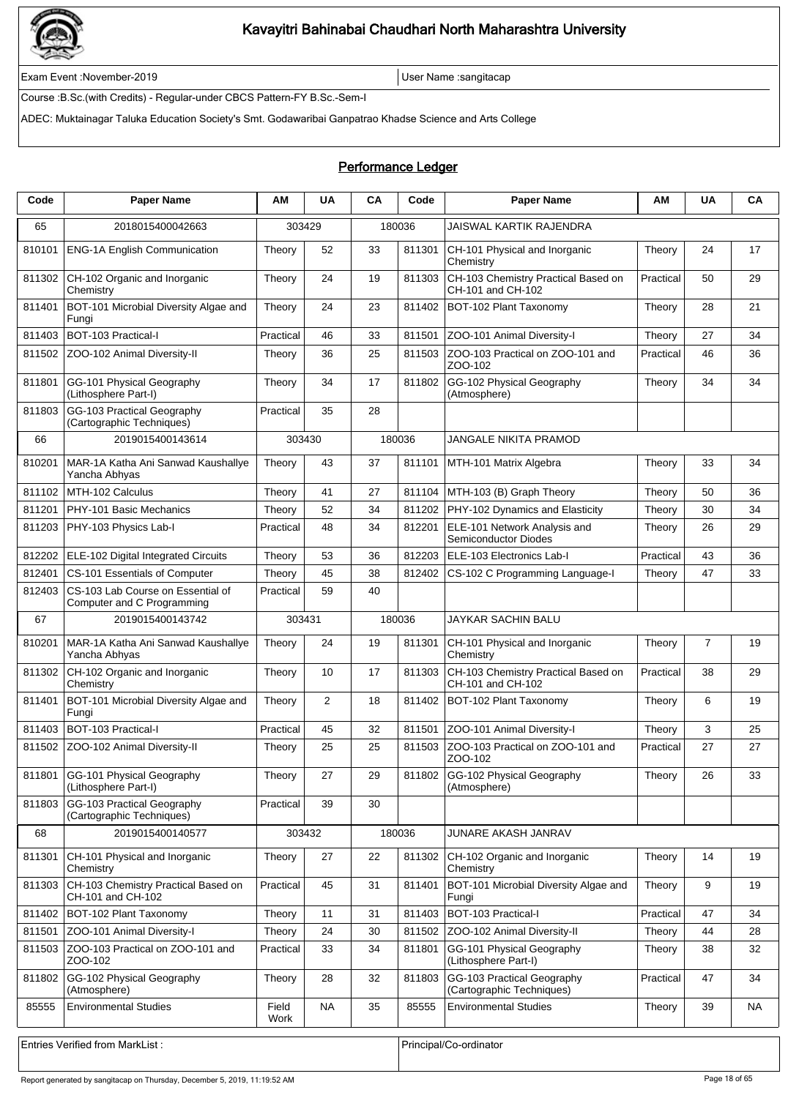

Exam Event :November-2019 User Name :sangitacap

Course :B.Sc.(with Credits) - Regular-under CBCS Pattern-FY B.Sc.-Sem-I

ADEC: Muktainagar Taluka Education Society's Smt. Godawaribai Ganpatrao Khadse Science and Arts College

### Performance Ledger

| Code   | <b>Paper Name</b>                                               | AM            | <b>UA</b> | <b>CA</b> | Code   | <b>Paper Name</b>                                           | ΑM        | UA | CA        |
|--------|-----------------------------------------------------------------|---------------|-----------|-----------|--------|-------------------------------------------------------------|-----------|----|-----------|
| 65     | 2018015400042663                                                | 303429        |           | 180036    |        | <b>JAISWAL KARTIK RAJENDRA</b>                              |           |    |           |
| 810101 | <b>ENG-1A English Communication</b>                             | Theory        | 52        | 33        | 811301 | CH-101 Physical and Inorganic<br>Chemistry                  | Theory    | 24 | 17        |
| 811302 | CH-102 Organic and Inorganic<br>Chemistry                       | Theory        | 24        | 19        | 811303 | CH-103 Chemistry Practical Based on<br>CH-101 and CH-102    | Practical | 50 | 29        |
| 811401 | BOT-101 Microbial Diversity Algae and<br>Fungi                  | Theory        | 24        | 23        | 811402 | BOT-102 Plant Taxonomy                                      | Theory    | 28 | 21        |
| 811403 | BOT-103 Practical-I                                             | Practical     | 46        | 33        | 811501 | ZOO-101 Animal Diversity-I                                  | Theory    | 27 | 34        |
| 811502 | ZOO-102 Animal Diversity-II                                     | Theory        | 36        | 25        | 811503 | ZOO-103 Practical on ZOO-101 and<br>ZOO-102                 | Practical | 46 | 36        |
| 811801 | GG-101 Physical Geography<br>(Lithosphere Part-I)               | Theory        | 34        | 17        | 811802 | GG-102 Physical Geography<br>(Atmosphere)                   | Theory    | 34 | 34        |
| 811803 | GG-103 Practical Geography<br>(Cartographic Techniques)         | Practical     | 35        | 28        |        |                                                             |           |    |           |
| 66     | 2019015400143614                                                | 303430        |           | 180036    |        | JANGALE NIKITA PRAMOD                                       |           |    |           |
| 810201 | MAR-1A Katha Ani Sanwad Kaushallye<br>Yancha Abhyas             | Theory        | 43        | 37        | 811101 | MTH-101 Matrix Algebra                                      | Theory    | 33 | 34        |
| 811102 | MTH-102 Calculus                                                | Theory        | 41        | 27        | 811104 | MTH-103 (B) Graph Theory                                    | Theory    | 50 | 36        |
| 811201 | PHY-101 Basic Mechanics                                         | Theory        | 52        | 34        | 811202 | PHY-102 Dynamics and Elasticity                             | Theory    | 30 | 34        |
| 811203 | PHY-103 Physics Lab-I                                           | Practical     | 48        | 34        | 812201 | ELE-101 Network Analysis and<br><b>Semiconductor Diodes</b> | Theory    | 26 | 29        |
| 812202 | ELE-102 Digital Integrated Circuits                             | Theory        | 53        | 36        | 812203 | ELE-103 Electronics Lab-I                                   | Practical | 43 | 36        |
| 812401 | CS-101 Essentials of Computer                                   | Theory        | 45        | 38        | 812402 | CS-102 C Programming Language-I                             | Theory    | 47 | 33        |
| 812403 | CS-103 Lab Course on Essential of<br>Computer and C Programming | Practical     | 59        | 40        |        |                                                             |           |    |           |
| 67     | 2019015400143742                                                | 303431        |           | 180036    |        | JAYKAR SACHIN BALU                                          |           |    |           |
| 810201 | MAR-1A Katha Ani Sanwad Kaushallye<br>Yancha Abhyas             | Theory        | 24        | 19        | 811301 | CH-101 Physical and Inorganic<br>Chemistry                  | Theory    | 7  | 19        |
| 811302 | CH-102 Organic and Inorganic<br>Chemistry                       | Theory        | 10        | 17        | 811303 | CH-103 Chemistry Practical Based on<br>CH-101 and CH-102    | Practical | 38 | 29        |
| 811401 | BOT-101 Microbial Diversity Algae and<br>Fungi                  | Theory        | 2         | 18        | 811402 | BOT-102 Plant Taxonomy                                      | Theory    | 6  | 19        |
| 811403 | BOT-103 Practical-I                                             | Practical     | 45        | 32        | 811501 | ZOO-101 Animal Diversity-I                                  | Theory    | 3  | 25        |
| 811502 | ZOO-102 Animal Diversity-II                                     | Theory        | 25        | 25        | 811503 | ZOO-103 Practical on ZOO-101 and<br>ZOO-102                 | Practical | 27 | 27        |
|        | 811801 GG-101 Physical Geography<br>(Lithosphere Part-I)        | Theory        | 27        | 29        |        | 811802 GG-102 Physical Geography<br>(Atmosphere)            | Theory    | 26 | 33        |
| 811803 | GG-103 Practical Geography<br>(Cartographic Techniques)         | Practical     | 39        | 30        |        |                                                             |           |    |           |
| 68     | 2019015400140577                                                | 303432        |           | 180036    |        | JUNARE AKASH JANRAV                                         |           |    |           |
| 811301 | CH-101 Physical and Inorganic<br>Chemistry                      | Theory        | 27        | 22        | 811302 | CH-102 Organic and Inorganic<br>Chemistry                   | Theory    | 14 | 19        |
| 811303 | CH-103 Chemistry Practical Based on<br>CH-101 and CH-102        | Practical     | 45        | 31        | 811401 | BOT-101 Microbial Diversity Algae and<br>Fungi              | Theory    | 9  | 19        |
| 811402 | BOT-102 Plant Taxonomy                                          | Theory        | 11        | 31        | 811403 | BOT-103 Practical-I                                         | Practical | 47 | 34        |
| 811501 | ZOO-101 Animal Diversity-I                                      | Theory        | 24        | 30        | 811502 | ZOO-102 Animal Diversity-II                                 | Theory    | 44 | 28        |
| 811503 | ZOO-103 Practical on ZOO-101 and<br>ZOO-102                     | Practical     | 33        | 34        | 811801 | GG-101 Physical Geography<br>(Lithosphere Part-I)           | Theory    | 38 | 32        |
| 811802 | GG-102 Physical Geography<br>(Atmosphere)                       | Theory        | 28        | 32        | 811803 | GG-103 Practical Geography<br>(Cartographic Techniques)     | Practical | 47 | 34        |
| 85555  | <b>Environmental Studies</b>                                    | Field<br>Work | <b>NA</b> | 35        | 85555  | <b>Environmental Studies</b>                                | Theory    | 39 | <b>NA</b> |

Entries Verified from MarkList : entries Verified from MarkList : Principal/Co-ordinator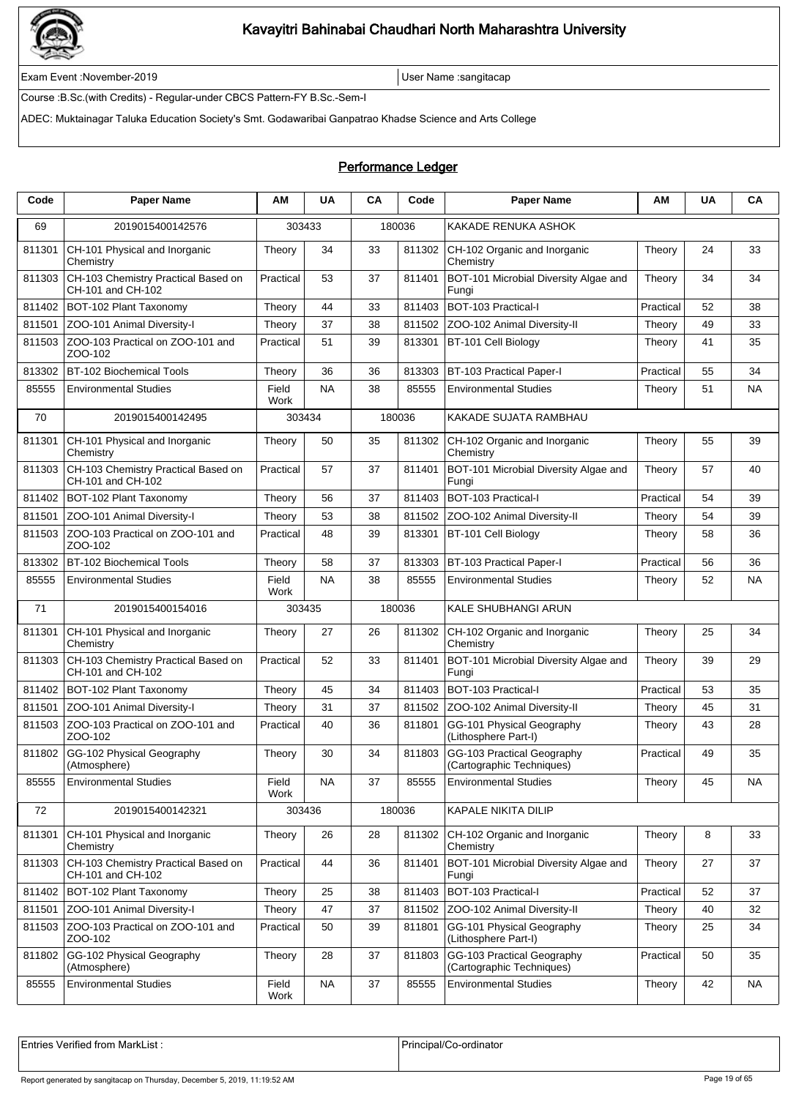

Exam Event :November-2019 User Name :sangitacap

Course :B.Sc.(with Credits) - Regular-under CBCS Pattern-FY B.Sc.-Sem-I

ADEC: Muktainagar Taluka Education Society's Smt. Godawaribai Ganpatrao Khadse Science and Arts College

#### Performance Ledger

| Code   | <b>Paper Name</b>                                        | ΑM            | <b>UA</b> | CA | Code   | <b>Paper Name</b>                                       | ΑМ        | UA | CA        |
|--------|----------------------------------------------------------|---------------|-----------|----|--------|---------------------------------------------------------|-----------|----|-----------|
| 69     | 2019015400142576                                         | 303433        |           |    | 180036 | KAKADE RENUKA ASHOK                                     |           |    |           |
| 811301 | CH-101 Physical and Inorganic<br>Chemistry               | Theory        | 34        | 33 | 811302 | CH-102 Organic and Inorganic<br>Chemistry               | Theory    | 24 | 33        |
| 811303 | CH-103 Chemistry Practical Based on<br>CH-101 and CH-102 | Practical     | 53        | 37 | 811401 | BOT-101 Microbial Diversity Algae and<br>Fungi          | Theory    | 34 | 34        |
| 811402 | BOT-102 Plant Taxonomy                                   | Theory        | 44        | 33 | 811403 | BOT-103 Practical-I                                     | Practical | 52 | 38        |
| 811501 | ZOO-101 Animal Diversity-I                               | Theory        | 37        | 38 | 811502 | ZOO-102 Animal Diversity-II                             | Theory    | 49 | 33        |
| 811503 | ZOO-103 Practical on ZOO-101 and<br>ZOO-102              | Practical     | 51        | 39 | 813301 | BT-101 Cell Biology                                     | Theory    | 41 | 35        |
| 813302 | BT-102 Biochemical Tools                                 | Theory        | 36        | 36 | 813303 | <b>BT-103 Practical Paper-I</b>                         | Practical | 55 | 34        |
| 85555  | <b>Environmental Studies</b>                             | Field<br>Work | <b>NA</b> | 38 | 85555  | <b>Environmental Studies</b>                            | Theory    | 51 | NA        |
| 70     | 2019015400142495                                         | 303434        |           |    | 180036 | KAKADE SUJATA RAMBHAU                                   |           |    |           |
| 811301 | CH-101 Physical and Inorganic<br>Chemistry               | Theory        | 50        | 35 | 811302 | CH-102 Organic and Inorganic<br>Chemistry               | Theory    | 55 | 39        |
| 811303 | CH-103 Chemistry Practical Based on<br>CH-101 and CH-102 | Practical     | 57        | 37 | 811401 | BOT-101 Microbial Diversity Algae and<br>Fungi          | Theory    | 57 | 40        |
| 811402 | BOT-102 Plant Taxonomy                                   | Theory        | 56        | 37 | 811403 | BOT-103 Practical-I                                     | Practical | 54 | 39        |
| 811501 | ZOO-101 Animal Diversity-I                               | Theory        | 53        | 38 | 811502 | ZOO-102 Animal Diversity-II                             | Theory    | 54 | 39        |
| 811503 | ZOO-103 Practical on ZOO-101 and<br>ZOO-102              | Practical     | 48        | 39 | 813301 | BT-101 Cell Biology                                     | Theory    | 58 | 36        |
| 813302 | <b>BT-102 Biochemical Tools</b>                          | Theory        | 58        | 37 | 813303 | BT-103 Practical Paper-I                                | Practical | 56 | 36        |
| 85555  | <b>Environmental Studies</b>                             | Field<br>Work | <b>NA</b> | 38 | 85555  | <b>Environmental Studies</b>                            | Theory    | 52 | <b>NA</b> |
| 71     | 2019015400154016                                         | 303435        |           |    | 180036 | KALE SHUBHANGI ARUN                                     |           |    |           |
| 811301 | CH-101 Physical and Inorganic<br>Chemistry               | Theory        | 27        | 26 | 811302 | CH-102 Organic and Inorganic<br>Chemistry               | Theory    | 25 | 34        |
| 811303 | CH-103 Chemistry Practical Based on<br>CH-101 and CH-102 | Practical     | 52        | 33 | 811401 | BOT-101 Microbial Diversity Algae and<br>Fungi          | Theory    | 39 | 29        |
| 811402 | BOT-102 Plant Taxonomy                                   | Theory        | 45        | 34 | 811403 | BOT-103 Practical-I                                     | Practical | 53 | 35        |
| 811501 | ZOO-101 Animal Diversity-I                               | Theory        | 31        | 37 | 811502 | ZOO-102 Animal Diversity-II                             | Theory    | 45 | 31        |
| 811503 | ZOO-103 Practical on ZOO-101 and<br>ZOO-102              | Practical     | 40        | 36 | 811801 | GG-101 Physical Geography<br>(Lithosphere Part-I)       | Theory    | 43 | 28        |
| 811802 | GG-102 Physical Geography<br>(Atmosphere)                | Theory        | 30        | 34 | 811803 | GG-103 Practical Geography<br>(Cartographic Techniques) | Practical | 49 | 35        |
| 85555  | <b>Environmental Studies</b>                             | Field<br>Work | <b>NA</b> | 37 | 85555  | <b>Environmental Studies</b>                            | Theory    | 45 | <b>NA</b> |
| 72     | 2019015400142321                                         | 303436        |           |    | 180036 | KAPALE NIKITA DILIP                                     |           |    |           |
| 811301 | CH-101 Physical and Inorganic<br>Chemistry               | Theory        | 26        | 28 | 811302 | CH-102 Organic and Inorganic<br>Chemistry               | Theory    | 8  | 33        |
| 811303 | CH-103 Chemistry Practical Based on<br>CH-101 and CH-102 | Practical     | 44        | 36 | 811401 | BOT-101 Microbial Diversity Algae and<br>Fungi          | Theory    | 27 | 37        |
| 811402 | BOT-102 Plant Taxonomy                                   | Theory        | 25        | 38 | 811403 | BOT-103 Practical-I                                     | Practical | 52 | 37        |
| 811501 | ZOO-101 Animal Diversity-I                               | Theory        | 47        | 37 | 811502 | ZOO-102 Animal Diversity-II                             | Theory    | 40 | 32        |
| 811503 | ZOO-103 Practical on ZOO-101 and<br>ZOO-102              | Practical     | 50        | 39 | 811801 | GG-101 Physical Geography<br>(Lithosphere Part-I)       | Theory    | 25 | 34        |
| 811802 | GG-102 Physical Geography<br>(Atmosphere)                | Theory        | 28        | 37 | 811803 | GG-103 Practical Geography<br>(Cartographic Techniques) | Practical | 50 | 35        |
| 85555  | <b>Environmental Studies</b>                             | Field<br>Work | <b>NA</b> | 37 | 85555  | <b>Environmental Studies</b>                            | Theory    | 42 | <b>NA</b> |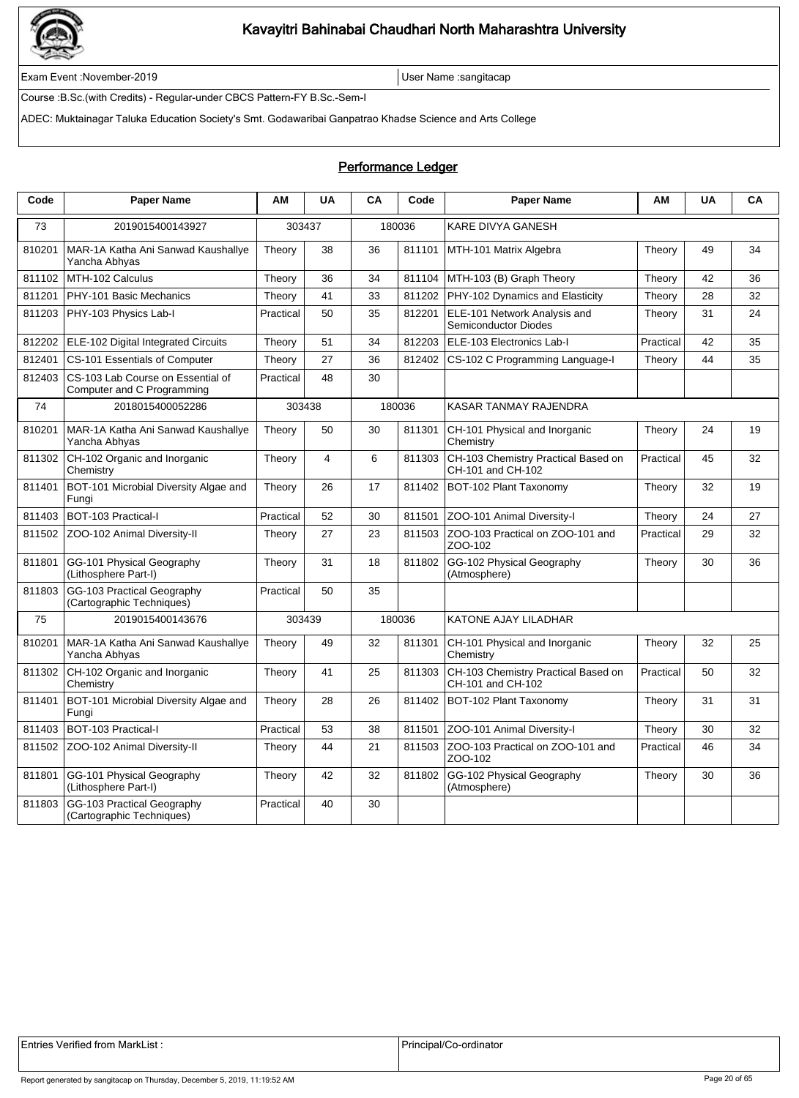

Exam Event :November-2019 User Name :sangitacap

Course :B.Sc.(with Credits) - Regular-under CBCS Pattern-FY B.Sc.-Sem-I

ADEC: Muktainagar Taluka Education Society's Smt. Godawaribai Ganpatrao Khadse Science and Arts College

#### Performance Ledger

| Code   | <b>Paper Name</b>                                               | AM        | <b>UA</b>      | CA | Code   | <b>Paper Name</b>                                        | AM        | <b>UA</b> | CA |
|--------|-----------------------------------------------------------------|-----------|----------------|----|--------|----------------------------------------------------------|-----------|-----------|----|
| 73     | 2019015400143927                                                | 303437    |                |    | 180036 | <b>KARE DIVYA GANESH</b>                                 |           |           |    |
| 810201 | MAR-1A Katha Ani Sanwad Kaushallye<br>Yancha Abhyas             | Theory    | 38             | 36 | 811101 | MTH-101 Matrix Algebra                                   | Theory    | 49        | 34 |
| 811102 | MTH-102 Calculus                                                | Theory    | 36             | 34 | 811104 | MTH-103 (B) Graph Theory                                 | Theory    | 42        | 36 |
| 811201 | PHY-101 Basic Mechanics                                         | Theory    | 41             | 33 | 811202 | PHY-102 Dynamics and Elasticity                          | Theory    | 28        | 32 |
| 811203 | PHY-103 Physics Lab-I                                           | Practical | 50             | 35 | 812201 | ELE-101 Network Analysis and<br>Semiconductor Diodes     | Theory    | 31        | 24 |
| 812202 | ELE-102 Digital Integrated Circuits                             | Theory    | 51             | 34 | 812203 | ELE-103 Electronics Lab-I                                | Practical | 42        | 35 |
| 812401 | CS-101 Essentials of Computer                                   | Theory    | 27             | 36 | 812402 | CS-102 C Programming Language-I                          | Theory    | 44        | 35 |
| 812403 | CS-103 Lab Course on Essential of<br>Computer and C Programming | Practical | 48             | 30 |        |                                                          |           |           |    |
| 74     | 2018015400052286                                                | 303438    |                |    | 180036 | <b>KASAR TANMAY RAJENDRA</b>                             |           |           |    |
| 810201 | MAR-1A Katha Ani Sanwad Kaushallye<br>Yancha Abhyas             | Theory    | 50             | 30 | 811301 | CH-101 Physical and Inorganic<br>Chemistry               | Theory    | 24        | 19 |
| 811302 | CH-102 Organic and Inorganic<br>Chemistry                       | Theory    | $\overline{4}$ | 6  | 811303 | CH-103 Chemistry Practical Based on<br>CH-101 and CH-102 | Practical | 45        | 32 |
| 811401 | BOT-101 Microbial Diversity Algae and<br>Fungi                  | Theory    | 26             | 17 | 811402 | BOT-102 Plant Taxonomy                                   | Theory    | 32        | 19 |
| 811403 | <b>BOT-103 Practical-I</b>                                      | Practical | 52             | 30 | 811501 | ZOO-101 Animal Diversity-I                               | Theory    | 24        | 27 |
| 811502 | ZOO-102 Animal Diversity-II                                     | Theory    | 27             | 23 | 811503 | ZOO-103 Practical on ZOO-101 and<br>ZOO-102              | Practical | 29        | 32 |
| 811801 | GG-101 Physical Geography<br>(Lithosphere Part-I)               | Theory    | 31             | 18 | 811802 | GG-102 Physical Geography<br>(Atmosphere)                | Theory    | 30        | 36 |
| 811803 | GG-103 Practical Geography<br>(Cartographic Techniques)         | Practical | 50             | 35 |        |                                                          |           |           |    |
| 75     | 2019015400143676                                                | 303439    |                |    | 180036 | KATONE AJAY LILADHAR                                     |           |           |    |
| 810201 | MAR-1A Katha Ani Sanwad Kaushallye<br>Yancha Abhyas             | Theory    | 49             | 32 | 811301 | CH-101 Physical and Inorganic<br>Chemistrv               | Theory    | 32        | 25 |
| 811302 | CH-102 Organic and Inorganic<br>Chemistry                       | Theory    | 41             | 25 | 811303 | CH-103 Chemistry Practical Based on<br>CH-101 and CH-102 | Practical | 50        | 32 |
| 811401 | BOT-101 Microbial Diversity Algae and<br>Fungi                  | Theory    | 28             | 26 | 811402 | BOT-102 Plant Taxonomy                                   | Theory    | 31        | 31 |
| 811403 | BOT-103 Practical-I                                             | Practical | 53             | 38 | 811501 | ZOO-101 Animal Diversity-I                               | Theory    | 30        | 32 |
| 811502 | ZOO-102 Animal Diversity-II                                     | Theory    | 44             | 21 | 811503 | ZOO-103 Practical on ZOO-101 and<br>ZOO-102              | Practical | 46        | 34 |
| 811801 | GG-101 Physical Geography<br>(Lithosphere Part-I)               | Theory    | 42             | 32 | 811802 | GG-102 Physical Geography<br>(Atmosphere)                | Theory    | 30        | 36 |
| 811803 | GG-103 Practical Geography<br>(Cartographic Techniques)         | Practical | 40             | 30 |        |                                                          |           |           |    |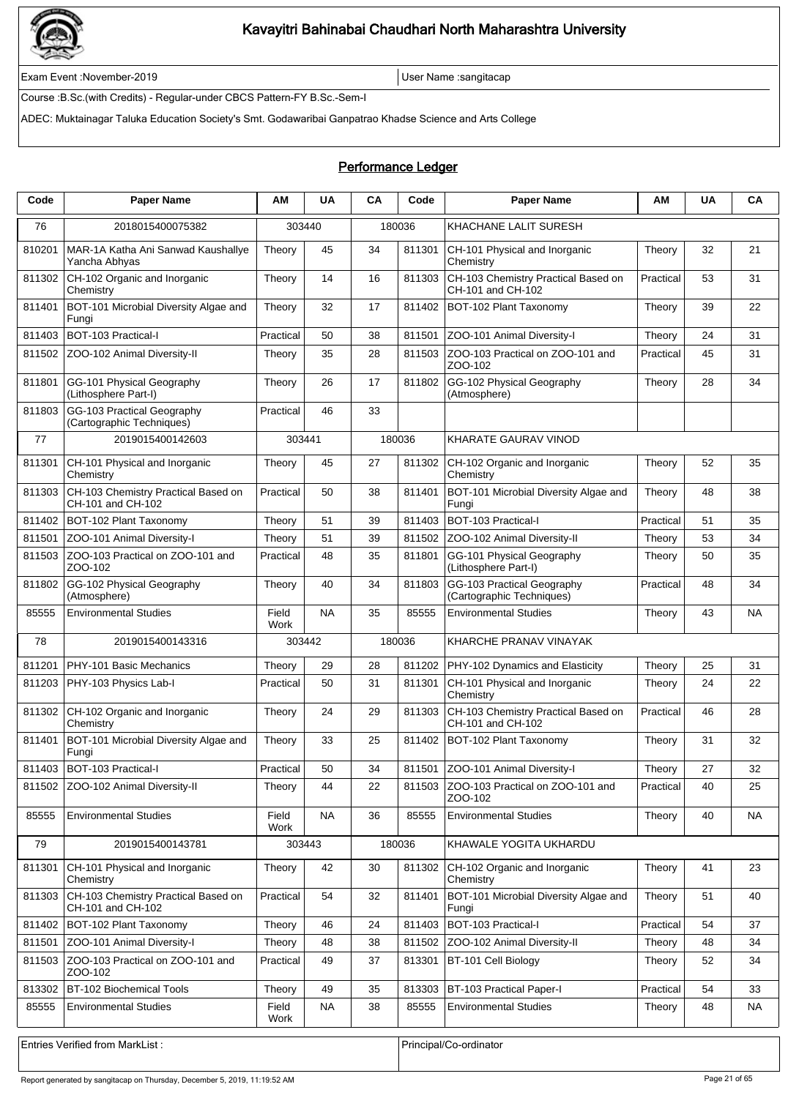

Exam Event :November-2019 User Name :sangitacap

Course :B.Sc.(with Credits) - Regular-under CBCS Pattern-FY B.Sc.-Sem-I

ADEC: Muktainagar Taluka Education Society's Smt. Godawaribai Ganpatrao Khadse Science and Arts College

### Performance Ledger

| Code   | <b>Paper Name</b>                                        | AМ            | UA        | CA     | Code   | <b>Paper Name</b>                                        | АΜ        | <b>UA</b> | CA        |
|--------|----------------------------------------------------------|---------------|-----------|--------|--------|----------------------------------------------------------|-----------|-----------|-----------|
| 76     | 2018015400075382                                         | 303440        |           | 180036 |        | KHACHANE LALIT SURESH                                    |           |           |           |
| 810201 | MAR-1A Katha Ani Sanwad Kaushallye<br>Yancha Abhyas      | Theory        | 45        | 34     | 811301 | CH-101 Physical and Inorganic<br>Chemistry               | Theory    | 32        | 21        |
| 811302 | CH-102 Organic and Inorganic<br>Chemistry                | Theory        | 14        | 16     | 811303 | CH-103 Chemistry Practical Based on<br>CH-101 and CH-102 | Practical | 53        | 31        |
| 811401 | BOT-101 Microbial Diversity Algae and<br>Fungi           | Theory        | 32        | 17     | 811402 | BOT-102 Plant Taxonomy                                   | Theory    | 39        | 22        |
| 811403 | BOT-103 Practical-I                                      | Practical     | 50        | 38     | 811501 | ZOO-101 Animal Diversity-I                               | Theory    | 24        | 31        |
| 811502 | ZOO-102 Animal Diversity-II                              | Theory        | 35        | 28     | 811503 | ZOO-103 Practical on ZOO-101 and<br>ZOO-102              | Practical | 45        | 31        |
| 811801 | GG-101 Physical Geography<br>(Lithosphere Part-I)        | Theory        | 26        | 17     | 811802 | GG-102 Physical Geography<br>(Atmosphere)                | Theory    | 28        | 34        |
| 811803 | GG-103 Practical Geography<br>(Cartographic Techniques)  | Practical     | 46        | 33     |        |                                                          |           |           |           |
| 77     | 2019015400142603                                         | 303441        |           |        | 180036 | <b>KHARATE GAURAV VINOD</b>                              |           |           |           |
| 811301 | CH-101 Physical and Inorganic<br>Chemistry               | Theory        | 45        | 27     | 811302 | CH-102 Organic and Inorganic<br>Chemistry                | Theory    | 52        | 35        |
| 811303 | CH-103 Chemistry Practical Based on<br>CH-101 and CH-102 | Practical     | 50        | 38     | 811401 | BOT-101 Microbial Diversity Algae and<br>Fungi           | Theory    | 48        | 38        |
| 811402 | BOT-102 Plant Taxonomy                                   | Theory        | 51        | 39     | 811403 | BOT-103 Practical-I                                      | Practical | 51        | 35        |
| 811501 | ZOO-101 Animal Diversity-I                               | Theory        | 51        | 39     | 811502 | ZOO-102 Animal Diversity-II                              | Theory    | 53        | 34        |
| 811503 | ZOO-103 Practical on ZOO-101 and<br>ZOO-102              | Practical     | 48        | 35     | 811801 | GG-101 Physical Geography<br>(Lithosphere Part-I)        | Theory    | 50        | 35        |
| 811802 | GG-102 Physical Geography<br>(Atmosphere)                | Theory        | 40        | 34     | 811803 | GG-103 Practical Geography<br>(Cartographic Techniques)  | Practical | 48        | 34        |
| 85555  | <b>Environmental Studies</b>                             | Field<br>Work | <b>NA</b> | 35     | 85555  | <b>Environmental Studies</b>                             | Theory    | 43        | <b>NA</b> |
| 78     | 2019015400143316                                         | 303442        |           |        | 180036 | KHARCHE PRANAV VINAYAK                                   |           |           |           |
| 811201 | PHY-101 Basic Mechanics                                  | Theory        | 29        | 28     | 811202 | PHY-102 Dynamics and Elasticity                          | Theory    | 25        | 31        |
| 811203 | PHY-103 Physics Lab-I                                    | Practical     | 50        | 31     | 811301 | CH-101 Physical and Inorganic<br>Chemistry               | Theory    | 24        | 22        |
| 811302 | CH-102 Organic and Inorganic<br>Chemistry                | Theory        | 24        | 29     | 811303 | CH-103 Chemistry Practical Based on<br>CH-101 and CH-102 | Practical | 46        | 28        |
| 811401 | BOT-101 Microbial Diversity Algae and<br>Fungi           | Theory        | 33        | 25     | 811402 | BOT-102 Plant Taxonomy                                   | Theory    | 31        | 32        |
|        | 811403 BOT-103 Practical-I                               | Practical     | 50        | 34     |        | 811501 ZOO-101 Animal Diversity-I                        | Theory    | 27        | 32        |
| 811502 | ZOO-102 Animal Diversity-II                              | Theory        | 44        | 22     | 811503 | ZOO-103 Practical on ZOO-101 and<br>ZOO-102              | Practical | 40        | 25        |
| 85555  | <b>Environmental Studies</b>                             | Field<br>Work | <b>NA</b> | 36     | 85555  | <b>Environmental Studies</b>                             | Theory    | 40        | <b>NA</b> |
| 79     | 2019015400143781                                         | 303443        |           |        | 180036 | KHAWALE YOGITA UKHARDU                                   |           |           |           |
| 811301 | CH-101 Physical and Inorganic<br>Chemistry               | Theory        | 42        | 30     | 811302 | CH-102 Organic and Inorganic<br>Chemistry                | Theory    | 41        | 23        |
| 811303 | CH-103 Chemistry Practical Based on<br>CH-101 and CH-102 | Practical     | 54        | 32     | 811401 | BOT-101 Microbial Diversity Algae and<br>Fungi           | Theory    | 51        | 40        |
| 811402 | BOT-102 Plant Taxonomy                                   | Theory        | 46        | 24     | 811403 | BOT-103 Practical-I                                      | Practical | 54        | 37        |
| 811501 | ZOO-101 Animal Diversity-I                               | Theory        | 48        | 38     | 811502 | ZOO-102 Animal Diversity-II                              | Theory    | 48        | 34        |
| 811503 | ZOO-103 Practical on ZOO-101 and<br>ZOO-102              | Practical     | 49        | 37     | 813301 | BT-101 Cell Biology                                      | Theory    | 52        | 34        |
| 813302 | <b>BT-102 Biochemical Tools</b>                          | Theory        | 49        | 35     | 813303 | BT-103 Practical Paper-I                                 | Practical | 54        | 33        |
| 85555  | <b>Environmental Studies</b>                             | Field<br>Work | <b>NA</b> | 38     | 85555  | <b>Environmental Studies</b>                             | Theory    | 48        | <b>NA</b> |
|        |                                                          |               |           |        |        |                                                          |           |           |           |
|        | <b>Entries Verified from MarkList:</b>                   |               |           |        |        | Principal/Co-ordinator                                   |           |           |           |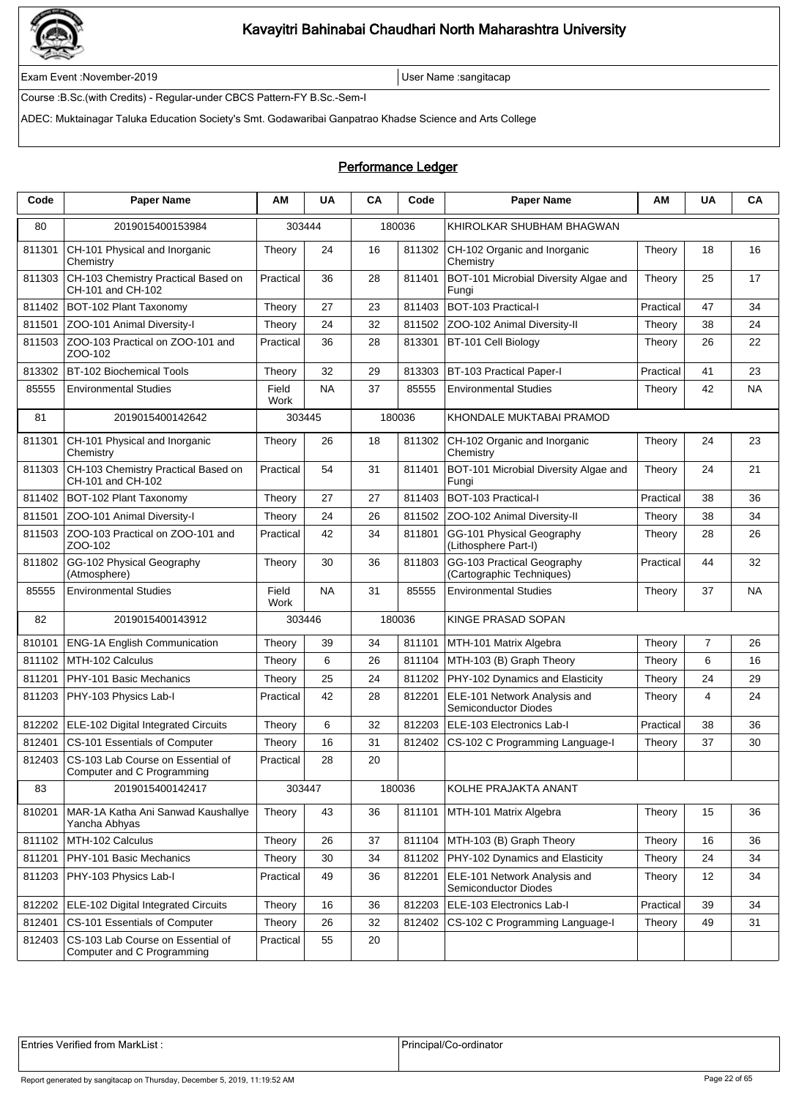

Exam Event :November-2019 User Name :sangitacap

Course :B.Sc.(with Credits) - Regular-under CBCS Pattern-FY B.Sc.-Sem-I

ADEC: Muktainagar Taluka Education Society's Smt. Godawaribai Ganpatrao Khadse Science and Arts College

### Performance Ledger

| Code   | <b>Paper Name</b>                                               | ΑM            | <b>UA</b> | CA | Code   | <b>Paper Name</b>                                       | AM        | <b>UA</b>      | CA        |
|--------|-----------------------------------------------------------------|---------------|-----------|----|--------|---------------------------------------------------------|-----------|----------------|-----------|
| 80     | 2019015400153984                                                |               | 303444    |    | 180036 | KHIROLKAR SHUBHAM BHAGWAN                               |           |                |           |
| 811301 | CH-101 Physical and Inorganic<br>Chemistry                      | Theory        | 24        | 16 | 811302 | CH-102 Organic and Inorganic<br>Chemistry               | Theory    | 18             | 16        |
| 811303 | CH-103 Chemistry Practical Based on<br>CH-101 and CH-102        | Practical     | 36        | 28 | 811401 | BOT-101 Microbial Diversity Algae and<br>Fungi          | Theory    | 25             | 17        |
| 811402 | BOT-102 Plant Taxonomy                                          | Theory        | 27        | 23 | 811403 | BOT-103 Practical-I                                     | Practical | 47             | 34        |
| 811501 | ZOO-101 Animal Diversity-I                                      | Theory        | 24        | 32 | 811502 | ZOO-102 Animal Diversity-II                             | Theory    | 38             | 24        |
| 811503 | ZOO-103 Practical on ZOO-101 and<br>ZOO-102                     | Practical     | 36        | 28 | 813301 | BT-101 Cell Biology                                     | Theory    | 26             | 22        |
| 813302 | BT-102 Biochemical Tools                                        | Theory        | 32        | 29 | 813303 | BT-103 Practical Paper-I                                | Practical | 41             | 23        |
| 85555  | <b>Environmental Studies</b>                                    | Field<br>Work | <b>NA</b> | 37 | 85555  | <b>Environmental Studies</b>                            | Theory    | 42             | <b>NA</b> |
| 81     | 2019015400142642                                                | 303445        |           |    | 180036 | KHONDALE MUKTABAI PRAMOD                                |           |                |           |
| 811301 | CH-101 Physical and Inorganic<br>Chemistry                      | Theory        | 26        | 18 | 811302 | CH-102 Organic and Inorganic<br>Chemistry               | Theory    | 24             | 23        |
| 811303 | CH-103 Chemistry Practical Based on<br>CH-101 and CH-102        | Practical     | 54        | 31 | 811401 | BOT-101 Microbial Diversity Algae and<br>Fungi          | Theory    | 24             | 21        |
| 811402 | BOT-102 Plant Taxonomy                                          | Theory        | 27        | 27 | 811403 | BOT-103 Practical-I                                     | Practical | 38             | 36        |
| 811501 | ZOO-101 Animal Diversity-I                                      | Theory        | 24        | 26 | 811502 | ZOO-102 Animal Diversity-II                             | Theory    | 38             | 34        |
| 811503 | ZOO-103 Practical on ZOO-101 and<br>ZOO-102                     | Practical     | 42        | 34 | 811801 | GG-101 Physical Geography<br>(Lithosphere Part-I)       | Theory    | 28             | 26        |
| 811802 | GG-102 Physical Geography<br>(Atmosphere)                       | Theory        | 30        | 36 | 811803 | GG-103 Practical Geography<br>(Cartographic Techniques) | Practical | 44             | 32        |
| 85555  | <b>Environmental Studies</b>                                    | Field<br>Work | <b>NA</b> | 31 | 85555  | <b>Environmental Studies</b>                            | Theory    | 37             | <b>NA</b> |
| 82     | 2019015400143912                                                |               | 303446    |    | 180036 | KINGE PRASAD SOPAN                                      |           |                |           |
| 810101 | <b>ENG-1A English Communication</b>                             | Theory        | 39        | 34 | 811101 | MTH-101 Matrix Algebra                                  | Theory    | $\overline{7}$ | 26        |
| 811102 | MTH-102 Calculus                                                | Theory        | 6         | 26 | 811104 | MTH-103 (B) Graph Theory                                | Theory    | 6              | 16        |
| 811201 | PHY-101 Basic Mechanics                                         | Theory        | 25        | 24 | 811202 | PHY-102 Dynamics and Elasticity                         | Theory    | 24             | 29        |
| 811203 | PHY-103 Physics Lab-I                                           | Practical     | 42        | 28 | 812201 | ELE-101 Network Analysis and<br>Semiconductor Diodes    | Theory    | 4              | 24        |
| 812202 | ELE-102 Digital Integrated Circuits                             | Theory        | 6         | 32 | 812203 | ELE-103 Electronics Lab-I                               | Practical | 38             | 36        |
| 812401 | CS-101 Essentials of Computer                                   | Theory        | 16        | 31 | 812402 | CS-102 C Programming Language-I                         | Theory    | 37             | 30        |
| 812403 | CS-103 Lab Course on Essential of<br>Computer and C Programming | Practical     | 28        | 20 |        |                                                         |           |                |           |
| 83     | 2019015400142417                                                |               | 303447    |    | 180036 | KOLHE PRAJAKTA ANANT                                    |           |                |           |
| 810201 | MAR-1A Katha Ani Sanwad Kaushallye<br>Yancha Abhyas             | Theory        | 43        | 36 | 811101 | MTH-101 Matrix Algebra                                  | Theory    | 15             | 36        |
| 811102 | MTH-102 Calculus                                                | Theory        | 26        | 37 | 811104 | MTH-103 (B) Graph Theory                                | Theory    | 16             | 36        |
| 811201 | PHY-101 Basic Mechanics                                         | Theory        | 30        | 34 | 811202 | PHY-102 Dynamics and Elasticity                         | Theory    | 24             | 34        |
| 811203 | PHY-103 Physics Lab-I                                           | Practical     | 49        | 36 | 812201 | ELE-101 Network Analysis and<br>Semiconductor Diodes    | Theory    | 12             | 34        |
| 812202 | ELE-102 Digital Integrated Circuits                             | Theory        | 16        | 36 | 812203 | ELE-103 Electronics Lab-I                               | Practical | 39             | 34        |
| 812401 | CS-101 Essentials of Computer                                   | Theory        | 26        | 32 | 812402 | CS-102 C Programming Language-I                         | Theory    | 49             | 31        |
| 812403 | CS-103 Lab Course on Essential of<br>Computer and C Programming | Practical     | 55        | 20 |        |                                                         |           |                |           |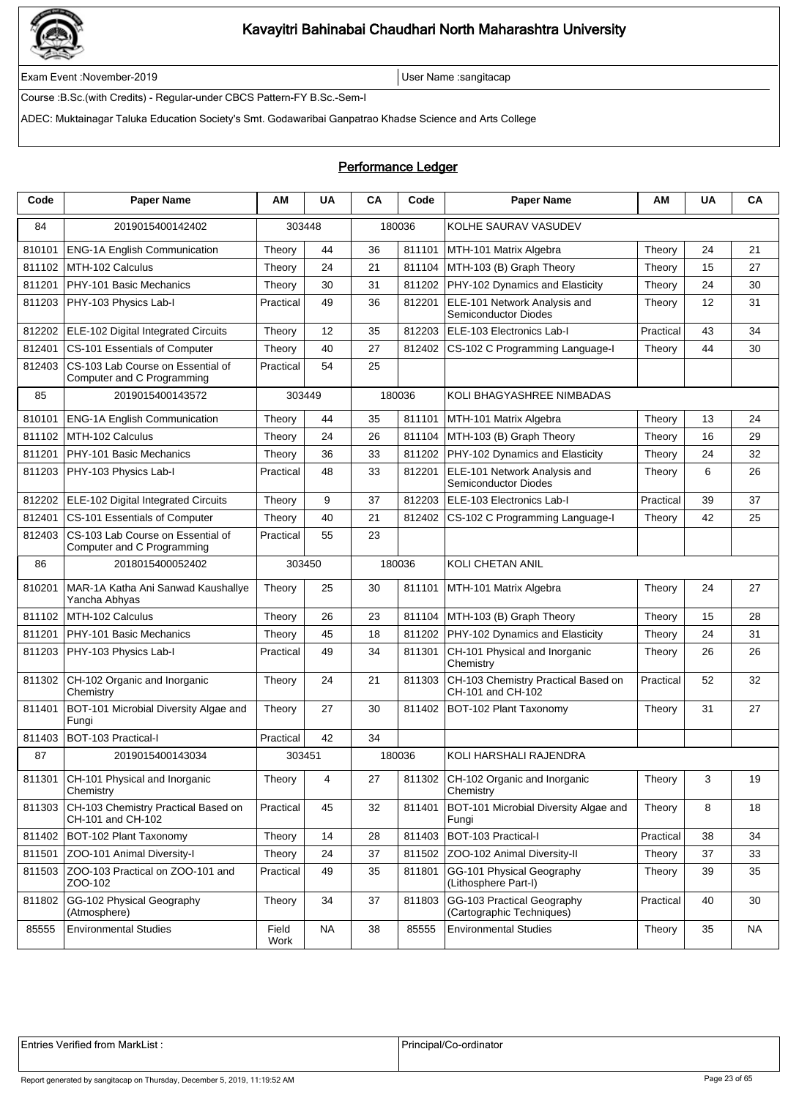

Exam Event :November-2019 User Name :sangitacap

Course :B.Sc.(with Credits) - Regular-under CBCS Pattern-FY B.Sc.-Sem-I

ADEC: Muktainagar Taluka Education Society's Smt. Godawaribai Ganpatrao Khadse Science and Arts College

### Performance Ledger

| Code   | <b>Paper Name</b>                                               | ΑМ            | <b>UA</b> | CA | Code   | <b>Paper Name</b>                                           | AM        | <b>UA</b> | CA |
|--------|-----------------------------------------------------------------|---------------|-----------|----|--------|-------------------------------------------------------------|-----------|-----------|----|
| 84     | 2019015400142402                                                | 303448        |           |    | 180036 | KOLHE SAURAV VASUDEV                                        |           |           |    |
| 810101 | <b>ENG-1A English Communication</b>                             | Theory        | 44        | 36 | 811101 | MTH-101 Matrix Algebra                                      | Theory    | 24        | 21 |
| 811102 | MTH-102 Calculus                                                | Theory        | 24        | 21 | 811104 | MTH-103 (B) Graph Theory                                    | Theory    | 15        | 27 |
| 811201 | PHY-101 Basic Mechanics                                         | Theory        | 30        | 31 | 811202 | PHY-102 Dynamics and Elasticity                             | Theory    | 24        | 30 |
| 811203 | PHY-103 Physics Lab-I                                           | Practical     | 49        | 36 | 812201 | ELE-101 Network Analysis and<br>Semiconductor Diodes        | Theory    | 12        | 31 |
| 812202 | ELE-102 Digital Integrated Circuits                             | Theory        | 12        | 35 | 812203 | ELE-103 Electronics Lab-I                                   | Practical | 43        | 34 |
| 812401 | CS-101 Essentials of Computer                                   | Theory        | 40        | 27 | 812402 | CS-102 C Programming Language-I                             | Theory    | 44        | 30 |
| 812403 | CS-103 Lab Course on Essential of<br>Computer and C Programming | Practical     | 54        | 25 |        |                                                             |           |           |    |
| 85     | 2019015400143572                                                | 303449        |           |    | 180036 | KOLI BHAGYASHREE NIMBADAS                                   |           |           |    |
| 810101 | <b>ENG-1A English Communication</b>                             | Theory        | 44        | 35 | 811101 | MTH-101 Matrix Algebra                                      | Theory    | 13        | 24 |
| 811102 | MTH-102 Calculus                                                | Theory        | 24        | 26 | 811104 | MTH-103 (B) Graph Theory                                    | Theory    | 16        | 29 |
| 811201 | PHY-101 Basic Mechanics                                         | Theory        | 36        | 33 | 811202 | PHY-102 Dynamics and Elasticity                             | Theory    | 24        | 32 |
| 811203 | PHY-103 Physics Lab-I                                           | Practical     | 48        | 33 | 812201 | ELE-101 Network Analysis and<br><b>Semiconductor Diodes</b> | Theory    | 6         | 26 |
| 812202 | ELE-102 Digital Integrated Circuits                             | Theory        | 9         | 37 | 812203 | ELE-103 Electronics Lab-I                                   | Practical | 39        | 37 |
| 812401 | CS-101 Essentials of Computer                                   | Theory        | 40        | 21 | 812402 | CS-102 C Programming Language-I                             | Theory    | 42        | 25 |
| 812403 | CS-103 Lab Course on Essential of<br>Computer and C Programming | Practical     | 55        | 23 |        |                                                             |           |           |    |
| 86     | 2018015400052402                                                | 303450        |           |    | 180036 | KOLI CHETAN ANIL                                            |           |           |    |
| 810201 | MAR-1A Katha Ani Sanwad Kaushallye<br>Yancha Abhyas             | Theory        | 25        | 30 | 811101 | MTH-101 Matrix Algebra                                      | Theory    | 24        | 27 |
| 811102 | MTH-102 Calculus                                                | Theory        | 26        | 23 | 811104 | MTH-103 (B) Graph Theory                                    | Theory    | 15        | 28 |
| 811201 | PHY-101 Basic Mechanics                                         | Theory        | 45        | 18 | 811202 | PHY-102 Dynamics and Elasticity                             | Theory    | 24        | 31 |
| 811203 | PHY-103 Physics Lab-I                                           | Practical     | 49        | 34 | 811301 | CH-101 Physical and Inorganic<br>Chemistry                  | Theory    | 26        | 26 |
| 811302 | CH-102 Organic and Inorganic<br>Chemistry                       | Theory        | 24        | 21 | 811303 | CH-103 Chemistry Practical Based on<br>CH-101 and CH-102    | Practical | 52        | 32 |
| 811401 | BOT-101 Microbial Diversity Algae and<br>Fungi                  | Theory        | 27        | 30 | 811402 | BOT-102 Plant Taxonomy                                      | Theory    | 31        | 27 |
| 811403 | BOT-103 Practical-I                                             | Practical     | 42        | 34 |        |                                                             |           |           |    |
| 87     | 2019015400143034                                                | 303451        |           |    | 180036 | KOLI HARSHALI RAJENDRA                                      |           |           |    |
| 811301 | CH-101 Physical and Inorganic<br>Chemistry                      | Theory        | 4         | 27 |        | 811302 CH-102 Organic and Inorganic<br>Chemistry            | Theory    | 3         | 19 |
| 811303 | CH-103 Chemistry Practical Based on<br>CH-101 and CH-102        | Practical     | 45        | 32 | 811401 | BOT-101 Microbial Diversity Algae and<br>Fungi              | Theory    | 8         | 18 |
| 811402 | BOT-102 Plant Taxonomy                                          | Theory        | 14        | 28 | 811403 | BOT-103 Practical-I                                         | Practical | 38        | 34 |
| 811501 | ZOO-101 Animal Diversity-I                                      | Theory        | 24        | 37 | 811502 | ZOO-102 Animal Diversity-II                                 | Theory    | 37        | 33 |
| 811503 | ZOO-103 Practical on ZOO-101 and<br>ZOO-102                     | Practical     | 49        | 35 | 811801 | GG-101 Physical Geography<br>(Lithosphere Part-I)           | Theory    | 39        | 35 |
| 811802 | GG-102 Physical Geography<br>(Atmosphere)                       | Theory        | 34        | 37 | 811803 | GG-103 Practical Geography<br>(Cartographic Techniques)     | Practical | 40        | 30 |
| 85555  | <b>Environmental Studies</b>                                    | Field<br>Work | <b>NA</b> | 38 | 85555  | <b>Environmental Studies</b>                                | Theory    | 35        | NA |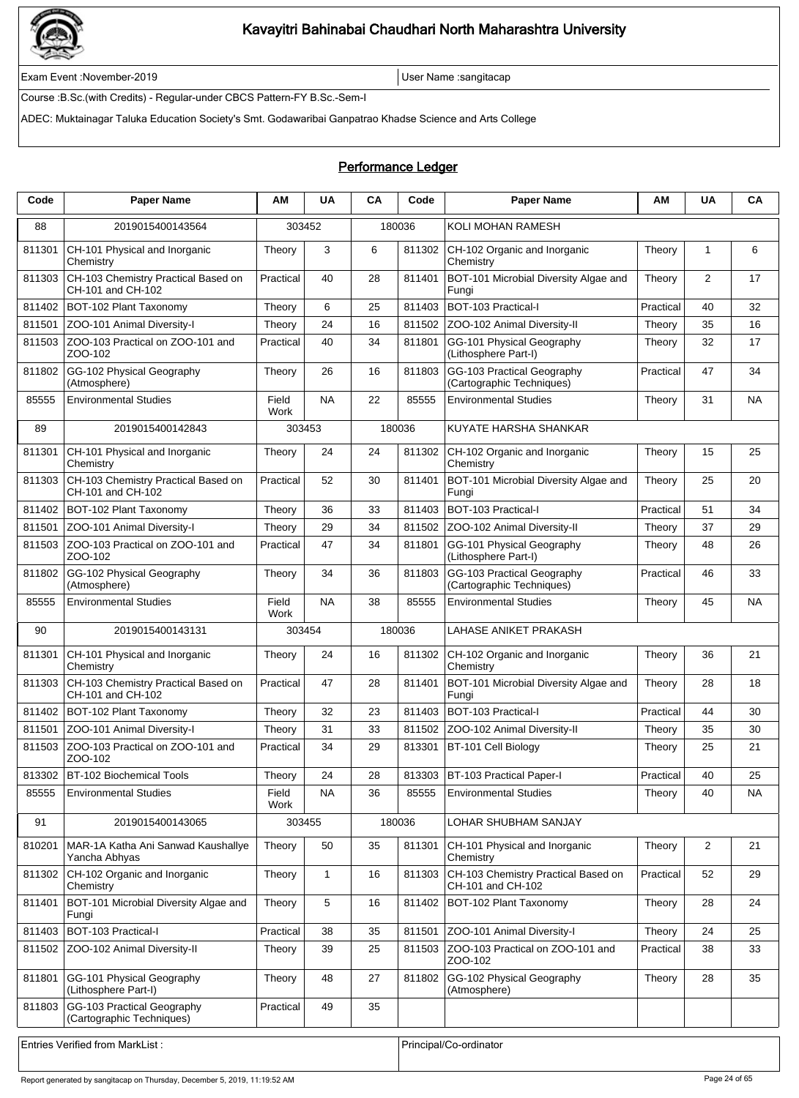

Exam Event :November-2019 User Name :sangitacap

Course :B.Sc.(with Credits) - Regular-under CBCS Pattern-FY B.Sc.-Sem-I

ADEC: Muktainagar Taluka Education Society's Smt. Godawaribai Ganpatrao Khadse Science and Arts College

### Performance Ledger

| Code   | <b>Paper Name</b>                                        | ΑM            | <b>UA</b>    | CA | Code   | <b>Paper Name</b>                                        | ΑМ        | <b>UA</b>      | CA        |
|--------|----------------------------------------------------------|---------------|--------------|----|--------|----------------------------------------------------------|-----------|----------------|-----------|
| 88     | 2019015400143564                                         | 303452        |              |    | 180036 | KOLI MOHAN RAMESH                                        |           |                |           |
| 811301 | CH-101 Physical and Inorganic<br>Chemistry               | Theory        | 3            | 6  | 811302 | CH-102 Organic and Inorganic<br>Chemistry                | Theory    | 1              | 6         |
| 811303 | CH-103 Chemistry Practical Based on<br>CH-101 and CH-102 | Practical     | 40           | 28 | 811401 | BOT-101 Microbial Diversity Algae and<br>Fungi           | Theory    | 2              | 17        |
| 811402 | BOT-102 Plant Taxonomy                                   | Theory        | 6            | 25 | 811403 | BOT-103 Practical-I                                      | Practical | 40             | 32        |
| 811501 | ZOO-101 Animal Diversity-I                               | Theory        | 24           | 16 | 811502 | ZOO-102 Animal Diversity-II                              | Theory    | 35             | 16        |
| 811503 | ZOO-103 Practical on ZOO-101 and<br>ZOO-102              | Practical     | 40           | 34 | 811801 | GG-101 Physical Geography<br>(Lithosphere Part-I)        | Theory    | 32             | 17        |
| 811802 | GG-102 Physical Geography<br>(Atmosphere)                | Theory        | 26           | 16 | 811803 | GG-103 Practical Geography<br>(Cartographic Techniques)  | Practical | 47             | 34        |
| 85555  | <b>Environmental Studies</b>                             | Field<br>Work | <b>NA</b>    | 22 | 85555  | <b>Environmental Studies</b>                             | Theory    | 31             | <b>NA</b> |
| 89     | 2019015400142843                                         | 303453        |              |    | 180036 | KUYATE HARSHA SHANKAR                                    |           |                |           |
| 811301 | CH-101 Physical and Inorganic<br>Chemistry               | Theory        | 24           | 24 | 811302 | CH-102 Organic and Inorganic<br>Chemistry                | Theory    | 15             | 25        |
| 811303 | CH-103 Chemistry Practical Based on<br>CH-101 and CH-102 | Practical     | 52           | 30 | 811401 | BOT-101 Microbial Diversity Algae and<br>Fungi           | Theory    | 25             | 20        |
| 811402 | BOT-102 Plant Taxonomy                                   | Theory        | 36           | 33 | 811403 | BOT-103 Practical-I                                      | Practical | 51             | 34        |
| 811501 | ZOO-101 Animal Diversity-I                               | Theory        | 29           | 34 | 811502 | ZOO-102 Animal Diversity-II                              | Theory    | 37             | 29        |
| 811503 | ZOO-103 Practical on ZOO-101 and<br>ZOO-102              | Practical     | 47           | 34 | 811801 | GG-101 Physical Geography<br>(Lithosphere Part-I)        | Theory    | 48             | 26        |
| 811802 | GG-102 Physical Geography<br>(Atmosphere)                | Theory        | 34           | 36 | 811803 | GG-103 Practical Geography<br>(Cartographic Techniques)  | Practical | 46             | 33        |
| 85555  | <b>Environmental Studies</b>                             | Field<br>Work | <b>NA</b>    | 38 | 85555  | <b>Environmental Studies</b>                             | Theory    | 45             | <b>NA</b> |
| 90     | 2019015400143131                                         | 303454        |              |    | 180036 | LAHASE ANIKET PRAKASH                                    |           |                |           |
| 811301 | CH-101 Physical and Inorganic<br>Chemistry               | Theory        | 24           | 16 | 811302 | CH-102 Organic and Inorganic<br>Chemistry                | Theory    | 36             | 21        |
| 811303 | CH-103 Chemistry Practical Based on<br>CH-101 and CH-102 | Practical     | 47           | 28 | 811401 | BOT-101 Microbial Diversity Algae and<br>Fungi           | Theory    | 28             | 18        |
| 811402 | BOT-102 Plant Taxonomy                                   | Theory        | 32           | 23 | 811403 | BOT-103 Practical-I                                      | Practical | 44             | 30        |
| 811501 | ZOO-101 Animal Diversity-I                               | Theory        | 31           | 33 | 811502 | ZOO-102 Animal Diversity-II                              | Theory    | 35             | 30        |
| 811503 | ZOO-103 Practical on ZOO-101 and<br>ZOO-102              | Practical     | 34           | 29 | 813301 | BT-101 Cell Biology                                      | Theory    | 25             | 21        |
|        | 813302 BT-102 Biochemical Tools                          | Theory        | 24           | 28 |        | 813303 BT-103 Practical Paper-I                          | Practical | 40             | 25        |
| 85555  | <b>Environmental Studies</b>                             | Field<br>Work | NA           | 36 | 85555  | <b>Environmental Studies</b>                             | Theory    | 40             | NA        |
| 91     | 2019015400143065                                         | 303455        |              |    | 180036 | LOHAR SHUBHAM SANJAY                                     |           |                |           |
| 810201 | MAR-1A Katha Ani Sanwad Kaushallye<br>Yancha Abhyas      | Theory        | 50           | 35 | 811301 | CH-101 Physical and Inorganic<br>Chemistry               | Theory    | $\overline{2}$ | 21        |
| 811302 | CH-102 Organic and Inorganic<br>Chemistry                | Theory        | $\mathbf{1}$ | 16 | 811303 | CH-103 Chemistry Practical Based on<br>CH-101 and CH-102 | Practical | 52             | 29        |
| 811401 | BOT-101 Microbial Diversity Algae and<br>Fungi           | Theory        | 5            | 16 | 811402 | BOT-102 Plant Taxonomy                                   | Theory    | 28             | 24        |
| 811403 | BOT-103 Practical-I                                      | Practical     | 38           | 35 | 811501 | ZOO-101 Animal Diversity-I                               | Theory    | 24             | 25        |
| 811502 | ZOO-102 Animal Diversity-II                              | Theory        | 39           | 25 | 811503 | ZOO-103 Practical on ZOO-101 and<br>ZOO-102              | Practical | 38             | 33        |
| 811801 | GG-101 Physical Geography<br>(Lithosphere Part-I)        | Theory        | 48           | 27 | 811802 | GG-102 Physical Geography<br>(Atmosphere)                | Theory    | 28             | 35        |
| 811803 | GG-103 Practical Geography<br>(Cartographic Techniques)  | Practical     | 49           | 35 |        |                                                          |           |                |           |
|        | <b>Entries Verified from MarkList:</b>                   |               |              |    |        | Principal/Co-ordinator                                   |           |                |           |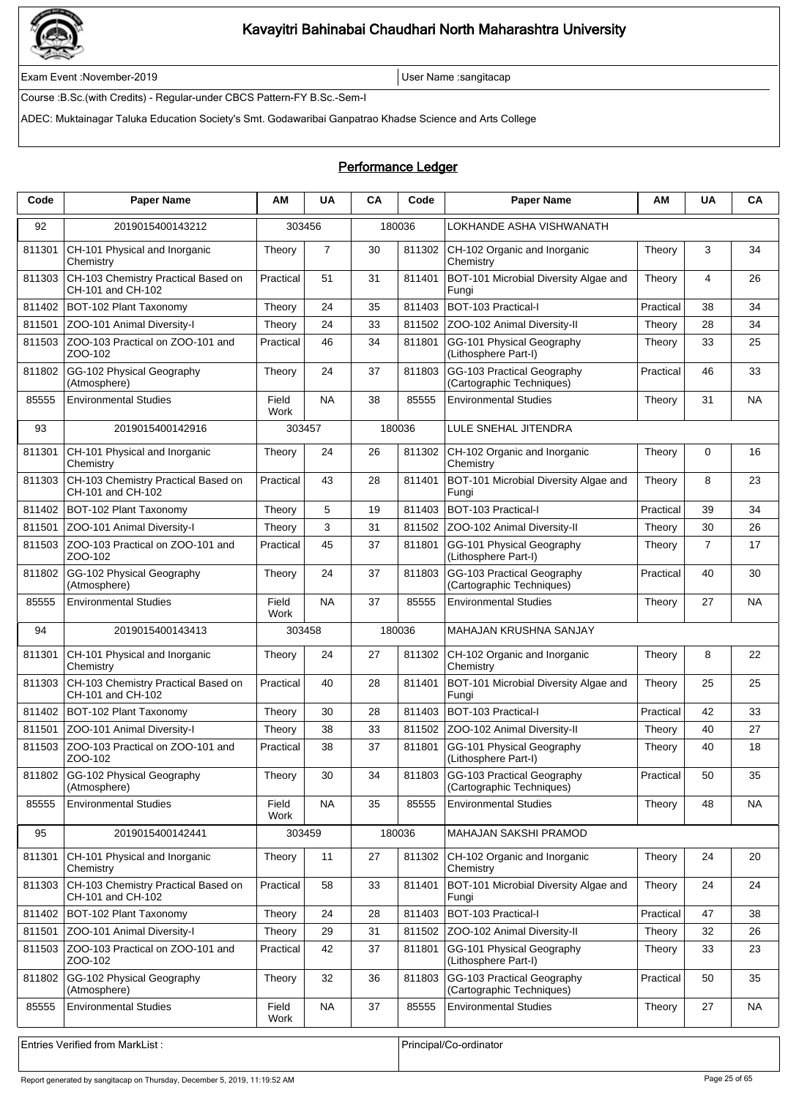

Exam Event :November-2019 User Name :sangitacap

Course :B.Sc.(with Credits) - Regular-under CBCS Pattern-FY B.Sc.-Sem-I

ADEC: Muktainagar Taluka Education Society's Smt. Godawaribai Ganpatrao Khadse Science and Arts College

### Performance Ledger

| LOKHANDE ASHA VISHWANATH<br>92<br>2019015400143212<br>303456<br>180036<br>$\overline{7}$<br>811301<br>CH-101 Physical and Inorganic<br>30<br>811302<br>CH-102 Organic and Inorganic<br>Theory<br>3<br>Theory<br>34<br>Chemistry<br>Chemistry<br>811303<br>CH-103 Chemistry Practical Based on<br>51<br>31<br>811401<br>BOT-101 Microbial Diversity Algae and<br>26<br>Practical<br>Theory<br>4<br>CH-101 and CH-102<br>Fungi<br>BOT-102 Plant Taxonomy<br>811403<br>BOT-103 Practical-I<br>34<br>811402<br>24<br>35<br>Practical<br>38<br>Theory<br>24<br>811502<br>28<br>34<br>811501<br>ZOO-101 Animal Diversity-I<br>33<br>ZOO-102 Animal Diversity-II<br>Theory<br>Theory<br>ZOO-103 Practical on ZOO-101 and<br>34<br>811801<br>GG-101 Physical Geography<br>25<br>811503<br>Practical<br>46<br>Theory<br>33<br>ZOO-102<br>(Lithosphere Part-I)<br>GG-102 Physical Geography<br>811803<br>GG-103 Practical Geography<br>811802<br>Theory<br>24<br>37<br>Practical<br>46<br>33<br>(Atmosphere)<br>(Cartographic Techniques)<br>85555<br>Field<br><b>NA</b><br>38<br>85555<br>31<br><b>NA</b><br><b>Environmental Studies</b><br><b>Environmental Studies</b><br>Theory<br>Work<br>93<br>180036<br>LULE SNEHAL JITENDRA<br>2019015400142916<br>303457<br>CH-101 Physical and Inorganic<br>CH-102 Organic and Inorganic<br>811301<br>Theory<br>24<br>26<br>811302<br>Theory<br>$\Omega$<br>16<br>Chemistry<br>Chemistry<br>811303<br>CH-103 Chemistry Practical Based on<br>Practical<br>43<br>28<br>811401<br>BOT-101 Microbial Diversity Algae and<br>8<br>23<br>Theory<br>CH-101 and CH-102<br>Fungi<br>5<br>811403<br>BOT-103 Practical-I<br>34<br>811402<br>BOT-102 Plant Taxonomy<br>19<br>Practical<br>39<br>Theory<br>3<br>811502<br>30<br>26<br>811501<br>ZOO-101 Animal Diversity-I<br>31<br>ZOO-102 Animal Diversity-II<br>Theory<br>Theory<br>811503<br>ZOO-103 Practical on ZOO-101 and<br>45<br>37<br>811801<br>GG-101 Physical Geography<br>$\overline{7}$<br>Practical<br>17<br>Theory<br>ZOO-102<br>(Lithosphere Part-I)<br>GG-102 Physical Geography<br>811803<br>GG-103 Practical Geography<br>811802<br>24<br>37<br>Practical<br>40<br>30<br>Theory<br>(Atmosphere)<br>(Cartographic Techniques)<br><b>NA</b><br>37<br>85555<br><b>Environmental Studies</b><br>Field<br>85555<br><b>Environmental Studies</b><br>27<br>NA<br>Theory<br>Work<br>180036<br>MAHAJAN KRUSHNA SANJAY<br>94<br>2019015400143413<br>303458<br>811301<br>CH-101 Physical and Inorganic<br>24<br>27<br>811302<br>CH-102 Organic and Inorganic<br>Theory<br>8<br>22<br>Theory<br>Chemistry<br>Chemistry<br>CH-103 Chemistry Practical Based on<br>811401<br>BOT-101 Microbial Diversity Algae and<br>25<br>25<br>811303<br>Practical<br>40<br>28<br>Theory<br>CH-101 and CH-102<br>Fungi<br>811402<br>28<br>811403<br><b>BOT-103 Practical-I</b><br>33<br>BOT-102 Plant Taxonomy<br>30<br>Practical<br>42<br>Theory<br>27<br>38<br>33<br>40<br>811501<br>ZOO-101 Animal Diversity-I<br>811502<br>ZOO-102 Animal Diversity-II<br>Theory<br>Theory<br>ZOO-103 Practical on ZOO-101 and<br>811503<br>Practical<br>38<br>37<br>811801<br>GG-101 Physical Geography<br>40<br>18<br>Theory<br>ZOO-102<br>(Lithosphere Part-I)<br>811803 GG-103 Practical Geography<br>811802 GG-102 Physical Geography<br>Theory<br>Practical<br>30<br>34<br>50<br>35<br>(Cartographic Techniques)<br>(Atmosphere)<br>85555<br><b>Environmental Studies</b><br><b>NA</b><br>35<br>85555<br><b>Environmental Studies</b><br>Theory<br>48<br>Field<br><b>NA</b><br>Work<br>180036<br>95<br>2019015400142441<br>303459<br>MAHAJAN SAKSHI PRAMOD<br>811301<br>CH-101 Physical and Inorganic<br>11<br>27<br>811302<br>CH-102 Organic and Inorganic<br>Theory<br>24<br>20<br>Theory<br>Chemistry<br>Chemistry<br>CH-103 Chemistry Practical Based on<br>811401<br>BOT-101 Microbial Diversity Algae and<br>811303<br>Practical<br>58<br>33<br>Theory<br>24<br>24<br>CH-101 and CH-102<br>Fungi<br>BOT-102 Plant Taxonomy<br>24<br>28<br>811403<br>BOT-103 Practical-I<br>Practical<br>47<br>811402<br>Theory<br>38<br>ZOO-101 Animal Diversity-I<br>29<br>31<br>811502<br>ZOO-102 Animal Diversity-II<br>32<br>811501<br>Theory<br>26<br>Theory<br>ZOO-103 Practical on ZOO-101 and<br>42<br>GG-101 Physical Geography<br>811503<br>Practical<br>37<br>811801<br>33<br>23<br>Theory<br>ZOO-102<br>(Lithosphere Part-I)<br>GG-102 Physical Geography<br>GG-103 Practical Geography<br>811802<br>32<br>36<br>811803<br>Practical<br>50<br>35<br>Theory<br>(Cartographic Techniques)<br>(Atmosphere)<br>85555<br>85555<br><b>Environmental Studies</b><br>Field<br>NA.<br>37<br><b>Environmental Studies</b><br>Theory<br>27<br>NA<br>Work | Code | <b>Paper Name</b> | ΑM | <b>UA</b> | CA | Code | <b>Paper Name</b> | ΑМ | <b>UA</b> | CA |
|----------------------------------------------------------------------------------------------------------------------------------------------------------------------------------------------------------------------------------------------------------------------------------------------------------------------------------------------------------------------------------------------------------------------------------------------------------------------------------------------------------------------------------------------------------------------------------------------------------------------------------------------------------------------------------------------------------------------------------------------------------------------------------------------------------------------------------------------------------------------------------------------------------------------------------------------------------------------------------------------------------------------------------------------------------------------------------------------------------------------------------------------------------------------------------------------------------------------------------------------------------------------------------------------------------------------------------------------------------------------------------------------------------------------------------------------------------------------------------------------------------------------------------------------------------------------------------------------------------------------------------------------------------------------------------------------------------------------------------------------------------------------------------------------------------------------------------------------------------------------------------------------------------------------------------------------------------------------------------------------------------------------------------------------------------------------------------------------------------------------------------------------------------------------------------------------------------------------------------------------------------------------------------------------------------------------------------------------------------------------------------------------------------------------------------------------------------------------------------------------------------------------------------------------------------------------------------------------------------------------------------------------------------------------------------------------------------------------------------------------------------------------------------------------------------------------------------------------------------------------------------------------------------------------------------------------------------------------------------------------------------------------------------------------------------------------------------------------------------------------------------------------------------------------------------------------------------------------------------------------------------------------------------------------------------------------------------------------------------------------------------------------------------------------------------------------------------------------------------------------------------------------------------------------------------------------------------------------------------------------------------------------------------------------------------------------------------------------------------------------------------------------------------------------------------------------------------------------------------------------------------------------------------------------------------------------------------------------------------------------------------------------------------------------------------------------------------------------------------------------------------------------------------------------------------------------------------------------------------------------------------------------------------------------------------------------------------------------------------------------------------------------------------------------------------------------------------------------------------------------------------------------------------------------------------------------------------------------------------------------------------------------------------------------------------------------------------|------|-------------------|----|-----------|----|------|-------------------|----|-----------|----|
|                                                                                                                                                                                                                                                                                                                                                                                                                                                                                                                                                                                                                                                                                                                                                                                                                                                                                                                                                                                                                                                                                                                                                                                                                                                                                                                                                                                                                                                                                                                                                                                                                                                                                                                                                                                                                                                                                                                                                                                                                                                                                                                                                                                                                                                                                                                                                                                                                                                                                                                                                                                                                                                                                                                                                                                                                                                                                                                                                                                                                                                                                                                                                                                                                                                                                                                                                                                                                                                                                                                                                                                                                                                                                                                                                                                                                                                                                                                                                                                                                                                                                                                                                                                                                                                                                                                                                                                                                                                                                                                                                                                                                                                                                                          |      |                   |    |           |    |      |                   |    |           |    |
|                                                                                                                                                                                                                                                                                                                                                                                                                                                                                                                                                                                                                                                                                                                                                                                                                                                                                                                                                                                                                                                                                                                                                                                                                                                                                                                                                                                                                                                                                                                                                                                                                                                                                                                                                                                                                                                                                                                                                                                                                                                                                                                                                                                                                                                                                                                                                                                                                                                                                                                                                                                                                                                                                                                                                                                                                                                                                                                                                                                                                                                                                                                                                                                                                                                                                                                                                                                                                                                                                                                                                                                                                                                                                                                                                                                                                                                                                                                                                                                                                                                                                                                                                                                                                                                                                                                                                                                                                                                                                                                                                                                                                                                                                                          |      |                   |    |           |    |      |                   |    |           |    |
|                                                                                                                                                                                                                                                                                                                                                                                                                                                                                                                                                                                                                                                                                                                                                                                                                                                                                                                                                                                                                                                                                                                                                                                                                                                                                                                                                                                                                                                                                                                                                                                                                                                                                                                                                                                                                                                                                                                                                                                                                                                                                                                                                                                                                                                                                                                                                                                                                                                                                                                                                                                                                                                                                                                                                                                                                                                                                                                                                                                                                                                                                                                                                                                                                                                                                                                                                                                                                                                                                                                                                                                                                                                                                                                                                                                                                                                                                                                                                                                                                                                                                                                                                                                                                                                                                                                                                                                                                                                                                                                                                                                                                                                                                                          |      |                   |    |           |    |      |                   |    |           |    |
|                                                                                                                                                                                                                                                                                                                                                                                                                                                                                                                                                                                                                                                                                                                                                                                                                                                                                                                                                                                                                                                                                                                                                                                                                                                                                                                                                                                                                                                                                                                                                                                                                                                                                                                                                                                                                                                                                                                                                                                                                                                                                                                                                                                                                                                                                                                                                                                                                                                                                                                                                                                                                                                                                                                                                                                                                                                                                                                                                                                                                                                                                                                                                                                                                                                                                                                                                                                                                                                                                                                                                                                                                                                                                                                                                                                                                                                                                                                                                                                                                                                                                                                                                                                                                                                                                                                                                                                                                                                                                                                                                                                                                                                                                                          |      |                   |    |           |    |      |                   |    |           |    |
|                                                                                                                                                                                                                                                                                                                                                                                                                                                                                                                                                                                                                                                                                                                                                                                                                                                                                                                                                                                                                                                                                                                                                                                                                                                                                                                                                                                                                                                                                                                                                                                                                                                                                                                                                                                                                                                                                                                                                                                                                                                                                                                                                                                                                                                                                                                                                                                                                                                                                                                                                                                                                                                                                                                                                                                                                                                                                                                                                                                                                                                                                                                                                                                                                                                                                                                                                                                                                                                                                                                                                                                                                                                                                                                                                                                                                                                                                                                                                                                                                                                                                                                                                                                                                                                                                                                                                                                                                                                                                                                                                                                                                                                                                                          |      |                   |    |           |    |      |                   |    |           |    |
|                                                                                                                                                                                                                                                                                                                                                                                                                                                                                                                                                                                                                                                                                                                                                                                                                                                                                                                                                                                                                                                                                                                                                                                                                                                                                                                                                                                                                                                                                                                                                                                                                                                                                                                                                                                                                                                                                                                                                                                                                                                                                                                                                                                                                                                                                                                                                                                                                                                                                                                                                                                                                                                                                                                                                                                                                                                                                                                                                                                                                                                                                                                                                                                                                                                                                                                                                                                                                                                                                                                                                                                                                                                                                                                                                                                                                                                                                                                                                                                                                                                                                                                                                                                                                                                                                                                                                                                                                                                                                                                                                                                                                                                                                                          |      |                   |    |           |    |      |                   |    |           |    |
|                                                                                                                                                                                                                                                                                                                                                                                                                                                                                                                                                                                                                                                                                                                                                                                                                                                                                                                                                                                                                                                                                                                                                                                                                                                                                                                                                                                                                                                                                                                                                                                                                                                                                                                                                                                                                                                                                                                                                                                                                                                                                                                                                                                                                                                                                                                                                                                                                                                                                                                                                                                                                                                                                                                                                                                                                                                                                                                                                                                                                                                                                                                                                                                                                                                                                                                                                                                                                                                                                                                                                                                                                                                                                                                                                                                                                                                                                                                                                                                                                                                                                                                                                                                                                                                                                                                                                                                                                                                                                                                                                                                                                                                                                                          |      |                   |    |           |    |      |                   |    |           |    |
|                                                                                                                                                                                                                                                                                                                                                                                                                                                                                                                                                                                                                                                                                                                                                                                                                                                                                                                                                                                                                                                                                                                                                                                                                                                                                                                                                                                                                                                                                                                                                                                                                                                                                                                                                                                                                                                                                                                                                                                                                                                                                                                                                                                                                                                                                                                                                                                                                                                                                                                                                                                                                                                                                                                                                                                                                                                                                                                                                                                                                                                                                                                                                                                                                                                                                                                                                                                                                                                                                                                                                                                                                                                                                                                                                                                                                                                                                                                                                                                                                                                                                                                                                                                                                                                                                                                                                                                                                                                                                                                                                                                                                                                                                                          |      |                   |    |           |    |      |                   |    |           |    |
|                                                                                                                                                                                                                                                                                                                                                                                                                                                                                                                                                                                                                                                                                                                                                                                                                                                                                                                                                                                                                                                                                                                                                                                                                                                                                                                                                                                                                                                                                                                                                                                                                                                                                                                                                                                                                                                                                                                                                                                                                                                                                                                                                                                                                                                                                                                                                                                                                                                                                                                                                                                                                                                                                                                                                                                                                                                                                                                                                                                                                                                                                                                                                                                                                                                                                                                                                                                                                                                                                                                                                                                                                                                                                                                                                                                                                                                                                                                                                                                                                                                                                                                                                                                                                                                                                                                                                                                                                                                                                                                                                                                                                                                                                                          |      |                   |    |           |    |      |                   |    |           |    |
|                                                                                                                                                                                                                                                                                                                                                                                                                                                                                                                                                                                                                                                                                                                                                                                                                                                                                                                                                                                                                                                                                                                                                                                                                                                                                                                                                                                                                                                                                                                                                                                                                                                                                                                                                                                                                                                                                                                                                                                                                                                                                                                                                                                                                                                                                                                                                                                                                                                                                                                                                                                                                                                                                                                                                                                                                                                                                                                                                                                                                                                                                                                                                                                                                                                                                                                                                                                                                                                                                                                                                                                                                                                                                                                                                                                                                                                                                                                                                                                                                                                                                                                                                                                                                                                                                                                                                                                                                                                                                                                                                                                                                                                                                                          |      |                   |    |           |    |      |                   |    |           |    |
|                                                                                                                                                                                                                                                                                                                                                                                                                                                                                                                                                                                                                                                                                                                                                                                                                                                                                                                                                                                                                                                                                                                                                                                                                                                                                                                                                                                                                                                                                                                                                                                                                                                                                                                                                                                                                                                                                                                                                                                                                                                                                                                                                                                                                                                                                                                                                                                                                                                                                                                                                                                                                                                                                                                                                                                                                                                                                                                                                                                                                                                                                                                                                                                                                                                                                                                                                                                                                                                                                                                                                                                                                                                                                                                                                                                                                                                                                                                                                                                                                                                                                                                                                                                                                                                                                                                                                                                                                                                                                                                                                                                                                                                                                                          |      |                   |    |           |    |      |                   |    |           |    |
|                                                                                                                                                                                                                                                                                                                                                                                                                                                                                                                                                                                                                                                                                                                                                                                                                                                                                                                                                                                                                                                                                                                                                                                                                                                                                                                                                                                                                                                                                                                                                                                                                                                                                                                                                                                                                                                                                                                                                                                                                                                                                                                                                                                                                                                                                                                                                                                                                                                                                                                                                                                                                                                                                                                                                                                                                                                                                                                                                                                                                                                                                                                                                                                                                                                                                                                                                                                                                                                                                                                                                                                                                                                                                                                                                                                                                                                                                                                                                                                                                                                                                                                                                                                                                                                                                                                                                                                                                                                                                                                                                                                                                                                                                                          |      |                   |    |           |    |      |                   |    |           |    |
|                                                                                                                                                                                                                                                                                                                                                                                                                                                                                                                                                                                                                                                                                                                                                                                                                                                                                                                                                                                                                                                                                                                                                                                                                                                                                                                                                                                                                                                                                                                                                                                                                                                                                                                                                                                                                                                                                                                                                                                                                                                                                                                                                                                                                                                                                                                                                                                                                                                                                                                                                                                                                                                                                                                                                                                                                                                                                                                                                                                                                                                                                                                                                                                                                                                                                                                                                                                                                                                                                                                                                                                                                                                                                                                                                                                                                                                                                                                                                                                                                                                                                                                                                                                                                                                                                                                                                                                                                                                                                                                                                                                                                                                                                                          |      |                   |    |           |    |      |                   |    |           |    |
|                                                                                                                                                                                                                                                                                                                                                                                                                                                                                                                                                                                                                                                                                                                                                                                                                                                                                                                                                                                                                                                                                                                                                                                                                                                                                                                                                                                                                                                                                                                                                                                                                                                                                                                                                                                                                                                                                                                                                                                                                                                                                                                                                                                                                                                                                                                                                                                                                                                                                                                                                                                                                                                                                                                                                                                                                                                                                                                                                                                                                                                                                                                                                                                                                                                                                                                                                                                                                                                                                                                                                                                                                                                                                                                                                                                                                                                                                                                                                                                                                                                                                                                                                                                                                                                                                                                                                                                                                                                                                                                                                                                                                                                                                                          |      |                   |    |           |    |      |                   |    |           |    |
|                                                                                                                                                                                                                                                                                                                                                                                                                                                                                                                                                                                                                                                                                                                                                                                                                                                                                                                                                                                                                                                                                                                                                                                                                                                                                                                                                                                                                                                                                                                                                                                                                                                                                                                                                                                                                                                                                                                                                                                                                                                                                                                                                                                                                                                                                                                                                                                                                                                                                                                                                                                                                                                                                                                                                                                                                                                                                                                                                                                                                                                                                                                                                                                                                                                                                                                                                                                                                                                                                                                                                                                                                                                                                                                                                                                                                                                                                                                                                                                                                                                                                                                                                                                                                                                                                                                                                                                                                                                                                                                                                                                                                                                                                                          |      |                   |    |           |    |      |                   |    |           |    |
|                                                                                                                                                                                                                                                                                                                                                                                                                                                                                                                                                                                                                                                                                                                                                                                                                                                                                                                                                                                                                                                                                                                                                                                                                                                                                                                                                                                                                                                                                                                                                                                                                                                                                                                                                                                                                                                                                                                                                                                                                                                                                                                                                                                                                                                                                                                                                                                                                                                                                                                                                                                                                                                                                                                                                                                                                                                                                                                                                                                                                                                                                                                                                                                                                                                                                                                                                                                                                                                                                                                                                                                                                                                                                                                                                                                                                                                                                                                                                                                                                                                                                                                                                                                                                                                                                                                                                                                                                                                                                                                                                                                                                                                                                                          |      |                   |    |           |    |      |                   |    |           |    |
|                                                                                                                                                                                                                                                                                                                                                                                                                                                                                                                                                                                                                                                                                                                                                                                                                                                                                                                                                                                                                                                                                                                                                                                                                                                                                                                                                                                                                                                                                                                                                                                                                                                                                                                                                                                                                                                                                                                                                                                                                                                                                                                                                                                                                                                                                                                                                                                                                                                                                                                                                                                                                                                                                                                                                                                                                                                                                                                                                                                                                                                                                                                                                                                                                                                                                                                                                                                                                                                                                                                                                                                                                                                                                                                                                                                                                                                                                                                                                                                                                                                                                                                                                                                                                                                                                                                                                                                                                                                                                                                                                                                                                                                                                                          |      |                   |    |           |    |      |                   |    |           |    |
|                                                                                                                                                                                                                                                                                                                                                                                                                                                                                                                                                                                                                                                                                                                                                                                                                                                                                                                                                                                                                                                                                                                                                                                                                                                                                                                                                                                                                                                                                                                                                                                                                                                                                                                                                                                                                                                                                                                                                                                                                                                                                                                                                                                                                                                                                                                                                                                                                                                                                                                                                                                                                                                                                                                                                                                                                                                                                                                                                                                                                                                                                                                                                                                                                                                                                                                                                                                                                                                                                                                                                                                                                                                                                                                                                                                                                                                                                                                                                                                                                                                                                                                                                                                                                                                                                                                                                                                                                                                                                                                                                                                                                                                                                                          |      |                   |    |           |    |      |                   |    |           |    |
|                                                                                                                                                                                                                                                                                                                                                                                                                                                                                                                                                                                                                                                                                                                                                                                                                                                                                                                                                                                                                                                                                                                                                                                                                                                                                                                                                                                                                                                                                                                                                                                                                                                                                                                                                                                                                                                                                                                                                                                                                                                                                                                                                                                                                                                                                                                                                                                                                                                                                                                                                                                                                                                                                                                                                                                                                                                                                                                                                                                                                                                                                                                                                                                                                                                                                                                                                                                                                                                                                                                                                                                                                                                                                                                                                                                                                                                                                                                                                                                                                                                                                                                                                                                                                                                                                                                                                                                                                                                                                                                                                                                                                                                                                                          |      |                   |    |           |    |      |                   |    |           |    |
|                                                                                                                                                                                                                                                                                                                                                                                                                                                                                                                                                                                                                                                                                                                                                                                                                                                                                                                                                                                                                                                                                                                                                                                                                                                                                                                                                                                                                                                                                                                                                                                                                                                                                                                                                                                                                                                                                                                                                                                                                                                                                                                                                                                                                                                                                                                                                                                                                                                                                                                                                                                                                                                                                                                                                                                                                                                                                                                                                                                                                                                                                                                                                                                                                                                                                                                                                                                                                                                                                                                                                                                                                                                                                                                                                                                                                                                                                                                                                                                                                                                                                                                                                                                                                                                                                                                                                                                                                                                                                                                                                                                                                                                                                                          |      |                   |    |           |    |      |                   |    |           |    |
|                                                                                                                                                                                                                                                                                                                                                                                                                                                                                                                                                                                                                                                                                                                                                                                                                                                                                                                                                                                                                                                                                                                                                                                                                                                                                                                                                                                                                                                                                                                                                                                                                                                                                                                                                                                                                                                                                                                                                                                                                                                                                                                                                                                                                                                                                                                                                                                                                                                                                                                                                                                                                                                                                                                                                                                                                                                                                                                                                                                                                                                                                                                                                                                                                                                                                                                                                                                                                                                                                                                                                                                                                                                                                                                                                                                                                                                                                                                                                                                                                                                                                                                                                                                                                                                                                                                                                                                                                                                                                                                                                                                                                                                                                                          |      |                   |    |           |    |      |                   |    |           |    |
|                                                                                                                                                                                                                                                                                                                                                                                                                                                                                                                                                                                                                                                                                                                                                                                                                                                                                                                                                                                                                                                                                                                                                                                                                                                                                                                                                                                                                                                                                                                                                                                                                                                                                                                                                                                                                                                                                                                                                                                                                                                                                                                                                                                                                                                                                                                                                                                                                                                                                                                                                                                                                                                                                                                                                                                                                                                                                                                                                                                                                                                                                                                                                                                                                                                                                                                                                                                                                                                                                                                                                                                                                                                                                                                                                                                                                                                                                                                                                                                                                                                                                                                                                                                                                                                                                                                                                                                                                                                                                                                                                                                                                                                                                                          |      |                   |    |           |    |      |                   |    |           |    |
|                                                                                                                                                                                                                                                                                                                                                                                                                                                                                                                                                                                                                                                                                                                                                                                                                                                                                                                                                                                                                                                                                                                                                                                                                                                                                                                                                                                                                                                                                                                                                                                                                                                                                                                                                                                                                                                                                                                                                                                                                                                                                                                                                                                                                                                                                                                                                                                                                                                                                                                                                                                                                                                                                                                                                                                                                                                                                                                                                                                                                                                                                                                                                                                                                                                                                                                                                                                                                                                                                                                                                                                                                                                                                                                                                                                                                                                                                                                                                                                                                                                                                                                                                                                                                                                                                                                                                                                                                                                                                                                                                                                                                                                                                                          |      |                   |    |           |    |      |                   |    |           |    |
|                                                                                                                                                                                                                                                                                                                                                                                                                                                                                                                                                                                                                                                                                                                                                                                                                                                                                                                                                                                                                                                                                                                                                                                                                                                                                                                                                                                                                                                                                                                                                                                                                                                                                                                                                                                                                                                                                                                                                                                                                                                                                                                                                                                                                                                                                                                                                                                                                                                                                                                                                                                                                                                                                                                                                                                                                                                                                                                                                                                                                                                                                                                                                                                                                                                                                                                                                                                                                                                                                                                                                                                                                                                                                                                                                                                                                                                                                                                                                                                                                                                                                                                                                                                                                                                                                                                                                                                                                                                                                                                                                                                                                                                                                                          |      |                   |    |           |    |      |                   |    |           |    |
|                                                                                                                                                                                                                                                                                                                                                                                                                                                                                                                                                                                                                                                                                                                                                                                                                                                                                                                                                                                                                                                                                                                                                                                                                                                                                                                                                                                                                                                                                                                                                                                                                                                                                                                                                                                                                                                                                                                                                                                                                                                                                                                                                                                                                                                                                                                                                                                                                                                                                                                                                                                                                                                                                                                                                                                                                                                                                                                                                                                                                                                                                                                                                                                                                                                                                                                                                                                                                                                                                                                                                                                                                                                                                                                                                                                                                                                                                                                                                                                                                                                                                                                                                                                                                                                                                                                                                                                                                                                                                                                                                                                                                                                                                                          |      |                   |    |           |    |      |                   |    |           |    |
|                                                                                                                                                                                                                                                                                                                                                                                                                                                                                                                                                                                                                                                                                                                                                                                                                                                                                                                                                                                                                                                                                                                                                                                                                                                                                                                                                                                                                                                                                                                                                                                                                                                                                                                                                                                                                                                                                                                                                                                                                                                                                                                                                                                                                                                                                                                                                                                                                                                                                                                                                                                                                                                                                                                                                                                                                                                                                                                                                                                                                                                                                                                                                                                                                                                                                                                                                                                                                                                                                                                                                                                                                                                                                                                                                                                                                                                                                                                                                                                                                                                                                                                                                                                                                                                                                                                                                                                                                                                                                                                                                                                                                                                                                                          |      |                   |    |           |    |      |                   |    |           |    |
|                                                                                                                                                                                                                                                                                                                                                                                                                                                                                                                                                                                                                                                                                                                                                                                                                                                                                                                                                                                                                                                                                                                                                                                                                                                                                                                                                                                                                                                                                                                                                                                                                                                                                                                                                                                                                                                                                                                                                                                                                                                                                                                                                                                                                                                                                                                                                                                                                                                                                                                                                                                                                                                                                                                                                                                                                                                                                                                                                                                                                                                                                                                                                                                                                                                                                                                                                                                                                                                                                                                                                                                                                                                                                                                                                                                                                                                                                                                                                                                                                                                                                                                                                                                                                                                                                                                                                                                                                                                                                                                                                                                                                                                                                                          |      |                   |    |           |    |      |                   |    |           |    |
|                                                                                                                                                                                                                                                                                                                                                                                                                                                                                                                                                                                                                                                                                                                                                                                                                                                                                                                                                                                                                                                                                                                                                                                                                                                                                                                                                                                                                                                                                                                                                                                                                                                                                                                                                                                                                                                                                                                                                                                                                                                                                                                                                                                                                                                                                                                                                                                                                                                                                                                                                                                                                                                                                                                                                                                                                                                                                                                                                                                                                                                                                                                                                                                                                                                                                                                                                                                                                                                                                                                                                                                                                                                                                                                                                                                                                                                                                                                                                                                                                                                                                                                                                                                                                                                                                                                                                                                                                                                                                                                                                                                                                                                                                                          |      |                   |    |           |    |      |                   |    |           |    |
|                                                                                                                                                                                                                                                                                                                                                                                                                                                                                                                                                                                                                                                                                                                                                                                                                                                                                                                                                                                                                                                                                                                                                                                                                                                                                                                                                                                                                                                                                                                                                                                                                                                                                                                                                                                                                                                                                                                                                                                                                                                                                                                                                                                                                                                                                                                                                                                                                                                                                                                                                                                                                                                                                                                                                                                                                                                                                                                                                                                                                                                                                                                                                                                                                                                                                                                                                                                                                                                                                                                                                                                                                                                                                                                                                                                                                                                                                                                                                                                                                                                                                                                                                                                                                                                                                                                                                                                                                                                                                                                                                                                                                                                                                                          |      |                   |    |           |    |      |                   |    |           |    |
|                                                                                                                                                                                                                                                                                                                                                                                                                                                                                                                                                                                                                                                                                                                                                                                                                                                                                                                                                                                                                                                                                                                                                                                                                                                                                                                                                                                                                                                                                                                                                                                                                                                                                                                                                                                                                                                                                                                                                                                                                                                                                                                                                                                                                                                                                                                                                                                                                                                                                                                                                                                                                                                                                                                                                                                                                                                                                                                                                                                                                                                                                                                                                                                                                                                                                                                                                                                                                                                                                                                                                                                                                                                                                                                                                                                                                                                                                                                                                                                                                                                                                                                                                                                                                                                                                                                                                                                                                                                                                                                                                                                                                                                                                                          |      |                   |    |           |    |      |                   |    |           |    |
|                                                                                                                                                                                                                                                                                                                                                                                                                                                                                                                                                                                                                                                                                                                                                                                                                                                                                                                                                                                                                                                                                                                                                                                                                                                                                                                                                                                                                                                                                                                                                                                                                                                                                                                                                                                                                                                                                                                                                                                                                                                                                                                                                                                                                                                                                                                                                                                                                                                                                                                                                                                                                                                                                                                                                                                                                                                                                                                                                                                                                                                                                                                                                                                                                                                                                                                                                                                                                                                                                                                                                                                                                                                                                                                                                                                                                                                                                                                                                                                                                                                                                                                                                                                                                                                                                                                                                                                                                                                                                                                                                                                                                                                                                                          |      |                   |    |           |    |      |                   |    |           |    |
|                                                                                                                                                                                                                                                                                                                                                                                                                                                                                                                                                                                                                                                                                                                                                                                                                                                                                                                                                                                                                                                                                                                                                                                                                                                                                                                                                                                                                                                                                                                                                                                                                                                                                                                                                                                                                                                                                                                                                                                                                                                                                                                                                                                                                                                                                                                                                                                                                                                                                                                                                                                                                                                                                                                                                                                                                                                                                                                                                                                                                                                                                                                                                                                                                                                                                                                                                                                                                                                                                                                                                                                                                                                                                                                                                                                                                                                                                                                                                                                                                                                                                                                                                                                                                                                                                                                                                                                                                                                                                                                                                                                                                                                                                                          |      |                   |    |           |    |      |                   |    |           |    |

Entries Verified from MarkList : entries Verified from MarkList : Principal/Co-ordinator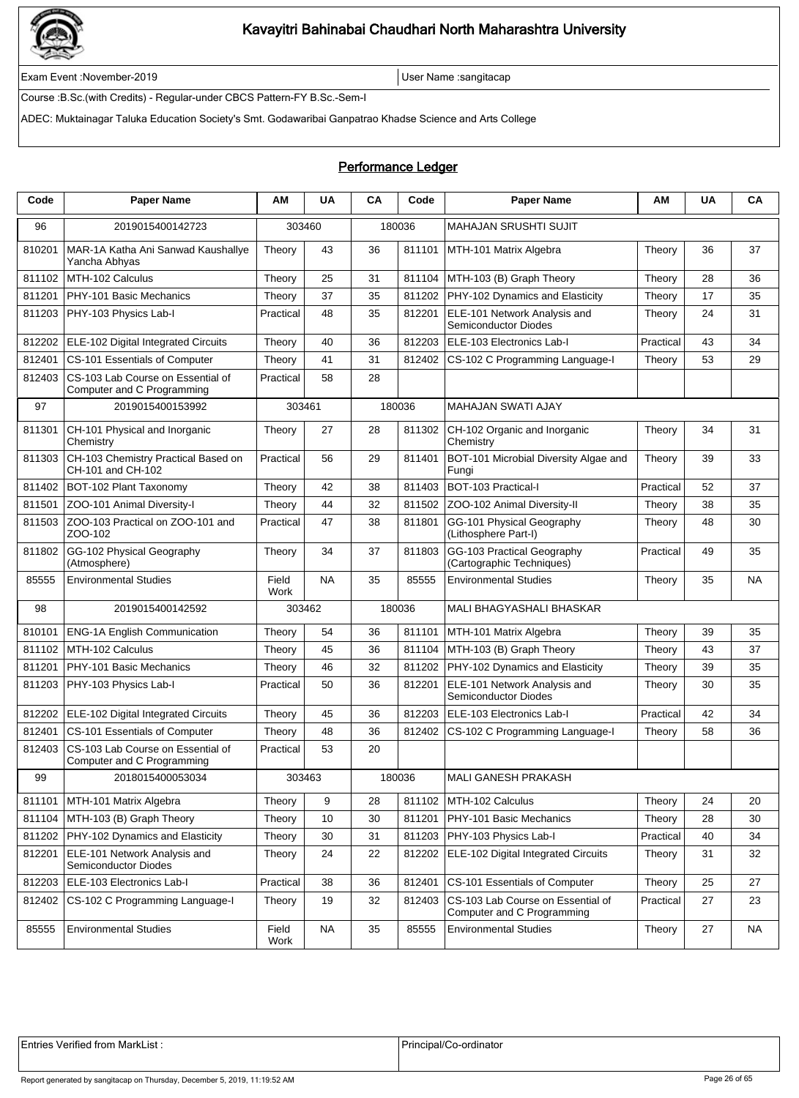

Exam Event :November-2019 User Name :sangitacap

Course :B.Sc.(with Credits) - Regular-under CBCS Pattern-FY B.Sc.-Sem-I

ADEC: Muktainagar Taluka Education Society's Smt. Godawaribai Ganpatrao Khadse Science and Arts College

### Performance Ledger

| Code   | <b>Paper Name</b>                                               | ΑМ            | <b>UA</b> | CA | Code   | <b>Paper Name</b>                                               | ΑМ        | UA | CA        |
|--------|-----------------------------------------------------------------|---------------|-----------|----|--------|-----------------------------------------------------------------|-----------|----|-----------|
| 96     | 2019015400142723                                                |               | 303460    |    | 180036 | <b>MAHAJAN SRUSHTI SUJIT</b>                                    |           |    |           |
| 810201 | MAR-1A Katha Ani Sanwad Kaushallye<br>Yancha Abhyas             | Theory        | 43        | 36 | 811101 | MTH-101 Matrix Algebra                                          | Theory    | 36 | 37        |
| 811102 | MTH-102 Calculus                                                | Theory        | 25        | 31 | 811104 | MTH-103 (B) Graph Theory                                        | Theory    | 28 | 36        |
| 811201 | PHY-101 Basic Mechanics                                         | Theory        | 37        | 35 | 811202 | PHY-102 Dynamics and Elasticity                                 | Theory    | 17 | 35        |
| 811203 | PHY-103 Physics Lab-I                                           | Practical     | 48        | 35 | 812201 | ELE-101 Network Analysis and<br>Semiconductor Diodes            | Theory    | 24 | 31        |
| 812202 | <b>ELE-102 Digital Integrated Circuits</b>                      | Theory        | 40        | 36 | 812203 | ELE-103 Electronics Lab-I                                       | Practical | 43 | 34        |
| 812401 | CS-101 Essentials of Computer                                   | Theory        | 41        | 31 | 812402 | CS-102 C Programming Language-I                                 | Theory    | 53 | 29        |
| 812403 | CS-103 Lab Course on Essential of<br>Computer and C Programming | Practical     | 58        | 28 |        |                                                                 |           |    |           |
| 97     | 2019015400153992                                                | 303461        |           |    | 180036 | <b>MAHAJAN SWATI AJAY</b>                                       |           |    |           |
| 811301 | CH-101 Physical and Inorganic<br>Chemistry                      | Theory        | 27        | 28 | 811302 | CH-102 Organic and Inorganic<br>Chemistry                       | Theory    | 34 | 31        |
| 811303 | CH-103 Chemistry Practical Based on<br>CH-101 and CH-102        | Practical     | 56        | 29 | 811401 | BOT-101 Microbial Diversity Algae and<br>Fungi                  | Theory    | 39 | 33        |
| 811402 | BOT-102 Plant Taxonomy                                          | Theory        | 42        | 38 | 811403 | BOT-103 Practical-I                                             | Practical | 52 | 37        |
| 811501 | ZOO-101 Animal Diversity-I                                      | Theory        | 44        | 32 | 811502 | ZOO-102 Animal Diversity-II                                     | Theory    | 38 | 35        |
| 811503 | ZOO-103 Practical on ZOO-101 and<br>ZOO-102                     | Practical     | 47        | 38 | 811801 | GG-101 Physical Geography<br>(Lithosphere Part-I)               | Theory    | 48 | 30        |
| 811802 | GG-102 Physical Geography<br>(Atmosphere)                       | Theory        | 34        | 37 | 811803 | GG-103 Practical Geography<br>(Cartographic Techniques)         | Practical | 49 | 35        |
| 85555  | <b>Environmental Studies</b>                                    | Field<br>Work | NA        | 35 | 85555  | <b>Environmental Studies</b>                                    | Theory    | 35 | NA        |
| 98     | 2019015400142592                                                | 303462        |           |    | 180036 | MALI BHAGYASHALI BHASKAR                                        |           |    |           |
| 810101 | <b>ENG-1A English Communication</b>                             | Theory        | 54        | 36 | 811101 | MTH-101 Matrix Algebra                                          | Theory    | 39 | 35        |
| 811102 | MTH-102 Calculus                                                | Theory        | 45        | 36 | 811104 | MTH-103 (B) Graph Theory                                        | Theory    | 43 | 37        |
| 811201 | PHY-101 Basic Mechanics                                         | Theory        | 46        | 32 | 811202 | PHY-102 Dynamics and Elasticity                                 | Theory    | 39 | 35        |
| 811203 | PHY-103 Physics Lab-I                                           | Practical     | 50        | 36 | 812201 | ELE-101 Network Analysis and<br>Semiconductor Diodes            | Theory    | 30 | 35        |
| 812202 | ELE-102 Digital Integrated Circuits                             | Theory        | 45        | 36 | 812203 | ELE-103 Electronics Lab-I                                       | Practical | 42 | 34        |
| 812401 | CS-101 Essentials of Computer                                   | Theory        | 48        | 36 | 812402 | CS-102 C Programming Language-I                                 | Theory    | 58 | 36        |
| 812403 | CS-103 Lab Course on Essential of<br>Computer and C Programming | Practical     | 53        | 20 |        |                                                                 |           |    |           |
| 99     | 2018015400053034                                                | 303463        |           |    | 180036 | MALI GANESH PRAKASH                                             |           |    |           |
| 811101 | MTH-101 Matrix Algebra                                          | Theory        | 9         | 28 | 811102 | MTH-102 Calculus                                                | Theory    | 24 | 20        |
| 811104 | MTH-103 (B) Graph Theory                                        | Theory        | 10        | 30 | 811201 | PHY-101 Basic Mechanics                                         | Theory    | 28 | 30        |
| 811202 | PHY-102 Dynamics and Elasticity                                 | Theory        | 30        | 31 | 811203 | PHY-103 Physics Lab-I                                           | Practical | 40 | 34        |
| 812201 | ELE-101 Network Analysis and<br>Semiconductor Diodes            | Theory        | 24        | 22 | 812202 | ELE-102 Digital Integrated Circuits                             | Theory    | 31 | 32        |
| 812203 | ELE-103 Electronics Lab-I                                       | Practical     | 38        | 36 | 812401 | CS-101 Essentials of Computer                                   | Theory    | 25 | 27        |
| 812402 | CS-102 C Programming Language-I                                 | Theory        | 19        | 32 | 812403 | CS-103 Lab Course on Essential of<br>Computer and C Programming | Practical | 27 | 23        |
| 85555  | <b>Environmental Studies</b>                                    | Field<br>Work | <b>NA</b> | 35 | 85555  | <b>Environmental Studies</b>                                    | Theory    | 27 | <b>NA</b> |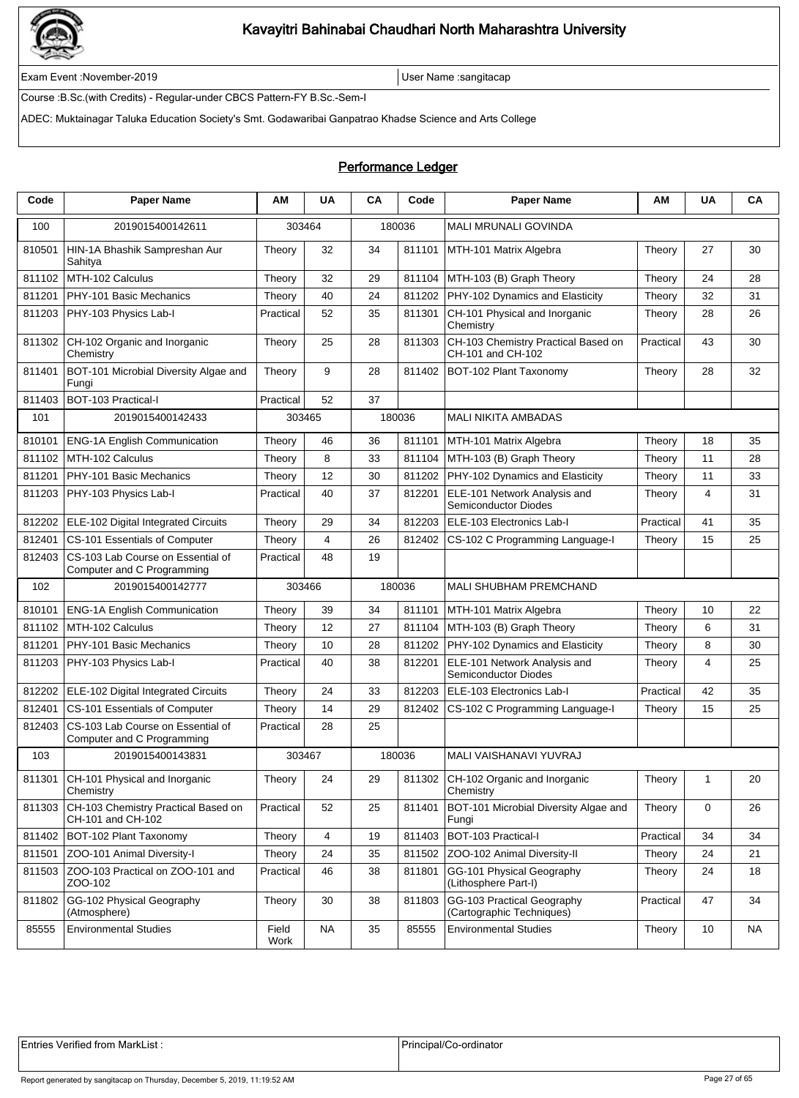

Exam Event :November-2019 User Name :sangitacap

Course :B.Sc.(with Credits) - Regular-under CBCS Pattern-FY B.Sc.-Sem-I

ADEC: Muktainagar Taluka Education Society's Smt. Godawaribai Ganpatrao Khadse Science and Arts College

#### Performance Ledger

| Code   | <b>Paper Name</b>                                               | ΑМ            | <b>UA</b>      | CA | Code   | <b>Paper Name</b>                                        | ΑM        | <b>UA</b> | CA        |
|--------|-----------------------------------------------------------------|---------------|----------------|----|--------|----------------------------------------------------------|-----------|-----------|-----------|
| 100    | 2019015400142611                                                | 303464        |                |    | 180036 | <b>MALI MRUNALI GOVINDA</b>                              |           |           |           |
| 810501 | HIN-1A Bhashik Sampreshan Aur<br>Sahitya                        | Theory        | 32             | 34 | 811101 | MTH-101 Matrix Algebra                                   | Theory    | 27        | 30        |
| 811102 | MTH-102 Calculus                                                | Theory        | 32             | 29 | 811104 | MTH-103 (B) Graph Theory                                 | Theory    | 24        | 28        |
| 811201 | PHY-101 Basic Mechanics                                         | Theory        | 40             | 24 | 811202 | PHY-102 Dynamics and Elasticity                          | Theory    | 32        | 31        |
| 811203 | PHY-103 Physics Lab-I                                           | Practical     | 52             | 35 | 811301 | CH-101 Physical and Inorganic<br>Chemistry               | Theory    | 28        | 26        |
| 811302 | CH-102 Organic and Inorganic<br>Chemistry                       | Theory        | 25             | 28 | 811303 | CH-103 Chemistry Practical Based on<br>CH-101 and CH-102 | Practical | 43        | 30        |
| 811401 | BOT-101 Microbial Diversity Algae and<br>Fungi                  | Theory        | 9              | 28 | 811402 | BOT-102 Plant Taxonomy                                   | Theory    | 28        | 32        |
| 811403 | BOT-103 Practical-I                                             | Practical     | 52             | 37 |        |                                                          |           |           |           |
| 101    | 2019015400142433                                                | 303465        |                |    | 180036 | MALI NIKITA AMBADAS                                      |           |           |           |
| 810101 | <b>ENG-1A English Communication</b>                             | Theory        | 46             | 36 | 811101 | MTH-101 Matrix Algebra                                   | Theory    | 18        | 35        |
| 811102 | MTH-102 Calculus                                                | Theory        | 8              | 33 | 811104 | MTH-103 (B) Graph Theory                                 | Theory    | 11        | 28        |
| 811201 | PHY-101 Basic Mechanics                                         | Theory        | 12             | 30 | 811202 | PHY-102 Dynamics and Elasticity                          | Theory    | 11        | 33        |
| 811203 | PHY-103 Physics Lab-I                                           | Practical     | 40             | 37 | 812201 | ELE-101 Network Analysis and<br>Semiconductor Diodes     | Theory    | 4         | 31        |
| 812202 | ELE-102 Digital Integrated Circuits                             | Theory        | 29             | 34 | 812203 | ELE-103 Electronics Lab-I                                | Practical | 41        | 35        |
| 812401 | CS-101 Essentials of Computer                                   | Theory        | $\overline{4}$ | 26 | 812402 | CS-102 C Programming Language-I                          | Theory    | 15        | 25        |
| 812403 | CS-103 Lab Course on Essential of<br>Computer and C Programming | Practical     | 48             | 19 |        |                                                          |           |           |           |
| 102    | 2019015400142777                                                | 303466        |                |    | 180036 | <b>MALI SHUBHAM PREMCHAND</b>                            |           |           |           |
| 810101 | <b>ENG-1A English Communication</b>                             | Theory        | 39             | 34 | 811101 | MTH-101 Matrix Algebra                                   | Theory    | 10        | 22        |
| 811102 | MTH-102 Calculus                                                | Theory        | 12             | 27 | 811104 | MTH-103 (B) Graph Theory                                 | Theory    | 6         | 31        |
| 811201 | PHY-101 Basic Mechanics                                         | Theory        | 10             | 28 | 811202 | PHY-102 Dynamics and Elasticity                          | Theory    | 8         | 30        |
| 811203 | PHY-103 Physics Lab-I                                           | Practical     | 40             | 38 | 812201 | ELE-101 Network Analysis and<br>Semiconductor Diodes     | Theory    | 4         | 25        |
| 812202 | ELE-102 Digital Integrated Circuits                             | Theory        | 24             | 33 | 812203 | ELE-103 Electronics Lab-I                                | Practical | 42        | 35        |
| 812401 | CS-101 Essentials of Computer                                   | Theory        | 14             | 29 | 812402 | CS-102 C Programming Language-I                          | Theory    | 15        | 25        |
| 812403 | CS-103 Lab Course on Essential of<br>Computer and C Programming | Practical     | 28             | 25 |        |                                                          |           |           |           |
| 103    | 2019015400143831                                                | 303467        |                |    | 180036 | MALI VAISHANAVI YUVRAJ                                   |           |           |           |
| 811301 | CH-101 Physical and Inorganic<br>Chemistry                      | Theory        | 24             | 29 |        | 811302 CH-102 Organic and Inorganic<br>Chemistry         | Theory    | 1         | 20        |
| 811303 | CH-103 Chemistry Practical Based on<br>CH-101 and CH-102        | Practical     | 52             | 25 | 811401 | BOT-101 Microbial Diversity Algae and<br>Fungi           | Theory    | 0         | 26        |
| 811402 | BOT-102 Plant Taxonomy                                          | Theory        | 4              | 19 | 811403 | BOT-103 Practical-I                                      | Practical | 34        | 34        |
| 811501 | ZOO-101 Animal Diversity-I                                      | Theory        | 24             | 35 | 811502 | ZOO-102 Animal Diversity-II                              | Theory    | 24        | 21        |
| 811503 | ZOO-103 Practical on ZOO-101 and<br>ZOO-102                     | Practical     | 46             | 38 | 811801 | GG-101 Physical Geography<br>(Lithosphere Part-I)        | Theory    | 24        | 18        |
| 811802 | GG-102 Physical Geography<br>(Atmosphere)                       | Theory        | 30             | 38 | 811803 | GG-103 Practical Geography<br>(Cartographic Techniques)  | Practical | 47        | 34        |
| 85555  | <b>Environmental Studies</b>                                    | Field<br>Work | <b>NA</b>      | 35 | 85555  | <b>Environmental Studies</b>                             | Theory    | 10        | <b>NA</b> |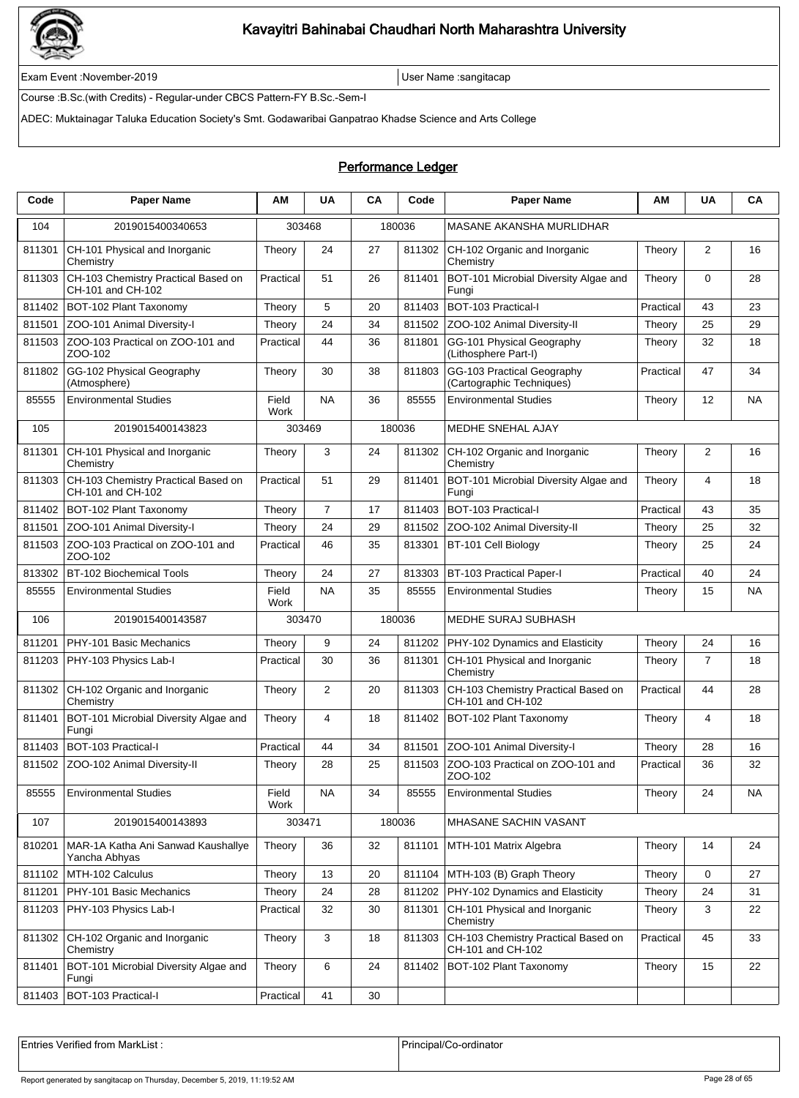

Exam Event :November-2019 User Name :sangitacap

Course :B.Sc.(with Credits) - Regular-under CBCS Pattern-FY B.Sc.-Sem-I

ADEC: Muktainagar Taluka Education Society's Smt. Godawaribai Ganpatrao Khadse Science and Arts College

### Performance Ledger

| Code   | <b>Paper Name</b>                                        | AM            | <b>UA</b>      | CA     | Code   | Paper Name                                               | ΑМ        | <b>UA</b>      | CA        |
|--------|----------------------------------------------------------|---------------|----------------|--------|--------|----------------------------------------------------------|-----------|----------------|-----------|
| 104    | 2019015400340653                                         | 303468        |                | 180036 |        | MASANE AKANSHA MURLIDHAR                                 |           |                |           |
| 811301 | CH-101 Physical and Inorganic<br>Chemistry               | Theory        | 24             | 27     | 811302 | CH-102 Organic and Inorganic<br>Chemistry                | Theory    | 2              | 16        |
| 811303 | CH-103 Chemistry Practical Based on<br>CH-101 and CH-102 | Practical     | 51             | 26     | 811401 | BOT-101 Microbial Diversity Algae and<br>Fungi           | Theory    | $\Omega$       | 28        |
| 811402 | BOT-102 Plant Taxonomy                                   | Theory        | 5              | 20     | 811403 | BOT-103 Practical-I                                      | Practical | 43             | 23        |
| 811501 | ZOO-101 Animal Diversity-I                               | Theory        | 24             | 34     | 811502 | ZOO-102 Animal Diversity-II                              | Theory    | 25             | 29        |
| 811503 | ZOO-103 Practical on ZOO-101 and<br>ZOO-102              | Practical     | 44             | 36     | 811801 | GG-101 Physical Geography<br>(Lithosphere Part-I)        | Theory    | 32             | 18        |
| 811802 | GG-102 Physical Geography<br>(Atmosphere)                | Theory        | 30             | 38     | 811803 | GG-103 Practical Geography<br>(Cartographic Techniques)  | Practical | 47             | 34        |
| 85555  | <b>Environmental Studies</b>                             | Field<br>Work | <b>NA</b>      | 36     | 85555  | <b>Environmental Studies</b>                             | Theory    | 12             | <b>NA</b> |
| 105    | 2019015400143823                                         | 303469        |                | 180036 |        | <b>MEDHE SNEHAL AJAY</b>                                 |           |                |           |
| 811301 | CH-101 Physical and Inorganic<br>Chemistry               | Theory        | 3              | 24     | 811302 | CH-102 Organic and Inorganic<br>Chemistry                | Theory    | $\overline{2}$ | 16        |
| 811303 | CH-103 Chemistry Practical Based on<br>CH-101 and CH-102 | Practical     | 51             | 29     | 811401 | BOT-101 Microbial Diversity Algae and<br>Fungi           | Theory    | 4              | 18        |
| 811402 | BOT-102 Plant Taxonomy                                   | Theory        | $\overline{7}$ | 17     | 811403 | BOT-103 Practical-I                                      | Practical | 43             | 35        |
| 811501 | ZOO-101 Animal Diversity-I                               | Theory        | 24             | 29     | 811502 | ZOO-102 Animal Diversity-II                              | Theory    | 25             | 32        |
| 811503 | ZOO-103 Practical on ZOO-101 and<br>ZOO-102              | Practical     | 46             | 35     | 813301 | BT-101 Cell Biology                                      | Theory    | 25             | 24        |
| 813302 | <b>BT-102 Biochemical Tools</b>                          | Theory        | 24             | 27     | 813303 | BT-103 Practical Paper-I                                 | Practical | 40             | 24        |
| 85555  | <b>Environmental Studies</b>                             | Field<br>Work | <b>NA</b>      | 35     | 85555  | <b>Environmental Studies</b>                             | Theory    | 15             | <b>NA</b> |
| 106    | 2019015400143587                                         | 303470        |                | 180036 |        | MEDHE SURAJ SUBHASH                                      |           |                |           |
| 811201 | PHY-101 Basic Mechanics                                  | Theory        | 9              | 24     | 811202 | PHY-102 Dynamics and Elasticity                          | Theory    | 24             | 16        |
| 811203 | PHY-103 Physics Lab-I                                    | Practical     | 30             | 36     | 811301 | CH-101 Physical and Inorganic<br>Chemistry               | Theory    | $\overline{7}$ | 18        |
| 811302 | CH-102 Organic and Inorganic<br>Chemistry                | Theory        | 2              | 20     | 811303 | CH-103 Chemistry Practical Based on<br>CH-101 and CH-102 | Practical | 44             | 28        |
| 811401 | BOT-101 Microbial Diversity Algae and<br>Fungi           | Theory        | 4              | 18     | 811402 | BOT-102 Plant Taxonomy                                   | Theory    | 4              | 18        |
| 811403 | BOT-103 Practical-I                                      | Practical     | 44             | 34     | 811501 | ZOO-101 Animal Diversity-I                               | Theory    | 28             | 16        |
| 811502 | ZOO-102 Animal Diversity-II                              | Theory        | 28             | 25     | 811503 | ZOO-103 Practical on ZOO-101 and<br>ZUU-102              | Practical | 36             | 32        |
| 85555  | <b>Environmental Studies</b>                             | Field<br>Work | NA             | 34     | 85555  | <b>Environmental Studies</b>                             | Theory    | 24             | NA        |
| 107    | 2019015400143893                                         | 303471        |                | 180036 |        | MHASANE SACHIN VASANT                                    |           |                |           |
| 810201 | MAR-1A Katha Ani Sanwad Kaushallye<br>Yancha Abhyas      | Theory        | 36             | 32     | 811101 | MTH-101 Matrix Algebra                                   | Theory    | 14             | 24        |
| 811102 | MTH-102 Calculus                                         | Theory        | 13             | 20     |        | 811104   MTH-103 (B) Graph Theory                        | Theory    | 0              | 27        |
| 811201 | PHY-101 Basic Mechanics                                  | Theory        | 24             | 28     | 811202 | PHY-102 Dynamics and Elasticity                          | Theory    | 24             | 31        |
| 811203 | PHY-103 Physics Lab-I                                    | Practical     | 32             | 30     | 811301 | CH-101 Physical and Inorganic<br>Chemistry               | Theory    | 3              | 22        |
| 811302 | CH-102 Organic and Inorganic<br>Chemistry                | Theory        | 3              | 18     | 811303 | CH-103 Chemistry Practical Based on<br>CH-101 and CH-102 | Practical | 45             | 33        |
| 811401 | BOT-101 Microbial Diversity Algae and<br>Fungi           | Theory        | 6              | 24     | 811402 | BOT-102 Plant Taxonomy                                   | Theory    | 15             | 22        |
| 811403 | BOT-103 Practical-I                                      | Practical     | 41             | 30     |        |                                                          |           |                |           |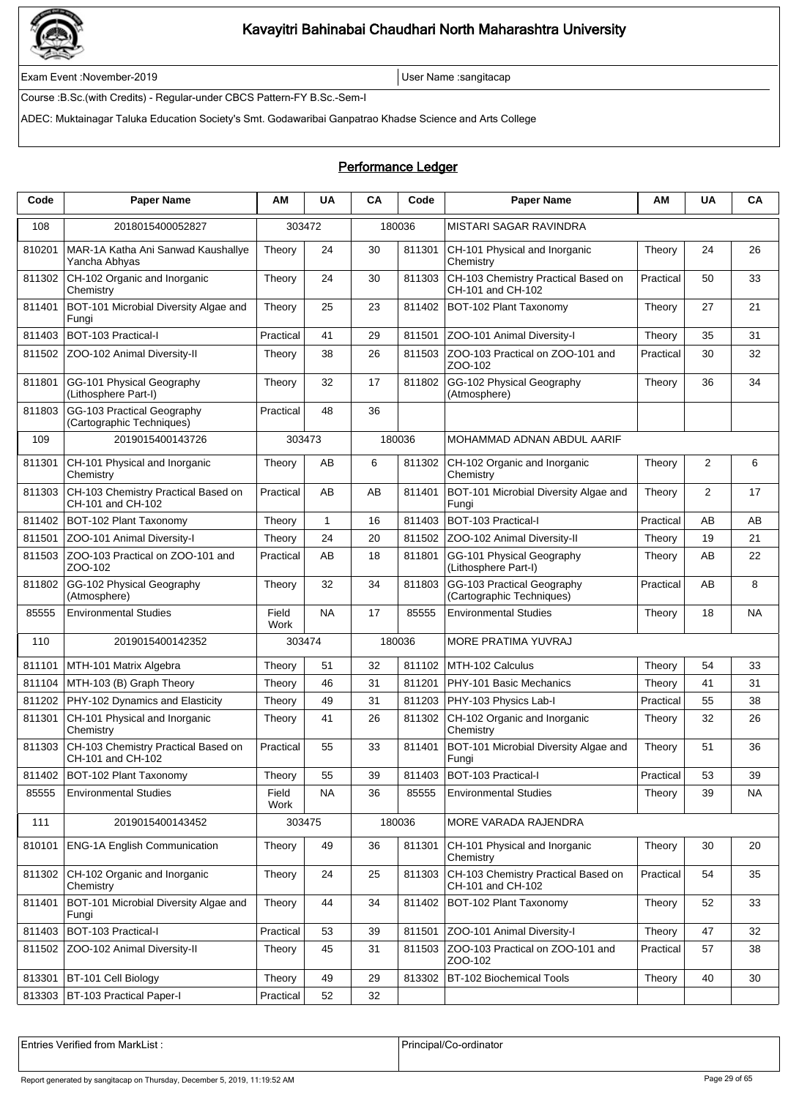

Exam Event :November-2019 User Name :sangitacap

Course :B.Sc.(with Credits) - Regular-under CBCS Pattern-FY B.Sc.-Sem-I

ADEC: Muktainagar Taluka Education Society's Smt. Godawaribai Ganpatrao Khadse Science and Arts College

### Performance Ledger

| Code   | Paper Name                                               | ΑM            | <b>UA</b>    | CA | Code   | Paper Name                                               | ΑM        | <b>UA</b>      | CA        |
|--------|----------------------------------------------------------|---------------|--------------|----|--------|----------------------------------------------------------|-----------|----------------|-----------|
| 108    | 2018015400052827                                         | 303472        |              |    | 180036 | MISTARI SAGAR RAVINDRA                                   |           |                |           |
| 810201 | MAR-1A Katha Ani Sanwad Kaushallye<br>Yancha Abhyas      | Theory        | 24           | 30 | 811301 | CH-101 Physical and Inorganic<br>Chemistry               | Theory    | 24             | 26        |
| 811302 | CH-102 Organic and Inorganic<br>Chemistry                | Theory        | 24           | 30 | 811303 | CH-103 Chemistry Practical Based on<br>CH-101 and CH-102 | Practical | 50             | 33        |
| 811401 | BOT-101 Microbial Diversity Algae and<br>Fungi           | Theory        | 25           | 23 | 811402 | BOT-102 Plant Taxonomy                                   | Theory    | 27             | 21        |
| 811403 | BOT-103 Practical-I                                      | Practical     | 41           | 29 | 811501 | ZOO-101 Animal Diversity-I                               | Theory    | 35             | 31        |
| 811502 | ZOO-102 Animal Diversity-II                              | Theory        | 38           | 26 | 811503 | ZOO-103 Practical on ZOO-101 and<br>ZOO-102              | Practical | 30             | 32        |
| 811801 | GG-101 Physical Geography<br>(Lithosphere Part-I)        | Theory        | 32           | 17 | 811802 | GG-102 Physical Geography<br>(Atmosphere)                | Theory    | 36             | 34        |
| 811803 | GG-103 Practical Geography<br>(Cartographic Techniques)  | Practical     | 48           | 36 |        |                                                          |           |                |           |
| 109    | 2019015400143726                                         | 303473        |              |    | 180036 | MOHAMMAD ADNAN ABDUL AARIF                               |           |                |           |
| 811301 | CH-101 Physical and Inorganic<br>Chemistry               | Theory        | AB           | 6  | 811302 | CH-102 Organic and Inorganic<br>Chemistry                | Theory    | $\overline{2}$ | 6         |
| 811303 | CH-103 Chemistry Practical Based on<br>CH-101 and CH-102 | Practical     | AB           | AB | 811401 | BOT-101 Microbial Diversity Algae and<br>Fungi           | Theory    | 2              | 17        |
| 811402 | BOT-102 Plant Taxonomy                                   | Theory        | $\mathbf{1}$ | 16 | 811403 | <b>BOT-103 Practical-I</b>                               | Practical | AB             | AB        |
| 811501 | ZOO-101 Animal Diversity-I                               | Theory        | 24           | 20 | 811502 | ZOO-102 Animal Diversity-II                              | Theory    | 19             | 21        |
| 811503 | ZOO-103 Practical on ZOO-101 and<br>ZOO-102              | Practical     | AB           | 18 | 811801 | GG-101 Physical Geography<br>(Lithosphere Part-I)        | Theory    | AB             | 22        |
| 811802 | GG-102 Physical Geography<br>(Atmosphere)                | Theory        | 32           | 34 | 811803 | GG-103 Practical Geography<br>(Cartographic Techniques)  | Practical | AB             | 8         |
| 85555  | <b>Environmental Studies</b>                             | Field<br>Work | <b>NA</b>    | 17 | 85555  | <b>Environmental Studies</b>                             | Theory    | 18             | <b>NA</b> |
| 110    | 2019015400142352                                         | 303474        |              |    | 180036 | <b>MORE PRATIMA YUVRAJ</b>                               |           |                |           |
| 811101 | MTH-101 Matrix Algebra                                   | Theory        | 51           | 32 | 811102 | MTH-102 Calculus                                         | Theory    | 54             | 33        |
| 811104 | MTH-103 (B) Graph Theory                                 | Theory        | 46           | 31 | 811201 | PHY-101 Basic Mechanics                                  | Theory    | 41             | 31        |
| 811202 | PHY-102 Dynamics and Elasticity                          | Theory        | 49           | 31 | 811203 | PHY-103 Physics Lab-I                                    | Practical | 55             | 38        |
| 811301 | CH-101 Physical and Inorganic<br>Chemistry               | Theory        | 41           | 26 | 811302 | CH-102 Organic and Inorganic<br>Chemistry                | Theory    | 32             | 26        |
| 811303 | CH-103 Chemistry Practical Based on<br>CH-101 and CH-102 | Practical     | 55           | 33 | 811401 | BOT-101 Microbial Diversity Algae and<br>Fungi           | Theory    | 51             | 36        |
|        | 811402 BOT-102 Plant Taxonomy                            | Theory        | 55           | 39 |        | 811403 BOT-103 Practical-I                               | Practical | 53             | 39        |
| 85555  | <b>Environmental Studies</b>                             | Field<br>Work | NA           | 36 | 85555  | <b>Environmental Studies</b>                             | Theory    | 39             | NA        |
| 111    | 2019015400143452                                         | 303475        |              |    | 180036 | MORE VARADA RAJENDRA                                     |           |                |           |
| 810101 | ENG-1A English Communication                             | Theory        | 49           | 36 | 811301 | CH-101 Physical and Inorganic<br>Chemistry               | Theory    | 30             | 20        |
| 811302 | CH-102 Organic and Inorganic<br>Chemistry                | Theory        | 24           | 25 | 811303 | CH-103 Chemistry Practical Based on<br>CH-101 and CH-102 | Practical | 54             | 35        |
| 811401 | BOT-101 Microbial Diversity Algae and<br>Fungi           | Theory        | 44           | 34 | 811402 | BOT-102 Plant Taxonomy                                   | Theory    | 52             | 33        |
| 811403 | BOT-103 Practical-I                                      | Practical     | 53           | 39 | 811501 | ZOO-101 Animal Diversity-I                               | Theory    | 47             | 32        |
| 811502 | ZOO-102 Animal Diversity-II                              | Theory        | 45           | 31 | 811503 | ZOO-103 Practical on ZOO-101 and<br>ZOO-102              | Practical | 57             | 38        |
| 813301 | BT-101 Cell Biology                                      | Theory        | 49           | 29 | 813302 | BT-102 Biochemical Tools                                 | Theory    | 40             | 30        |
| 813303 | <b>BT-103 Practical Paper-I</b>                          | Practical     | 52           | 32 |        |                                                          |           |                |           |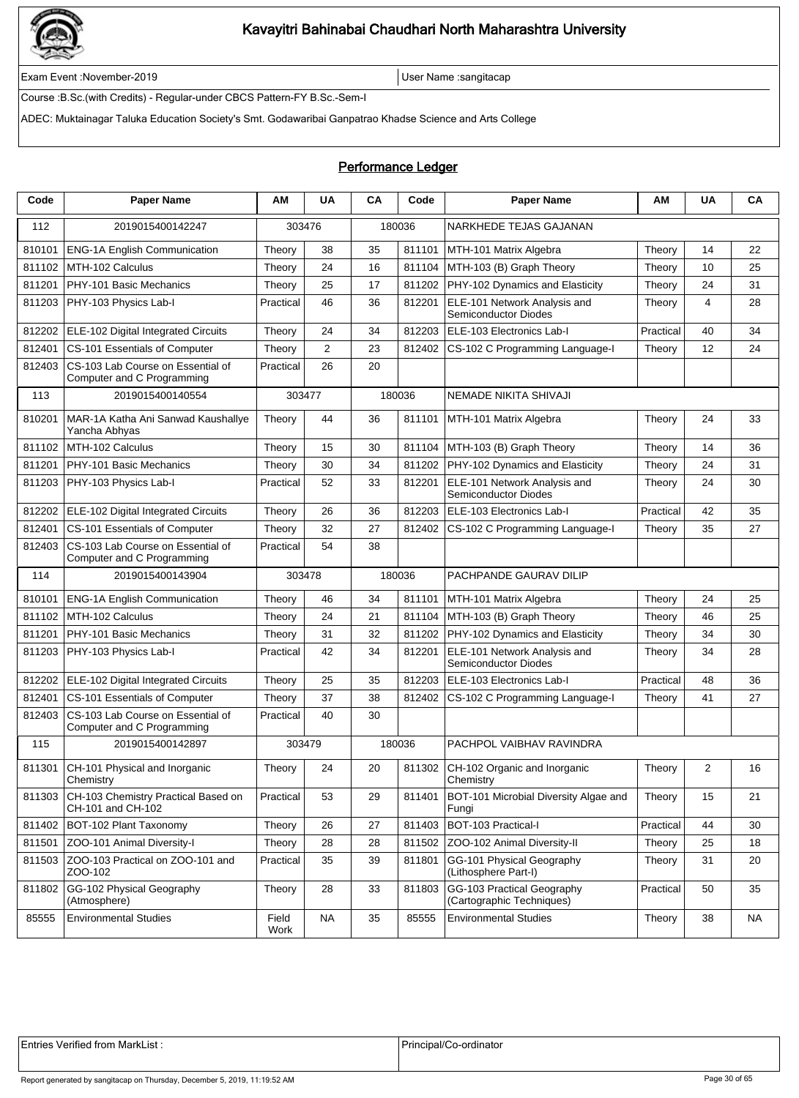

Exam Event :November-2019 User Name :sangitacap

Course :B.Sc.(with Credits) - Regular-under CBCS Pattern-FY B.Sc.-Sem-I

ADEC: Muktainagar Taluka Education Society's Smt. Godawaribai Ganpatrao Khadse Science and Arts College

### Performance Ledger

| Code   | <b>Paper Name</b>                                               | AМ            | <b>UA</b>      | CA | Code   | <b>Paper Name</b>                                           | ΑM        | <b>UA</b> | CA |
|--------|-----------------------------------------------------------------|---------------|----------------|----|--------|-------------------------------------------------------------|-----------|-----------|----|
| 112    | 2019015400142247                                                | 303476        |                |    | 180036 | NARKHEDE TEJAS GAJANAN                                      |           |           |    |
| 810101 | <b>ENG-1A English Communication</b>                             | Theory        | 38             | 35 | 811101 | MTH-101 Matrix Algebra                                      | Theory    | 14        | 22 |
| 811102 | MTH-102 Calculus                                                | Theory        | 24             | 16 | 811104 | MTH-103 (B) Graph Theory                                    | Theory    | 10        | 25 |
| 811201 | PHY-101 Basic Mechanics                                         | Theory        | 25             | 17 | 811202 | PHY-102 Dynamics and Elasticity                             | Theory    | 24        | 31 |
| 811203 | PHY-103 Physics Lab-I                                           | Practical     | 46             | 36 | 812201 | ELE-101 Network Analysis and<br>Semiconductor Diodes        | Theory    | 4         | 28 |
| 812202 | ELE-102 Digital Integrated Circuits                             | Theory        | 24             | 34 | 812203 | ELE-103 Electronics Lab-I                                   | Practical | 40        | 34 |
| 812401 | CS-101 Essentials of Computer                                   | Theory        | $\overline{2}$ | 23 | 812402 | CS-102 C Programming Language-I                             | Theory    | 12        | 24 |
| 812403 | CS-103 Lab Course on Essential of<br>Computer and C Programming | Practical     | 26             | 20 |        |                                                             |           |           |    |
| 113    | 2019015400140554                                                | 303477        |                |    | 180036 | NEMADE NIKITA SHIVAJI                                       |           |           |    |
| 810201 | MAR-1A Katha Ani Sanwad Kaushallye<br>Yancha Abhyas             | Theory        | 44             | 36 | 811101 | MTH-101 Matrix Algebra                                      | Theory    | 24        | 33 |
| 811102 | MTH-102 Calculus                                                | Theory        | 15             | 30 | 811104 | MTH-103 (B) Graph Theory                                    | Theory    | 14        | 36 |
| 811201 | PHY-101 Basic Mechanics                                         | Theory        | 30             | 34 | 811202 | PHY-102 Dynamics and Elasticity                             | Theory    | 24        | 31 |
| 811203 | PHY-103 Physics Lab-I                                           | Practical     | 52             | 33 | 812201 | ELE-101 Network Analysis and<br>Semiconductor Diodes        | Theory    | 24        | 30 |
| 812202 | ELE-102 Digital Integrated Circuits                             | Theory        | 26             | 36 | 812203 | ELE-103 Electronics Lab-I                                   | Practical | 42        | 35 |
| 812401 | CS-101 Essentials of Computer                                   | Theory        | 32             | 27 | 812402 | CS-102 C Programming Language-I                             | Theory    | 35        | 27 |
| 812403 | CS-103 Lab Course on Essential of<br>Computer and C Programming | Practical     | 54             | 38 |        |                                                             |           |           |    |
| 114    | 2019015400143904                                                | 303478        |                |    | 180036 | PACHPANDE GAURAV DILIP                                      |           |           |    |
| 810101 | <b>ENG-1A English Communication</b>                             | Theory        | 46             | 34 | 811101 | MTH-101 Matrix Algebra                                      | Theory    | 24        | 25 |
| 811102 | MTH-102 Calculus                                                | Theory        | 24             | 21 | 811104 | MTH-103 (B) Graph Theory                                    | Theory    | 46        | 25 |
| 811201 | PHY-101 Basic Mechanics                                         | Theory        | 31             | 32 | 811202 | PHY-102 Dynamics and Elasticity                             | Theory    | 34        | 30 |
| 811203 | PHY-103 Physics Lab-I                                           | Practical     | 42             | 34 | 812201 | ELE-101 Network Analysis and<br><b>Semiconductor Diodes</b> | Theory    | 34        | 28 |
| 812202 | <b>ELE-102 Digital Integrated Circuits</b>                      | Theory        | 25             | 35 | 812203 | ELE-103 Electronics Lab-I                                   | Practical | 48        | 36 |
| 812401 | CS-101 Essentials of Computer                                   | Theory        | 37             | 38 | 812402 | CS-102 C Programming Language-I                             | Theory    | 41        | 27 |
| 812403 | CS-103 Lab Course on Essential of<br>Computer and C Programming | Practical     | 40             | 30 |        |                                                             |           |           |    |
| 115    | 2019015400142897                                                | 303479        |                |    | 180036 | PACHPOL VAIBHAV RAVINDRA                                    |           |           |    |
| 811301 | CH-101 Physical and Inorganic<br>Chemistry                      | Theory        | 24             | 20 | 811302 | CH-102 Organic and Inorganic<br>Chemistry                   | Theory    | 2         | 16 |
| 811303 | CH-103 Chemistry Practical Based on<br>CH-101 and CH-102        | Practical     | 53             | 29 | 811401 | BOT-101 Microbial Diversity Algae and<br>Fungi              | Theory    | 15        | 21 |
| 811402 | <b>BOT-102 Plant Taxonomy</b>                                   | Theory        | 26             | 27 | 811403 | BOT-103 Practical-I                                         | Practical | 44        | 30 |
| 811501 | ZOO-101 Animal Diversity-I                                      | Theory        | 28             | 28 | 811502 | ZOO-102 Animal Diversity-II                                 | Theory    | 25        | 18 |
| 811503 | ZOO-103 Practical on ZOO-101 and<br>ZOO-102                     | Practical     | 35             | 39 | 811801 | GG-101 Physical Geography<br>(Lithosphere Part-I)           | Theory    | 31        | 20 |
| 811802 | GG-102 Physical Geography<br>(Atmosphere)                       | Theory        | 28             | 33 | 811803 | GG-103 Practical Geography<br>(Cartographic Techniques)     | Practical | 50        | 35 |
| 85555  | <b>Environmental Studies</b>                                    | Field<br>Work | <b>NA</b>      | 35 | 85555  | <b>Environmental Studies</b>                                | Theory    | 38        | NA |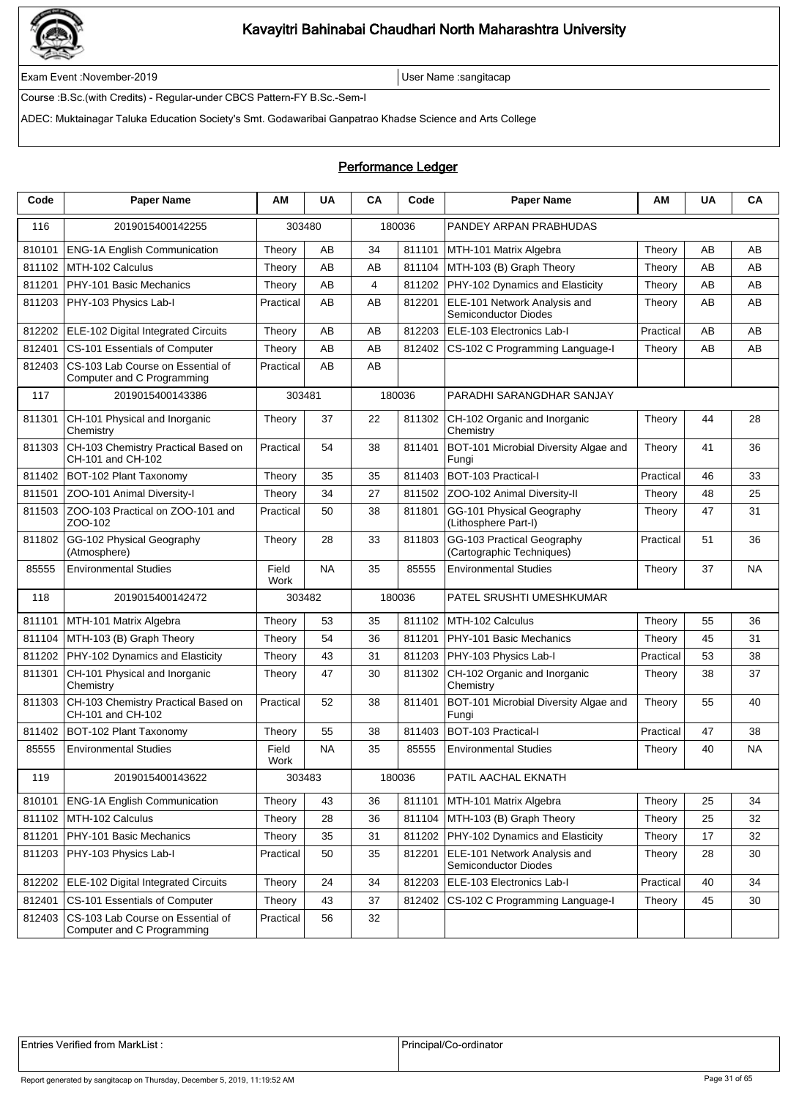

Exam Event :November-2019 User Name :sangitacap

Course :B.Sc.(with Credits) - Regular-under CBCS Pattern-FY B.Sc.-Sem-I

ADEC: Muktainagar Taluka Education Society's Smt. Godawaribai Ganpatrao Khadse Science and Arts College

### Performance Ledger

| Code   | <b>Paper Name</b>                                               | ΑM            | <b>UA</b> | CA | Code   | <b>Paper Name</b>                                       | ΑM        | <b>UA</b> | CA |
|--------|-----------------------------------------------------------------|---------------|-----------|----|--------|---------------------------------------------------------|-----------|-----------|----|
| 116    | 2019015400142255                                                | 303480        |           |    | 180036 | PANDEY ARPAN PRABHUDAS                                  |           |           |    |
| 810101 | <b>ENG-1A English Communication</b>                             | Theory        | AB        | 34 | 811101 | MTH-101 Matrix Algebra                                  | Theory    | AB        | AB |
| 811102 | MTH-102 Calculus                                                | Theory        | AB        | AB | 811104 | MTH-103 (B) Graph Theory                                | Theory    | AB        | AB |
| 811201 | PHY-101 Basic Mechanics                                         | Theory        | AB        | 4  | 811202 | PHY-102 Dynamics and Elasticity                         | Theory    | AB        | AB |
| 811203 | PHY-103 Physics Lab-I                                           | Practical     | AB        | AB | 812201 | ELE-101 Network Analysis and<br>Semiconductor Diodes    | Theory    | AB        | AВ |
| 812202 | ELE-102 Digital Integrated Circuits                             | Theory        | AΒ        | AB | 812203 | ELE-103 Electronics Lab-I                               | Practical | AB        | AB |
| 812401 | CS-101 Essentials of Computer                                   | Theory        | AΒ        | AB | 812402 | CS-102 C Programming Language-I                         | Theory    | AB        | AB |
| 812403 | CS-103 Lab Course on Essential of<br>Computer and C Programming | Practical     | AB        | AB |        |                                                         |           |           |    |
| 117    | 2019015400143386                                                | 303481        |           |    | 180036 | PARADHI SARANGDHAR SANJAY                               |           |           |    |
| 811301 | CH-101 Physical and Inorganic<br>Chemistry                      | Theory        | 37        | 22 | 811302 | CH-102 Organic and Inorganic<br>Chemistry               | Theory    | 44        | 28 |
| 811303 | CH-103 Chemistry Practical Based on<br>CH-101 and CH-102        | Practical     | 54        | 38 | 811401 | BOT-101 Microbial Diversity Algae and<br>Fungi          | Theory    | 41        | 36 |
| 811402 | BOT-102 Plant Taxonomy                                          | Theory        | 35        | 35 | 811403 | BOT-103 Practical-I                                     | Practical | 46        | 33 |
| 811501 | ZOO-101 Animal Diversity-I                                      | Theory        | 34        | 27 | 811502 | ZOO-102 Animal Diversity-II                             | Theory    | 48        | 25 |
| 811503 | ZOO-103 Practical on ZOO-101 and<br>ZOO-102                     | Practical     | 50        | 38 | 811801 | GG-101 Physical Geography<br>(Lithosphere Part-I)       | Theory    | 47        | 31 |
| 811802 | GG-102 Physical Geography<br>(Atmosphere)                       | Theory        | 28        | 33 | 811803 | GG-103 Practical Geography<br>(Cartographic Techniques) | Practical | 51        | 36 |
| 85555  | <b>Environmental Studies</b>                                    | Field<br>Work | <b>NA</b> | 35 | 85555  | <b>Environmental Studies</b>                            | Theory    | 37        | NA |
| 118    | 2019015400142472                                                | 303482        |           |    | 180036 | PATEL SRUSHTI UMESHKUMAR                                |           |           |    |
| 811101 | MTH-101 Matrix Algebra                                          | Theory        | 53        | 35 | 811102 | MTH-102 Calculus                                        | Theory    | 55        | 36 |
| 811104 | MTH-103 (B) Graph Theory                                        | Theory        | 54        | 36 | 811201 | PHY-101 Basic Mechanics                                 | Theory    | 45        | 31 |
| 811202 | PHY-102 Dynamics and Elasticity                                 | Theory        | 43        | 31 | 811203 | PHY-103 Physics Lab-I                                   | Practical | 53        | 38 |
| 811301 | CH-101 Physical and Inorganic<br>Chemistry                      | Theory        | 47        | 30 | 811302 | CH-102 Organic and Inorganic<br>Chemistry               | Theory    | 38        | 37 |
| 811303 | CH-103 Chemistry Practical Based on<br>CH-101 and CH-102        | Practical     | 52        | 38 | 811401 | BOT-101 Microbial Diversity Algae and<br>Fungi          | Theory    | 55        | 40 |
| 811402 | BOT-102 Plant Taxonomy                                          | Theory        | 55        | 38 | 811403 | BOT-103 Practical-I                                     | Practical | 47        | 38 |
| 85555  | <b>Environmental Studies</b>                                    | Field<br>Work | <b>NA</b> | 35 | 85555  | <b>Environmental Studies</b>                            | Theory    | 40        | NA |
| 119    | 2019015400143622                                                | 303483        |           |    | 180036 | PATIL AACHAL EKNATH                                     |           |           |    |
| 810101 | <b>ENG-1A English Communication</b>                             | Theory        | 43        | 36 | 811101 | MTH-101 Matrix Algebra                                  | Theory    | 25        | 34 |
| 811102 | MTH-102 Calculus                                                | Theory        | 28        | 36 | 811104 | MTH-103 (B) Graph Theory                                | Theory    | 25        | 32 |
| 811201 | PHY-101 Basic Mechanics                                         | Theory        | 35        | 31 | 811202 | PHY-102 Dynamics and Elasticity                         | Theory    | 17        | 32 |
| 811203 | PHY-103 Physics Lab-I                                           | Practical     | 50        | 35 | 812201 | ELE-101 Network Analysis and<br>Semiconductor Diodes    | Theory    | 28        | 30 |
| 812202 | <b>ELE-102 Digital Integrated Circuits</b>                      | Theory        | 24        | 34 | 812203 | ELE-103 Electronics Lab-I                               | Practical | 40        | 34 |
| 812401 | CS-101 Essentials of Computer                                   | Theory        | 43        | 37 | 812402 | CS-102 C Programming Language-I                         | Theory    | 45        | 30 |
| 812403 | CS-103 Lab Course on Essential of<br>Computer and C Programming | Practical     | 56        | 32 |        |                                                         |           |           |    |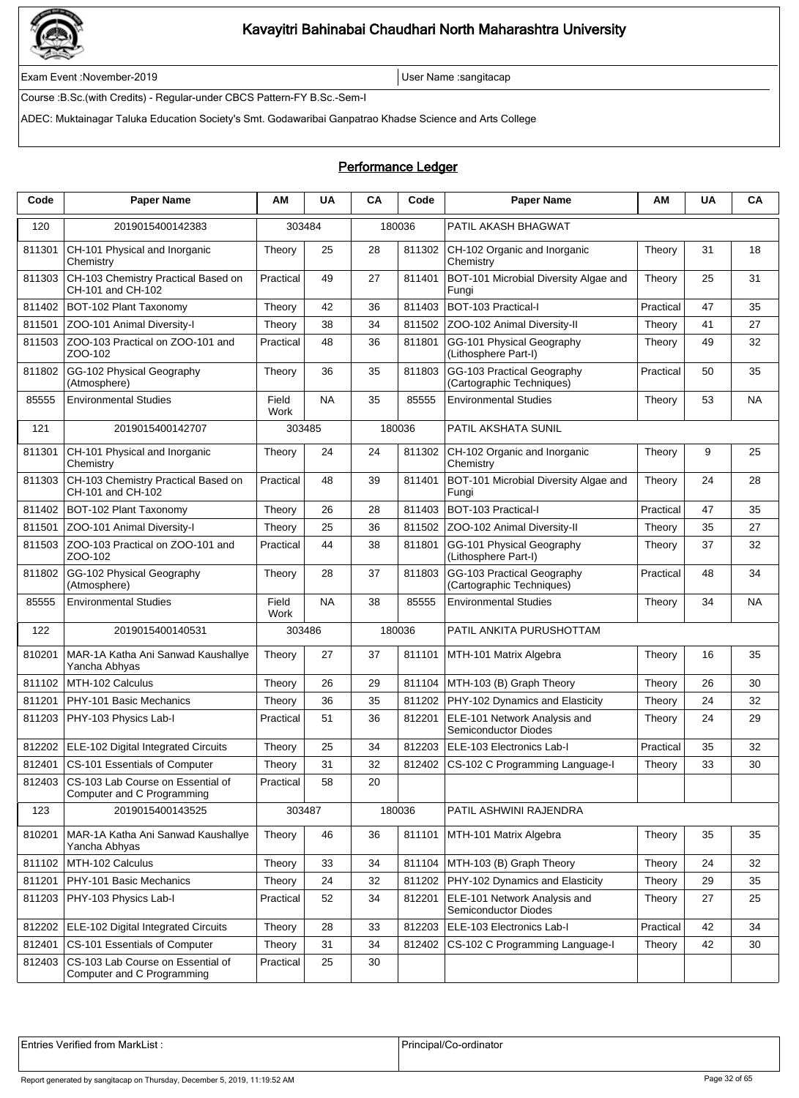

Exam Event :November-2019 User Name :sangitacap

Course :B.Sc.(with Credits) - Regular-under CBCS Pattern-FY B.Sc.-Sem-I

ADEC: Muktainagar Taluka Education Society's Smt. Godawaribai Ganpatrao Khadse Science and Arts College

### Performance Ledger

| Code   | <b>Paper Name</b>                                               | AM            | <b>UA</b> | CA | Code   | <b>Paper Name</b>                                           | АΜ        | <b>UA</b> | CA        |
|--------|-----------------------------------------------------------------|---------------|-----------|----|--------|-------------------------------------------------------------|-----------|-----------|-----------|
| 120    | 2019015400142383                                                | 303484        |           |    | 180036 | PATIL AKASH BHAGWAT                                         |           |           |           |
| 811301 | CH-101 Physical and Inorganic<br>Chemistry                      | Theory        | 25        | 28 | 811302 | CH-102 Organic and Inorganic<br>Chemistry                   | Theory    | 31        | 18        |
| 811303 | CH-103 Chemistry Practical Based on<br>CH-101 and CH-102        | Practical     | 49        | 27 | 811401 | BOT-101 Microbial Diversity Algae and<br>Fungi              | Theory    | 25        | 31        |
| 811402 | BOT-102 Plant Taxonomy                                          | Theory        | 42        | 36 | 811403 | BOT-103 Practical-I                                         | Practical | 47        | 35        |
| 811501 | ZOO-101 Animal Diversity-I                                      | Theory        | 38        | 34 | 811502 | ZOO-102 Animal Diversity-II                                 | Theory    | 41        | 27        |
| 811503 | ZOO-103 Practical on ZOO-101 and<br>ZOO-102                     | Practical     | 48        | 36 | 811801 | GG-101 Physical Geography<br>(Lithosphere Part-I)           | Theory    | 49        | 32        |
| 811802 | GG-102 Physical Geography<br>(Atmosphere)                       | Theory        | 36        | 35 | 811803 | GG-103 Practical Geography<br>(Cartographic Techniques)     | Practical | 50        | 35        |
| 85555  | <b>Environmental Studies</b>                                    | Field<br>Work | <b>NA</b> | 35 | 85555  | <b>Environmental Studies</b>                                | Theory    | 53        | <b>NA</b> |
| 121    | 2019015400142707                                                |               | 303485    |    | 180036 | PATIL AKSHATA SUNIL                                         |           |           |           |
| 811301 | CH-101 Physical and Inorganic<br>Chemistry                      | Theory        | 24        | 24 | 811302 | CH-102 Organic and Inorganic<br>Chemistry                   | Theory    | 9         | 25        |
| 811303 | CH-103 Chemistry Practical Based on<br>CH-101 and CH-102        | Practical     | 48        | 39 | 811401 | BOT-101 Microbial Diversity Algae and<br>Fungi              | Theory    | 24        | 28        |
| 811402 | BOT-102 Plant Taxonomy                                          | Theory        | 26        | 28 | 811403 | BOT-103 Practical-I                                         | Practical | 47        | 35        |
| 811501 | ZOO-101 Animal Diversity-I                                      | Theory        | 25        | 36 | 811502 | <b>ZOO-102 Animal Diversity-II</b>                          | Theory    | 35        | 27        |
| 811503 | ZOO-103 Practical on ZOO-101 and<br>ZOO-102                     | Practical     | 44        | 38 | 811801 | GG-101 Physical Geography<br>(Lithosphere Part-I)           | Theory    | 37        | 32        |
| 811802 | GG-102 Physical Geography<br>(Atmosphere)                       | Theory        | 28        | 37 | 811803 | GG-103 Practical Geography<br>(Cartographic Techniques)     | Practical | 48        | 34        |
| 85555  | <b>Environmental Studies</b>                                    | Field<br>Work | <b>NA</b> | 38 | 85555  | <b>Environmental Studies</b>                                | Theory    | 34        | <b>NA</b> |
| 122    | 2019015400140531                                                |               | 303486    |    | 180036 | PATIL ANKITA PURUSHOTTAM                                    |           |           |           |
| 810201 | MAR-1A Katha Ani Sanwad Kaushallye<br>Yancha Abhyas             | Theory        | 27        | 37 | 811101 | MTH-101 Matrix Algebra                                      | Theory    | 16        | 35        |
| 811102 | MTH-102 Calculus                                                | Theory        | 26        | 29 | 811104 | MTH-103 (B) Graph Theory                                    | Theory    | 26        | 30        |
| 811201 | PHY-101 Basic Mechanics                                         | Theory        | 36        | 35 | 811202 | PHY-102 Dynamics and Elasticity                             | Theory    | 24        | 32        |
| 811203 | PHY-103 Physics Lab-I                                           | Practical     | 51        | 36 | 812201 | ELE-101 Network Analysis and<br><b>Semiconductor Diodes</b> | Theory    | 24        | 29        |
| 812202 | ELE-102 Digital Integrated Circuits                             | Theory        | 25        | 34 | 812203 | ELE-103 Electronics Lab-I                                   | Practical | 35        | 32        |
| 812401 | CS-101 Essentials of Computer                                   | Theory        | 31        | 32 | 812402 | CS-102 C Programming Language-I                             | Theory    | 33        | 30        |
| 812403 | CS-103 Lab Course on Essential of<br>Computer and C Programming | Practical     | 58        | 20 |        |                                                             |           |           |           |
| 123    | 2019015400143525                                                |               | 303487    |    | 180036 | PATIL ASHWINI RAJENDRA                                      |           |           |           |
| 810201 | MAR-1A Katha Ani Sanwad Kaushallye<br>Yancha Abhyas             | Theory        | 46        | 36 | 811101 | MTH-101 Matrix Algebra                                      | Theory    | 35        | 35        |
| 811102 | MTH-102 Calculus                                                | Theory        | 33        | 34 |        | 811104   MTH-103 (B) Graph Theory                           | Theory    | 24        | 32        |
| 811201 | PHY-101 Basic Mechanics                                         | Theory        | 24        | 32 | 811202 | PHY-102 Dynamics and Elasticity                             | Theory    | 29        | 35        |
| 811203 | PHY-103 Physics Lab-I                                           | Practical     | 52        | 34 | 812201 | ELE-101 Network Analysis and<br><b>Semiconductor Diodes</b> | Theory    | 27        | 25        |
| 812202 | ELE-102 Digital Integrated Circuits                             | Theory        | 28        | 33 | 812203 | ELE-103 Electronics Lab-I                                   | Practical | 42        | 34        |
| 812401 | CS-101 Essentials of Computer                                   | Theory        | 31        | 34 | 812402 | CS-102 C Programming Language-I                             | Theory    | 42        | 30        |
| 812403 | CS-103 Lab Course on Essential of<br>Computer and C Programming | Practical     | 25        | 30 |        |                                                             |           |           |           |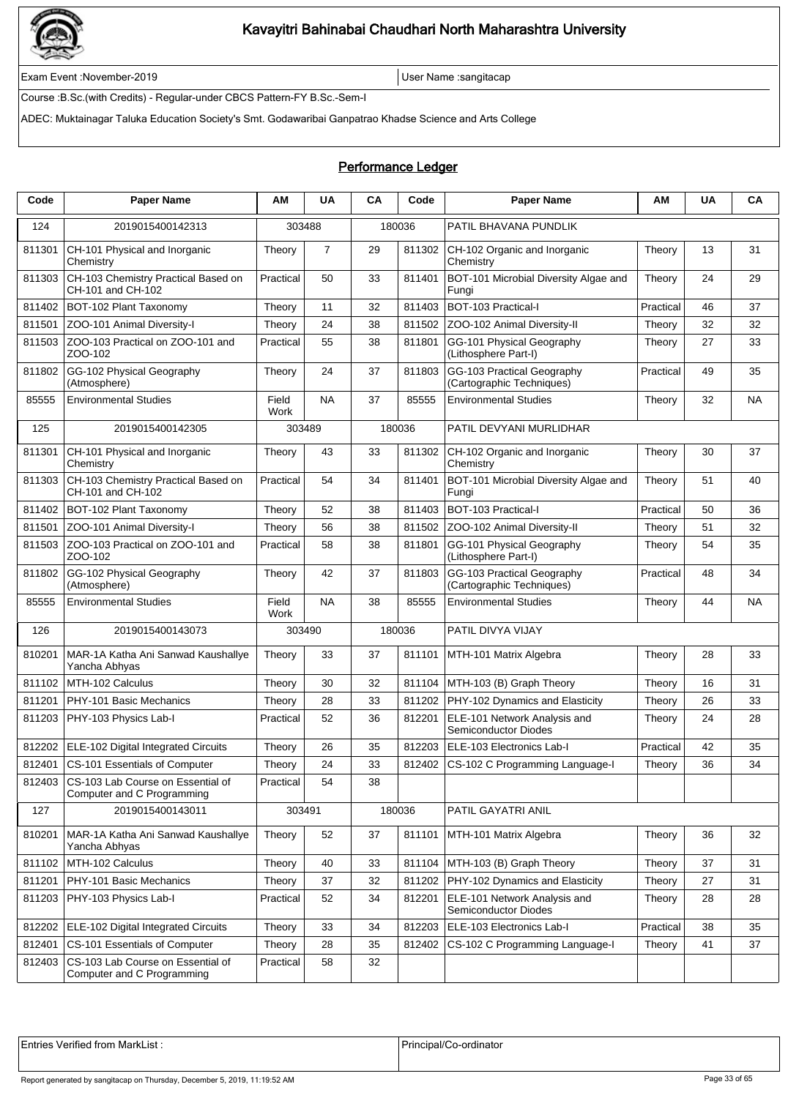

Exam Event :November-2019 User Name :sangitacap

Course :B.Sc.(with Credits) - Regular-under CBCS Pattern-FY B.Sc.-Sem-I

ADEC: Muktainagar Taluka Education Society's Smt. Godawaribai Ganpatrao Khadse Science and Arts College

### Performance Ledger

| Code   | <b>Paper Name</b>                                               | ΑM                   | <b>UA</b>      | CA | Code   | <b>Paper Name</b>                                       | AM        | <b>UA</b> | CA        |
|--------|-----------------------------------------------------------------|----------------------|----------------|----|--------|---------------------------------------------------------|-----------|-----------|-----------|
| 124    | 2019015400142313                                                | 303488               |                |    | 180036 | PATIL BHAVANA PUNDLIK                                   |           |           |           |
| 811301 | CH-101 Physical and Inorganic<br>Chemistry                      | Theory               | $\overline{7}$ | 29 | 811302 | CH-102 Organic and Inorganic<br>Chemistry               | Theory    | 13        | 31        |
| 811303 | CH-103 Chemistry Practical Based on<br>CH-101 and CH-102        | Practical            | 50             | 33 | 811401 | BOT-101 Microbial Diversity Algae and<br>Fungi          | Theory    | 24        | 29        |
| 811402 | BOT-102 Plant Taxonomy                                          | Theory               | 11             | 32 | 811403 | BOT-103 Practical-I                                     | Practical | 46        | 37        |
| 811501 | ZOO-101 Animal Diversity-I                                      | Theory               | 24             | 38 | 811502 | ZOO-102 Animal Diversity-II                             | Theory    | 32        | 32        |
| 811503 | ZOO-103 Practical on ZOO-101 and<br>ZOO-102                     | Practical            | 55             | 38 | 811801 | GG-101 Physical Geography<br>(Lithosphere Part-I)       | Theory    | 27        | 33        |
| 811802 | GG-102 Physical Geography<br>(Atmosphere)                       | Theory               | 24             | 37 | 811803 | GG-103 Practical Geography<br>(Cartographic Techniques) | Practical | 49        | 35        |
| 85555  | <b>Environmental Studies</b>                                    | Field<br>Work        | <b>NA</b>      | 37 | 85555  | <b>Environmental Studies</b>                            | Theory    | 32        | <b>NA</b> |
| 125    | 2019015400142305                                                | 303489               |                |    | 180036 | PATIL DEVYANI MURLIDHAR                                 |           |           |           |
| 811301 | CH-101 Physical and Inorganic<br>Chemistry                      | Theory               | 43             | 33 | 811302 | CH-102 Organic and Inorganic<br>Chemistry               | Theory    | 30        | 37        |
| 811303 | CH-103 Chemistry Practical Based on<br>CH-101 and CH-102        | Practical            | 54             | 34 | 811401 | BOT-101 Microbial Diversity Algae and<br>Fungi          | Theory    | 51        | 40        |
| 811402 | BOT-102 Plant Taxonomy                                          | Theory               | 52             | 38 | 811403 | BOT-103 Practical-I                                     | Practical | 50        | 36        |
| 811501 | ZOO-101 Animal Diversity-I                                      | Theory               | 56             | 38 | 811502 | ZOO-102 Animal Diversity-II                             | Theory    | 51        | 32        |
| 811503 | ZOO-103 Practical on ZOO-101 and<br>ZOO-102                     | Practical            | 58             | 38 | 811801 | GG-101 Physical Geography<br>(Lithosphere Part-I)       | Theory    | 54        | 35        |
| 811802 | GG-102 Physical Geography<br>(Atmosphere)                       | Theory               | 42             | 37 | 811803 | GG-103 Practical Geography<br>(Cartographic Techniques) | Practical | 48        | 34        |
| 85555  | <b>Environmental Studies</b>                                    | Field<br><b>Work</b> | <b>NA</b>      | 38 | 85555  | <b>Environmental Studies</b>                            | Theory    | 44        | <b>NA</b> |
| 126    | 2019015400143073                                                | 303490               |                |    | 180036 | PATIL DIVYA VIJAY                                       |           |           |           |
| 810201 | MAR-1A Katha Ani Sanwad Kaushallye<br>Yancha Abhyas             | Theory               | 33             | 37 | 811101 | MTH-101 Matrix Algebra                                  | Theory    | 28        | 33        |
| 811102 | MTH-102 Calculus                                                | Theory               | 30             | 32 | 811104 | MTH-103 (B) Graph Theory                                | Theory    | 16        | 31        |
| 811201 | PHY-101 Basic Mechanics                                         | Theory               | 28             | 33 | 811202 | PHY-102 Dynamics and Elasticity                         | Theory    | 26        | 33        |
| 811203 | PHY-103 Physics Lab-I                                           | Practical            | 52             | 36 | 812201 | ELE-101 Network Analysis and<br>Semiconductor Diodes    | Theory    | 24        | 28        |
| 812202 | ELE-102 Digital Integrated Circuits                             | Theory               | 26             | 35 | 812203 | ELE-103 Electronics Lab-I                               | Practical | 42        | 35        |
| 812401 | CS-101 Essentials of Computer                                   | Theory               | 24             | 33 | 812402 | CS-102 C Programming Language-I                         | Theory    | 36        | 34        |
| 812403 | CS-103 Lab Course on Essential of<br>Computer and C Programming | Practical            | 54             | 38 |        |                                                         |           |           |           |
| 127    | 2019015400143011                                                | 303491               |                |    | 180036 | PATIL GAYATRI ANIL                                      |           |           |           |
| 810201 | MAR-1A Katha Ani Sanwad Kaushallye<br>Yancha Abhyas             | Theory               | 52             | 37 | 811101 | MTH-101 Matrix Algebra                                  | Theory    | 36        | 32        |
| 811102 | MTH-102 Calculus                                                | Theory               | 40             | 33 |        | 811104   MTH-103 (B) Graph Theory                       | Theory    | 37        | 31        |
| 811201 | PHY-101 Basic Mechanics                                         | Theory               | 37             | 32 | 811202 | PHY-102 Dynamics and Elasticity                         | Theory    | 27        | 31        |
| 811203 | PHY-103 Physics Lab-I                                           | Practical            | 52             | 34 | 812201 | ELE-101 Network Analysis and<br>Semiconductor Diodes    | Theory    | 28        | 28        |
| 812202 | <b>ELE-102 Digital Integrated Circuits</b>                      | Theory               | 33             | 34 | 812203 | ELE-103 Electronics Lab-I                               | Practical | 38        | 35        |
| 812401 | CS-101 Essentials of Computer                                   | Theory               | 28             | 35 | 812402 | CS-102 C Programming Language-I                         | Theory    | 41        | 37        |
| 812403 | CS-103 Lab Course on Essential of<br>Computer and C Programming | Practical            | 58             | 32 |        |                                                         |           |           |           |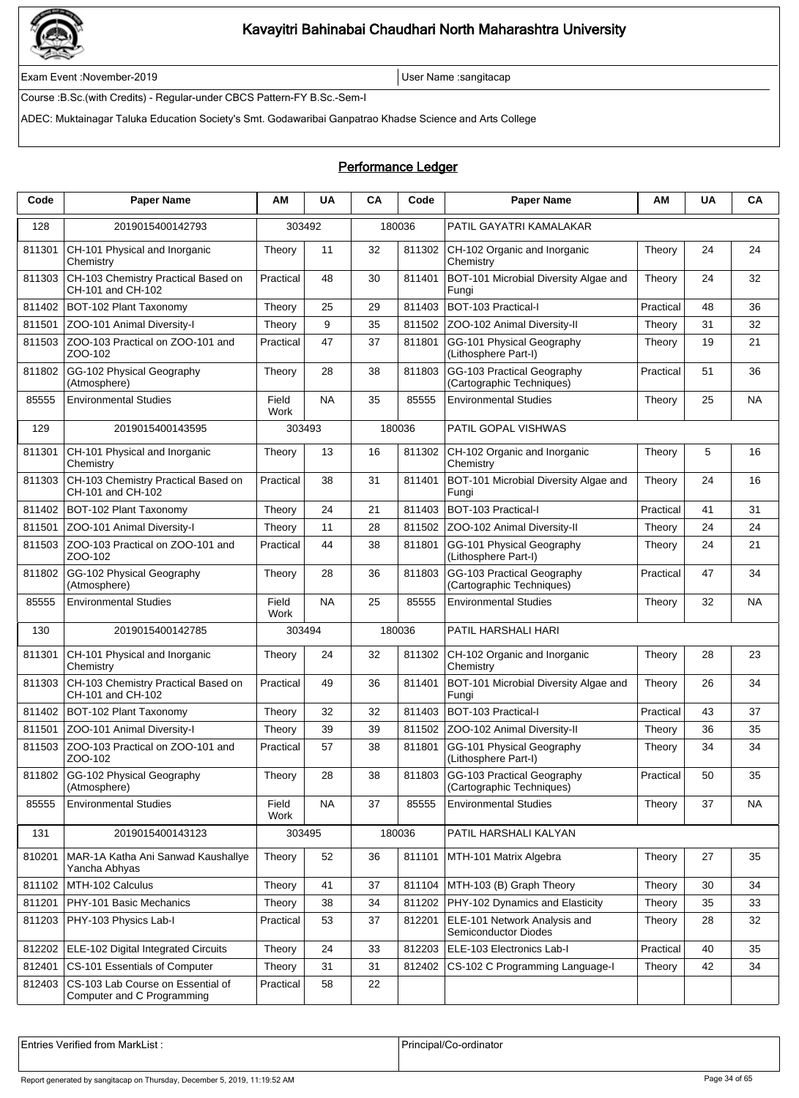

Exam Event :November-2019 User Name :sangitacap

Course :B.Sc.(with Credits) - Regular-under CBCS Pattern-FY B.Sc.-Sem-I

ADEC: Muktainagar Taluka Education Society's Smt. Godawaribai Ganpatrao Khadse Science and Arts College

### Performance Ledger

| Code   | <b>Paper Name</b>                                               | ΑM            | <b>UA</b> | CA | Code   | <b>Paper Name</b>                                              | ΑМ        | <b>UA</b> | CA        |
|--------|-----------------------------------------------------------------|---------------|-----------|----|--------|----------------------------------------------------------------|-----------|-----------|-----------|
| 128    | 2019015400142793                                                | 303492        |           |    | 180036 | PATIL GAYATRI KAMALAKAR                                        |           |           |           |
| 811301 | CH-101 Physical and Inorganic<br>Chemistry                      | Theory        | 11        | 32 | 811302 | CH-102 Organic and Inorganic<br>Chemistrv                      | Theory    | 24        | 24        |
| 811303 | CH-103 Chemistry Practical Based on<br>CH-101 and CH-102        | Practical     | 48        | 30 | 811401 | BOT-101 Microbial Diversity Algae and<br>Fungi                 | Theory    | 24        | 32        |
| 811402 | BOT-102 Plant Taxonomy                                          | Theory        | 25        | 29 | 811403 | BOT-103 Practical-I                                            | Practical | 48        | 36        |
| 811501 | ZOO-101 Animal Diversity-I                                      | Theory        | 9         | 35 | 811502 | ZOO-102 Animal Diversity-II                                    | Theory    | 31        | 32        |
| 811503 | ZOO-103 Practical on ZOO-101 and<br>ZOO-102                     | Practical     | 47        | 37 | 811801 | GG-101 Physical Geography<br>(Lithosphere Part-I)              | Theory    | 19        | 21        |
| 811802 | GG-102 Physical Geography<br>(Atmosphere)                       | Theory        | 28        | 38 | 811803 | GG-103 Practical Geography<br>(Cartographic Techniques)        | Practical | 51        | 36        |
| 85555  | <b>Environmental Studies</b>                                    | Field<br>Work | <b>NA</b> | 35 | 85555  | <b>Environmental Studies</b>                                   | Theory    | 25        | <b>NA</b> |
| 129    | 2019015400143595                                                | 303493        |           |    | 180036 | PATIL GOPAL VISHWAS                                            |           |           |           |
| 811301 | CH-101 Physical and Inorganic<br>Chemistry                      | Theory        | 13        | 16 | 811302 | CH-102 Organic and Inorganic<br>Chemistry                      | Theory    | 5         | 16        |
| 811303 | CH-103 Chemistry Practical Based on<br>CH-101 and CH-102        | Practical     | 38        | 31 | 811401 | BOT-101 Microbial Diversity Algae and<br>Fungi                 | Theory    | 24        | 16        |
| 811402 | BOT-102 Plant Taxonomy                                          | Theory        | 24        | 21 | 811403 | BOT-103 Practical-I                                            | Practical | 41        | 31        |
| 811501 | ZOO-101 Animal Diversity-I                                      | Theory        | 11        | 28 | 811502 | ZOO-102 Animal Diversity-II                                    | Theory    | 24        | 24        |
| 811503 | ZOO-103 Practical on ZOO-101 and<br>ZOO-102                     | Practical     | 44        | 38 | 811801 | GG-101 Physical Geography<br>(Lithosphere Part-I)              | Theory    | 24        | 21        |
| 811802 | GG-102 Physical Geography<br>(Atmosphere)                       | Theory        | 28        | 36 | 811803 | GG-103 Practical Geography<br>(Cartographic Techniques)        | Practical | 47        | 34        |
| 85555  | <b>Environmental Studies</b>                                    | Field<br>Work | <b>NA</b> | 25 | 85555  | <b>Environmental Studies</b>                                   | Theory    | 32        | NA        |
| 130    | 2019015400142785                                                | 303494        |           |    | 180036 | PATIL HARSHALI HARI                                            |           |           |           |
| 811301 | CH-101 Physical and Inorganic<br>Chemistry                      | Theory        | 24        | 32 | 811302 | CH-102 Organic and Inorganic<br>Chemistry                      | Theory    | 28        | 23        |
| 811303 | CH-103 Chemistry Practical Based on<br>CH-101 and CH-102        | Practical     | 49        | 36 | 811401 | BOT-101 Microbial Diversity Algae and<br>Fungi                 | Theory    | 26        | 34        |
| 811402 | BOT-102 Plant Taxonomy                                          | Theory        | 32        | 32 | 811403 | <b>BOT-103 Practical-I</b>                                     | Practical | 43        | 37        |
| 811501 | ZOO-101 Animal Diversity-I                                      | Theory        | 39        | 39 | 811502 | ZOO-102 Animal Diversity-II                                    | Theory    | 36        | 35        |
| 811503 | ZOO-103 Practical on ZOO-101 and<br>ZOO-102                     | Practical     | 57        | 38 | 811801 | GG-101 Physical Geography<br>(Lithosphere Part-I)              | Theory    | 34        | 34        |
|        | 811802 GG-102 Physical Geography<br>(Atmosphere)                | Theory        | 28        | 38 |        | 811803 GG-103 Practical Geography<br>(Cartographic Techniques) | Practical | 50        | 35        |
| 85555  | <b>Environmental Studies</b>                                    | Field<br>Work | <b>NA</b> | 37 | 85555  | <b>Environmental Studies</b>                                   | Theory    | 37        | <b>NA</b> |
| 131    | 2019015400143123                                                | 303495        |           |    | 180036 | PATIL HARSHALI KALYAN                                          |           |           |           |
| 810201 | MAR-1A Katha Ani Sanwad Kaushallye<br>Yancha Abhyas             | Theory        | 52        | 36 | 811101 | MTH-101 Matrix Algebra                                         | Theory    | 27        | 35        |
| 811102 | MTH-102 Calculus                                                | Theory        | 41        | 37 | 811104 | MTH-103 (B) Graph Theory                                       | Theory    | 30        | 34        |
| 811201 | PHY-101 Basic Mechanics                                         | Theory        | 38        | 34 | 811202 | PHY-102 Dynamics and Elasticity                                | Theory    | 35        | 33        |
| 811203 | PHY-103 Physics Lab-I                                           | Practical     | 53        | 37 | 812201 | ELE-101 Network Analysis and<br>Semiconductor Diodes           | Theory    | 28        | 32        |
| 812202 | ELE-102 Digital Integrated Circuits                             | Theory        | 24        | 33 | 812203 | ELE-103 Electronics Lab-I                                      | Practical | 40        | 35        |
| 812401 | CS-101 Essentials of Computer                                   | Theory        | 31        | 31 | 812402 | CS-102 C Programming Language-I                                | Theory    | 42        | 34        |
| 812403 | CS-103 Lab Course on Essential of<br>Computer and C Programming | Practical     | 58        | 22 |        |                                                                |           |           |           |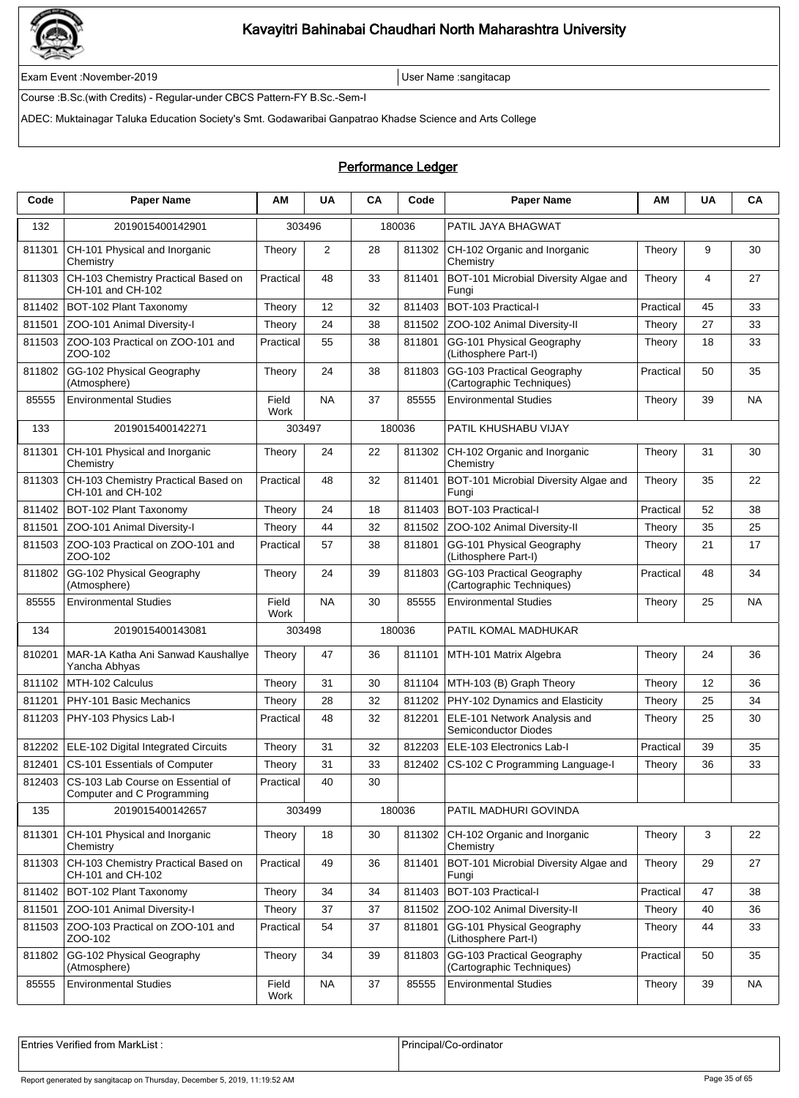

Exam Event :November-2019 User Name :sangitacap

Course :B.Sc.(with Credits) - Regular-under CBCS Pattern-FY B.Sc.-Sem-I

ADEC: Muktainagar Taluka Education Society's Smt. Godawaribai Ganpatrao Khadse Science and Arts College

### Performance Ledger

| Code   | <b>Paper Name</b>                                                      | AM            | UA        | CA     | Code   | <b>Paper Name</b>                                       | AM        | UA | CA        |
|--------|------------------------------------------------------------------------|---------------|-----------|--------|--------|---------------------------------------------------------|-----------|----|-----------|
| 132    | 2019015400142901                                                       | 303496        |           | 180036 |        | PATIL JAYA BHAGWAT                                      |           |    |           |
| 811301 | CH-101 Physical and Inorganic<br>Chemistry                             | Theory        | 2         | 28     | 811302 | CH-102 Organic and Inorganic<br>Chemistry               | Theory    | 9  | 30        |
| 811303 | CH-103 Chemistry Practical Based on<br>CH-101 and CH-102               | Practical     | 48        | 33     | 811401 | BOT-101 Microbial Diversity Algae and<br>Fungi          | Theory    | 4  | 27        |
| 811402 | BOT-102 Plant Taxonomy                                                 | Theory        | 12        | 32     | 811403 | BOT-103 Practical-I                                     | Practical | 45 | 33        |
| 811501 | ZOO-101 Animal Diversity-I                                             | Theory        | 24        | 38     | 811502 | ZOO-102 Animal Diversity-II                             | Theory    | 27 | 33        |
| 811503 | ZOO-103 Practical on ZOO-101 and<br>ZOO-102                            | Practical     | 55        | 38     | 811801 | GG-101 Physical Geography<br>(Lithosphere Part-I)       | Theory    | 18 | 33        |
| 811802 | GG-102 Physical Geography<br>(Atmosphere)                              | Theory        | 24        | 38     | 811803 | GG-103 Practical Geography<br>(Cartographic Techniques) | Practical | 50 | 35        |
| 85555  | <b>Environmental Studies</b>                                           | Field<br>Work | <b>NA</b> | 37     | 85555  | <b>Environmental Studies</b>                            | Theory    | 39 | <b>NA</b> |
| 133    | 2019015400142271                                                       | 303497        |           | 180036 |        | PATIL KHUSHABU VIJAY                                    |           |    |           |
| 811301 | CH-101 Physical and Inorganic<br>Chemistry                             | Theory        | 24        | 22     | 811302 | CH-102 Organic and Inorganic<br>Chemistry               | Theory    | 31 | 30        |
| 811303 | CH-103 Chemistry Practical Based on<br>CH-101 and CH-102               | Practical     | 48        | 32     | 811401 | BOT-101 Microbial Diversity Algae and<br>Fungi          | Theory    | 35 | 22        |
| 811402 | BOT-102 Plant Taxonomy                                                 | Theory        | 24        | 18     | 811403 | <b>BOT-103 Practical-I</b>                              | Practical | 52 | 38        |
| 811501 | ZOO-101 Animal Diversity-I                                             | Theory        | 44        | 32     | 811502 | ZOO-102 Animal Diversity-II                             | Theory    | 35 | 25        |
| 811503 | ZOO-103 Practical on ZOO-101 and<br>ZOO-102                            | Practical     | 57        | 38     | 811801 | GG-101 Physical Geography<br>(Lithosphere Part-I)       | Theory    | 21 | 17        |
| 811802 | GG-102 Physical Geography<br>(Atmosphere)                              | Theory        | 24        | 39     | 811803 | GG-103 Practical Geography<br>(Cartographic Techniques) | Practical | 48 | 34        |
| 85555  | <b>Environmental Studies</b>                                           | Field<br>Work | <b>NA</b> | 30     | 85555  | <b>Environmental Studies</b>                            | Theory    | 25 | NA        |
| 134    | 2019015400143081                                                       | 303498        |           | 180036 |        | PATIL KOMAL MADHUKAR                                    |           |    |           |
| 810201 | MAR-1A Katha Ani Sanwad Kaushallye<br>Yancha Abhyas                    | Theory        | 47        | 36     | 811101 | MTH-101 Matrix Algebra                                  | Theory    | 24 | 36        |
| 811102 | MTH-102 Calculus                                                       | Theory        | 31        | 30     | 811104 | MTH-103 (B) Graph Theory                                | Theory    | 12 | 36        |
| 811201 | PHY-101 Basic Mechanics                                                | Theory        | 28        | 32     | 811202 | PHY-102 Dynamics and Elasticity                         | Theory    | 25 | 34        |
| 811203 | PHY-103 Physics Lab-I                                                  | Practical     | 48        | 32     | 812201 | ELE-101 Network Analysis and<br>Semiconductor Diodes    | Theory    | 25 | 30        |
| 812202 | ELE-102 Digital Integrated Circuits                                    | Theory        | 31        | 32     | 812203 | ELE-103 Electronics Lab-I                               | Practical | 39 | 35        |
| 812401 | CS-101 Essentials of Computer                                          | Theory        | 31        | 33     | 812402 | CS-102 C Programming Language-I                         | Theory    | 36 | 33        |
|        | 812403 CS-103 Lab Course on Essential of<br>Computer and C Programming | Practical     | 40        | 30     |        |                                                         |           |    |           |
| 135    | 2019015400142657                                                       | 303499        |           | 180036 |        | PATIL MADHURI GOVINDA                                   |           |    |           |
| 811301 | CH-101 Physical and Inorganic<br>Chemistry                             | Theory        | 18        | 30     | 811302 | CH-102 Organic and Inorganic<br>Chemistry               | Theory    | 3  | 22        |
| 811303 | CH-103 Chemistry Practical Based on<br>CH-101 and CH-102               | Practical     | 49        | 36     | 811401 | BOT-101 Microbial Diversity Algae and<br>Fungi          | Theory    | 29 | 27        |
| 811402 | BOT-102 Plant Taxonomy                                                 | Theory        | 34        | 34     | 811403 | BOT-103 Practical-I                                     | Practical | 47 | 38        |
| 811501 | ZOO-101 Animal Diversity-I                                             | Theory        | 37        | 37     | 811502 | ZOO-102 Animal Diversity-II                             | Theory    | 40 | 36        |
| 811503 | ZOO-103 Practical on ZOO-101 and<br>ZOO-102                            | Practical     | 54        | 37     | 811801 | GG-101 Physical Geography<br>(Lithosphere Part-I)       | Theory    | 44 | 33        |
| 811802 | GG-102 Physical Geography<br>(Atmosphere)                              | Theory        | 34        | 39     | 811803 | GG-103 Practical Geography<br>(Cartographic Techniques) | Practical | 50 | 35        |
| 85555  | <b>Environmental Studies</b>                                           | Field<br>Work | <b>NA</b> | 37     | 85555  | <b>Environmental Studies</b>                            | Theory    | 39 | NA        |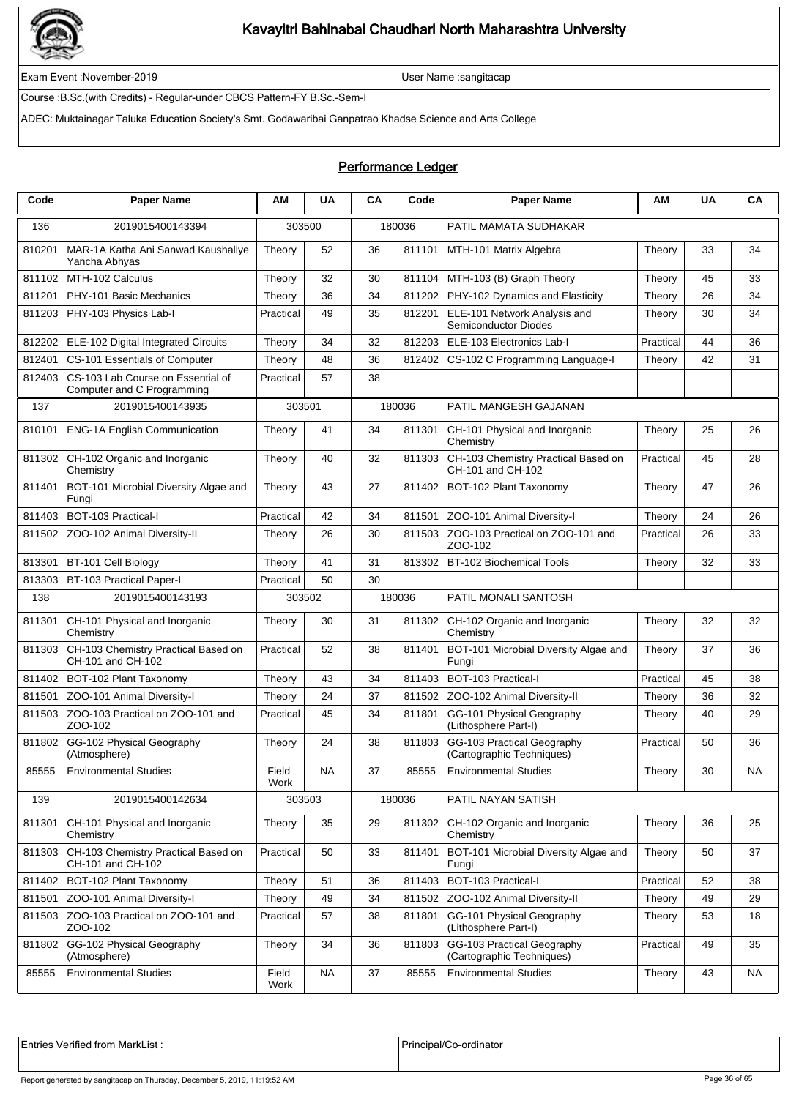

Exam Event :November-2019 User Name :sangitacap

Course :B.Sc.(with Credits) - Regular-under CBCS Pattern-FY B.Sc.-Sem-I

ADEC: Muktainagar Taluka Education Society's Smt. Godawaribai Ganpatrao Khadse Science and Arts College

### Performance Ledger

| Code   | <b>Paper Name</b>                                               | ΑM            | <b>UA</b> | <b>CA</b> | Code   | <b>Paper Name</b>                                        | ΑM        | <b>UA</b> | CA        |
|--------|-----------------------------------------------------------------|---------------|-----------|-----------|--------|----------------------------------------------------------|-----------|-----------|-----------|
| 136    | 2019015400143394                                                | 303500        |           |           | 180036 | PATIL MAMATA SUDHAKAR                                    |           |           |           |
| 810201 | MAR-1A Katha Ani Sanwad Kaushallye<br>Yancha Abhyas             | Theory        | 52        | 36        | 811101 | MTH-101 Matrix Algebra                                   | Theory    | 33        | 34        |
| 811102 | MTH-102 Calculus                                                | Theory        | 32        | 30        | 811104 | MTH-103 (B) Graph Theory                                 | Theory    | 45        | 33        |
| 811201 | PHY-101 Basic Mechanics                                         | Theory        | 36        | 34        | 811202 | PHY-102 Dynamics and Elasticity                          | Theory    | 26        | 34        |
| 811203 | PHY-103 Physics Lab-I                                           | Practical     | 49        | 35        | 812201 | ELE-101 Network Analysis and<br>Semiconductor Diodes     | Theory    | 30        | 34        |
| 812202 | ELE-102 Digital Integrated Circuits                             | Theory        | 34        | 32        | 812203 | ELE-103 Electronics Lab-I                                | Practical | 44        | 36        |
| 812401 | CS-101 Essentials of Computer                                   | Theory        | 48        | 36        | 812402 | CS-102 C Programming Language-I                          | Theory    | 42        | 31        |
| 812403 | CS-103 Lab Course on Essential of<br>Computer and C Programming | Practical     | 57        | 38        |        |                                                          |           |           |           |
| 137    | 2019015400143935                                                | 303501        |           |           | 180036 | PATIL MANGESH GAJANAN                                    |           |           |           |
| 810101 | <b>ENG-1A English Communication</b>                             | Theory        | 41        | 34        | 811301 | CH-101 Physical and Inorganic<br>Chemistry               | Theory    | 25        | 26        |
| 811302 | CH-102 Organic and Inorganic<br>Chemistry                       | Theory        | 40        | 32        | 811303 | CH-103 Chemistry Practical Based on<br>CH-101 and CH-102 | Practical | 45        | 28        |
| 811401 | BOT-101 Microbial Diversity Algae and<br>Fungi                  | Theory        | 43        | 27        | 811402 | BOT-102 Plant Taxonomy                                   | Theory    | 47        | 26        |
| 811403 | BOT-103 Practical-I                                             | Practical     | 42        | 34        | 811501 | ZOO-101 Animal Diversity-I                               | Theory    | 24        | 26        |
| 811502 | ZOO-102 Animal Diversity-II                                     | Theory        | 26        | 30        | 811503 | ZOO-103 Practical on ZOO-101 and<br>ZOO-102              | Practical | 26        | 33        |
| 813301 | BT-101 Cell Biology                                             | Theory        | 41        | 31        | 813302 | BT-102 Biochemical Tools                                 | Theory    | 32        | 33        |
| 813303 | <b>BT-103 Practical Paper-I</b>                                 | Practical     | 50        | 30        |        |                                                          |           |           |           |
| 138    | 2019015400143193                                                | 303502        |           |           | 180036 | PATIL MONALI SANTOSH                                     |           |           |           |
| 811301 | CH-101 Physical and Inorganic<br>Chemistry                      | Theory        | 30        | 31        | 811302 | CH-102 Organic and Inorganic<br>Chemistry                | Theory    | 32        | 32        |
| 811303 | CH-103 Chemistry Practical Based on<br>CH-101 and CH-102        | Practical     | 52        | 38        | 811401 | BOT-101 Microbial Diversity Algae and<br>Fungi           | Theory    | 37        | 36        |
| 811402 | BOT-102 Plant Taxonomy                                          | Theory        | 43        | 34        | 811403 | BOT-103 Practical-I                                      | Practical | 45        | 38        |
| 811501 | ZOO-101 Animal Diversity-I                                      | Theory        | 24        | 37        | 811502 | ZOO-102 Animal Diversity-II                              | Theory    | 36        | 32        |
| 811503 | ZOO-103 Practical on ZOO-101 and<br>ZOO-102                     | Practical     | 45        | 34        | 811801 | GG-101 Physical Geography<br>(Lithosphere Part-I)        | Theory    | 40        | 29        |
| 811802 | GG-102 Physical Geography<br>(Atmosphere)                       | Theory        | 24        | 38        | 811803 | GG-103 Practical Geography<br>(Cartographic Techniques)  | Practical | 50        | 36        |
| 85555  | <b>Environmental Studies</b>                                    | Field<br>Work | <b>NA</b> | 37        | 85555  | <b>Environmental Studies</b>                             | Theory    | 30        | NA        |
| 139    | 2019015400142634                                                | 303503        |           |           | 180036 | PATIL NAYAN SATISH                                       |           |           |           |
| 811301 | CH-101 Physical and Inorganic<br>Chemistry                      | Theory        | 35        | 29        | 811302 | CH-102 Organic and Inorganic<br>Chemistry                | Theory    | 36        | 25        |
| 811303 | CH-103 Chemistry Practical Based on<br>CH-101 and CH-102        | Practical     | 50        | 33        | 811401 | BOT-101 Microbial Diversity Algae and<br>Fungi           | Theory    | 50        | 37        |
| 811402 | BOT-102 Plant Taxonomy                                          | Theory        | 51        | 36        | 811403 | BOT-103 Practical-I                                      | Practical | 52        | 38        |
| 811501 | ZOO-101 Animal Diversity-I                                      | Theory        | 49        | 34        | 811502 | ZOO-102 Animal Diversity-II                              | Theory    | 49        | 29        |
| 811503 | ZOO-103 Practical on ZOO-101 and<br>ZOO-102                     | Practical     | 57        | 38        | 811801 | GG-101 Physical Geography<br>(Lithosphere Part-I)        | Theory    | 53        | 18        |
| 811802 | GG-102 Physical Geography<br>(Atmosphere)                       | Theory        | 34        | 36        | 811803 | GG-103 Practical Geography<br>(Cartographic Techniques)  | Practical | 49        | 35        |
| 85555  | <b>Environmental Studies</b>                                    | Field<br>Work | <b>NA</b> | 37        | 85555  | <b>Environmental Studies</b>                             | Theory    | 43        | <b>NA</b> |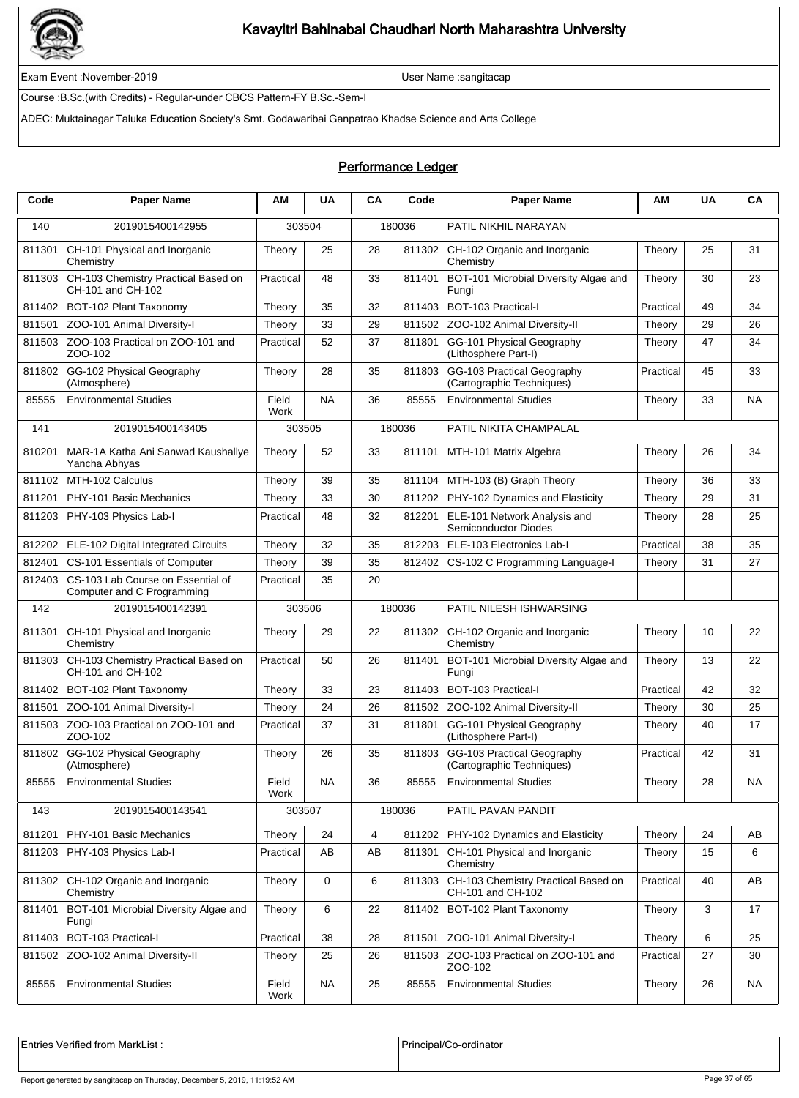

Exam Event :November-2019 User Name :sangitacap

Course :B.Sc.(with Credits) - Regular-under CBCS Pattern-FY B.Sc.-Sem-I

ADEC: Muktainagar Taluka Education Society's Smt. Godawaribai Ganpatrao Khadse Science and Arts College

### Performance Ledger

| Code   | <b>Paper Name</b>                                               | ΑM            | <b>UA</b> | CA | Code   | <b>Paper Name</b>                                        | AM        | <b>UA</b> | CA        |
|--------|-----------------------------------------------------------------|---------------|-----------|----|--------|----------------------------------------------------------|-----------|-----------|-----------|
| 140    | 2019015400142955                                                | 303504        |           |    | 180036 | PATIL NIKHIL NARAYAN                                     |           |           |           |
| 811301 | CH-101 Physical and Inorganic<br>Chemistry                      | Theory        | 25        | 28 | 811302 | CH-102 Organic and Inorganic<br>Chemistry                | Theory    | 25        | 31        |
| 811303 | CH-103 Chemistry Practical Based on<br>CH-101 and CH-102        | Practical     | 48        | 33 | 811401 | BOT-101 Microbial Diversity Algae and<br>Fungi           | Theory    | 30        | 23        |
| 811402 | BOT-102 Plant Taxonomy                                          | Theory        | 35        | 32 | 811403 | BOT-103 Practical-I                                      | Practical | 49        | 34        |
| 811501 | ZOO-101 Animal Diversity-I                                      | Theory        | 33        | 29 | 811502 | ZOO-102 Animal Diversity-II                              | Theory    | 29        | 26        |
| 811503 | ZOO-103 Practical on ZOO-101 and<br>ZOO-102                     | Practical     | 52        | 37 | 811801 | GG-101 Physical Geography<br>(Lithosphere Part-I)        | Theory    | 47        | 34        |
| 811802 | GG-102 Physical Geography<br>(Atmosphere)                       | Theory        | 28        | 35 | 811803 | GG-103 Practical Geography<br>(Cartographic Techniques)  | Practical | 45        | 33        |
| 85555  | <b>Environmental Studies</b>                                    | Field<br>Work | <b>NA</b> | 36 | 85555  | <b>Environmental Studies</b>                             | Theory    | 33        | <b>NA</b> |
| 141    | 2019015400143405                                                | 303505        |           |    | 180036 | PATIL NIKITA CHAMPALAL                                   |           |           |           |
| 810201 | MAR-1A Katha Ani Sanwad Kaushallye<br>Yancha Abhyas             | Theory        | 52        | 33 | 811101 | MTH-101 Matrix Algebra                                   | Theory    | 26        | 34        |
| 811102 | MTH-102 Calculus                                                | Theory        | 39        | 35 | 811104 | MTH-103 (B) Graph Theory                                 | Theory    | 36        | 33        |
| 811201 | PHY-101 Basic Mechanics                                         | Theory        | 33        | 30 | 811202 | PHY-102 Dynamics and Elasticity                          | Theory    | 29        | 31        |
| 811203 | PHY-103 Physics Lab-I                                           | Practical     | 48        | 32 | 812201 | ELE-101 Network Analysis and<br>Semiconductor Diodes     | Theory    | 28        | 25        |
| 812202 | ELE-102 Digital Integrated Circuits                             | Theory        | 32        | 35 | 812203 | ELE-103 Electronics Lab-I                                | Practical | 38        | 35        |
| 812401 | CS-101 Essentials of Computer                                   | Theory        | 39        | 35 | 812402 | CS-102 C Programming Language-I                          | Theory    | 31        | 27        |
| 812403 | CS-103 Lab Course on Essential of<br>Computer and C Programming | Practical     | 35        | 20 |        |                                                          |           |           |           |
| 142    | 2019015400142391                                                | 303506        |           |    | 180036 | PATIL NILESH ISHWARSING                                  |           |           |           |
| 811301 | CH-101 Physical and Inorganic<br>Chemistry                      | Theory        | 29        | 22 | 811302 | CH-102 Organic and Inorganic<br>Chemistry                | Theory    | 10        | 22        |
| 811303 | CH-103 Chemistry Practical Based on<br>CH-101 and CH-102        | Practical     | 50        | 26 | 811401 | BOT-101 Microbial Diversity Algae and<br>Fungi           | Theory    | 13        | 22        |
| 811402 | BOT-102 Plant Taxonomy                                          | Theory        | 33        | 23 | 811403 | BOT-103 Practical-I                                      | Practical | 42        | 32        |
| 811501 | ZOO-101 Animal Diversity-I                                      | Theory        | 24        | 26 | 811502 | ZOO-102 Animal Diversity-II                              | Theory    | 30        | 25        |
| 811503 | ZOO-103 Practical on ZOO-101 and<br>ZOO-102                     | Practical     | 37        | 31 | 811801 | GG-101 Physical Geography<br>(Lithosphere Part-I)        | Theory    | 40        | 17        |
| 811802 | GG-102 Physical Geography<br>(Atmosphere)                       | Theory        | 26        | 35 | 811803 | GG-103 Practical Geography<br>(Cartographic Techniques)  | Practical | 42        | 31        |
| 85555  | <b>Environmental Studies</b>                                    | Field<br>Work | <b>NA</b> | 36 | 85555  | <b>Environmental Studies</b>                             | Theory    | 28        | NA        |
| 143    | 2019015400143541                                                | 303507        |           |    | 180036 | PATIL PAVAN PANDIT                                       |           |           |           |
| 811201 | PHY-101 Basic Mechanics                                         | Theory        | 24        | 4  | 811202 | PHY-102 Dynamics and Elasticity                          | Theory    | 24        | AВ        |
| 811203 | PHY-103 Physics Lab-I                                           | Practical     | AB        | AB | 811301 | CH-101 Physical and Inorganic<br>Chemistry               | Theory    | 15        | 6         |
| 811302 | CH-102 Organic and Inorganic<br>Chemistry                       | Theory        | $\pmb{0}$ | 6  | 811303 | CH-103 Chemistry Practical Based on<br>CH-101 and CH-102 | Practical | 40        | AB        |
| 811401 | BOT-101 Microbial Diversity Algae and<br>Fungi                  | Theory        | 6         | 22 | 811402 | BOT-102 Plant Taxonomy                                   | Theory    | 3         | 17        |
| 811403 | BOT-103 Practical-I                                             | Practical     | 38        | 28 | 811501 | ZOO-101 Animal Diversity-I                               | Theory    | 6         | 25        |
| 811502 | ZOO-102 Animal Diversity-II                                     | Theory        | 25        | 26 | 811503 | ZOO-103 Practical on ZOO-101 and<br>ZOO-102              | Practical | 27        | 30        |
| 85555  | <b>Environmental Studies</b>                                    | Field<br>Work | <b>NA</b> | 25 | 85555  | <b>Environmental Studies</b>                             | Theory    | 26        | <b>NA</b> |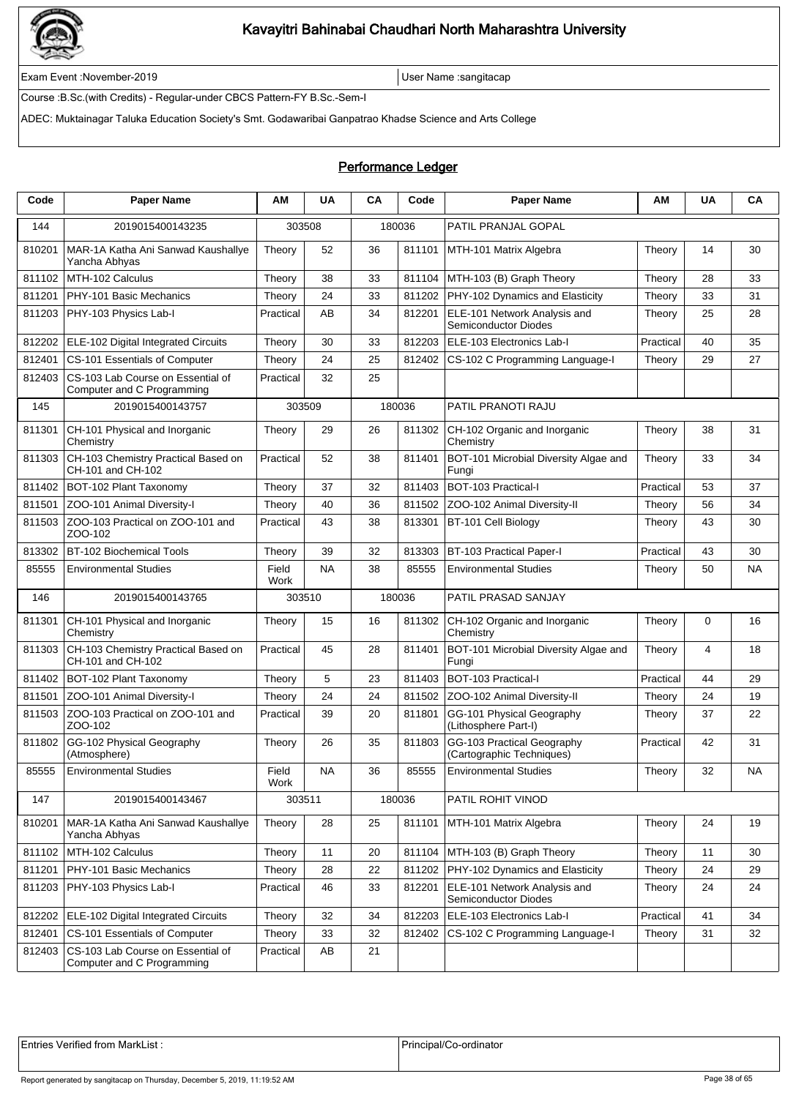

Exam Event :November-2019 User Name :sangitacap

Course :B.Sc.(with Credits) - Regular-under CBCS Pattern-FY B.Sc.-Sem-I

ADEC: Muktainagar Taluka Education Society's Smt. Godawaribai Ganpatrao Khadse Science and Arts College

### Performance Ledger

| Code   | <b>Paper Name</b>                                               | ΑМ            | <b>UA</b> | CA | Code   | <b>Paper Name</b>                                           | ΑM        | <b>UA</b> | CA |
|--------|-----------------------------------------------------------------|---------------|-----------|----|--------|-------------------------------------------------------------|-----------|-----------|----|
| 144    | 2019015400143235                                                | 303508        |           |    | 180036 | PATIL PRANJAL GOPAL                                         |           |           |    |
| 810201 | MAR-1A Katha Ani Sanwad Kaushallye<br>Yancha Abhyas             | Theory        | 52        | 36 | 811101 | MTH-101 Matrix Algebra                                      | Theory    | 14        | 30 |
| 811102 | MTH-102 Calculus                                                | Theory        | 38        | 33 | 811104 | MTH-103 (B) Graph Theory                                    | Theory    | 28        | 33 |
| 811201 | PHY-101 Basic Mechanics                                         | Theory        | 24        | 33 | 811202 | PHY-102 Dynamics and Elasticity                             | Theory    | 33        | 31 |
| 811203 | PHY-103 Physics Lab-I                                           | Practical     | AB        | 34 | 812201 | ELE-101 Network Analysis and<br><b>Semiconductor Diodes</b> | Theory    | 25        | 28 |
| 812202 | ELE-102 Digital Integrated Circuits                             | Theory        | 30        | 33 | 812203 | ELE-103 Electronics Lab-I                                   | Practical | 40        | 35 |
| 812401 | CS-101 Essentials of Computer                                   | Theory        | 24        | 25 | 812402 | CS-102 C Programming Language-I                             | Theory    | 29        | 27 |
| 812403 | CS-103 Lab Course on Essential of<br>Computer and C Programming | Practical     | 32        | 25 |        |                                                             |           |           |    |
| 145    | 2019015400143757                                                | 303509        |           |    | 180036 | PATIL PRANOTI RAJU                                          |           |           |    |
| 811301 | CH-101 Physical and Inorganic<br>Chemistry                      | Theory        | 29        | 26 | 811302 | CH-102 Organic and Inorganic<br>Chemistry                   | Theory    | 38        | 31 |
| 811303 | CH-103 Chemistry Practical Based on<br>CH-101 and CH-102        | Practical     | 52        | 38 | 811401 | BOT-101 Microbial Diversity Algae and<br>Fungi              | Theory    | 33        | 34 |
| 811402 | BOT-102 Plant Taxonomy                                          | Theory        | 37        | 32 | 811403 | BOT-103 Practical-I                                         | Practical | 53        | 37 |
| 811501 | ZOO-101 Animal Diversity-I                                      | Theory        | 40        | 36 | 811502 | ZOO-102 Animal Diversity-II                                 | Theory    | 56        | 34 |
| 811503 | ZOO-103 Practical on ZOO-101 and<br>ZOO-102                     | Practical     | 43        | 38 | 813301 | BT-101 Cell Biology                                         | Theory    | 43        | 30 |
| 813302 | <b>BT-102 Biochemical Tools</b>                                 | Theory        | 39        | 32 | 813303 | <b>BT-103 Practical Paper-I</b>                             | Practical | 43        | 30 |
| 85555  | <b>Environmental Studies</b>                                    | Field<br>Work | <b>NA</b> | 38 | 85555  | <b>Environmental Studies</b>                                | Theory    | 50        | ΝA |
| 146    | 2019015400143765                                                | 303510        |           |    | 180036 | PATIL PRASAD SANJAY                                         |           |           |    |
| 811301 | CH-101 Physical and Inorganic<br>Chemistry                      | Theory        | 15        | 16 | 811302 | CH-102 Organic and Inorganic<br>Chemistry                   | Theory    | 0         | 16 |
| 811303 | CH-103 Chemistry Practical Based on<br>CH-101 and CH-102        | Practical     | 45        | 28 | 811401 | BOT-101 Microbial Diversity Algae and<br>Fungi              | Theory    | 4         | 18 |
| 811402 | BOT-102 Plant Taxonomy                                          | Theory        | 5         | 23 | 811403 | BOT-103 Practical-I                                         | Practical | 44        | 29 |
| 811501 | ZOO-101 Animal Diversity-I                                      | Theory        | 24        | 24 | 811502 | ZOO-102 Animal Diversity-II                                 | Theory    | 24        | 19 |
| 811503 | ZOO-103 Practical on ZOO-101 and<br>ZOO-102                     | Practical     | 39        | 20 | 811801 | GG-101 Physical Geography<br>(Lithosphere Part-I)           | Theory    | 37        | 22 |
| 811802 | GG-102 Physical Geography<br>(Atmosphere)                       | Theory        | 26        | 35 | 811803 | GG-103 Practical Geography<br>(Cartographic Techniques)     | Practical | 42        | 31 |
| 85555  | <b>Environmental Studies</b>                                    | Field<br>Work | NA        | 36 | 85555  | <b>Environmental Studies</b>                                | Theory    | 32        | ΝA |
| 147    | 2019015400143467                                                | 303511        |           |    | 180036 | PATIL ROHIT VINOD                                           |           |           |    |
| 810201 | MAR-1A Katha Ani Sanwad Kaushallye<br>Yancha Abhyas             | Theory        | 28        | 25 | 811101 | MTH-101 Matrix Algebra                                      | Theory    | 24        | 19 |
| 811102 | MTH-102 Calculus                                                | Theory        | 11        | 20 | 811104 | MTH-103 (B) Graph Theory                                    | Theory    | 11        | 30 |
| 811201 | PHY-101 Basic Mechanics                                         | Theory        | 28        | 22 | 811202 | PHY-102 Dynamics and Elasticity                             | Theory    | 24        | 29 |
| 811203 | PHY-103 Physics Lab-I                                           | Practical     | 46        | 33 | 812201 | ELE-101 Network Analysis and<br>Semiconductor Diodes        | Theory    | 24        | 24 |
| 812202 | ELE-102 Digital Integrated Circuits                             | Theory        | 32        | 34 | 812203 | ELE-103 Electronics Lab-I                                   | Practical | 41        | 34 |
| 812401 | CS-101 Essentials of Computer                                   | Theory        | 33        | 32 | 812402 | CS-102 C Programming Language-I                             | Theory    | 31        | 32 |
| 812403 | CS-103 Lab Course on Essential of<br>Computer and C Programming | Practical     | AB        | 21 |        |                                                             |           |           |    |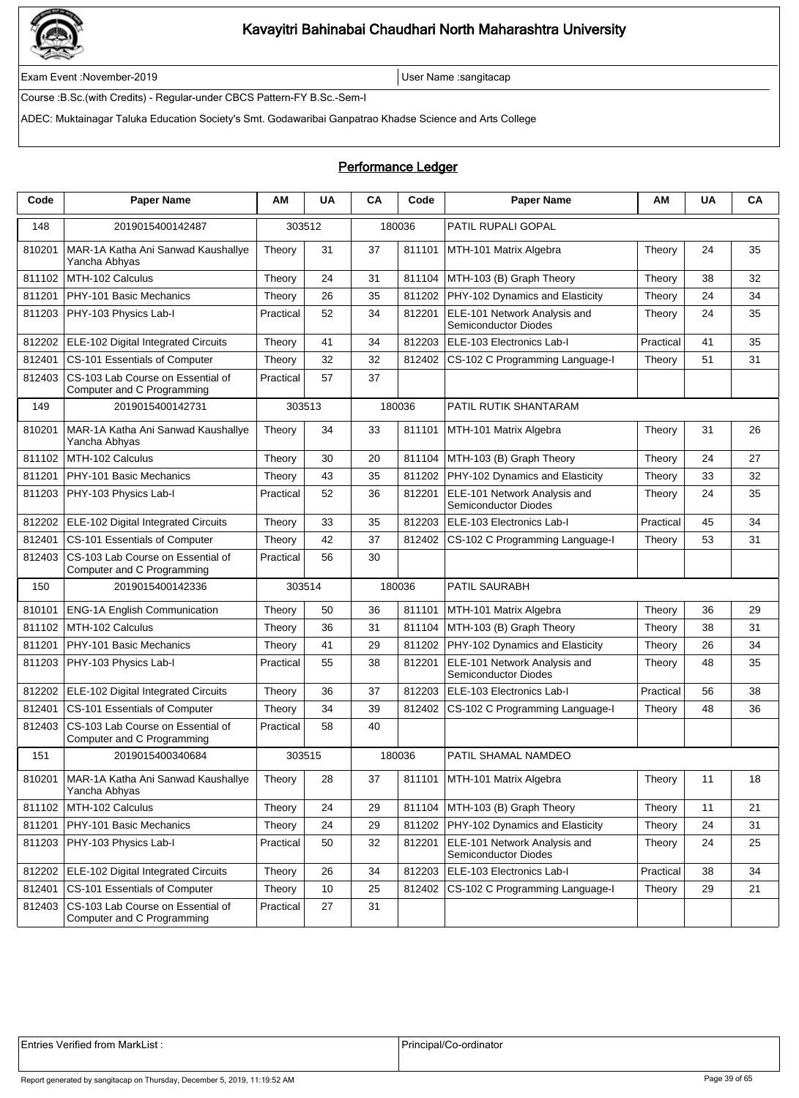

Exam Event :November-2019 User Name :sangitacap

Course :B.Sc.(with Credits) - Regular-under CBCS Pattern-FY B.Sc.-Sem-I

ADEC: Muktainagar Taluka Education Society's Smt. Godawaribai Ganpatrao Khadse Science and Arts College

#### Performance Ledger

| Code   | <b>Paper Name</b>                                               | ΑM        | <b>UA</b> | CA | Code   | <b>Paper Name</b>                                    | ΑМ        | UA | CA |
|--------|-----------------------------------------------------------------|-----------|-----------|----|--------|------------------------------------------------------|-----------|----|----|
| 148    | 2019015400142487                                                | 303512    |           |    | 180036 | PATIL RUPALI GOPAL                                   |           |    |    |
| 810201 | MAR-1A Katha Ani Sanwad Kaushallye<br>Yancha Abhyas             | Theory    | 31        | 37 | 811101 | MTH-101 Matrix Algebra                               | Theory    | 24 | 35 |
| 811102 | MTH-102 Calculus                                                | Theory    | 24        | 31 | 811104 | MTH-103 (B) Graph Theory                             | Theory    | 38 | 32 |
| 811201 | PHY-101 Basic Mechanics                                         | Theory    | 26        | 35 | 811202 | PHY-102 Dynamics and Elasticity                      | Theory    | 24 | 34 |
| 811203 | PHY-103 Physics Lab-I                                           | Practical | 52        | 34 | 812201 | ELE-101 Network Analysis and<br>Semiconductor Diodes | Theory    | 24 | 35 |
| 812202 | <b>ELE-102 Digital Integrated Circuits</b>                      | Theory    | 41        | 34 | 812203 | ELE-103 Electronics Lab-I                            | Practical | 41 | 35 |
| 812401 | CS-101 Essentials of Computer                                   | Theory    | 32        | 32 | 812402 | CS-102 C Programming Language-I                      | Theory    | 51 | 31 |
| 812403 | CS-103 Lab Course on Essential of<br>Computer and C Programming | Practical | 57        | 37 |        |                                                      |           |    |    |
| 149    | 2019015400142731                                                | 303513    |           |    | 180036 | PATIL RUTIK SHANTARAM                                |           |    |    |
| 810201 | MAR-1A Katha Ani Sanwad Kaushallye<br>Yancha Abhyas             | Theory    | 34        | 33 | 811101 | MTH-101 Matrix Algebra                               | Theory    | 31 | 26 |
| 811102 | MTH-102 Calculus                                                | Theory    | 30        | 20 | 811104 | MTH-103 (B) Graph Theory                             | Theory    | 24 | 27 |
| 811201 | PHY-101 Basic Mechanics                                         | Theory    | 43        | 35 | 811202 | PHY-102 Dynamics and Elasticity                      | Theory    | 33 | 32 |
| 811203 | PHY-103 Physics Lab-I                                           | Practical | 52        | 36 | 812201 | ELE-101 Network Analysis and<br>Semiconductor Diodes | Theory    | 24 | 35 |
| 812202 | ELE-102 Digital Integrated Circuits                             | Theory    | 33        | 35 | 812203 | ELE-103 Electronics Lab-I                            | Practical | 45 | 34 |
| 812401 | CS-101 Essentials of Computer                                   | Theory    | 42        | 37 | 812402 | CS-102 C Programming Language-I                      | Theory    | 53 | 31 |
| 812403 | CS-103 Lab Course on Essential of<br>Computer and C Programming | Practical | 56        | 30 |        |                                                      |           |    |    |
| 150    | 2019015400142336                                                | 303514    |           |    | 180036 | PATIL SAURABH                                        |           |    |    |
| 810101 | <b>ENG-1A English Communication</b>                             | Theory    | 50        | 36 | 811101 | MTH-101 Matrix Algebra                               | Theory    | 36 | 29 |
| 811102 | MTH-102 Calculus                                                | Theory    | 36        | 31 | 811104 | MTH-103 (B) Graph Theory                             | Theory    | 38 | 31 |
| 811201 | PHY-101 Basic Mechanics                                         | Theory    | 41        | 29 | 811202 | PHY-102 Dynamics and Elasticity                      | Theory    | 26 | 34 |
| 811203 | PHY-103 Physics Lab-I                                           | Practical | 55        | 38 | 812201 | ELE-101 Network Analysis and<br>Semiconductor Diodes | Theory    | 48 | 35 |
| 812202 | ELE-102 Digital Integrated Circuits                             | Theory    | 36        | 37 | 812203 | ELE-103 Electronics Lab-I                            | Practical | 56 | 38 |
| 812401 | CS-101 Essentials of Computer                                   | Theory    | 34        | 39 | 812402 | CS-102 C Programming Language-I                      | Theory    | 48 | 36 |
| 812403 | CS-103 Lab Course on Essential of<br>Computer and C Programming | Practical | 58        | 40 |        |                                                      |           |    |    |
| 151    | 2019015400340684                                                | 303515    |           |    | 180036 | PATIL SHAMAL NAMDEO                                  |           |    |    |
| 810201 | MAR-1A Katha Ani Sanwad Kaushallye<br>Yancha Abhyas             | Theory    | 28        | 37 |        | 811101 MTH-101 Matrix Algebra                        | Theory    | 11 | 18 |
| 811102 | MTH-102 Calculus                                                | Theory    | 24        | 29 |        | 811104   MTH-103 (B) Graph Theory                    | Theory    | 11 | 21 |
| 811201 | PHY-101 Basic Mechanics                                         | Theory    | 24        | 29 | 811202 | PHY-102 Dynamics and Elasticity                      | Theory    | 24 | 31 |
| 811203 | PHY-103 Physics Lab-I                                           | Practical | 50        | 32 | 812201 | ELE-101 Network Analysis and<br>Semiconductor Diodes | Theory    | 24 | 25 |
| 812202 | ELE-102 Digital Integrated Circuits                             | Theory    | 26        | 34 | 812203 | ELE-103 Electronics Lab-I                            | Practical | 38 | 34 |
| 812401 | CS-101 Essentials of Computer                                   | Theory    | 10        | 25 | 812402 | CS-102 C Programming Language-I                      | Theory    | 29 | 21 |
| 812403 | CS-103 Lab Course on Essential of<br>Computer and C Programming | Practical | 27        | 31 |        |                                                      |           |    |    |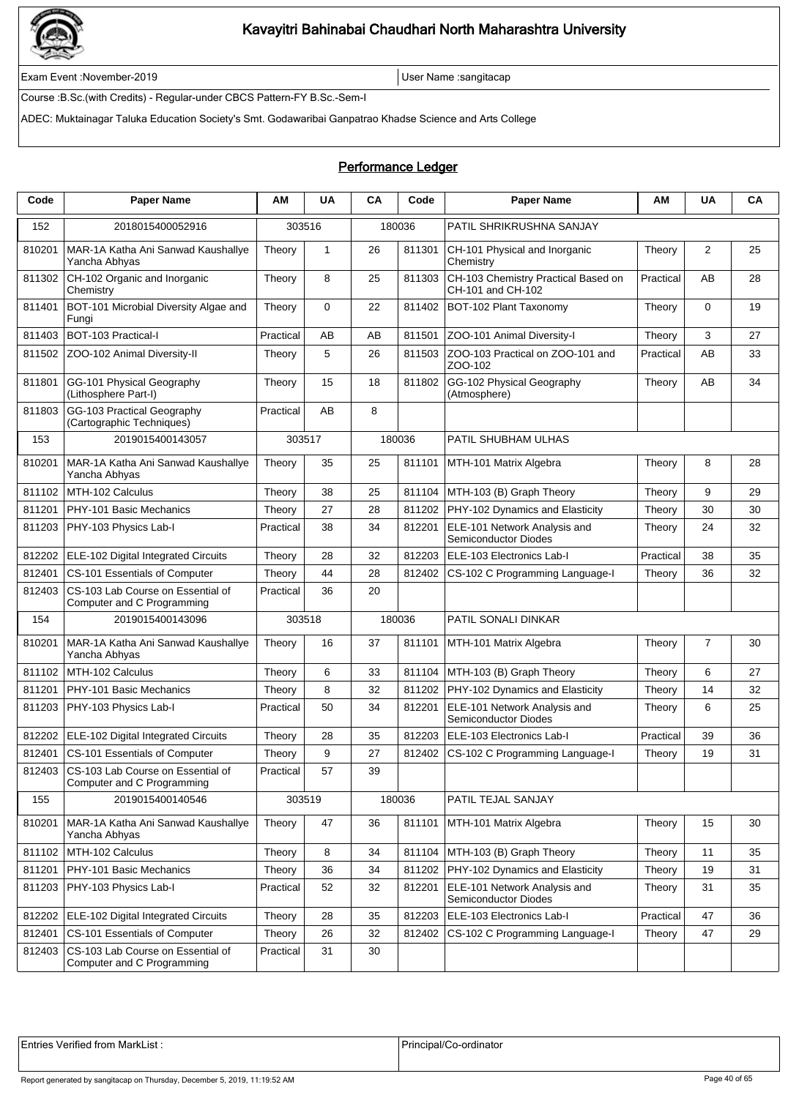

Exam Event :November-2019 User Name :sangitacap

Course :B.Sc.(with Credits) - Regular-under CBCS Pattern-FY B.Sc.-Sem-I

ADEC: Muktainagar Taluka Education Society's Smt. Godawaribai Ganpatrao Khadse Science and Arts College

#### Performance Ledger

| Code   | <b>Paper Name</b>                                               | ΑM        | <b>UA</b>    | CA | Code   | <b>Paper Name</b>                                           | ΑМ        | <b>UA</b>      | CA |
|--------|-----------------------------------------------------------------|-----------|--------------|----|--------|-------------------------------------------------------------|-----------|----------------|----|
| 152    | 2018015400052916                                                | 303516    |              |    | 180036 | PATIL SHRIKRUSHNA SANJAY                                    |           |                |    |
| 810201 | MAR-1A Katha Ani Sanwad Kaushallye<br>Yancha Abhyas             | Theory    | $\mathbf{1}$ | 26 | 811301 | CH-101 Physical and Inorganic<br>Chemistry                  | Theory    | 2              | 25 |
| 811302 | CH-102 Organic and Inorganic<br>Chemistry                       | Theory    | 8            | 25 | 811303 | CH-103 Chemistry Practical Based on<br>CH-101 and CH-102    | Practical | AB             | 28 |
| 811401 | BOT-101 Microbial Diversity Algae and<br>Fungi                  | Theory    | $\mathbf 0$  | 22 | 811402 | BOT-102 Plant Taxonomy                                      | Theory    | 0              | 19 |
| 811403 | BOT-103 Practical-I                                             | Practical | AB           | AB | 811501 | ZOO-101 Animal Diversity-I                                  | Theory    | 3              | 27 |
| 811502 | ZOO-102 Animal Diversity-II                                     | Theory    | 5            | 26 | 811503 | ZOO-103 Practical on ZOO-101 and<br>ZOO-102                 | Practical | AB             | 33 |
| 811801 | GG-101 Physical Geography<br>(Lithosphere Part-I)               | Theory    | 15           | 18 | 811802 | GG-102 Physical Geography<br>(Atmosphere)                   | Theory    | AB             | 34 |
| 811803 | GG-103 Practical Geography<br>(Cartographic Techniques)         | Practical | AB           | 8  |        |                                                             |           |                |    |
| 153    | 2019015400143057                                                | 303517    |              |    | 180036 | PATIL SHUBHAM ULHAS                                         |           |                |    |
| 810201 | MAR-1A Katha Ani Sanwad Kaushallye<br>Yancha Abhyas             | Theory    | 35           | 25 | 811101 | MTH-101 Matrix Algebra                                      | Theory    | 8              | 28 |
| 811102 | MTH-102 Calculus                                                | Theory    | 38           | 25 | 811104 | MTH-103 (B) Graph Theory                                    | Theory    | 9              | 29 |
| 811201 | PHY-101 Basic Mechanics                                         | Theory    | 27           | 28 | 811202 | PHY-102 Dynamics and Elasticity                             | Theory    | 30             | 30 |
| 811203 | PHY-103 Physics Lab-I                                           | Practical | 38           | 34 | 812201 | ELE-101 Network Analysis and<br><b>Semiconductor Diodes</b> | Theory    | 24             | 32 |
| 812202 | ELE-102 Digital Integrated Circuits                             | Theory    | 28           | 32 | 812203 | ELE-103 Electronics Lab-I                                   | Practical | 38             | 35 |
| 812401 | CS-101 Essentials of Computer                                   | Theory    | 44           | 28 | 812402 | CS-102 C Programming Language-I                             | Theory    | 36             | 32 |
| 812403 | CS-103 Lab Course on Essential of<br>Computer and C Programming | Practical | 36           | 20 |        |                                                             |           |                |    |
| 154    | 2019015400143096                                                |           | 303518       |    | 180036 | PATIL SONALI DINKAR                                         |           |                |    |
| 810201 | MAR-1A Katha Ani Sanwad Kaushallye<br>Yancha Abhyas             | Theory    | 16           | 37 | 811101 | MTH-101 Matrix Algebra                                      | Theory    | $\overline{7}$ | 30 |
| 811102 | MTH-102 Calculus                                                | Theory    | 6            | 33 | 811104 | MTH-103 (B) Graph Theory                                    | Theory    | 6              | 27 |
| 811201 | PHY-101 Basic Mechanics                                         | Theory    | 8            | 32 | 811202 | PHY-102 Dynamics and Elasticity                             | Theory    | 14             | 32 |
| 811203 | PHY-103 Physics Lab-I                                           | Practical | 50           | 34 | 812201 | ELE-101 Network Analysis and<br><b>Semiconductor Diodes</b> | Theory    | 6              | 25 |
| 812202 | ELE-102 Digital Integrated Circuits                             | Theory    | 28           | 35 | 812203 | ELE-103 Electronics Lab-I                                   | Practical | 39             | 36 |
| 812401 | CS-101 Essentials of Computer                                   | Theory    | 9            | 27 | 812402 | CS-102 C Programming Language-I                             | Theory    | 19             | 31 |
| 812403 | CS-103 Lab Course on Essential of<br>Computer and C Programming | Practical | 57           | 39 |        |                                                             |           |                |    |
| 155    | 2019015400140546                                                |           | 303519       |    | 180036 | PATIL TEJAL SANJAY                                          |           |                |    |
| 810201 | MAR-1A Katha Ani Sanwad Kaushallye<br>Yancha Abhyas             | Theory    | 47           | 36 | 811101 | MTH-101 Matrix Algebra                                      | Theory    | 15             | 30 |
| 811102 | MTH-102 Calculus                                                | Theory    | 8            | 34 | 811104 | MTH-103 (B) Graph Theory                                    | Theory    | 11             | 35 |
| 811201 | PHY-101 Basic Mechanics                                         | Theory    | 36           | 34 | 811202 | PHY-102 Dynamics and Elasticity                             | Theory    | 19             | 31 |
| 811203 | PHY-103 Physics Lab-I                                           | Practical | 52           | 32 | 812201 | ELE-101 Network Analysis and<br>Semiconductor Diodes        | Theory    | 31             | 35 |
| 812202 | ELE-102 Digital Integrated Circuits                             | Theory    | 28           | 35 | 812203 | ELE-103 Electronics Lab-I                                   | Practical | 47             | 36 |
| 812401 | CS-101 Essentials of Computer                                   | Theory    | 26           | 32 | 812402 | CS-102 C Programming Language-I                             | Theory    | 47             | 29 |
| 812403 | CS-103 Lab Course on Essential of<br>Computer and C Programming | Practical | 31           | 30 |        |                                                             |           |                |    |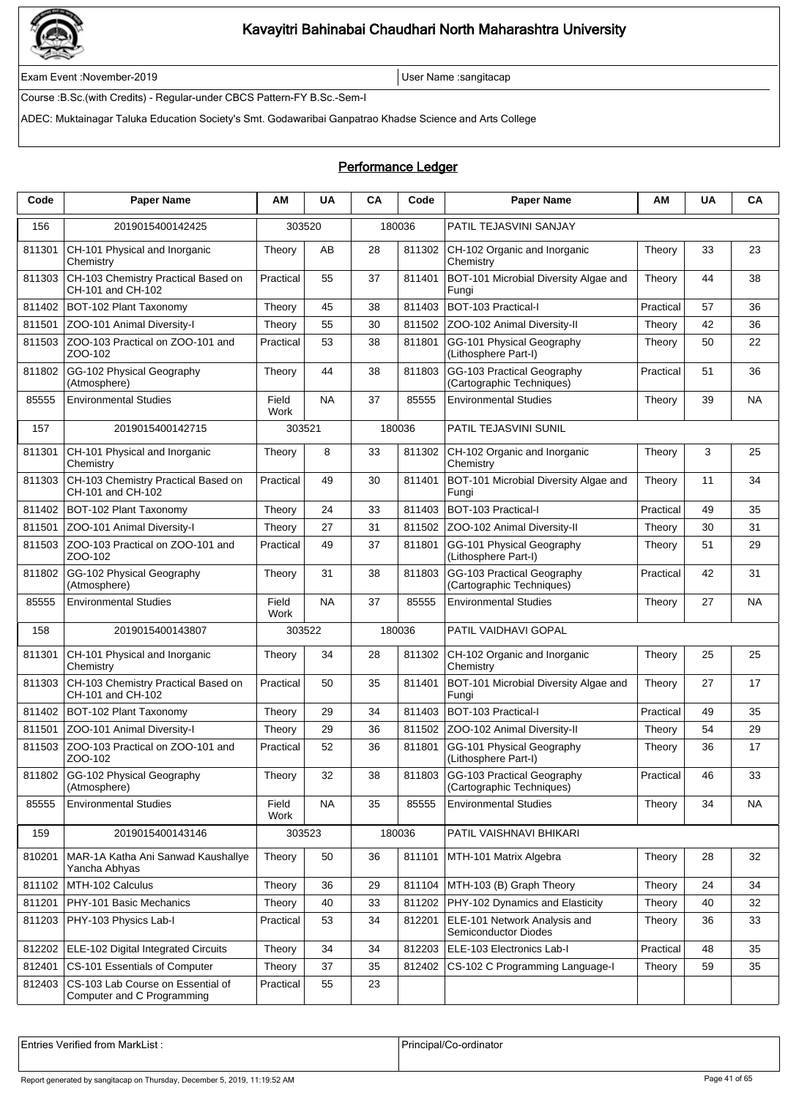

Exam Event :November-2019 User Name :sangitacap

Course :B.Sc.(with Credits) - Regular-under CBCS Pattern-FY B.Sc.-Sem-I

ADEC: Muktainagar Taluka Education Society's Smt. Godawaribai Ganpatrao Khadse Science and Arts College

### Performance Ledger

| Code   | <b>Paper Name</b>                                               | ΑM            | <b>UA</b> | CA | Code   | <b>Paper Name</b>                                       | ΑМ        | <b>UA</b> | CA        |
|--------|-----------------------------------------------------------------|---------------|-----------|----|--------|---------------------------------------------------------|-----------|-----------|-----------|
| 156    | 2019015400142425                                                | 303520        |           |    | 180036 | PATIL TEJASVINI SANJAY                                  |           |           |           |
| 811301 | CH-101 Physical and Inorganic<br>Chemistry                      | Theory        | AВ        | 28 | 811302 | CH-102 Organic and Inorganic<br>Chemistry               | Theory    | 33        | 23        |
| 811303 | CH-103 Chemistry Practical Based on<br>CH-101 and CH-102        | Practical     | 55        | 37 | 811401 | BOT-101 Microbial Diversity Algae and<br>Fungi          | Theory    | 44        | 38        |
| 811402 | BOT-102 Plant Taxonomy                                          | Theory        | 45        | 38 | 811403 | BOT-103 Practical-I                                     | Practical | 57        | 36        |
| 811501 | ZOO-101 Animal Diversity-I                                      | Theory        | 55        | 30 | 811502 | ZOO-102 Animal Diversity-II                             | Theory    | 42        | 36        |
| 811503 | ZOO-103 Practical on ZOO-101 and<br>ZOO-102                     | Practical     | 53        | 38 | 811801 | GG-101 Physical Geography<br>(Lithosphere Part-I)       | Theory    | 50        | 22        |
| 811802 | GG-102 Physical Geography<br>(Atmosphere)                       | Theory        | 44        | 38 | 811803 | GG-103 Practical Geography<br>(Cartographic Techniques) | Practical | 51        | 36        |
| 85555  | <b>Environmental Studies</b>                                    | Field<br>Work | <b>NA</b> | 37 | 85555  | <b>Environmental Studies</b>                            | Theory    | 39        | <b>NA</b> |
| 157    | 2019015400142715                                                | 303521        |           |    | 180036 | <b>PATIL TEJASVINI SUNIL</b>                            |           |           |           |
| 811301 | CH-101 Physical and Inorganic<br>Chemistry                      | Theory        | 8         | 33 | 811302 | CH-102 Organic and Inorganic<br>Chemistry               | Theory    | 3         | 25        |
| 811303 | CH-103 Chemistry Practical Based on<br>CH-101 and CH-102        | Practical     | 49        | 30 | 811401 | BOT-101 Microbial Diversity Algae and<br>Fungi          | Theory    | 11        | 34        |
| 811402 | BOT-102 Plant Taxonomy                                          | Theory        | 24        | 33 | 811403 | BOT-103 Practical-I                                     | Practical | 49        | 35        |
| 811501 | ZOO-101 Animal Diversity-I                                      | Theory        | 27        | 31 | 811502 | ZOO-102 Animal Diversity-II                             | Theory    | 30        | 31        |
| 811503 | ZOO-103 Practical on ZOO-101 and<br>ZOO-102                     | Practical     | 49        | 37 | 811801 | GG-101 Physical Geography<br>(Lithosphere Part-I)       | Theory    | 51        | 29        |
| 811802 | GG-102 Physical Geography<br>(Atmosphere)                       | Theory        | 31        | 38 | 811803 | GG-103 Practical Geography<br>(Cartographic Techniques) | Practical | 42        | 31        |
| 85555  | <b>Environmental Studies</b>                                    | Field<br>Work | <b>NA</b> | 37 | 85555  | <b>Environmental Studies</b>                            | Theory    | 27        | <b>NA</b> |
| 158    | 2019015400143807                                                | 303522        |           |    | 180036 | PATIL VAIDHAVI GOPAL                                    |           |           |           |
| 811301 | CH-101 Physical and Inorganic<br>Chemistry                      | Theory        | 34        | 28 | 811302 | CH-102 Organic and Inorganic<br>Chemistry               | Theory    | 25        | 25        |
| 811303 | CH-103 Chemistry Practical Based on<br>CH-101 and CH-102        | Practical     | 50        | 35 | 811401 | BOT-101 Microbial Diversity Algae and<br>Fungi          | Theory    | 27        | 17        |
| 811402 | BOT-102 Plant Taxonomy                                          | Theory        | 29        | 34 | 811403 | <b>BOT-103 Practical-I</b>                              | Practical | 49        | 35        |
| 811501 | ZOO-101 Animal Diversity-I                                      | Theory        | 29        | 36 | 811502 | ZOO-102 Animal Diversity-II                             | Theory    | 54        | 29        |
| 811503 | ZOO-103 Practical on ZOO-101 and<br>ZOO-102                     | Practical     | 52        | 36 | 811801 | GG-101 Physical Geography<br>(Lithosphere Part-I)       | Theory    | 36        | 17        |
| 811802 | GG-102 Physical Geography<br>(Atmosphere)                       | Theory        | 32        | 38 | 811803 | GG-103 Practical Geography<br>(Cartographic Techniques) | Practical | 46        | 33        |
| 85555  | <b>Environmental Studies</b>                                    | Field<br>Work | <b>NA</b> | 35 | 85555  | <b>Environmental Studies</b>                            | Theory    | 34        | <b>NA</b> |
| 159    | 2019015400143146                                                | 303523        |           |    | 180036 | PATIL VAISHNAVI BHIKARI                                 |           |           |           |
| 810201 | MAR-1A Katha Ani Sanwad Kaushallye<br>Yancha Abhyas             | Theory        | 50        | 36 | 811101 | MTH-101 Matrix Algebra                                  | Theory    | 28        | 32        |
| 811102 | MTH-102 Calculus                                                | Theory        | 36        | 29 | 811104 | MTH-103 (B) Graph Theory                                | Theory    | 24        | 34        |
| 811201 | PHY-101 Basic Mechanics                                         | Theory        | 40        | 33 | 811202 | PHY-102 Dynamics and Elasticity                         | Theory    | 40        | 32        |
| 811203 | PHY-103 Physics Lab-I                                           | Practical     | 53        | 34 | 812201 | ELE-101 Network Analysis and<br>Semiconductor Diodes    | Theory    | 36        | 33        |
| 812202 | ELE-102 Digital Integrated Circuits                             | Theory        | 34        | 34 | 812203 | ELE-103 Electronics Lab-I                               | Practical | 48        | 35        |
| 812401 | CS-101 Essentials of Computer                                   | Theory        | 37        | 35 | 812402 | CS-102 C Programming Language-I                         | Theory    | 59        | 35        |
| 812403 | CS-103 Lab Course on Essential of<br>Computer and C Programming | Practical     | 55        | 23 |        |                                                         |           |           |           |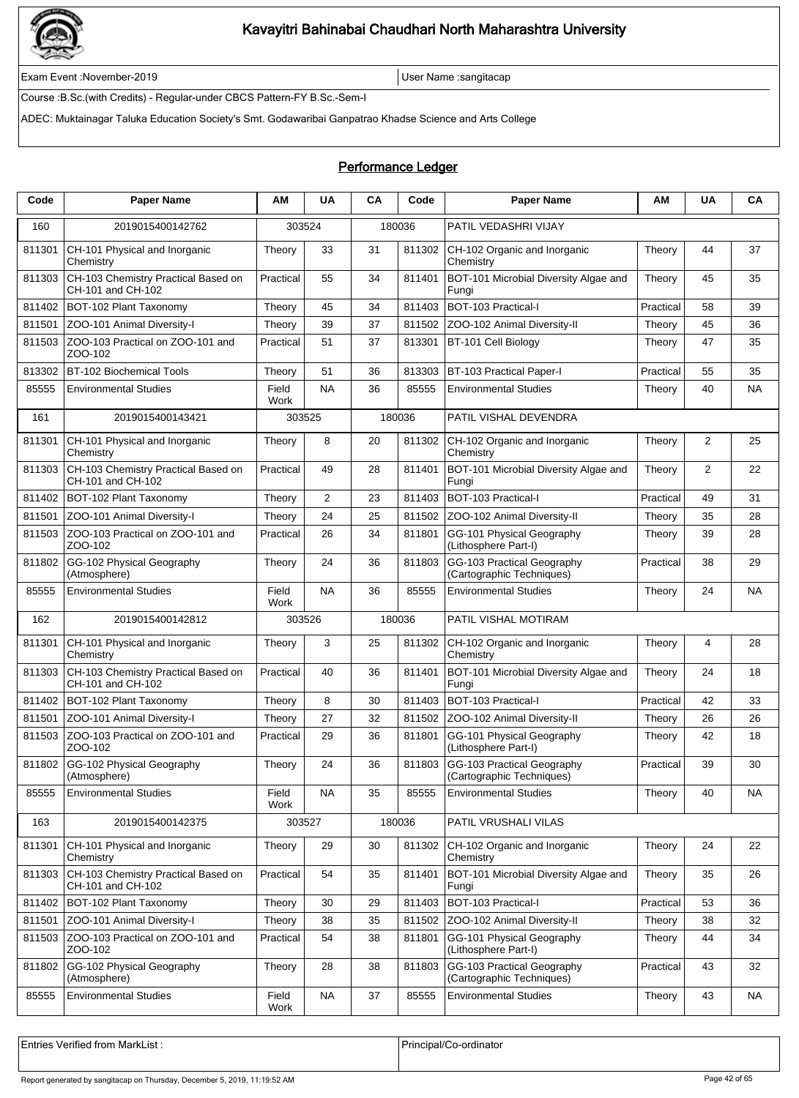

Exam Event :November-2019 User Name :sangitacap

Course :B.Sc.(with Credits) - Regular-under CBCS Pattern-FY B.Sc.-Sem-I

ADEC: Muktainagar Taluka Education Society's Smt. Godawaribai Ganpatrao Khadse Science and Arts College

### Performance Ledger

| Code   | <b>Paper Name</b>                                        | АΜ            | <b>UA</b>      | CA | Code   | <b>Paper Name</b>                                       | ΑМ        | UA | CA        |
|--------|----------------------------------------------------------|---------------|----------------|----|--------|---------------------------------------------------------|-----------|----|-----------|
| 160    | 2019015400142762                                         | 303524        |                |    | 180036 | PATIL VEDASHRI VIJAY                                    |           |    |           |
| 811301 | CH-101 Physical and Inorganic<br>Chemistry               | Theory        | 33             | 31 | 811302 | CH-102 Organic and Inorganic<br>Chemistry               | Theory    | 44 | 37        |
| 811303 | CH-103 Chemistry Practical Based on<br>CH-101 and CH-102 | Practical     | 55             | 34 | 811401 | BOT-101 Microbial Diversity Algae and<br>Fungi          | Theory    | 45 | 35        |
| 811402 | BOT-102 Plant Taxonomy                                   | Theory        | 45             | 34 | 811403 | BOT-103 Practical-I                                     | Practical | 58 | 39        |
| 811501 | ZOO-101 Animal Diversity-I                               | Theory        | 39             | 37 | 811502 | ZOO-102 Animal Diversity-II                             | Theory    | 45 | 36        |
| 811503 | ZOO-103 Practical on ZOO-101 and<br>ZOO-102              | Practical     | 51             | 37 | 813301 | BT-101 Cell Biology                                     | Theory    | 47 | 35        |
| 813302 | <b>BT-102 Biochemical Tools</b>                          | Theory        | 51             | 36 | 813303 | <b>BT-103 Practical Paper-I</b>                         | Practical | 55 | 35        |
| 85555  | <b>Environmental Studies</b>                             | Field<br>Work | <b>NA</b>      | 36 | 85555  | <b>Environmental Studies</b>                            | Theory    | 40 | NA        |
| 161    | 2019015400143421                                         | 303525        |                |    | 180036 | PATIL VISHAL DEVENDRA                                   |           |    |           |
| 811301 | CH-101 Physical and Inorganic<br>Chemistry               | Theory        | 8              | 20 | 811302 | CH-102 Organic and Inorganic<br>Chemistry               | Theory    | 2  | 25        |
| 811303 | CH-103 Chemistry Practical Based on<br>CH-101 and CH-102 | Practical     | 49             | 28 | 811401 | BOT-101 Microbial Diversity Algae and<br>Fungi          | Theory    | 2  | 22        |
| 811402 | BOT-102 Plant Taxonomy                                   | Theory        | $\overline{2}$ | 23 | 811403 | BOT-103 Practical-I                                     | Practical | 49 | 31        |
| 811501 | ZOO-101 Animal Diversity-I                               | Theory        | 24             | 25 | 811502 | ZOO-102 Animal Diversity-II                             | Theory    | 35 | 28        |
| 811503 | ZOO-103 Practical on ZOO-101 and<br>ZOO-102              | Practical     | 26             | 34 | 811801 | GG-101 Physical Geography<br>(Lithosphere Part-I)       | Theory    | 39 | 28        |
| 811802 | GG-102 Physical Geography<br>(Atmosphere)                | Theory        | 24             | 36 | 811803 | GG-103 Practical Geography<br>(Cartographic Techniques) | Practical | 38 | 29        |
| 85555  | <b>Environmental Studies</b>                             | Field<br>Work | <b>NA</b>      | 36 | 85555  | <b>Environmental Studies</b>                            | Theory    | 24 | NA        |
| 162    | 2019015400142812                                         | 303526        |                |    | 180036 | PATIL VISHAL MOTIRAM                                    |           |    |           |
| 811301 | CH-101 Physical and Inorganic<br>Chemistry               | Theory        | 3              | 25 | 811302 | CH-102 Organic and Inorganic<br>Chemistry               | Theory    | 4  | 28        |
| 811303 | CH-103 Chemistry Practical Based on<br>CH-101 and CH-102 | Practical     | 40             | 36 | 811401 | BOT-101 Microbial Diversity Algae and<br>Fungi          | Theory    | 24 | 18        |
| 811402 | BOT-102 Plant Taxonomy                                   | Theory        | 8              | 30 | 811403 | BOT-103 Practical-I                                     | Practical | 42 | 33        |
| 811501 | ZOO-101 Animal Diversity-I                               | Theory        | 27             | 32 | 811502 | ZOO-102 Animal Diversity-II                             | Theory    | 26 | 26        |
| 811503 | ZOO-103 Practical on ZOO-101 and<br>ZOO-102              | Practical     | 29             | 36 | 811801 | GG-101 Physical Geography<br>(Lithosphere Part-I)       | Theory    | 42 | 18        |
| 811802 | GG-102 Physical Geography<br>(Atmosphere)                | Theory        | 24             | 36 | 811803 | GG-103 Practical Geography<br>(Cartographic Techniques) | Practical | 39 | 30        |
| 85555  | <b>Environmental Studies</b>                             | Field<br>Work | <b>NA</b>      | 35 | 85555  | <b>Environmental Studies</b>                            | Theory    | 40 | NA        |
| 163    | 2019015400142375                                         | 303527        |                |    | 180036 | PATIL VRUSHALI VILAS                                    |           |    |           |
| 811301 | CH-101 Physical and Inorganic<br>Chemistry               | Theory        | 29             | 30 | 811302 | CH-102 Organic and Inorganic<br>Chemistry               | Theory    | 24 | 22        |
| 811303 | CH-103 Chemistry Practical Based on<br>CH-101 and CH-102 | Practical     | 54             | 35 | 811401 | BOT-101 Microbial Diversity Algae and<br>Fungi          | Theory    | 35 | 26        |
| 811402 | BOT-102 Plant Taxonomy                                   | Theory        | 30             | 29 | 811403 | BOT-103 Practical-I                                     | Practical | 53 | 36        |
| 811501 | ZOO-101 Animal Diversity-I                               | Theory        | 38             | 35 | 811502 | ZOO-102 Animal Diversity-II                             | Theory    | 38 | 32        |
| 811503 | ZOO-103 Practical on ZOO-101 and<br>ZOO-102              | Practical     | 54             | 38 | 811801 | GG-101 Physical Geography<br>(Lithosphere Part-I)       | Theory    | 44 | 34        |
| 811802 | GG-102 Physical Geography<br>(Atmosphere)                | Theory        | 28             | 38 | 811803 | GG-103 Practical Geography<br>(Cartographic Techniques) | Practical | 43 | 32        |
| 85555  | <b>Environmental Studies</b>                             | Field<br>Work | <b>NA</b>      | 37 | 85555  | <b>Environmental Studies</b>                            | Theory    | 43 | <b>NA</b> |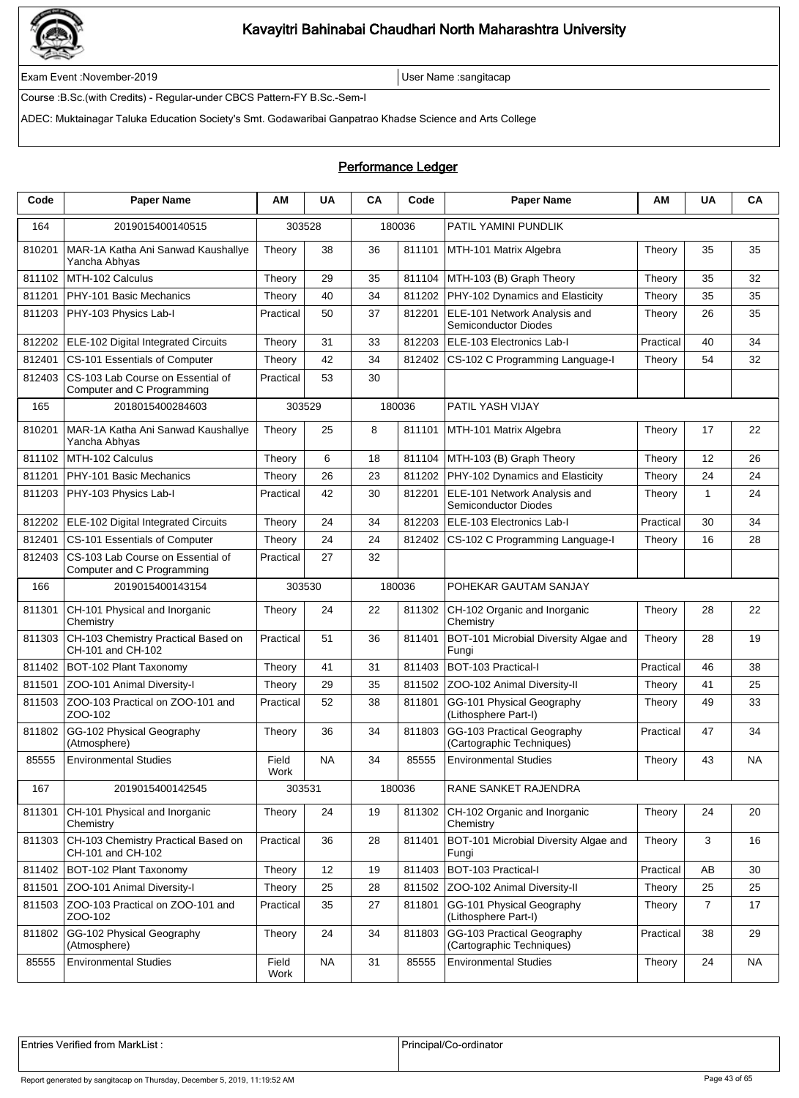

Exam Event :November-2019 User Name :sangitacap

Course :B.Sc.(with Credits) - Regular-under CBCS Pattern-FY B.Sc.-Sem-I

ADEC: Muktainagar Taluka Education Society's Smt. Godawaribai Ganpatrao Khadse Science and Arts College

### Performance Ledger

| Code   | <b>Paper Name</b>                                               | ΑM            | <b>UA</b> | <b>CA</b> | Code   | <b>Paper Name</b>                                           | AM        | UA             | CA        |
|--------|-----------------------------------------------------------------|---------------|-----------|-----------|--------|-------------------------------------------------------------|-----------|----------------|-----------|
| 164    | 2019015400140515                                                | 303528        |           |           | 180036 | PATIL YAMINI PUNDLIK                                        |           |                |           |
| 810201 | MAR-1A Katha Ani Sanwad Kaushallye<br>Yancha Abhyas             | Theory        | 38        | 36        | 811101 | MTH-101 Matrix Algebra                                      | Theory    | 35             | 35        |
| 811102 | MTH-102 Calculus                                                | Theory        | 29        | 35        | 811104 | MTH-103 (B) Graph Theory                                    | Theory    | 35             | 32        |
| 811201 | PHY-101 Basic Mechanics                                         | Theory        | 40        | 34        | 811202 | PHY-102 Dynamics and Elasticity                             | Theory    | 35             | 35        |
| 811203 | PHY-103 Physics Lab-I                                           | Practical     | 50        | 37        | 812201 | ELE-101 Network Analysis and<br><b>Semiconductor Diodes</b> | Theory    | 26             | 35        |
| 812202 | ELE-102 Digital Integrated Circuits                             | Theory        | 31        | 33        | 812203 | ELE-103 Electronics Lab-I                                   | Practical | 40             | 34        |
| 812401 | CS-101 Essentials of Computer                                   | Theory        | 42        | 34        | 812402 | CS-102 C Programming Language-I                             | Theory    | 54             | 32        |
| 812403 | CS-103 Lab Course on Essential of<br>Computer and C Programming | Practical     | 53        | 30        |        |                                                             |           |                |           |
| 165    | 2018015400284603                                                | 303529        |           |           | 180036 | PATIL YASH VIJAY                                            |           |                |           |
| 810201 | MAR-1A Katha Ani Sanwad Kaushallye<br>Yancha Abhyas             | Theory        | 25        | 8         | 811101 | MTH-101 Matrix Algebra                                      | Theory    | 17             | 22        |
| 811102 | MTH-102 Calculus                                                | Theory        | 6         | 18        | 811104 | MTH-103 (B) Graph Theory                                    | Theory    | 12             | 26        |
| 811201 | PHY-101 Basic Mechanics                                         | Theory        | 26        | 23        | 811202 | PHY-102 Dynamics and Elasticity                             | Theory    | 24             | 24        |
| 811203 | PHY-103 Physics Lab-I                                           | Practical     | 42        | 30        | 812201 | ELE-101 Network Analysis and<br>Semiconductor Diodes        | Theory    | 1              | 24        |
| 812202 | ELE-102 Digital Integrated Circuits                             | Theory        | 24        | 34        | 812203 | ELE-103 Electronics Lab-I                                   | Practical | 30             | 34        |
| 812401 | CS-101 Essentials of Computer                                   | Theory        | 24        | 24        | 812402 | CS-102 C Programming Language-I                             | Theory    | 16             | 28        |
| 812403 | CS-103 Lab Course on Essential of<br>Computer and C Programming | Practical     | 27        | 32        |        |                                                             |           |                |           |
| 166    | 2019015400143154                                                | 303530        |           |           | 180036 | POHEKAR GAUTAM SANJAY                                       |           |                |           |
| 811301 | CH-101 Physical and Inorganic<br>Chemistry                      | Theory        | 24        | 22        | 811302 | CH-102 Organic and Inorganic<br>Chemistry                   | Theory    | 28             | 22        |
| 811303 | CH-103 Chemistry Practical Based on<br>CH-101 and CH-102        | Practical     | 51        | 36        | 811401 | BOT-101 Microbial Diversity Algae and<br>Fungi              | Theory    | 28             | 19        |
| 811402 | BOT-102 Plant Taxonomy                                          | Theory        | 41        | 31        | 811403 | BOT-103 Practical-I                                         | Practical | 46             | 38        |
| 811501 | ZOO-101 Animal Diversity-I                                      | Theory        | 29        | 35        | 811502 | ZOO-102 Animal Diversity-II                                 | Theory    | 41             | 25        |
| 811503 | ZOO-103 Practical on ZOO-101 and<br>ZOO-102                     | Practical     | 52        | 38        | 811801 | GG-101 Physical Geography<br>(Lithosphere Part-I)           | Theory    | 49             | 33        |
| 811802 | GG-102 Physical Geography<br>(Atmosphere)                       | Theory        | 36        | 34        | 811803 | GG-103 Practical Geography<br>(Cartographic Techniques)     | Practical | 47             | 34        |
| 85555  | <b>Environmental Studies</b>                                    | Field<br>Work | <b>NA</b> | 34        | 85555  | <b>Environmental Studies</b>                                | Theory    | 43             | <b>NA</b> |
| 167    | 2019015400142545                                                | 303531        |           |           | 180036 | RANE SANKET RAJENDRA                                        |           |                |           |
| 811301 | CH-101 Physical and Inorganic<br>Chemistry                      | Theory        | 24        | 19        | 811302 | CH-102 Organic and Inorganic<br>Chemistry                   | Theory    | 24             | 20        |
| 811303 | CH-103 Chemistry Practical Based on<br>CH-101 and CH-102        | Practical     | 36        | 28        | 811401 | BOT-101 Microbial Diversity Algae and<br>Fungi              | Theory    | 3              | 16        |
| 811402 | BOT-102 Plant Taxonomy                                          | Theory        | 12        | 19        | 811403 | BOT-103 Practical-I                                         | Practical | AB             | 30        |
| 811501 | ZOO-101 Animal Diversity-I                                      | Theory        | 25        | 28        | 811502 | ZOO-102 Animal Diversity-II                                 | Theory    | 25             | 25        |
| 811503 | ZOO-103 Practical on ZOO-101 and<br>ZOO-102                     | Practical     | 35        | 27        | 811801 | GG-101 Physical Geography<br>(Lithosphere Part-I)           | Theory    | $\overline{7}$ | 17        |
| 811802 | GG-102 Physical Geography<br>(Atmosphere)                       | Theory        | 24        | 34        | 811803 | GG-103 Practical Geography<br>(Cartographic Techniques)     | Practical | 38             | 29        |
| 85555  | <b>Environmental Studies</b>                                    | Field<br>Work | <b>NA</b> | 31        | 85555  | <b>Environmental Studies</b>                                | Theory    | 24             | NA        |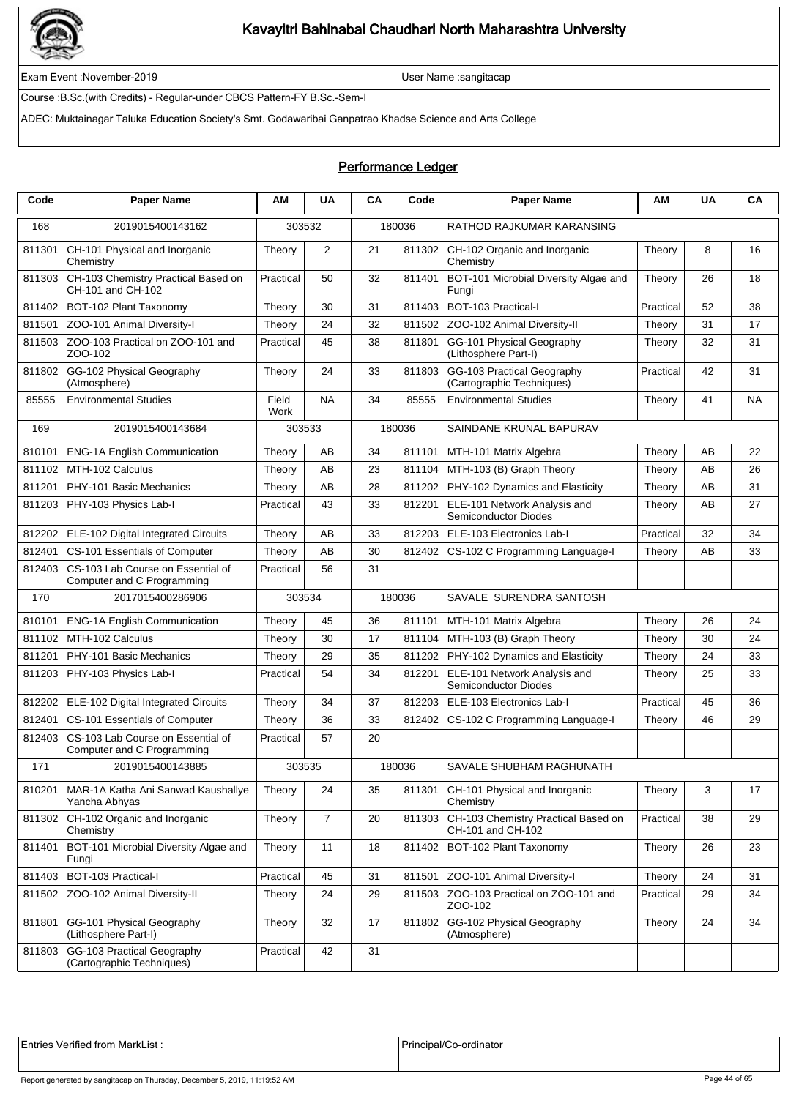

Exam Event :November-2019 User Name :sangitacap

Course :B.Sc.(with Credits) - Regular-under CBCS Pattern-FY B.Sc.-Sem-I

ADEC: Muktainagar Taluka Education Society's Smt. Godawaribai Ganpatrao Khadse Science and Arts College

### Performance Ledger

| Code   | <b>Paper Name</b>                                               | ΑM            | <b>UA</b>      | CA | Code   | <b>Paper Name</b>                                           | АM        | <b>UA</b> | CA |
|--------|-----------------------------------------------------------------|---------------|----------------|----|--------|-------------------------------------------------------------|-----------|-----------|----|
| 168    | 2019015400143162                                                | 303532        |                |    | 180036 | RATHOD RAJKUMAR KARANSING                                   |           |           |    |
| 811301 | CH-101 Physical and Inorganic<br>Chemistry                      | Theory        | 2              | 21 | 811302 | CH-102 Organic and Inorganic<br>Chemistry                   | Theory    | 8         | 16 |
| 811303 | CH-103 Chemistry Practical Based on<br>CH-101 and CH-102        | Practical     | 50             | 32 | 811401 | BOT-101 Microbial Diversity Algae and<br>Fungi              | Theory    | 26        | 18 |
| 811402 | BOT-102 Plant Taxonomy                                          | Theory        | 30             | 31 | 811403 | BOT-103 Practical-I                                         | Practical | 52        | 38 |
| 811501 | ZOO-101 Animal Diversity-I                                      | Theory        | 24             | 32 | 811502 | ZOO-102 Animal Diversity-II                                 | Theory    | 31        | 17 |
| 811503 | ZOO-103 Practical on ZOO-101 and<br>ZOO-102                     | Practical     | 45             | 38 | 811801 | GG-101 Physical Geography<br>(Lithosphere Part-I)           | Theory    | 32        | 31 |
| 811802 | GG-102 Physical Geography<br>(Atmosphere)                       | Theory        | 24             | 33 | 811803 | GG-103 Practical Geography<br>(Cartographic Techniques)     | Practical | 42        | 31 |
| 85555  | <b>Environmental Studies</b>                                    | Field<br>Work | <b>NA</b>      | 34 | 85555  | <b>Environmental Studies</b>                                | Theory    | 41        | NA |
| 169    | 2019015400143684                                                | 303533        |                |    | 180036 | SAINDANE KRUNAL BAPURAV                                     |           |           |    |
| 810101 | <b>ENG-1A English Communication</b>                             | Theory        | AB             | 34 | 811101 | MTH-101 Matrix Algebra                                      | Theory    | AB        | 22 |
| 811102 | MTH-102 Calculus                                                | Theory        | AB             | 23 | 811104 | MTH-103 (B) Graph Theory                                    | Theory    | AB        | 26 |
| 811201 | PHY-101 Basic Mechanics                                         | Theory        | AB             | 28 | 811202 | PHY-102 Dynamics and Elasticity                             | Theory    | AB        | 31 |
| 811203 | PHY-103 Physics Lab-I                                           | Practical     | 43             | 33 | 812201 | ELE-101 Network Analysis and<br><b>Semiconductor Diodes</b> | Theory    | AB        | 27 |
| 812202 | ELE-102 Digital Integrated Circuits                             | Theory        | AB             | 33 | 812203 | ELE-103 Electronics Lab-I                                   | Practical | 32        | 34 |
| 812401 | CS-101 Essentials of Computer                                   | Theory        | AB             | 30 | 812402 | CS-102 C Programming Language-I                             | Theory    | AB        | 33 |
| 812403 | CS-103 Lab Course on Essential of<br>Computer and C Programming | Practical     | 56             | 31 |        |                                                             |           |           |    |
| 170    | 2017015400286906                                                | 303534        |                |    | 180036 | SAVALE SURENDRA SANTOSH                                     |           |           |    |
| 810101 | <b>ENG-1A English Communication</b>                             | Theory        | 45             | 36 | 811101 | MTH-101 Matrix Algebra                                      | Theory    | 26        | 24 |
| 811102 | MTH-102 Calculus                                                | Theory        | 30             | 17 | 811104 | MTH-103 (B) Graph Theory                                    | Theory    | 30        | 24 |
| 811201 | PHY-101 Basic Mechanics                                         | Theory        | 29             | 35 | 811202 | PHY-102 Dynamics and Elasticity                             | Theory    | 24        | 33 |
| 811203 | PHY-103 Physics Lab-I                                           | Practical     | 54             | 34 | 812201 | ELE-101 Network Analysis and<br><b>Semiconductor Diodes</b> | Theory    | 25        | 33 |
| 812202 | ELE-102 Digital Integrated Circuits                             | Theory        | 34             | 37 | 812203 | ELE-103 Electronics Lab-I                                   | Practical | 45        | 36 |
| 812401 | CS-101 Essentials of Computer                                   | Theory        | 36             | 33 | 812402 | CS-102 C Programming Language-I                             | Theory    | 46        | 29 |
| 812403 | CS-103 Lab Course on Essential of<br>Computer and C Programming | Practical     | 57             | 20 |        |                                                             |           |           |    |
| 171    | 2019015400143885                                                | 303535        |                |    | 180036 | SAVALE SHUBHAM RAGHUNATH                                    |           |           |    |
| 810201 | MAR-1A Katha Ani Sanwad Kaushallye<br>Yancha Abhyas             | Theory        | 24             | 35 | 811301 | CH-101 Physical and Inorganic<br>Chemistry                  | Theory    | 3         | 17 |
| 811302 | CH-102 Organic and Inorganic<br>Chemistry                       | Theory        | $\overline{7}$ | 20 | 811303 | CH-103 Chemistry Practical Based on<br>CH-101 and CH-102    | Practical | 38        | 29 |
| 811401 | BOT-101 Microbial Diversity Algae and<br>Fungi                  | Theory        | 11             | 18 |        | 811402   BOT-102 Plant Taxonomy                             | Theory    | 26        | 23 |
| 811403 | BOT-103 Practical-I                                             | Practical     | 45             | 31 |        | 811501 ZOO-101 Animal Diversity-I                           | Theory    | 24        | 31 |
| 811502 | ZOO-102 Animal Diversity-II                                     | Theory        | 24             | 29 |        | 811503 ZOO-103 Practical on ZOO-101 and<br>ZOO-102          | Practical | 29        | 34 |
| 811801 | GG-101 Physical Geography<br>(Lithosphere Part-I)               | Theory        | 32             | 17 | 811802 | GG-102 Physical Geography<br>(Atmosphere)                   | Theory    | 24        | 34 |
| 811803 | GG-103 Practical Geography<br>(Cartographic Techniques)         | Practical     | 42             | 31 |        |                                                             |           |           |    |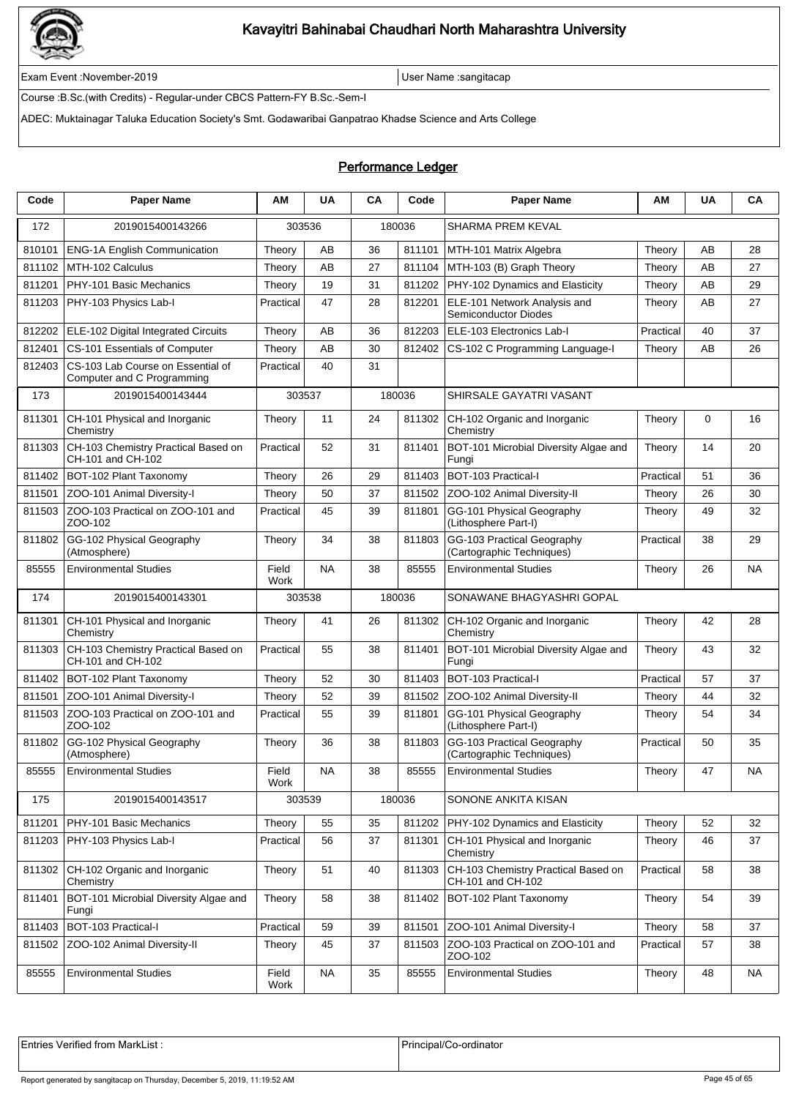

Exam Event :November-2019 User Name :sangitacap

Course :B.Sc.(with Credits) - Regular-under CBCS Pattern-FY B.Sc.-Sem-I

ADEC: Muktainagar Taluka Education Society's Smt. Godawaribai Ganpatrao Khadse Science and Arts College

### Performance Ledger

| Code   | <b>Paper Name</b>                                               | ΑM            | <b>UA</b> | CA | Code   | <b>Paper Name</b>                                        | AM        | <b>UA</b> | CA        |
|--------|-----------------------------------------------------------------|---------------|-----------|----|--------|----------------------------------------------------------|-----------|-----------|-----------|
| 172    | 2019015400143266                                                | 303536        |           |    | 180036 | SHARMA PREM KEVAL                                        |           |           |           |
| 810101 | <b>ENG-1A English Communication</b>                             | Theory        | AB        | 36 | 811101 | MTH-101 Matrix Algebra                                   | Theory    | AB        | 28        |
| 811102 | MTH-102 Calculus                                                | Theory        | AB        | 27 | 811104 | MTH-103 (B) Graph Theory                                 | Theory    | AB        | 27        |
| 811201 | PHY-101 Basic Mechanics                                         | Theory        | 19        | 31 | 811202 | PHY-102 Dynamics and Elasticity                          | Theory    | AB        | 29        |
| 811203 | PHY-103 Physics Lab-I                                           | Practical     | 47        | 28 | 812201 | ELE-101 Network Analysis and<br>Semiconductor Diodes     | Theory    | AB        | 27        |
| 812202 | ELE-102 Digital Integrated Circuits                             | Theory        | AВ        | 36 | 812203 | ELE-103 Electronics Lab-I                                | Practical | 40        | 37        |
| 812401 | CS-101 Essentials of Computer                                   | Theory        | AΒ        | 30 | 812402 | CS-102 C Programming Language-I                          | Theory    | AB        | 26        |
| 812403 | CS-103 Lab Course on Essential of<br>Computer and C Programming | Practical     | 40        | 31 |        |                                                          |           |           |           |
| 173    | 2019015400143444                                                | 303537        |           |    | 180036 | SHIRSALE GAYATRI VASANT                                  |           |           |           |
| 811301 | CH-101 Physical and Inorganic<br>Chemistry                      | Theory        | 11        | 24 | 811302 | CH-102 Organic and Inorganic<br>Chemistry                | Theory    | 0         | 16        |
| 811303 | CH-103 Chemistry Practical Based on<br>CH-101 and CH-102        | Practical     | 52        | 31 | 811401 | BOT-101 Microbial Diversity Algae and<br>Fungi           | Theory    | 14        | 20        |
| 811402 | BOT-102 Plant Taxonomy                                          | Theory        | 26        | 29 | 811403 | BOT-103 Practical-I                                      | Practical | 51        | 36        |
| 811501 | ZOO-101 Animal Diversity-I                                      | Theory        | 50        | 37 | 811502 | ZOO-102 Animal Diversity-II                              | Theory    | 26        | 30        |
| 811503 | ZOO-103 Practical on ZOO-101 and<br>ZOO-102                     | Practical     | 45        | 39 | 811801 | GG-101 Physical Geography<br>(Lithosphere Part-I)        | Theory    | 49        | 32        |
| 811802 | GG-102 Physical Geography<br>(Atmosphere)                       | Theory        | 34        | 38 | 811803 | GG-103 Practical Geography<br>(Cartographic Techniques)  | Practical | 38        | 29        |
| 85555  | <b>Environmental Studies</b>                                    | Field<br>Work | <b>NA</b> | 38 | 85555  | <b>Environmental Studies</b>                             | Theory    | 26        | NA        |
| 174    | 2019015400143301                                                | 303538        |           |    | 180036 | SONAWANE BHAGYASHRI GOPAL                                |           |           |           |
| 811301 | CH-101 Physical and Inorganic<br>Chemistry                      | Theory        | 41        | 26 | 811302 | CH-102 Organic and Inorganic<br>Chemistry                | Theory    | 42        | 28        |
| 811303 | CH-103 Chemistry Practical Based on<br>CH-101 and CH-102        | Practical     | 55        | 38 | 811401 | BOT-101 Microbial Diversity Algae and<br>Fungi           | Theory    | 43        | 32        |
| 811402 | BOT-102 Plant Taxonomy                                          | Theory        | 52        | 30 | 811403 | BOT-103 Practical-I                                      | Practical | 57        | 37        |
| 811501 | ZOO-101 Animal Diversity-I                                      | Theory        | 52        | 39 | 811502 | ZOO-102 Animal Diversity-II                              | Theory    | 44        | 32        |
| 811503 | ZOO-103 Practical on ZOO-101 and<br>ZOO-102                     | Practical     | 55        | 39 | 811801 | GG-101 Physical Geography<br>(Lithosphere Part-I)        | Theory    | 54        | 34        |
| 811802 | GG-102 Physical Geography<br>(Atmosphere)                       | Theory        | 36        | 38 | 811803 | GG-103 Practical Geography<br>(Cartographic Techniques)  | Practical | 50        | 35        |
| 85555  | <b>Environmental Studies</b>                                    | Field<br>Work | <b>NA</b> | 38 | 85555  | <b>Environmental Studies</b>                             | Theory    | 47        | <b>NA</b> |
| 175    | 2019015400143517                                                | 303539        |           |    | 180036 | SONONE ANKITA KISAN                                      |           |           |           |
| 811201 | PHY-101 Basic Mechanics                                         | Theory        | 55        | 35 | 811202 | PHY-102 Dynamics and Elasticity                          | Theory    | 52        | 32        |
| 811203 | PHY-103 Physics Lab-I                                           | Practical     | 56        | 37 | 811301 | CH-101 Physical and Inorganic<br>Chemistry               | Theory    | 46        | 37        |
| 811302 | CH-102 Organic and Inorganic<br>Chemistry                       | Theory        | 51        | 40 | 811303 | CH-103 Chemistry Practical Based on<br>CH-101 and CH-102 | Practical | 58        | 38        |
| 811401 | BOT-101 Microbial Diversity Algae and<br>Fungi                  | Theory        | 58        | 38 | 811402 | BOT-102 Plant Taxonomy                                   | Theory    | 54        | 39        |
| 811403 | BOT-103 Practical-I                                             | Practical     | 59        | 39 | 811501 | ZOO-101 Animal Diversity-I                               | Theory    | 58        | 37        |
| 811502 | ZOO-102 Animal Diversity-II                                     | Theory        | 45        | 37 | 811503 | ZOO-103 Practical on ZOO-101 and<br>ZOO-102              | Practical | 57        | 38        |
| 85555  | <b>Environmental Studies</b>                                    | Field<br>Work | <b>NA</b> | 35 | 85555  | <b>Environmental Studies</b>                             | Theory    | 48        | <b>NA</b> |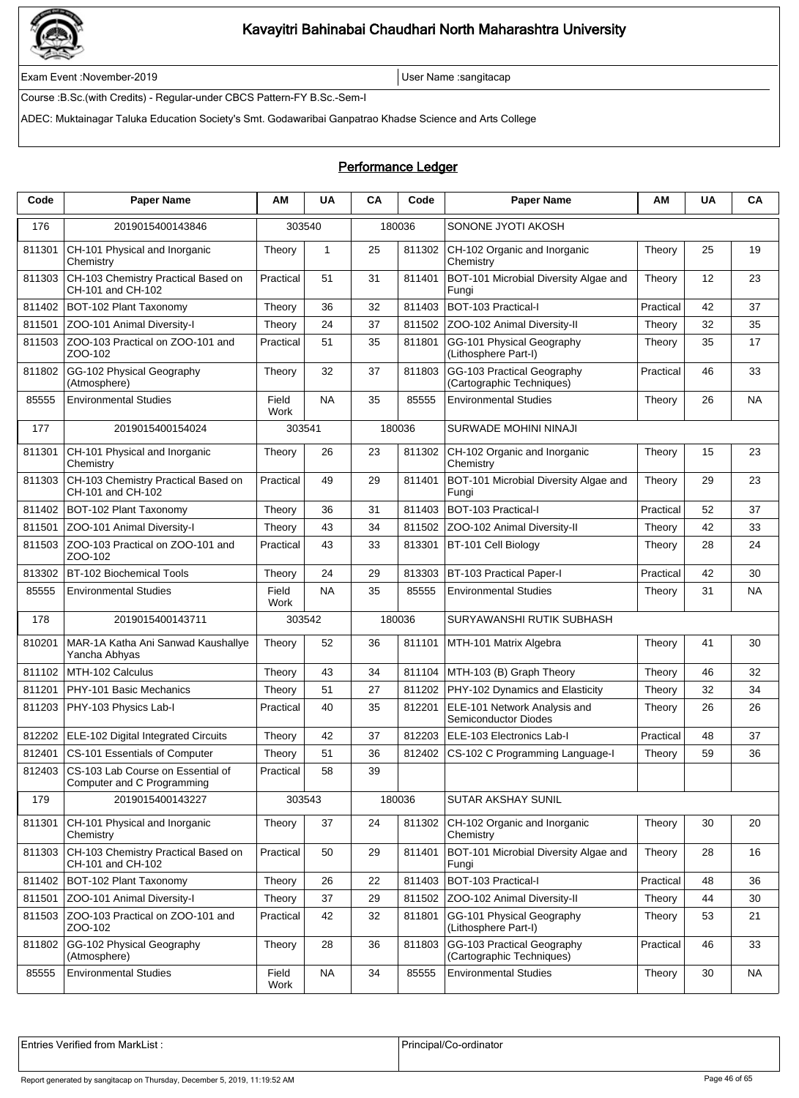

Exam Event :November-2019 User Name :sangitacap

Course :B.Sc.(with Credits) - Regular-under CBCS Pattern-FY B.Sc.-Sem-I

ADEC: Muktainagar Taluka Education Society's Smt. Godawaribai Ganpatrao Khadse Science and Arts College

### Performance Ledger

| Code   | <b>Paper Name</b>                                               | ΑM            | <b>UA</b>    | CA | Code   | <b>Paper Name</b>                                       | ΑМ        | <b>UA</b> | CA        |
|--------|-----------------------------------------------------------------|---------------|--------------|----|--------|---------------------------------------------------------|-----------|-----------|-----------|
| 176    | 2019015400143846                                                | 303540        |              |    | 180036 | SONONE JYOTI AKOSH                                      |           |           |           |
| 811301 | CH-101 Physical and Inorganic<br>Chemistry                      | Theory        | $\mathbf{1}$ | 25 | 811302 | CH-102 Organic and Inorganic<br>Chemistry               | Theory    | 25        | 19        |
| 811303 | CH-103 Chemistry Practical Based on<br>CH-101 and CH-102        | Practical     | 51           | 31 | 811401 | BOT-101 Microbial Diversity Algae and<br>Fungi          | Theory    | 12        | 23        |
| 811402 | BOT-102 Plant Taxonomy                                          | Theory        | 36           | 32 | 811403 | BOT-103 Practical-I                                     | Practical | 42        | 37        |
| 811501 | ZOO-101 Animal Diversity-I                                      | Theory        | 24           | 37 | 811502 | ZOO-102 Animal Diversity-II                             | Theory    | 32        | 35        |
| 811503 | ZOO-103 Practical on ZOO-101 and<br>ZOO-102                     | Practical     | 51           | 35 | 811801 | GG-101 Physical Geography<br>(Lithosphere Part-I)       | Theory    | 35        | 17        |
| 811802 | GG-102 Physical Geography<br>(Atmosphere)                       | Theory        | 32           | 37 | 811803 | GG-103 Practical Geography<br>(Cartographic Techniques) | Practical | 46        | 33        |
| 85555  | <b>Environmental Studies</b>                                    | Field<br>Work | <b>NA</b>    | 35 | 85555  | <b>Environmental Studies</b>                            | Theory    | 26        | <b>NA</b> |
| 177    | 2019015400154024                                                | 303541        |              |    | 180036 | <b>SURWADE MOHINI NINAJI</b>                            |           |           |           |
| 811301 | CH-101 Physical and Inorganic<br>Chemistry                      | Theory        | 26           | 23 | 811302 | CH-102 Organic and Inorganic<br>Chemistry               | Theory    | 15        | 23        |
| 811303 | CH-103 Chemistry Practical Based on<br>CH-101 and CH-102        | Practical     | 49           | 29 | 811401 | BOT-101 Microbial Diversity Algae and<br>Fungi          | Theory    | 29        | 23        |
| 811402 | BOT-102 Plant Taxonomy                                          | Theory        | 36           | 31 | 811403 | BOT-103 Practical-I                                     | Practical | 52        | 37        |
| 811501 | ZOO-101 Animal Diversity-I                                      | Theory        | 43           | 34 | 811502 | ZOO-102 Animal Diversity-II                             | Theory    | 42        | 33        |
| 811503 | ZOO-103 Practical on ZOO-101 and<br>ZOO-102                     | Practical     | 43           | 33 | 813301 | BT-101 Cell Biology                                     | Theory    | 28        | 24        |
| 813302 | <b>BT-102 Biochemical Tools</b>                                 | Theory        | 24           | 29 | 813303 | <b>BT-103 Practical Paper-I</b>                         | Practical | 42        | 30        |
| 85555  | <b>Environmental Studies</b>                                    | Field<br>Work | <b>NA</b>    | 35 | 85555  | <b>Environmental Studies</b>                            | Theory    | 31        | NA        |
| 178    | 2019015400143711                                                | 303542        |              |    | 180036 | SURYAWANSHI RUTIK SUBHASH                               |           |           |           |
| 810201 | MAR-1A Katha Ani Sanwad Kaushallye<br>Yancha Abhyas             | Theory        | 52           | 36 | 811101 | MTH-101 Matrix Algebra                                  | Theory    | 41        | 30        |
| 811102 | MTH-102 Calculus                                                | Theory        | 43           | 34 | 811104 | MTH-103 (B) Graph Theory                                | Theory    | 46        | 32        |
| 811201 | PHY-101 Basic Mechanics                                         | Theory        | 51           | 27 | 811202 | PHY-102 Dynamics and Elasticity                         | Theory    | 32        | 34        |
| 811203 | PHY-103 Physics Lab-I                                           | Practical     | 40           | 35 | 812201 | ELE-101 Network Analysis and<br>Semiconductor Diodes    | Theory    | 26        | 26        |
| 812202 | ELE-102 Digital Integrated Circuits                             | Theory        | 42           | 37 | 812203 | ELE-103 Electronics Lab-I                               | Practical | 48        | 37        |
| 812401 | CS-101 Essentials of Computer                                   | Theory        | 51           | 36 | 812402 | CS-102 C Programming Language-I                         | Theory    | 59        | 36        |
| 812403 | CS-103 Lab Course on Essential of<br>Computer and C Programming | Practical     | 58           | 39 |        |                                                         |           |           |           |
| 179    | 2019015400143227                                                | 303543        |              |    | 180036 | SUTAR AKSHAY SUNIL                                      |           |           |           |
| 811301 | CH-101 Physical and Inorganic<br>Chemistry                      | Theory        | 37           | 24 | 811302 | CH-102 Organic and Inorganic<br>Chemistry               | Theory    | 30        | 20        |
| 811303 | CH-103 Chemistry Practical Based on<br>CH-101 and CH-102        | Practical     | 50           | 29 | 811401 | BOT-101 Microbial Diversity Algae and<br>Fungi          | Theory    | 28        | 16        |
| 811402 | BOT-102 Plant Taxonomy                                          | Theory        | 26           | 22 | 811403 | BOT-103 Practical-I                                     | Practical | 48        | 36        |
| 811501 | ZOO-101 Animal Diversity-I                                      | Theory        | 37           | 29 | 811502 | ZOO-102 Animal Diversity-II                             | Theory    | 44        | 30        |
| 811503 | ZOO-103 Practical on ZOO-101 and<br>ZOO-102                     | Practical     | 42           | 32 | 811801 | GG-101 Physical Geography<br>(Lithosphere Part-I)       | Theory    | 53        | 21        |
| 811802 | GG-102 Physical Geography<br>(Atmosphere)                       | Theory        | 28           | 36 | 811803 | GG-103 Practical Geography<br>(Cartographic Techniques) | Practical | 46        | 33        |
| 85555  | <b>Environmental Studies</b>                                    | Field<br>Work | <b>NA</b>    | 34 | 85555  | <b>Environmental Studies</b>                            | Theory    | 30        | NA        |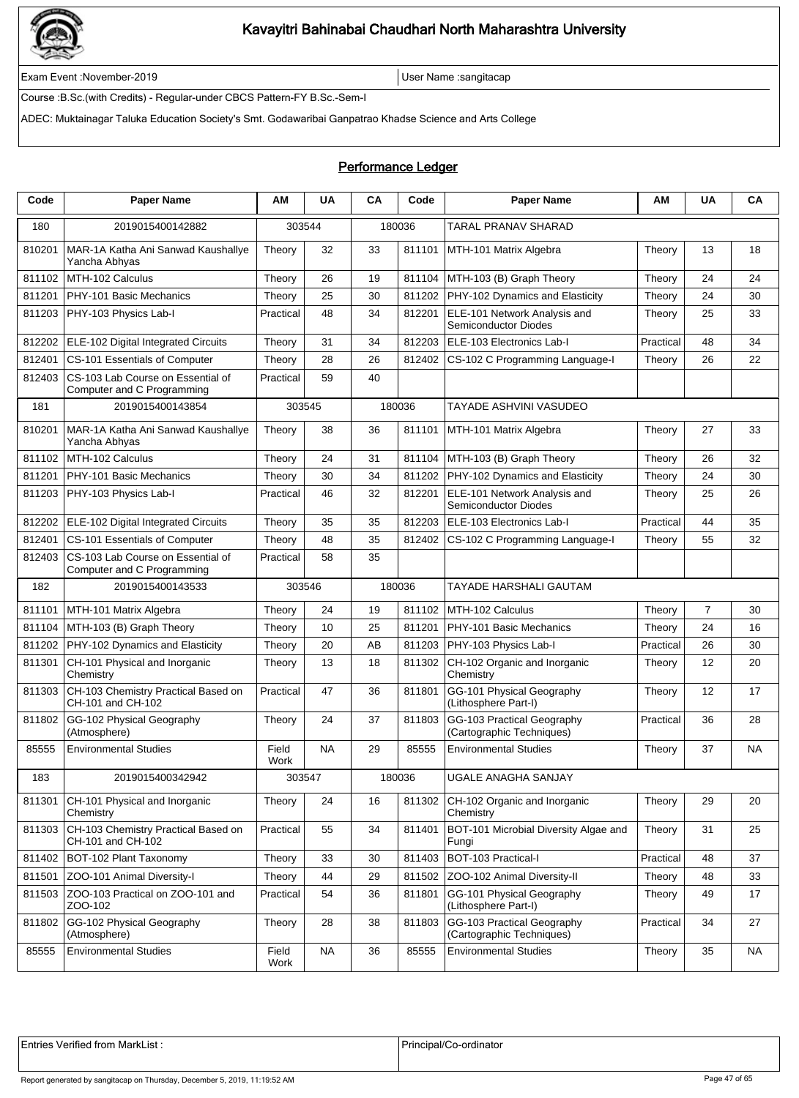

Exam Event :November-2019 User Name :sangitacap

Course :B.Sc.(with Credits) - Regular-under CBCS Pattern-FY B.Sc.-Sem-I

ADEC: Muktainagar Taluka Education Society's Smt. Godawaribai Ganpatrao Khadse Science and Arts College

#### Performance Ledger

| Code   | <b>Paper Name</b>                                               | ΑM            | <b>UA</b> | CA | Code   | <b>Paper Name</b>                                           | ΑМ        | <b>UA</b>      | CA |
|--------|-----------------------------------------------------------------|---------------|-----------|----|--------|-------------------------------------------------------------|-----------|----------------|----|
| 180    | 2019015400142882                                                | 303544        |           |    | 180036 | TARAL PRANAV SHARAD                                         |           |                |    |
| 810201 | MAR-1A Katha Ani Sanwad Kaushallye<br>Yancha Abhyas             | Theory        | 32        | 33 | 811101 | MTH-101 Matrix Algebra                                      | Theory    | 13             | 18 |
| 811102 | MTH-102 Calculus                                                | Theory        | 26        | 19 | 811104 | MTH-103 (B) Graph Theory                                    | Theory    | 24             | 24 |
| 811201 | PHY-101 Basic Mechanics                                         | Theory        | 25        | 30 | 811202 | PHY-102 Dynamics and Elasticity                             | Theory    | 24             | 30 |
| 811203 | PHY-103 Physics Lab-I                                           | Practical     | 48        | 34 | 812201 | ELE-101 Network Analysis and<br><b>Semiconductor Diodes</b> | Theory    | 25             | 33 |
| 812202 | ELE-102 Digital Integrated Circuits                             | Theory        | 31        | 34 | 812203 | ELE-103 Electronics Lab-I                                   | Practical | 48             | 34 |
| 812401 | CS-101 Essentials of Computer                                   | Theory        | 28        | 26 | 812402 | CS-102 C Programming Language-I                             | Theory    | 26             | 22 |
| 812403 | CS-103 Lab Course on Essential of<br>Computer and C Programming | Practical     | 59        | 40 |        |                                                             |           |                |    |
| 181    | 2019015400143854                                                | 303545        |           |    | 180036 | TAYADE ASHVINI VASUDEO                                      |           |                |    |
| 810201 | MAR-1A Katha Ani Sanwad Kaushallye<br>Yancha Abhyas             | Theory        | 38        | 36 | 811101 | MTH-101 Matrix Algebra                                      | Theory    | 27             | 33 |
| 811102 | MTH-102 Calculus                                                | Theory        | 24        | 31 | 811104 | MTH-103 (B) Graph Theory                                    | Theory    | 26             | 32 |
| 811201 | PHY-101 Basic Mechanics                                         | Theory        | 30        | 34 | 811202 | PHY-102 Dynamics and Elasticity                             | Theory    | 24             | 30 |
| 811203 | PHY-103 Physics Lab-I                                           | Practical     | 46        | 32 | 812201 | ELE-101 Network Analysis and<br>Semiconductor Diodes        | Theory    | 25             | 26 |
| 812202 | ELE-102 Digital Integrated Circuits                             | Theory        | 35        | 35 | 812203 | ELE-103 Electronics Lab-I                                   | Practical | 44             | 35 |
| 812401 | CS-101 Essentials of Computer                                   | Theory        | 48        | 35 | 812402 | CS-102 C Programming Language-I                             | Theory    | 55             | 32 |
| 812403 | CS-103 Lab Course on Essential of<br>Computer and C Programming | Practical     | 58        | 35 |        |                                                             |           |                |    |
| 182    | 2019015400143533                                                | 303546        |           |    | 180036 | TAYADE HARSHALI GAUTAM                                      |           |                |    |
| 811101 | MTH-101 Matrix Algebra                                          | Theory        | 24        | 19 | 811102 | MTH-102 Calculus                                            | Theory    | $\overline{7}$ | 30 |
| 811104 | MTH-103 (B) Graph Theory                                        | Theory        | 10        | 25 | 811201 | PHY-101 Basic Mechanics                                     | Theory    | 24             | 16 |
| 811202 | PHY-102 Dynamics and Elasticity                                 | Theory        | 20        | AB | 811203 | PHY-103 Physics Lab-I                                       | Practical | 26             | 30 |
| 811301 | CH-101 Physical and Inorganic<br>Chemistry                      | Theory        | 13        | 18 | 811302 | CH-102 Organic and Inorganic<br>Chemistry                   | Theory    | 12             | 20 |
| 811303 | CH-103 Chemistry Practical Based on<br>CH-101 and CH-102        | Practical     | 47        | 36 | 811801 | GG-101 Physical Geography<br>(Lithosphere Part-I)           | Theory    | 12             | 17 |
| 811802 | GG-102 Physical Geography<br>(Atmosphere)                       | Theory        | 24        | 37 | 811803 | GG-103 Practical Geography<br>(Cartographic Techniques)     | Practical | 36             | 28 |
| 85555  | <b>Environmental Studies</b>                                    | Field<br>Work | NA        | 29 | 85555  | <b>Environmental Studies</b>                                | Theory    | 37             | NA |
| 183    | 2019015400342942                                                |               | 303547    |    | 180036 | UGALE ANAGHA SANJAY                                         |           |                |    |
| 811301 | CH-101 Physical and Inorganic<br>Chemistry                      | Theory        | 24        | 16 | 811302 | CH-102 Organic and Inorganic<br>Chemistry                   | Theory    | 29             | 20 |
| 811303 | CH-103 Chemistry Practical Based on<br>CH-101 and CH-102        | Practical     | 55        | 34 | 811401 | BOT-101 Microbial Diversity Algae and<br>Fungi              | Theory    | 31             | 25 |
| 811402 | BOT-102 Plant Taxonomy                                          | Theory        | 33        | 30 | 811403 | BOT-103 Practical-I                                         | Practical | 48             | 37 |
| 811501 | ZOO-101 Animal Diversity-I                                      | Theory        | 44        | 29 | 811502 | ZOO-102 Animal Diversity-II                                 | Theory    | 48             | 33 |
| 811503 | ZOO-103 Practical on ZOO-101 and<br>ZOO-102                     | Practical     | 54        | 36 | 811801 | GG-101 Physical Geography<br>(Lithosphere Part-I)           | Theory    | 49             | 17 |
| 811802 | GG-102 Physical Geography<br>(Atmosphere)                       | Theory        | 28        | 38 | 811803 | GG-103 Practical Geography<br>(Cartographic Techniques)     | Practical | 34             | 27 |
| 85555  | <b>Environmental Studies</b>                                    | Field<br>Work | <b>NA</b> | 36 | 85555  | <b>Environmental Studies</b>                                | Theory    | 35             | NA |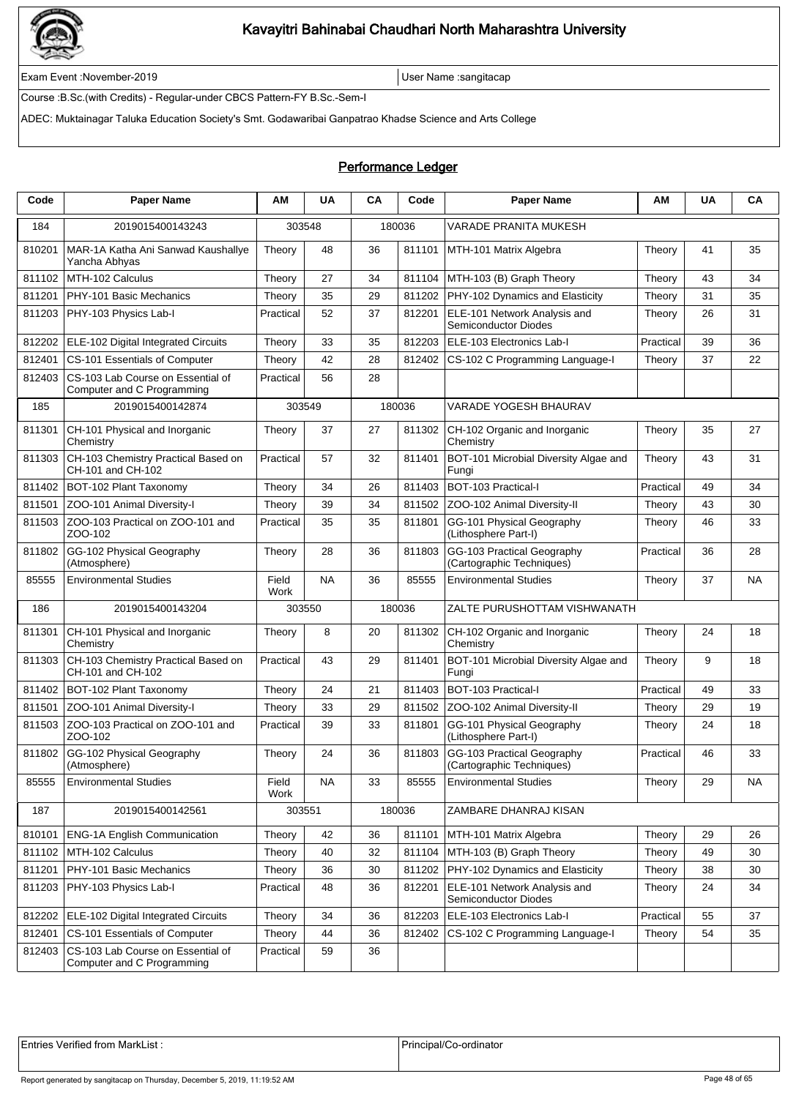

Exam Event :November-2019 User Name :sangitacap

Course :B.Sc.(with Credits) - Regular-under CBCS Pattern-FY B.Sc.-Sem-I

ADEC: Muktainagar Taluka Education Society's Smt. Godawaribai Ganpatrao Khadse Science and Arts College

### Performance Ledger

| Code   | <b>Paper Name</b>                                               | ΑM            | <b>UA</b> | CA | Code   | <b>Paper Name</b>                                           | ΑМ        | <b>UA</b> | CA        |
|--------|-----------------------------------------------------------------|---------------|-----------|----|--------|-------------------------------------------------------------|-----------|-----------|-----------|
| 184    | 2019015400143243                                                | 303548        |           |    | 180036 | VARADE PRANITA MUKESH                                       |           |           |           |
| 810201 | MAR-1A Katha Ani Sanwad Kaushallye<br>Yancha Abhyas             | Theory        | 48        | 36 | 811101 | MTH-101 Matrix Algebra                                      | Theory    | 41        | 35        |
| 811102 | MTH-102 Calculus                                                | Theory        | 27        | 34 | 811104 | MTH-103 (B) Graph Theory                                    | Theory    | 43        | 34        |
| 811201 | PHY-101 Basic Mechanics                                         | Theory        | 35        | 29 | 811202 | PHY-102 Dynamics and Elasticity                             | Theory    | 31        | 35        |
| 811203 | PHY-103 Physics Lab-I                                           | Practical     | 52        | 37 | 812201 | ELE-101 Network Analysis and<br><b>Semiconductor Diodes</b> | Theory    | 26        | 31        |
| 812202 | ELE-102 Digital Integrated Circuits                             | Theory        | 33        | 35 | 812203 | ELE-103 Electronics Lab-I                                   | Practical | 39        | 36        |
| 812401 | CS-101 Essentials of Computer                                   | Theory        | 42        | 28 | 812402 | CS-102 C Programming Language-I                             | Theory    | 37        | 22        |
| 812403 | CS-103 Lab Course on Essential of<br>Computer and C Programming | Practical     | 56        | 28 |        |                                                             |           |           |           |
| 185    | 2019015400142874                                                | 303549        |           |    | 180036 | <b>VARADE YOGESH BHAURAV</b>                                |           |           |           |
| 811301 | CH-101 Physical and Inorganic<br>Chemistry                      | Theory        | 37        | 27 | 811302 | CH-102 Organic and Inorganic<br>Chemistry                   | Theory    | 35        | 27        |
| 811303 | CH-103 Chemistry Practical Based on<br>CH-101 and CH-102        | Practical     | 57        | 32 | 811401 | BOT-101 Microbial Diversity Algae and<br>Fungi              | Theory    | 43        | 31        |
| 811402 | BOT-102 Plant Taxonomy                                          | Theory        | 34        | 26 | 811403 | BOT-103 Practical-I                                         | Practical | 49        | 34        |
| 811501 | ZOO-101 Animal Diversity-I                                      | Theory        | 39        | 34 | 811502 | ZOO-102 Animal Diversity-II                                 | Theory    | 43        | 30        |
| 811503 | ZOO-103 Practical on ZOO-101 and<br>ZOO-102                     | Practical     | 35        | 35 | 811801 | GG-101 Physical Geography<br>(Lithosphere Part-I)           | Theory    | 46        | 33        |
| 811802 | GG-102 Physical Geography<br>(Atmosphere)                       | Theory        | 28        | 36 | 811803 | GG-103 Practical Geography<br>(Cartographic Techniques)     | Practical | 36        | 28        |
| 85555  | <b>Environmental Studies</b>                                    | Field<br>Work | <b>NA</b> | 36 | 85555  | <b>Environmental Studies</b>                                | Theory    | 37        | NA        |
| 186    | 2019015400143204                                                | 303550        |           |    | 180036 | ZALTE PURUSHOTTAM VISHWANATH                                |           |           |           |
| 811301 | CH-101 Physical and Inorganic<br>Chemistry                      | Theory        | 8         | 20 | 811302 | CH-102 Organic and Inorganic<br>Chemistry                   | Theory    | 24        | 18        |
| 811303 | CH-103 Chemistry Practical Based on<br>CH-101 and CH-102        | Practical     | 43        | 29 | 811401 | BOT-101 Microbial Diversity Algae and<br>Fungi              | Theory    | 9         | 18        |
| 811402 | BOT-102 Plant Taxonomy                                          | Theory        | 24        | 21 | 811403 | <b>BOT-103 Practical-I</b>                                  | Practical | 49        | 33        |
| 811501 | ZOO-101 Animal Diversity-I                                      | Theory        | 33        | 29 |        | 811502 ZOO-102 Animal Diversity-II                          | Theory    | 29        | 19        |
| 811503 | ZOO-103 Practical on ZOO-101 and<br>ZOO-102                     | Practical     | 39        | 33 | 811801 | GG-101 Physical Geography<br>(Lithosphere Part-I)           | Theory    | 24        | 18        |
| 811802 | GG-102 Physical Geography<br>(Atmosphere)                       | Theory        | 24        | 36 | 811803 | GG-103 Practical Geography<br>(Cartographic Techniques)     | Practical | 46        | 33        |
| 85555  | <b>Environmental Studies</b>                                    | Field<br>Work | <b>NA</b> | 33 | 85555  | Environmental Studies                                       | Theory    | 29        | <b>NA</b> |
| 187    | 2019015400142561                                                | 303551        |           |    | 180036 | ZAMBARE DHANRAJ KISAN                                       |           |           |           |
| 810101 | <b>ENG-1A English Communication</b>                             | Theory        | 42        | 36 | 811101 | MTH-101 Matrix Algebra                                      | Theory    | 29        | 26        |
| 811102 | MTH-102 Calculus                                                | Theory        | 40        | 32 | 811104 | MTH-103 (B) Graph Theory                                    | Theory    | 49        | 30        |
| 811201 | PHY-101 Basic Mechanics                                         | Theory        | 36        | 30 | 811202 | PHY-102 Dynamics and Elasticity                             | Theory    | 38        | 30        |
| 811203 | PHY-103 Physics Lab-I                                           | Practical     | 48        | 36 | 812201 | ELE-101 Network Analysis and<br>Semiconductor Diodes        | Theory    | 24        | 34        |
| 812202 | ELE-102 Digital Integrated Circuits                             | Theory        | 34        | 36 | 812203 | ELE-103 Electronics Lab-I                                   | Practical | 55        | 37        |
| 812401 | CS-101 Essentials of Computer                                   | Theory        | 44        | 36 | 812402 | CS-102 C Programming Language-I                             | Theory    | 54        | 35        |
| 812403 | CS-103 Lab Course on Essential of<br>Computer and C Programming | Practical     | 59        | 36 |        |                                                             |           |           |           |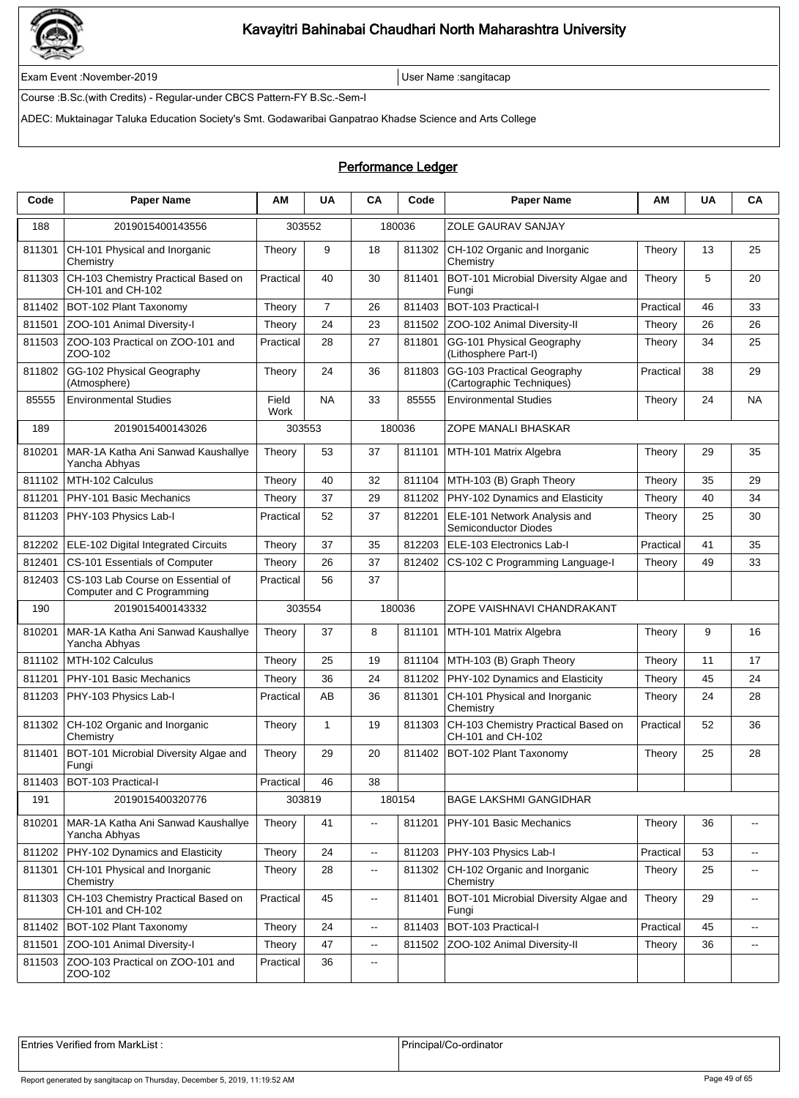

Exam Event :November-2019 User Name :sangitacap

Course :B.Sc.(with Credits) - Regular-under CBCS Pattern-FY B.Sc.-Sem-I

ADEC: Muktainagar Taluka Education Society's Smt. Godawaribai Ganpatrao Khadse Science and Arts College

### Performance Ledger

| Code   | <b>Paper Name</b>                                               | AM            | <b>UA</b>      | CA                       | Code   | <b>Paper Name</b>                                           | ΑМ        | UA | CA                          |
|--------|-----------------------------------------------------------------|---------------|----------------|--------------------------|--------|-------------------------------------------------------------|-----------|----|-----------------------------|
| 188    | 2019015400143556                                                |               | 303552         |                          | 180036 | ZOLE GAURAV SANJAY                                          |           |    |                             |
| 811301 | CH-101 Physical and Inorganic<br>Chemistry                      | Theory        | 9              | 18                       | 811302 | CH-102 Organic and Inorganic<br>Chemistry                   | Theory    | 13 | 25                          |
| 811303 | CH-103 Chemistry Practical Based on<br>CH-101 and CH-102        | Practical     | 40             | 30                       | 811401 | BOT-101 Microbial Diversity Algae and<br>Fungi              | Theory    | 5  | 20                          |
| 811402 | BOT-102 Plant Taxonomy                                          | Theory        | $\overline{7}$ | 26                       | 811403 | BOT-103 Practical-I                                         | Practical | 46 | 33                          |
| 811501 | ZOO-101 Animal Diversity-I                                      | Theory        | 24             | 23                       | 811502 | ZOO-102 Animal Diversity-II                                 | Theory    | 26 | 26                          |
| 811503 | ZOO-103 Practical on ZOO-101 and<br>ZOO-102                     | Practical     | 28             | 27                       | 811801 | GG-101 Physical Geography<br>(Lithosphere Part-I)           | Theory    | 34 | 25                          |
| 811802 | GG-102 Physical Geography<br>(Atmosphere)                       | Theory        | 24             | 36                       | 811803 | GG-103 Practical Geography<br>(Cartographic Techniques)     | Practical | 38 | 29                          |
| 85555  | <b>Environmental Studies</b>                                    | Field<br>Work | <b>NA</b>      | 33                       | 85555  | <b>Environmental Studies</b>                                | Theory    | 24 | NA                          |
| 189    | 2019015400143026                                                | 303553        |                |                          | 180036 | ZOPE MANALI BHASKAR                                         |           |    |                             |
| 810201 | MAR-1A Katha Ani Sanwad Kaushallye<br>Yancha Abhyas             | Theory        | 53             | 37                       | 811101 | MTH-101 Matrix Algebra                                      | Theory    | 29 | 35                          |
| 811102 | MTH-102 Calculus                                                | Theory        | 40             | 32                       | 811104 | MTH-103 (B) Graph Theory                                    | Theory    | 35 | 29                          |
| 811201 | PHY-101 Basic Mechanics                                         | Theory        | 37             | 29                       | 811202 | PHY-102 Dynamics and Elasticity                             | Theory    | 40 | 34                          |
| 811203 | PHY-103 Physics Lab-I                                           | Practical     | 52             | 37                       | 812201 | ELE-101 Network Analysis and<br><b>Semiconductor Diodes</b> | Theory    | 25 | 30                          |
| 812202 | ELE-102 Digital Integrated Circuits                             | Theory        | 37             | 35                       | 812203 | ELE-103 Electronics Lab-I                                   | Practical | 41 | 35                          |
| 812401 | CS-101 Essentials of Computer                                   | Theory        | 26             | 37                       | 812402 | CS-102 C Programming Language-I                             | Theory    | 49 | 33                          |
| 812403 | CS-103 Lab Course on Essential of<br>Computer and C Programming | Practical     | 56             | 37                       |        |                                                             |           |    |                             |
| 190    | 2019015400143332                                                | 303554        |                |                          | 180036 | ZOPE VAISHNAVI CHANDRAKANT                                  |           |    |                             |
| 810201 | MAR-1A Katha Ani Sanwad Kaushallye<br>Yancha Abhyas             | Theory        | 37             | 8                        | 811101 | MTH-101 Matrix Algebra                                      | Theory    | 9  | 16                          |
| 811102 | MTH-102 Calculus                                                | Theory        | 25             | 19                       | 811104 | MTH-103 (B) Graph Theory                                    | Theory    | 11 | 17                          |
| 811201 | PHY-101 Basic Mechanics                                         | Theory        | 36             | 24                       | 811202 | PHY-102 Dynamics and Elasticity                             | Theory    | 45 | 24                          |
| 811203 | PHY-103 Physics Lab-I                                           | Practical     | AB             | 36                       | 811301 | CH-101 Physical and Inorganic<br>Chemistry                  | Theory    | 24 | 28                          |
| 811302 | CH-102 Organic and Inorganic<br>Chemistry                       | Theory        | $\mathbf{1}$   | 19                       | 811303 | CH-103 Chemistry Practical Based on<br>CH-101 and CH-102    | Practical | 52 | 36                          |
| 811401 | BOT-101 Microbial Diversity Algae and<br>Fungi                  | Theory        | 29             | 20                       | 811402 | BOT-102 Plant Taxonomy                                      | Theory    | 25 | 28                          |
| 811403 | BOT-103 Practical-I                                             | Practical     | 46             | 38                       |        |                                                             |           |    |                             |
| 191    | 2019015400320776                                                |               | 303819         |                          | 180154 | <b>BAGE LAKSHMI GANGIDHAR</b>                               |           |    |                             |
| 810201 | MAR-1A Katha Ani Sanwad Kaushallye<br>Yancha Abhyas             | Theory        | 41             | --                       | 811201 | PHY-101 Basic Mechanics                                     | Theory    | 36 | $\overline{\phantom{a}}$    |
| 811202 | PHY-102 Dynamics and Elasticity                                 | Theory        | 24             | Ξ.                       | 811203 | PHY-103 Physics Lab-I                                       | Practical | 53 | $\mathcal{L}_{\mathcal{F}}$ |
| 811301 | CH-101 Physical and Inorganic<br>Chemistry                      | Theory        | 28             | Ξ.                       | 811302 | CH-102 Organic and Inorganic<br>Chemistry                   | Theory    | 25 | --                          |
| 811303 | CH-103 Chemistry Practical Based on<br>CH-101 and CH-102        | Practical     | 45             | щ.                       | 811401 | BOT-101 Microbial Diversity Algae and<br>Fungi              | Theory    | 29 | $\overline{\phantom{a}}$    |
| 811402 | BOT-102 Plant Taxonomy                                          | Theory        | 24             | --                       | 811403 | BOT-103 Practical-I                                         | Practical | 45 | $\overline{\phantom{a}}$    |
| 811501 | ZOO-101 Animal Diversity-I                                      | Theory        | 47             | $\overline{\phantom{a}}$ | 811502 | ZOO-102 Animal Diversity-II                                 | Theory    | 36 | $\overline{\phantom{a}}$    |
| 811503 | ZOO-103 Practical on ZOO-101 and<br>ZOO-102                     | Practical     | 36             | --                       |        |                                                             |           |    |                             |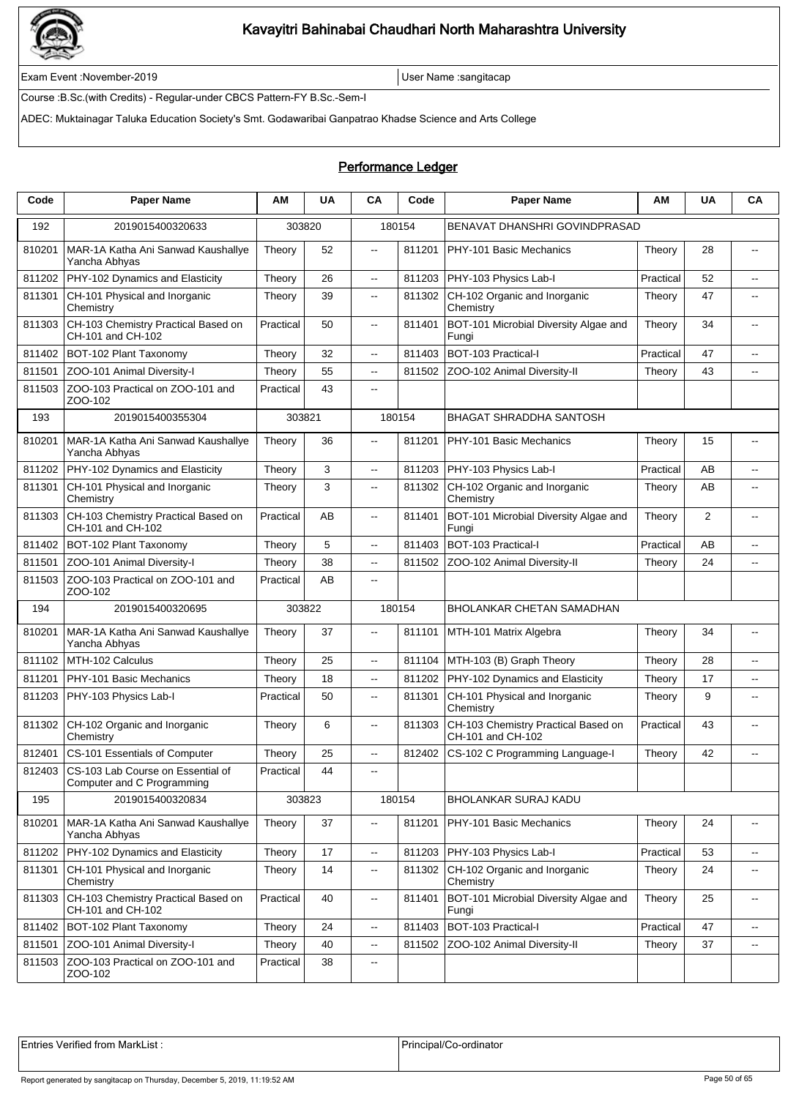

Exam Event :November-2019 User Name :sangitacap

Course :B.Sc.(with Credits) - Regular-under CBCS Pattern-FY B.Sc.-Sem-I

ADEC: Muktainagar Taluka Education Society's Smt. Godawaribai Ganpatrao Khadse Science and Arts College

### Performance Ledger

| Code   | <b>Paper Name</b>                                               | АM        | <b>UA</b> | CA                       | Code   | <b>Paper Name</b>                                        | AM        | <b>UA</b> | CA                       |
|--------|-----------------------------------------------------------------|-----------|-----------|--------------------------|--------|----------------------------------------------------------|-----------|-----------|--------------------------|
| 192    | 2019015400320633                                                |           | 303820    |                          | 180154 | BENAVAT DHANSHRI GOVINDPRASAD                            |           |           |                          |
| 810201 | MAR-1A Katha Ani Sanwad Kaushallye<br>Yancha Abhyas             | Theory    | 52        | $\overline{\phantom{a}}$ | 811201 | PHY-101 Basic Mechanics                                  | Theory    | 28        | $\sim$                   |
| 811202 | PHY-102 Dynamics and Elasticity                                 | Theory    | 26        | $\overline{\phantom{a}}$ | 811203 | PHY-103 Physics Lab-I                                    | Practical | 52        | $\overline{\phantom{a}}$ |
| 811301 | CH-101 Physical and Inorganic<br>Chemistry                      | Theory    | 39        | $\overline{\phantom{a}}$ | 811302 | CH-102 Organic and Inorganic<br>Chemistry                | Theory    | 47        | $\overline{\phantom{a}}$ |
| 811303 | CH-103 Chemistry Practical Based on<br>CH-101 and CH-102        | Practical | 50        | $\overline{\phantom{a}}$ | 811401 | BOT-101 Microbial Diversity Algae and<br>Fungi           | Theory    | 34        | --                       |
| 811402 | BOT-102 Plant Taxonomy                                          | Theory    | 32        | $\overline{\phantom{a}}$ | 811403 | BOT-103 Practical-I                                      | Practical | 47        | $\overline{a}$           |
| 811501 | ZOO-101 Animal Diversity-I                                      | Theory    | 55        | $\overline{a}$           | 811502 | ZOO-102 Animal Diversity-II                              | Theory    | 43        | $\overline{a}$           |
| 811503 | ZOO-103 Practical on ZOO-101 and<br>ZOO-102                     | Practical | 43        | $\overline{\phantom{a}}$ |        |                                                          |           |           |                          |
| 193    | 2019015400355304                                                | 303821    |           |                          | 180154 | <b>BHAGAT SHRADDHA SANTOSH</b>                           |           |           |                          |
| 810201 | MAR-1A Katha Ani Sanwad Kaushallye<br>Yancha Abhyas             | Theory    | 36        | $\overline{\phantom{a}}$ | 811201 | PHY-101 Basic Mechanics                                  | Theory    | 15        | $\overline{a}$           |
| 811202 | PHY-102 Dynamics and Elasticity                                 | Theory    | 3         | Ξ.                       | 811203 | PHY-103 Physics Lab-I                                    | Practical | AB        | $\overline{\phantom{a}}$ |
| 811301 | CH-101 Physical and Inorganic<br>Chemistry                      | Theory    | 3         | Ξ.                       | 811302 | CH-102 Organic and Inorganic<br>Chemistry                | Theory    | AB        | --                       |
| 811303 | CH-103 Chemistry Practical Based on<br>CH-101 and CH-102        | Practical | AB        | --                       | 811401 | BOT-101 Microbial Diversity Algae and<br>Fungi           | Theory    | 2         | $\overline{\phantom{a}}$ |
| 811402 | BOT-102 Plant Taxonomy                                          | Theory    | 5         | $- -$                    | 811403 | BOT-103 Practical-I                                      | Practical | AB        | --                       |
| 811501 | ZOO-101 Animal Diversity-I                                      | Theory    | 38        | $\overline{\phantom{a}}$ | 811502 | ZOO-102 Animal Diversity-II                              | Theory    | 24        | $\overline{\phantom{a}}$ |
| 811503 | ZOO-103 Practical on ZOO-101 and<br>ZOO-102                     | Practical | AB        | $\overline{a}$           |        |                                                          |           |           |                          |
| 194    | 2019015400320695                                                |           | 303822    |                          | 180154 | <b>BHOLANKAR CHETAN SAMADHAN</b>                         |           |           |                          |
| 810201 | MAR-1A Katha Ani Sanwad Kaushallye<br>Yancha Abhyas             | Theory    | 37        | $\overline{\phantom{a}}$ | 811101 | MTH-101 Matrix Algebra                                   | Theory    | 34        | $\overline{\phantom{a}}$ |
| 811102 | MTH-102 Calculus                                                | Theory    | 25        | Ξ.                       | 811104 | MTH-103 (B) Graph Theory                                 | Theory    | 28        | $\overline{a}$           |
| 811201 | PHY-101 Basic Mechanics                                         | Theory    | 18        | --                       | 811202 | PHY-102 Dynamics and Elasticity                          | Theory    | 17        | --                       |
| 811203 | PHY-103 Physics Lab-I                                           | Practical | 50        | $\overline{\phantom{a}}$ | 811301 | CH-101 Physical and Inorganic<br>Chemistry               | Theory    | 9         | $\overline{\phantom{a}}$ |
| 811302 | CH-102 Organic and Inorganic<br>Chemistry                       | Theory    | 6         | $\overline{a}$           | 811303 | CH-103 Chemistry Practical Based on<br>CH-101 and CH-102 | Practical | 43        | $\overline{a}$           |
| 812401 | CS-101 Essentials of Computer                                   | Theory    | 25        | $\overline{\phantom{a}}$ | 812402 | CS-102 C Programming Language-I                          | Theory    | 42        | $\overline{a}$           |
| 812403 | CS-103 Lab Course on Essential of<br>Computer and C Programming | Practical | 44        | $\overline{\phantom{a}}$ |        |                                                          |           |           |                          |
| 195    | 2019015400320834                                                |           | 303823    |                          | 180154 | <b>BHOLANKAR SURAJ KADU</b>                              |           |           |                          |
| 810201 | MAR-1A Katha Ani Sanwad Kaushallye<br>Yancha Abhyas             | Theory    | 37        | --                       | 811201 | PHY-101 Basic Mechanics                                  | Theory    | 24        | --                       |
| 811202 | PHY-102 Dynamics and Elasticity                                 | Theory    | 17        | --                       | 811203 | PHY-103 Physics Lab-I                                    | Practical | 53        | $\sim$                   |
| 811301 | CH-101 Physical and Inorganic<br>Chemistry                      | Theory    | 14        | --                       | 811302 | CH-102 Organic and Inorganic<br>Chemistry                | Theory    | 24        | $\overline{\phantom{a}}$ |
| 811303 | CH-103 Chemistry Practical Based on<br>CH-101 and CH-102        | Practical | 40        | --                       | 811401 | BOT-101 Microbial Diversity Algae and<br>Fungi           | Theory    | 25        | $\overline{\phantom{a}}$ |
| 811402 | BOT-102 Plant Taxonomy                                          | Theory    | 24        | --                       | 811403 | BOT-103 Practical-I                                      | Practical | 47        | $\overline{\phantom{a}}$ |
| 811501 | ZOO-101 Animal Diversity-I                                      | Theory    | 40        | ۰.                       | 811502 | ZOO-102 Animal Diversity-II                              | Theory    | 37        | ⊷                        |
| 811503 | ZOO-103 Practical on ZOO-101 and<br>ZOO-102                     | Practical | 38        | ۰.                       |        |                                                          |           |           |                          |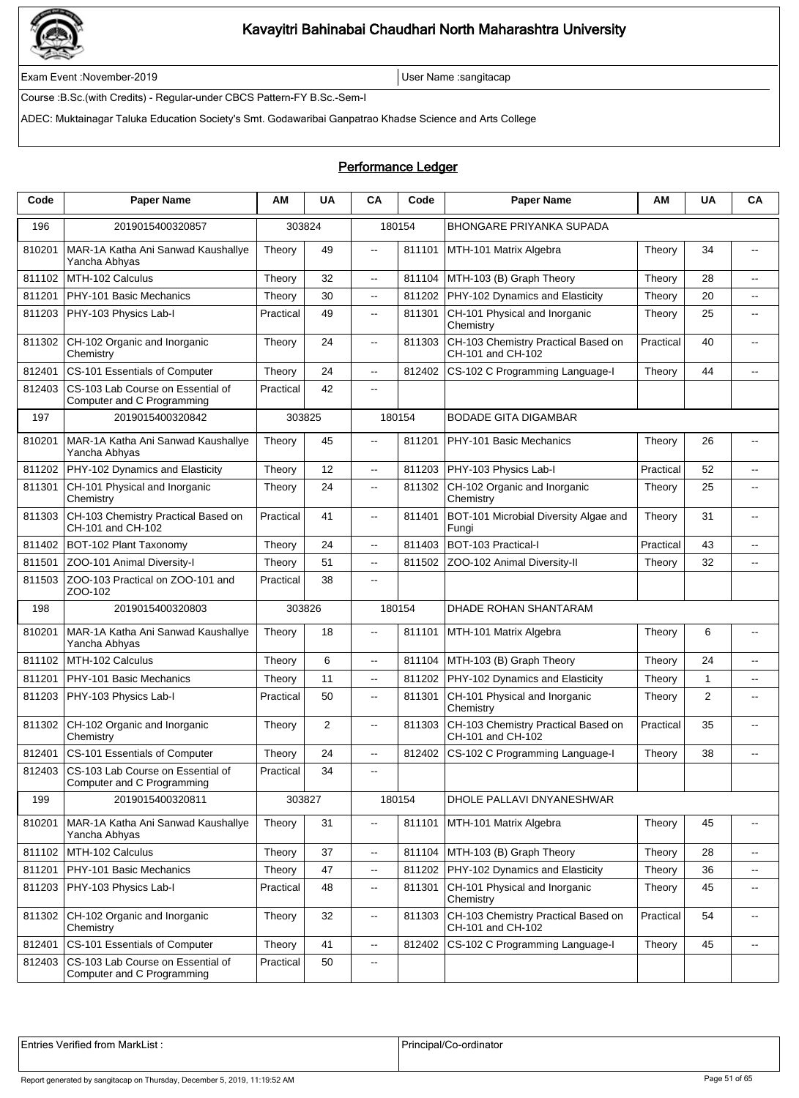

Exam Event :November-2019 User Name :sangitacap

Course :B.Sc.(with Credits) - Regular-under CBCS Pattern-FY B.Sc.-Sem-I

ADEC: Muktainagar Taluka Education Society's Smt. Godawaribai Ganpatrao Khadse Science and Arts College

#### Performance Ledger

| Code   | <b>Paper Name</b>                                               | АM        | <b>UA</b> | <b>CA</b>                | Code   | <b>Paper Name</b>                                        | ΑМ        | <b>UA</b> | CA                       |
|--------|-----------------------------------------------------------------|-----------|-----------|--------------------------|--------|----------------------------------------------------------|-----------|-----------|--------------------------|
| 196    | 2019015400320857                                                | 303824    |           |                          | 180154 | <b>BHONGARE PRIYANKA SUPADA</b>                          |           |           |                          |
| 810201 | MAR-1A Katha Ani Sanwad Kaushallye<br>Yancha Abhyas             | Theory    | 49        | $\overline{\phantom{a}}$ | 811101 | MTH-101 Matrix Algebra                                   | Theory    | 34        | $\overline{\phantom{a}}$ |
| 811102 | MTH-102 Calculus                                                | Theory    | 32        | $\overline{\phantom{a}}$ | 811104 | MTH-103 (B) Graph Theory                                 | Theory    | 28        | --                       |
| 811201 | PHY-101 Basic Mechanics                                         | Theory    | 30        | --                       | 811202 | PHY-102 Dynamics and Elasticity                          | Theory    | 20        | $\overline{\phantom{a}}$ |
| 811203 | PHY-103 Physics Lab-I                                           | Practical | 49        | 44                       | 811301 | CH-101 Physical and Inorganic<br>Chemistry               | Theory    | 25        | $\overline{\phantom{a}}$ |
| 811302 | CH-102 Organic and Inorganic<br>Chemistry                       | Theory    | 24        | щ.                       | 811303 | CH-103 Chemistry Practical Based on<br>CH-101 and CH-102 | Practical | 40        | $\overline{\phantom{a}}$ |
| 812401 | CS-101 Essentials of Computer                                   | Theory    | 24        | $\overline{a}$           | 812402 | CS-102 C Programming Language-I                          | Theory    | 44        | $\overline{a}$           |
| 812403 | CS-103 Lab Course on Essential of<br>Computer and C Programming | Practical | 42        | $- -$                    |        |                                                          |           |           |                          |
| 197    | 2019015400320842                                                | 303825    |           |                          | 180154 | <b>BODADE GITA DIGAMBAR</b>                              |           |           |                          |
| 810201 | MAR-1A Katha Ani Sanwad Kaushallye<br>Yancha Abhyas             | Theory    | 45        | Ξ.                       | 811201 | PHY-101 Basic Mechanics                                  | Theory    | 26        | --                       |
| 811202 | PHY-102 Dynamics and Elasticity                                 | Theory    | 12        | Ξ.                       | 811203 | PHY-103 Physics Lab-I                                    | Practical | 52        | --                       |
| 811301 | CH-101 Physical and Inorganic<br>Chemistry                      | Theory    | 24        | щ.                       | 811302 | CH-102 Organic and Inorganic<br>Chemistry                | Theory    | 25        | --                       |
| 811303 | CH-103 Chemistry Practical Based on<br>CH-101 and CH-102        | Practical | 41        | $\overline{\phantom{a}}$ | 811401 | BOT-101 Microbial Diversity Algae and<br>Fungi           | Theory    | 31        | $\overline{\phantom{a}}$ |
| 811402 | BOT-102 Plant Taxonomy                                          | Theory    | 24        | $\overline{\phantom{a}}$ | 811403 | BOT-103 Practical-I                                      | Practical | 43        | --                       |
| 811501 | ZOO-101 Animal Diversity-I                                      | Theory    | 51        | .,                       | 811502 | ZOO-102 Animal Diversity-II                              | Theory    | 32        | $\overline{\phantom{a}}$ |
| 811503 | ZOO-103 Practical on ZOO-101 and<br>ZOO-102                     | Practical | 38        | Ξ.                       |        |                                                          |           |           |                          |
| 198    | 2019015400320803                                                | 303826    |           |                          | 180154 | DHADE ROHAN SHANTARAM                                    |           |           |                          |
| 810201 | MAR-1A Katha Ani Sanwad Kaushallye<br>Yancha Abhyas             | Theory    | 18        | $\overline{\phantom{a}}$ | 811101 | MTH-101 Matrix Algebra                                   | Theory    | 6         | $\overline{\phantom{a}}$ |
| 811102 | MTH-102 Calculus                                                | Theory    | 6         | $\overline{a}$           | 811104 | MTH-103 (B) Graph Theory                                 | Theory    | 24        | цц.                      |
| 811201 | PHY-101 Basic Mechanics                                         | Theory    | 11        | $\overline{\phantom{a}}$ | 811202 | PHY-102 Dynamics and Elasticity                          | Theory    | 1         | $\overline{a}$           |
| 811203 | PHY-103 Physics Lab-I                                           | Practical | 50        | щ.                       | 811301 | CH-101 Physical and Inorganic<br>Chemistry               | Theory    | 2         | $\overline{\phantom{a}}$ |
| 811302 | CH-102 Organic and Inorganic<br>Chemistry                       | Theory    | 2         | $\overline{\phantom{a}}$ | 811303 | CH-103 Chemistry Practical Based on<br>CH-101 and CH-102 | Practical | 35        | $-$                      |
| 812401 | CS-101 Essentials of Computer                                   | Theory    | 24        | .,                       | 812402 | CS-102 C Programming Language-I                          | Theory    | 38        | --                       |
| 812403 | CS-103 Lab Course on Essential of<br>Computer and C Programming | Practical | 34        | $\overline{\phantom{a}}$ |        |                                                          |           |           |                          |
| 199    | 2019015400320811                                                |           | 303827    |                          | 180154 | DHOLE PALLAVI DNYANESHWAR                                |           |           |                          |
| 810201 | MAR-1A Katha Ani Sanwad Kaushallye<br>Yancha Abhyas             | Theory    | 31        | .,                       | 811101 | MTH-101 Matrix Algebra                                   | Theory    | 45        | --                       |
| 811102 | MTH-102 Calculus                                                | Theory    | 37        | Ξ.                       | 811104 | MTH-103 (B) Graph Theory                                 | Theory    | 28        | $\overline{\phantom{a}}$ |
| 811201 | PHY-101 Basic Mechanics                                         | Theory    | 47        | щ.                       | 811202 | PHY-102 Dynamics and Elasticity                          | Theory    | 36        | $\overline{\phantom{a}}$ |
| 811203 | PHY-103 Physics Lab-I                                           | Practical | 48        | Ξ.                       | 811301 | CH-101 Physical and Inorganic<br>Chemistry               | Theory    | 45        | $\overline{\phantom{a}}$ |
| 811302 | CH-102 Organic and Inorganic<br>Chemistry                       | Theory    | 32        | Ξ.                       | 811303 | CH-103 Chemistry Practical Based on<br>CH-101 and CH-102 | Practical | 54        | $\overline{\phantom{a}}$ |
| 812401 | CS-101 Essentials of Computer                                   | Theory    | 41        | Ξ.                       | 812402 | CS-102 C Programming Language-I                          | Theory    | 45        | $\sim$                   |
| 812403 | CS-103 Lab Course on Essential of<br>Computer and C Programming | Practical | 50        | Ξ.                       |        |                                                          |           |           |                          |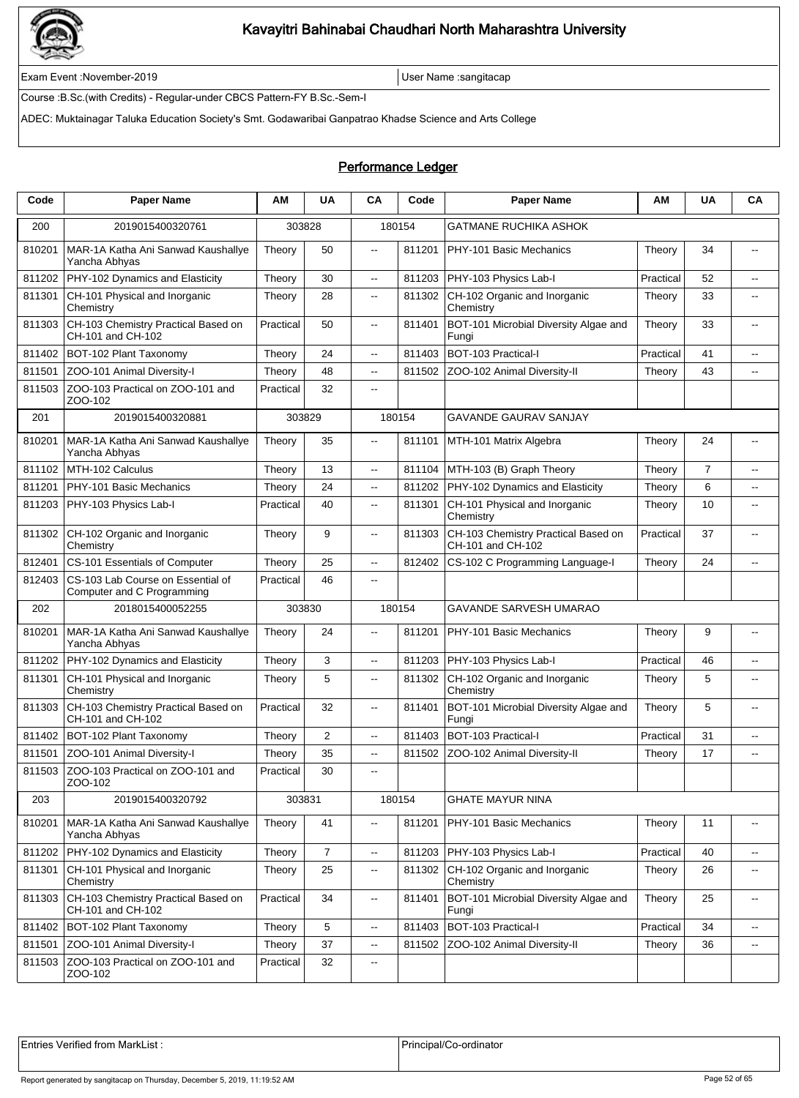

Exam Event :November-2019 User Name :sangitacap

Course :B.Sc.(with Credits) - Regular-under CBCS Pattern-FY B.Sc.-Sem-I

ADEC: Muktainagar Taluka Education Society's Smt. Godawaribai Ganpatrao Khadse Science and Arts College

### Performance Ledger

| Code   | <b>Paper Name</b>                                               | ΑМ        | <b>UA</b>      | CA                       | Code   | <b>Paper Name</b>                                        | AM        | <b>UA</b>      | CA                       |
|--------|-----------------------------------------------------------------|-----------|----------------|--------------------------|--------|----------------------------------------------------------|-----------|----------------|--------------------------|
| 200    | 2019015400320761                                                |           | 303828         |                          | 180154 | <b>GATMANE RUCHIKA ASHOK</b>                             |           |                |                          |
| 810201 | MAR-1A Katha Ani Sanwad Kaushallye<br>Yancha Abhyas             | Theory    | 50             | $\overline{\phantom{a}}$ | 811201 | PHY-101 Basic Mechanics                                  | Theory    | 34             | $\sim$                   |
| 811202 | PHY-102 Dynamics and Elasticity                                 | Theory    | 30             | $\overline{\phantom{a}}$ | 811203 | PHY-103 Physics Lab-I                                    | Practical | 52             | $\overline{a}$           |
| 811301 | CH-101 Physical and Inorganic<br>Chemistry                      | Theory    | 28             | $\overline{\phantom{a}}$ | 811302 | CH-102 Organic and Inorganic<br>Chemistry                | Theory    | 33             | $\overline{\phantom{a}}$ |
| 811303 | CH-103 Chemistry Practical Based on<br>CH-101 and CH-102        | Practical | 50             | $\overline{\phantom{a}}$ | 811401 | BOT-101 Microbial Diversity Algae and<br>Fungi           | Theory    | 33             | --                       |
| 811402 | BOT-102 Plant Taxonomy                                          | Theory    | 24             | $\overline{\phantom{a}}$ | 811403 | BOT-103 Practical-I                                      | Practical | 41             | $\overline{\phantom{a}}$ |
| 811501 | ZOO-101 Animal Diversity-I                                      | Theory    | 48             | $\overline{a}$           | 811502 | ZOO-102 Animal Diversity-II                              | Theory    | 43             | $\overline{a}$           |
| 811503 | ZOO-103 Practical on ZOO-101 and<br>ZOO-102                     | Practical | 32             | $\overline{\phantom{a}}$ |        |                                                          |           |                |                          |
| 201    | 2019015400320881                                                |           | 303829         |                          | 180154 | <b>GAVANDE GAURAV SANJAY</b>                             |           |                |                          |
| 810201 | MAR-1A Katha Ani Sanwad Kaushallye<br>Yancha Abhyas             | Theory    | 35             | $\overline{\phantom{a}}$ | 811101 | MTH-101 Matrix Algebra                                   | Theory    | 24             | $\overline{a}$           |
| 811102 | MTH-102 Calculus                                                | Theory    | 13             | Ξ.                       | 811104 | MTH-103 (B) Graph Theory                                 | Theory    | $\overline{7}$ | $\overline{\phantom{a}}$ |
| 811201 | PHY-101 Basic Mechanics                                         | Theory    | 24             | Ξ.                       | 811202 | PHY-102 Dynamics and Elasticity                          | Theory    | 6              | $\overline{\phantom{a}}$ |
| 811203 | PHY-103 Physics Lab-I                                           | Practical | 40             | $\overline{\phantom{a}}$ | 811301 | CH-101 Physical and Inorganic<br>Chemistry               | Theory    | 10             | --                       |
| 811302 | CH-102 Organic and Inorganic<br>Chemistry                       | Theory    | 9              | .,                       | 811303 | CH-103 Chemistry Practical Based on<br>CH-101 and CH-102 | Practical | 37             | $\overline{\phantom{a}}$ |
| 812401 | CS-101 Essentials of Computer                                   | Theory    | 25             | $\overline{\phantom{a}}$ | 812402 | CS-102 C Programming Language-I                          | Theory    | 24             | $\overline{\phantom{a}}$ |
| 812403 | CS-103 Lab Course on Essential of<br>Computer and C Programming | Practical | 46             | $- -$                    |        |                                                          |           |                |                          |
| 202    | 2018015400052255                                                |           | 303830         |                          | 180154 | <b>GAVANDE SARVESH UMARAO</b>                            |           |                |                          |
| 810201 | MAR-1A Katha Ani Sanwad Kaushallye<br>Yancha Abhyas             | Theory    | 24             | --                       | 811201 | PHY-101 Basic Mechanics                                  | Theory    | 9              | $\overline{\phantom{a}}$ |
| 811202 | PHY-102 Dynamics and Elasticity                                 | Theory    | 3              | Ξ.                       | 811203 | PHY-103 Physics Lab-I                                    | Practical | 46             | $\overline{\phantom{a}}$ |
| 811301 | CH-101 Physical and Inorganic<br>Chemistry                      | Theory    | 5              | .,                       | 811302 | CH-102 Organic and Inorganic<br>Chemistry                | Theory    | 5              | $\overline{\phantom{a}}$ |
| 811303 | CH-103 Chemistry Practical Based on<br>CH-101 and CH-102        | Practical | 32             | $- -$                    | 811401 | BOT-101 Microbial Diversity Algae and<br>Fungi           | Theory    | 5              | $\overline{a}$           |
| 811402 | BOT-102 Plant Taxonomy                                          | Theory    | $\overline{2}$ | Ξ.                       | 811403 | BOT-103 Practical-I                                      | Practical | 31             | $\overline{\phantom{a}}$ |
| 811501 | ZOO-101 Animal Diversity-I                                      | Theory    | 35             | Ξ.                       | 811502 | ZOO-102 Animal Diversity-II                              | Theory    | 17             | $\overline{a}$           |
|        | 811503 ZOO-103 Practical on ZOO-101 and<br>ZOO-102              | Practical | 30             | $\overline{\phantom{a}}$ |        |                                                          |           |                |                          |
| 203    | 2019015400320792                                                |           | 303831         |                          | 180154 | <b>GHATE MAYUR NINA</b>                                  |           |                |                          |
| 810201 | MAR-1A Katha Ani Sanwad Kaushallye<br>Yancha Abhyas             | Theory    | 41             | --                       | 811201 | PHY-101 Basic Mechanics                                  | Theory    | 11             | --                       |
| 811202 | PHY-102 Dynamics and Elasticity                                 | Theory    | $\overline{7}$ | --                       | 811203 | PHY-103 Physics Lab-I                                    | Practical | 40             | $\sim$                   |
| 811301 | CH-101 Physical and Inorganic<br>Chemistry                      | Theory    | 25             | --                       | 811302 | CH-102 Organic and Inorganic<br>Chemistry                | Theory    | 26             | $\sim$                   |
| 811303 | CH-103 Chemistry Practical Based on<br>CH-101 and CH-102        | Practical | 34             | --                       | 811401 | BOT-101 Microbial Diversity Algae and<br>Fungi           | Theory    | 25             | $\overline{\phantom{a}}$ |
| 811402 | BOT-102 Plant Taxonomy                                          | Theory    | $\mathbf 5$    | --                       | 811403 | BOT-103 Practical-I                                      | Practical | 34             | $\overline{\phantom{a}}$ |
| 811501 | ZOO-101 Animal Diversity-I                                      | Theory    | 37             | ۰.                       | 811502 | ZOO-102 Animal Diversity-II                              | Theory    | 36             | ⊷                        |
| 811503 | ZOO-103 Practical on ZOO-101 and<br>ZOO-102                     | Practical | 32             | ۰.                       |        |                                                          |           |                |                          |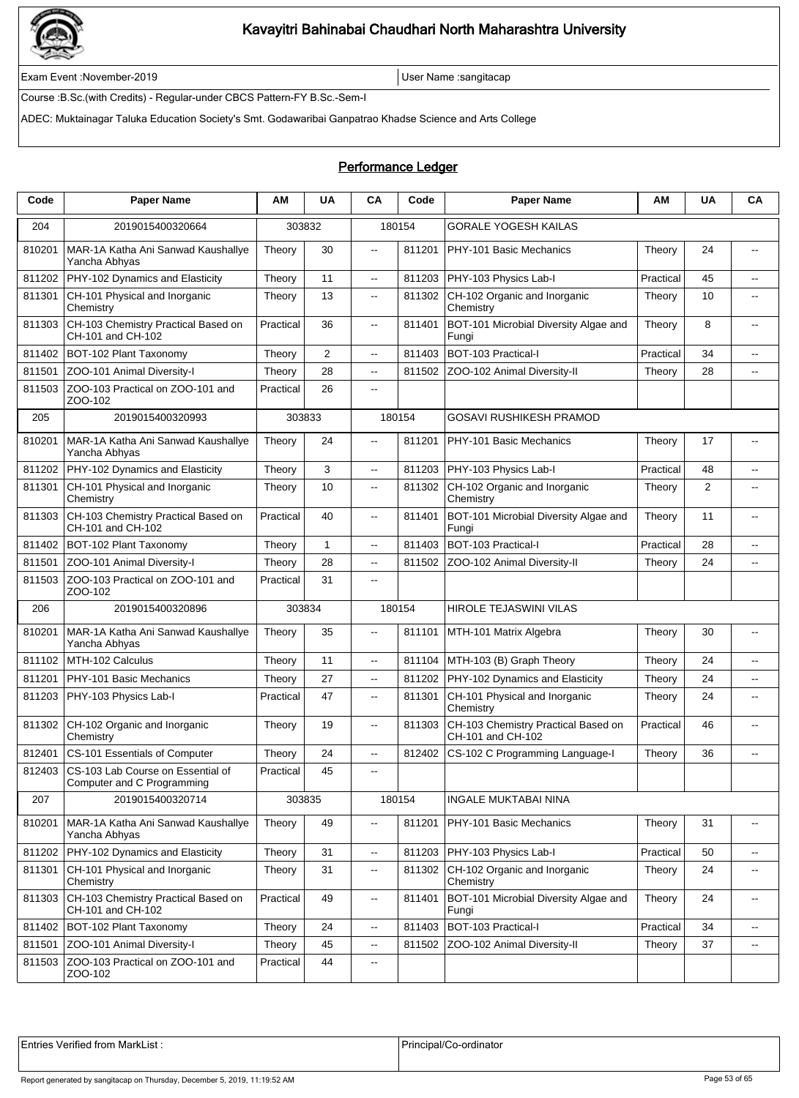

Exam Event :November-2019 User Name :sangitacap

Course :B.Sc.(with Credits) - Regular-under CBCS Pattern-FY B.Sc.-Sem-I

ADEC: Muktainagar Taluka Education Society's Smt. Godawaribai Ganpatrao Khadse Science and Arts College

#### Performance Ledger

| Code   | <b>Paper Name</b>                                               | АM        | <b>UA</b>      | CA                       | Code   | <b>Paper Name</b>                                        | AM        | <b>UA</b> | CA                       |
|--------|-----------------------------------------------------------------|-----------|----------------|--------------------------|--------|----------------------------------------------------------|-----------|-----------|--------------------------|
| 204    | 2019015400320664                                                |           | 303832         |                          | 180154 | <b>GORALE YOGESH KAILAS</b>                              |           |           |                          |
| 810201 | MAR-1A Katha Ani Sanwad Kaushallye<br>Yancha Abhyas             | Theory    | 30             | $\overline{\phantom{a}}$ | 811201 | PHY-101 Basic Mechanics                                  | Theory    | 24        | $\sim$                   |
| 811202 | PHY-102 Dynamics and Elasticity                                 | Theory    | 11             | $\overline{\phantom{a}}$ | 811203 | PHY-103 Physics Lab-I                                    | Practical | 45        | $\overline{a}$           |
| 811301 | CH-101 Physical and Inorganic<br>Chemistry                      | Theory    | 13             | $\overline{\phantom{a}}$ | 811302 | CH-102 Organic and Inorganic<br>Chemistry                | Theory    | 10        | $\overline{\phantom{a}}$ |
| 811303 | CH-103 Chemistry Practical Based on<br>CH-101 and CH-102        | Practical | 36             | $\overline{\phantom{a}}$ | 811401 | BOT-101 Microbial Diversity Algae and<br>Fungi           | Theory    | 8         | --                       |
| 811402 | BOT-102 Plant Taxonomy                                          | Theory    | $\overline{2}$ | $\overline{\phantom{a}}$ | 811403 | BOT-103 Practical-I                                      | Practical | 34        | $\overline{a}$           |
| 811501 | ZOO-101 Animal Diversity-I                                      | Theory    | 28             | $\overline{a}$           | 811502 | ZOO-102 Animal Diversity-II                              | Theory    | 28        | $\overline{a}$           |
| 811503 | ZOO-103 Practical on ZOO-101 and<br>ZOO-102                     | Practical | 26             | $\overline{\phantom{a}}$ |        |                                                          |           |           |                          |
| 205    | 2019015400320993                                                |           | 303833         |                          | 180154 | <b>GOSAVI RUSHIKESH PRAMOD</b>                           |           |           |                          |
| 810201 | MAR-1A Katha Ani Sanwad Kaushallye<br>Yancha Abhyas             | Theory    | 24             | $\overline{\phantom{a}}$ | 811201 | PHY-101 Basic Mechanics                                  | Theory    | 17        | $\overline{a}$           |
| 811202 | PHY-102 Dynamics and Elasticity                                 | Theory    | 3              | Ξ.                       | 811203 | PHY-103 Physics Lab-I                                    | Practical | 48        | $\overline{\phantom{a}}$ |
| 811301 | CH-101 Physical and Inorganic<br>Chemistry                      | Theory    | 10             | Ξ.                       | 811302 | CH-102 Organic and Inorganic<br>Chemistry                | Theory    | 2         | --                       |
| 811303 | CH-103 Chemistry Practical Based on<br>CH-101 and CH-102        | Practical | 40             | --                       | 811401 | BOT-101 Microbial Diversity Algae and<br>Fungi           | Theory    | 11        | $\overline{\phantom{a}}$ |
| 811402 | BOT-102 Plant Taxonomy                                          | Theory    | $\mathbf{1}$   | $- -$                    | 811403 | BOT-103 Practical-I                                      | Practical | 28        | --                       |
| 811501 | ZOO-101 Animal Diversity-I                                      | Theory    | 28             | $\overline{\phantom{a}}$ | 811502 | ZOO-102 Animal Diversity-II                              | Theory    | 24        | $\overline{\phantom{a}}$ |
| 811503 | ZOO-103 Practical on ZOO-101 and<br>ZOO-102                     | Practical | 31             | $\overline{a}$           |        |                                                          |           |           |                          |
| 206    | 2019015400320896                                                | 303834    |                |                          | 180154 | HIROLE TEJASWINI VILAS                                   |           |           |                          |
| 810201 | MAR-1A Katha Ani Sanwad Kaushallye<br>Yancha Abhyas             | Theory    | 35             | $\overline{\phantom{a}}$ | 811101 | MTH-101 Matrix Algebra                                   | Theory    | 30        | $\overline{\phantom{a}}$ |
| 811102 | MTH-102 Calculus                                                | Theory    | 11             | Ξ.                       | 811104 | MTH-103 (B) Graph Theory                                 | Theory    | 24        | $\overline{a}$           |
| 811201 | PHY-101 Basic Mechanics                                         | Theory    | 27             | --                       | 811202 | PHY-102 Dynamics and Elasticity                          | Theory    | 24        | --                       |
| 811203 | PHY-103 Physics Lab-I                                           | Practical | 47             | $\overline{\phantom{a}}$ | 811301 | CH-101 Physical and Inorganic<br>Chemistry               | Theory    | 24        | $\overline{\phantom{a}}$ |
| 811302 | CH-102 Organic and Inorganic<br>Chemistry                       | Theory    | 19             | $- -$                    | 811303 | CH-103 Chemistry Practical Based on<br>CH-101 and CH-102 | Practical | 46        | $\overline{a}$           |
| 812401 | CS-101 Essentials of Computer                                   | Theory    | 24             | $\overline{\phantom{a}}$ | 812402 | CS-102 C Programming Language-I                          | Theory    | 36        | $\overline{a}$           |
| 812403 | CS-103 Lab Course on Essential of<br>Computer and C Programming | Practical | 45             | $\overline{\phantom{a}}$ |        |                                                          |           |           |                          |
| 207    | 2019015400320714                                                |           | 303835         |                          | 180154 | INGALE MUKTABAI NINA                                     |           |           |                          |
| 810201 | MAR-1A Katha Ani Sanwad Kaushallye<br>Yancha Abhyas             | Theory    | 49             | --                       | 811201 | PHY-101 Basic Mechanics                                  | Theory    | 31        | --                       |
| 811202 | PHY-102 Dynamics and Elasticity                                 | Theory    | 31             | --                       | 811203 | PHY-103 Physics Lab-I                                    | Practical | 50        | $\sim$                   |
| 811301 | CH-101 Physical and Inorganic<br>Chemistry                      | Theory    | 31             | --                       | 811302 | CH-102 Organic and Inorganic<br>Chemistry                | Theory    | 24        | $\overline{\phantom{a}}$ |
| 811303 | CH-103 Chemistry Practical Based on<br>CH-101 and CH-102        | Practical | 49             | --                       | 811401 | BOT-101 Microbial Diversity Algae and<br>Fungi           | Theory    | 24        | $\overline{\phantom{a}}$ |
| 811402 | BOT-102 Plant Taxonomy                                          | Theory    | 24             | --                       | 811403 | BOT-103 Practical-I                                      | Practical | 34        | $\overline{\phantom{a}}$ |
| 811501 | ZOO-101 Animal Diversity-I                                      | Theory    | 45             | --                       | 811502 | ZOO-102 Animal Diversity-II                              | Theory    | 37        | ⊷                        |
| 811503 | ZOO-103 Practical on ZOO-101 and<br>ZOO-102                     | Practical | 44             | ۰.                       |        |                                                          |           |           |                          |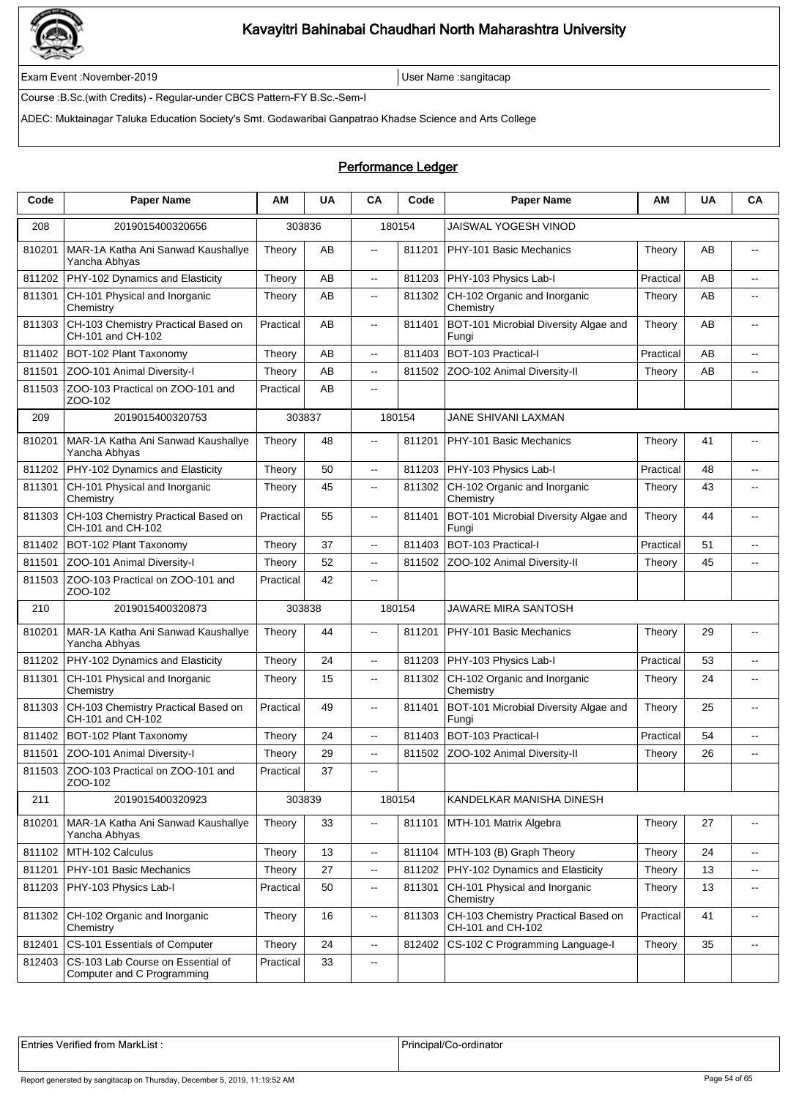

Exam Event :November-2019 User Name :sangitacap

Course :B.Sc.(with Credits) - Regular-under CBCS Pattern-FY B.Sc.-Sem-I

ADEC: Muktainagar Taluka Education Society's Smt. Godawaribai Ganpatrao Khadse Science and Arts College

### Performance Ledger

| Code   | <b>Paper Name</b>                                               | ΑМ        | <b>UA</b> | CA                       | Code   | <b>Paper Name</b>                                        | AM        | <b>UA</b> | CA                       |
|--------|-----------------------------------------------------------------|-----------|-----------|--------------------------|--------|----------------------------------------------------------|-----------|-----------|--------------------------|
| 208    | 2019015400320656                                                | 303836    |           |                          | 180154 | JAISWAL YOGESH VINOD                                     |           |           |                          |
| 810201 | MAR-1A Katha Ani Sanwad Kaushallye<br>Yancha Abhyas             | Theory    | AB        | $\overline{\phantom{a}}$ | 811201 | PHY-101 Basic Mechanics                                  | Theory    | AB        | $\overline{\phantom{a}}$ |
| 811202 | PHY-102 Dynamics and Elasticity                                 | Theory    | AB        | $\overline{\phantom{a}}$ | 811203 | PHY-103 Physics Lab-I                                    | Practical | AB        | $\overline{a}$           |
| 811301 | CH-101 Physical and Inorganic<br>Chemistry                      | Theory    | AB        | $\overline{\phantom{a}}$ | 811302 | CH-102 Organic and Inorganic<br>Chemistry                | Theory    | AB        | $\overline{\phantom{a}}$ |
| 811303 | CH-103 Chemistry Practical Based on<br>CH-101 and CH-102        | Practical | AB        | $\overline{\phantom{a}}$ | 811401 | BOT-101 Microbial Diversity Algae and<br>Fungi           | Theory    | AB        | --                       |
| 811402 | BOT-102 Plant Taxonomy                                          | Theory    | AB        | цü.                      | 811403 | BOT-103 Practical-I                                      | Practical | AB        | $\overline{a}$           |
| 811501 | ZOO-101 Animal Diversity-I                                      | Theory    | AB        | цü.                      | 811502 | ZOO-102 Animal Diversity-II                              | Theory    | AB        | цц.                      |
| 811503 | ZOO-103 Practical on ZOO-101 and<br>ZOO-102                     | Practical | AB        | 44                       |        |                                                          |           |           |                          |
| 209    | 2019015400320753                                                | 303837    |           |                          | 180154 | JANE SHIVANI LAXMAN                                      |           |           |                          |
| 810201 | MAR-1A Katha Ani Sanwad Kaushallye<br>Yancha Abhyas             | Theory    | 48        | $\overline{a}$           | 811201 | PHY-101 Basic Mechanics                                  | Theory    | 41        |                          |
| 811202 | PHY-102 Dynamics and Elasticity                                 | Theory    | 50        | Ξ.                       | 811203 | PHY-103 Physics Lab-I                                    | Practical | 48        | $\overline{\phantom{a}}$ |
| 811301 | CH-101 Physical and Inorganic<br>Chemistry                      | Theory    | 45        | Ξ.                       | 811302 | CH-102 Organic and Inorganic<br>Chemistry                | Theory    | 43        | --                       |
| 811303 | CH-103 Chemistry Practical Based on<br>CH-101 and CH-102        | Practical | 55        | --                       | 811401 | BOT-101 Microbial Diversity Algae and<br>Fungi           | Theory    | 44        | $\overline{\phantom{a}}$ |
| 811402 | BOT-102 Plant Taxonomy                                          | Theory    | 37        | $- -$                    | 811403 | BOT-103 Practical-I                                      | Practical | 51        | $\overline{\phantom{a}}$ |
| 811501 | ZOO-101 Animal Diversity-I                                      | Theory    | 52        | $\overline{\phantom{a}}$ | 811502 | ZOO-102 Animal Diversity-II                              | Theory    | 45        | $\overline{\phantom{a}}$ |
| 811503 | ZOO-103 Practical on ZOO-101 and<br>ZOO-102                     | Practical | 42        | $\overline{a}$           |        |                                                          |           |           |                          |
| 210    | 2019015400320873                                                | 303838    |           |                          | 180154 | JAWARE MIRA SANTOSH                                      |           |           |                          |
| 810201 | MAR-1A Katha Ani Sanwad Kaushallye<br>Yancha Abhyas             | Theory    | 44        | --                       | 811201 | PHY-101 Basic Mechanics                                  | Theory    | 29        | --                       |
| 811202 | PHY-102 Dynamics and Elasticity                                 | Theory    | 24        | Ξ.                       | 811203 | PHY-103 Physics Lab-I                                    | Practical | 53        | $\overline{a}$           |
| 811301 | CH-101 Physical and Inorganic<br>Chemistry                      | Theory    | 15        | $\overline{\phantom{a}}$ | 811302 | CH-102 Organic and Inorganic<br>Chemistry                | Theory    | 24        | $\overline{\phantom{a}}$ |
| 811303 | CH-103 Chemistry Practical Based on<br>CH-101 and CH-102        | Practical | 49        | $\overline{\phantom{a}}$ | 811401 | BOT-101 Microbial Diversity Algae and<br>Fungi           | Theory    | 25        | $\overline{\phantom{a}}$ |
| 811402 | BOT-102 Plant Taxonomy                                          | Theory    | 24        | Ξ.                       | 811403 | BOT-103 Practical-I                                      | Practical | 54        | $\overline{\phantom{a}}$ |
| 811501 | ZOO-101 Animal Diversity-I                                      | Theory    | 29        | Ξ.                       | 811502 | ZOO-102 Animal Diversity-II                              | Theory    | 26        | --                       |
|        | 811503 ZOO-103 Practical on ZOO-101 and<br>ZOO-102              | Practical | 37        | $- -$                    |        |                                                          |           |           |                          |
| 211    | 2019015400320923                                                |           | 303839    |                          | 180154 | KANDELKAR MANISHA DINESH                                 |           |           |                          |
| 810201 | MAR-1A Katha Ani Sanwad Kaushallye<br>Yancha Abhyas             | Theory    | 33        | --                       | 811101 | MTH-101 Matrix Algebra                                   | Theory    | 27        | --                       |
| 811102 | MTH-102 Calculus                                                | Theory    | 13        | Ξ.                       | 811104 | MTH-103 (B) Graph Theory                                 | Theory    | 24        | --                       |
| 811201 | PHY-101 Basic Mechanics                                         | Theory    | 27        | щ.                       | 811202 | PHY-102 Dynamics and Elasticity                          | Theory    | 13        | $\overline{\phantom{a}}$ |
| 811203 | PHY-103 Physics Lab-I                                           | Practical | 50        | щ.                       | 811301 | CH-101 Physical and Inorganic<br>Chemistry               | Theory    | 13        | $\overline{\phantom{a}}$ |
| 811302 | CH-102 Organic and Inorganic<br>Chemistry                       | Theory    | 16        | щ.                       | 811303 | CH-103 Chemistry Practical Based on<br>CH-101 and CH-102 | Practical | 41        | $\overline{\phantom{a}}$ |
| 812401 | CS-101 Essentials of Computer                                   | Theory    | 24        | Ξ.                       | 812402 | CS-102 C Programming Language-I                          | Theory    | 35        | $\overline{\phantom{a}}$ |
| 812403 | CS-103 Lab Course on Essential of<br>Computer and C Programming | Practical | 33        | ۰.                       |        |                                                          |           |           |                          |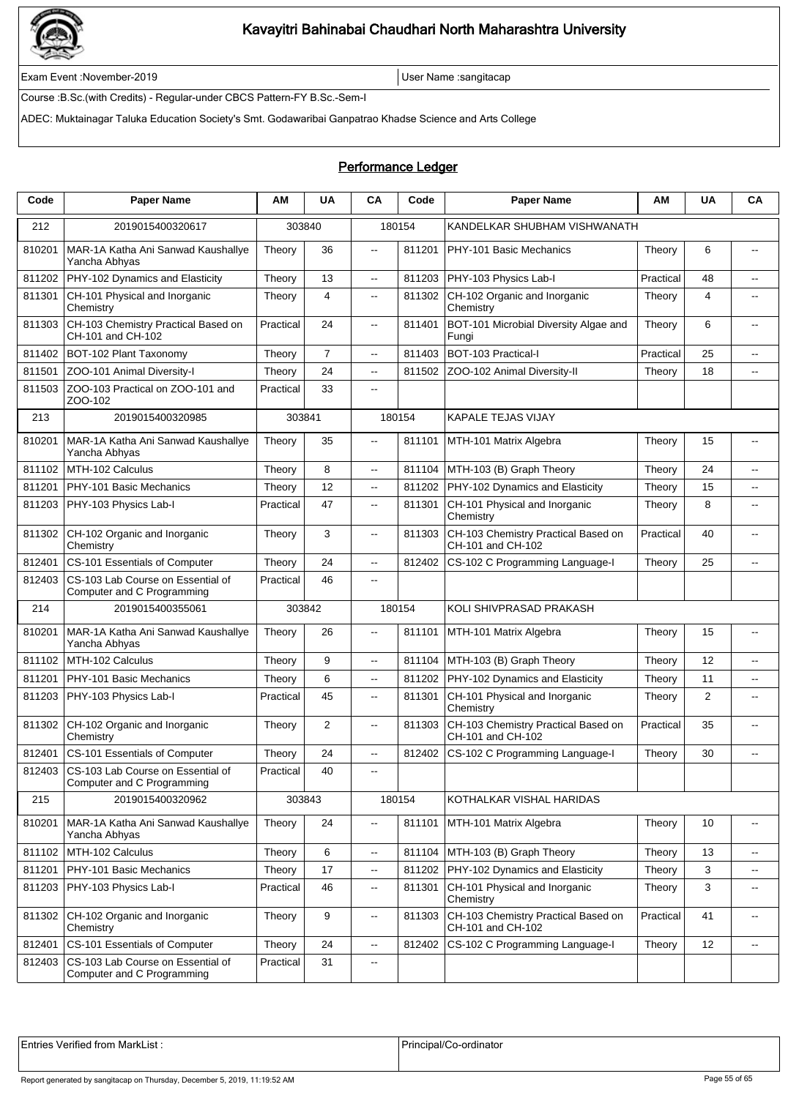

Exam Event :November-2019 User Name :sangitacap

Course :B.Sc.(with Credits) - Regular-under CBCS Pattern-FY B.Sc.-Sem-I

ADEC: Muktainagar Taluka Education Society's Smt. Godawaribai Ganpatrao Khadse Science and Arts College

### Performance Ledger

| Code   | <b>Paper Name</b>                                               | ΑM        | <b>UA</b>      | CA                       | Code   | <b>Paper Name</b>                                        | AM        | <b>UA</b>      | CA                       |
|--------|-----------------------------------------------------------------|-----------|----------------|--------------------------|--------|----------------------------------------------------------|-----------|----------------|--------------------------|
| 212    | 2019015400320617                                                |           | 303840         |                          | 180154 | KANDELKAR SHUBHAM VISHWANATH                             |           |                |                          |
| 810201 | MAR-1A Katha Ani Sanwad Kaushallye<br>Yancha Abhyas             | Theory    | 36             | $\overline{\phantom{a}}$ | 811201 | PHY-101 Basic Mechanics                                  | Theory    | 6              | $\overline{\phantom{a}}$ |
| 811202 | PHY-102 Dynamics and Elasticity                                 | Theory    | 13             | $\overline{\phantom{a}}$ | 811203 | PHY-103 Physics Lab-I                                    | Practical | 48             | $\overline{a}$           |
| 811301 | CH-101 Physical and Inorganic<br>Chemistry                      | Theory    | 4              | $\overline{\phantom{a}}$ | 811302 | CH-102 Organic and Inorganic<br>Chemistry                | Theory    | 4              | $\overline{\phantom{a}}$ |
| 811303 | CH-103 Chemistry Practical Based on<br>CH-101 and CH-102        | Practical | 24             | $\overline{\phantom{a}}$ | 811401 | BOT-101 Microbial Diversity Algae and<br>Fungi           | Theory    | 6              | $\overline{a}$           |
| 811402 | BOT-102 Plant Taxonomy                                          | Theory    | $\overline{7}$ | $\mathbf{u}$             | 811403 | BOT-103 Practical-I                                      | Practical | 25             | $\overline{a}$           |
| 811501 | ZOO-101 Animal Diversity-I                                      | Theory    | 24             | $\sim$                   | 811502 | ZOO-102 Animal Diversity-II                              | Theory    | 18             | $\overline{a}$           |
| 811503 | ZOO-103 Practical on ZOO-101 and<br>ZOO-102                     | Practical | 33             | $\overline{\phantom{a}}$ |        |                                                          |           |                |                          |
| 213    | 2019015400320985                                                | 303841    |                |                          | 180154 | KAPALE TEJAS VIJAY                                       |           |                |                          |
| 810201 | MAR-1A Katha Ani Sanwad Kaushallye<br>Yancha Abhyas             | Theory    | 35             | $\mathbf{u}$             | 811101 | MTH-101 Matrix Algebra                                   | Theory    | 15             |                          |
| 811102 | MTH-102 Calculus                                                | Theory    | 8              | цц.                      | 811104 | MTH-103 (B) Graph Theory                                 | Theory    | 24             | $\overline{\phantom{a}}$ |
| 811201 | PHY-101 Basic Mechanics                                         | Theory    | 12             | $\overline{\phantom{a}}$ | 811202 | PHY-102 Dynamics and Elasticity                          | Theory    | 15             | $\overline{\phantom{a}}$ |
| 811203 | PHY-103 Physics Lab-I                                           | Practical | 47             | $\overline{\phantom{a}}$ | 811301 | CH-101 Physical and Inorganic<br>Chemistry               | Theory    | 8              | $\overline{a}$           |
| 811302 | CH-102 Organic and Inorganic<br>Chemistry                       | Theory    | 3              | ц,                       | 811303 | CH-103 Chemistry Practical Based on<br>CH-101 and CH-102 | Practical | 40             | $\overline{\phantom{a}}$ |
| 812401 | CS-101 Essentials of Computer                                   | Theory    | 24             | $\overline{\phantom{a}}$ | 812402 | CS-102 C Programming Language-I                          | Theory    | 25             | $\overline{\phantom{a}}$ |
| 812403 | CS-103 Lab Course on Essential of<br>Computer and C Programming | Practical | 46             | $\overline{a}$           |        |                                                          |           |                |                          |
| 214    | 2019015400355061                                                |           | 303842         |                          | 180154 | KOLI SHIVPRASAD PRAKASH                                  |           |                |                          |
| 810201 | MAR-1A Katha Ani Sanwad Kaushallye<br>Yancha Abhyas             | Theory    | 26             | $\overline{\phantom{a}}$ | 811101 | MTH-101 Matrix Algebra                                   | Theory    | 15             | $\overline{a}$           |
| 811102 | MTH-102 Calculus                                                | Theory    | 9              | $\ddotsc$                | 811104 | MTH-103 (B) Graph Theory                                 | Theory    | 12             | $\overline{a}$           |
| 811201 | PHY-101 Basic Mechanics                                         | Theory    | 6              | $\overline{\phantom{a}}$ | 811202 | PHY-102 Dynamics and Elasticity                          | Theory    | 11             | --                       |
| 811203 | PHY-103 Physics Lab-I                                           | Practical | 45             | $\overline{\phantom{a}}$ | 811301 | CH-101 Physical and Inorganic<br>Chemistry               | Theory    | $\overline{2}$ | $\overline{\phantom{a}}$ |
| 811302 | CH-102 Organic and Inorganic<br>Chemistry                       | Theory    | 2              | $\overline{\phantom{a}}$ | 811303 | CH-103 Chemistry Practical Based on<br>CH-101 and CH-102 | Practical | 35             | $\overline{a}$           |
| 812401 | CS-101 Essentials of Computer                                   | Theory    | 24             | $\ddotsc$                | 812402 | CS-102 C Programming Language-I                          | Theory    | 30             | $\overline{\phantom{a}}$ |
| 812403 | CS-103 Lab Course on Essential of<br>Computer and C Programming | Practical | 40             | $\overline{\phantom{a}}$ |        |                                                          |           |                |                          |
| 215    | 2019015400320962                                                |           | 303843         |                          | 180154 | KOTHALKAR VISHAL HARIDAS                                 |           |                |                          |
| 810201 | MAR-1A Katha Ani Sanwad Kaushallye<br>Yancha Abhyas             | Theory    | 24             | ц,                       | 811101 | MTH-101 Matrix Algebra                                   | Theory    | 10             | $\overline{\phantom{a}}$ |
| 811102 | MTH-102 Calculus                                                | Theory    | 6              | ц,                       | 811104 | MTH-103 (B) Graph Theory                                 | Theory    | 13             | $\overline{\phantom{a}}$ |
| 811201 | PHY-101 Basic Mechanics                                         | Theory    | 17             | $\overline{\phantom{a}}$ | 811202 | PHY-102 Dynamics and Elasticity                          | Theory    | 3              | $\overline{\phantom{a}}$ |
| 811203 | PHY-103 Physics Lab-I                                           | Practical | 46             | $\overline{\phantom{a}}$ | 811301 | CH-101 Physical and Inorganic<br>Chemistry               | Theory    | 3              | $\overline{\phantom{a}}$ |
| 811302 | CH-102 Organic and Inorganic<br>Chemistry                       | Theory    | 9              | $\overline{\phantom{a}}$ | 811303 | CH-103 Chemistry Practical Based on<br>CH-101 and CH-102 | Practical | 41             | $\overline{\phantom{a}}$ |
| 812401 | CS-101 Essentials of Computer                                   | Theory    | 24             | $\overline{\phantom{a}}$ | 812402 | CS-102 C Programming Language-I                          | Theory    | 12             | $\overline{\phantom{a}}$ |
| 812403 | CS-103 Lab Course on Essential of<br>Computer and C Programming | Practical | 31             | $\overline{\phantom{a}}$ |        |                                                          |           |                |                          |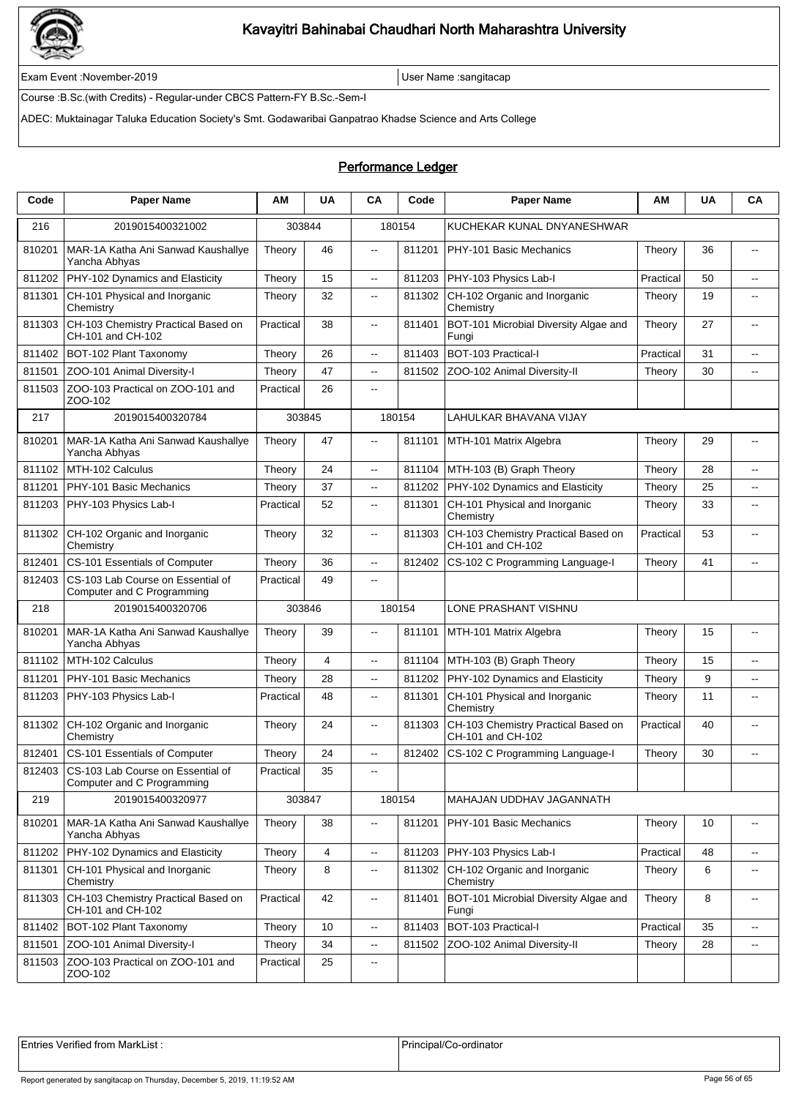

Exam Event :November-2019 User Name :sangitacap

Course :B.Sc.(with Credits) - Regular-under CBCS Pattern-FY B.Sc.-Sem-I

ADEC: Muktainagar Taluka Education Society's Smt. Godawaribai Ganpatrao Khadse Science and Arts College

### Performance Ledger

| Code   | <b>Paper Name</b>                                               | ΑМ        | <b>UA</b>      | CA                       | Code   | <b>Paper Name</b>                                        | AM        | <b>UA</b> | CA                       |
|--------|-----------------------------------------------------------------|-----------|----------------|--------------------------|--------|----------------------------------------------------------|-----------|-----------|--------------------------|
| 216    | 2019015400321002                                                |           | 303844         |                          | 180154 | KUCHEKAR KUNAL DNYANESHWAR                               |           |           |                          |
| 810201 | MAR-1A Katha Ani Sanwad Kaushallye<br>Yancha Abhyas             | Theory    | 46             | $\overline{\phantom{a}}$ | 811201 | PHY-101 Basic Mechanics                                  | Theory    | 36        | $\sim$                   |
| 811202 | PHY-102 Dynamics and Elasticity                                 | Theory    | 15             | $\overline{\phantom{a}}$ | 811203 | PHY-103 Physics Lab-I                                    | Practical | 50        | $\overline{\phantom{a}}$ |
| 811301 | CH-101 Physical and Inorganic<br>Chemistry                      | Theory    | 32             | $\overline{\phantom{a}}$ | 811302 | CH-102 Organic and Inorganic<br>Chemistry                | Theory    | 19        | $\overline{\phantom{a}}$ |
| 811303 | CH-103 Chemistry Practical Based on<br>CH-101 and CH-102        | Practical | 38             | $\overline{\phantom{a}}$ | 811401 | BOT-101 Microbial Diversity Algae and<br>Fungi           | Theory    | 27        | $\overline{a}$           |
| 811402 | BOT-102 Plant Taxonomy                                          | Theory    | 26             | $\overline{\phantom{a}}$ | 811403 | BOT-103 Practical-I                                      | Practical | 31        | $\overline{a}$           |
| 811501 | ZOO-101 Animal Diversity-I                                      | Theory    | 47             | $\overline{a}$           | 811502 | ZOO-102 Animal Diversity-II                              | Theory    | 30        | $\overline{\phantom{a}}$ |
| 811503 | ZOO-103 Practical on ZOO-101 and<br>ZOO-102                     | Practical | 26             | $\overline{\phantom{a}}$ |        |                                                          |           |           |                          |
| 217    | 2019015400320784                                                |           | 303845         |                          | 180154 | LAHULKAR BHAVANA VIJAY                                   |           |           |                          |
| 810201 | MAR-1A Katha Ani Sanwad Kaushallye<br>Yancha Abhyas             | Theory    | 47             | $\overline{\phantom{a}}$ | 811101 | MTH-101 Matrix Algebra                                   | Theory    | 29        | $\overline{a}$           |
| 811102 | MTH-102 Calculus                                                | Theory    | 24             | Ξ.                       | 811104 | MTH-103 (B) Graph Theory                                 | Theory    | 28        | $\overline{\phantom{a}}$ |
| 811201 | PHY-101 Basic Mechanics                                         | Theory    | 37             | Ξ.                       | 811202 | PHY-102 Dynamics and Elasticity                          | Theory    | 25        | $\overline{\phantom{a}}$ |
| 811203 | PHY-103 Physics Lab-I                                           | Practical | 52             | $\overline{\phantom{a}}$ | 811301 | CH-101 Physical and Inorganic<br>Chemistry               | Theory    | 33        | --                       |
| 811302 | CH-102 Organic and Inorganic<br>Chemistry                       | Theory    | 32             | --                       | 811303 | CH-103 Chemistry Practical Based on<br>CH-101 and CH-102 | Practical | 53        | $\overline{\phantom{a}}$ |
| 812401 | CS-101 Essentials of Computer                                   | Theory    | 36             | --                       | 812402 | CS-102 C Programming Language-I                          | Theory    | 41        | $\overline{\phantom{a}}$ |
| 812403 | CS-103 Lab Course on Essential of<br>Computer and C Programming | Practical | 49             | $- -$                    |        |                                                          |           |           |                          |
| 218    | 2019015400320706                                                |           | 303846         |                          | 180154 | LONE PRASHANT VISHNU                                     |           |           |                          |
| 810201 | MAR-1A Katha Ani Sanwad Kaushallye<br>Yancha Abhyas             | Theory    | 39             | $\overline{\phantom{a}}$ | 811101 | MTH-101 Matrix Algebra                                   | Theory    | 15        | $\overline{\phantom{a}}$ |
| 811102 | MTH-102 Calculus                                                | Theory    | $\overline{4}$ | Ξ.                       | 811104 | MTH-103 (B) Graph Theory                                 | Theory    | 15        | $\overline{a}$           |
| 811201 | PHY-101 Basic Mechanics                                         | Theory    | 28             | --                       | 811202 | PHY-102 Dynamics and Elasticity                          | Theory    | 9         | --                       |
| 811203 | PHY-103 Physics Lab-I                                           | Practical | 48             | ۰.                       | 811301 | CH-101 Physical and Inorganic<br>Chemistry               | Theory    | 11        | $\overline{\phantom{a}}$ |
| 811302 | CH-102 Organic and Inorganic<br>Chemistry                       | Theory    | 24             | $- -$                    | 811303 | CH-103 Chemistry Practical Based on<br>CH-101 and CH-102 | Practical | 40        | $\overline{a}$           |
| 812401 | CS-101 Essentials of Computer                                   | Theory    | 24             | Ξ.                       | 812402 | CS-102 C Programming Language-I                          | Theory    | 30        | $\overline{a}$           |
| 812403 | CS-103 Lab Course on Essential of<br>Computer and C Programming | Practical | 35             | $\overline{\phantom{a}}$ |        |                                                          |           |           |                          |
| 219    | 2019015400320977                                                |           | 303847         |                          | 180154 | MAHAJAN UDDHAV JAGANNATH                                 |           |           |                          |
| 810201 | MAR-1A Katha Ani Sanwad Kaushallye<br>Yancha Abhyas             | Theory    | 38             | --                       | 811201 | PHY-101 Basic Mechanics                                  | Theory    | 10        | --                       |
| 811202 | PHY-102 Dynamics and Elasticity                                 | Theory    | 4              | --                       | 811203 | PHY-103 Physics Lab-I                                    | Practical | 48        | $\sim$                   |
| 811301 | CH-101 Physical and Inorganic<br>Chemistry                      | Theory    | 8              | --                       | 811302 | CH-102 Organic and Inorganic<br>Chemistry                | Theory    | 6         | $\overline{\phantom{a}}$ |
| 811303 | CH-103 Chemistry Practical Based on<br>CH-101 and CH-102        | Practical | 42             | --                       | 811401 | BOT-101 Microbial Diversity Algae and<br>Fungi           | Theory    | 8         | $\overline{\phantom{a}}$ |
| 811402 | BOT-102 Plant Taxonomy                                          | Theory    | 10             | --                       | 811403 | BOT-103 Practical-I                                      | Practical | 35        | $\overline{\phantom{a}}$ |
| 811501 | ZOO-101 Animal Diversity-I                                      | Theory    | 34             | ۰.                       | 811502 | ZOO-102 Animal Diversity-II                              | Theory    | 28        | ⊷                        |
| 811503 | ZOO-103 Practical on ZOO-101 and<br>ZOO-102                     | Practical | 25             | ۰.                       |        |                                                          |           |           |                          |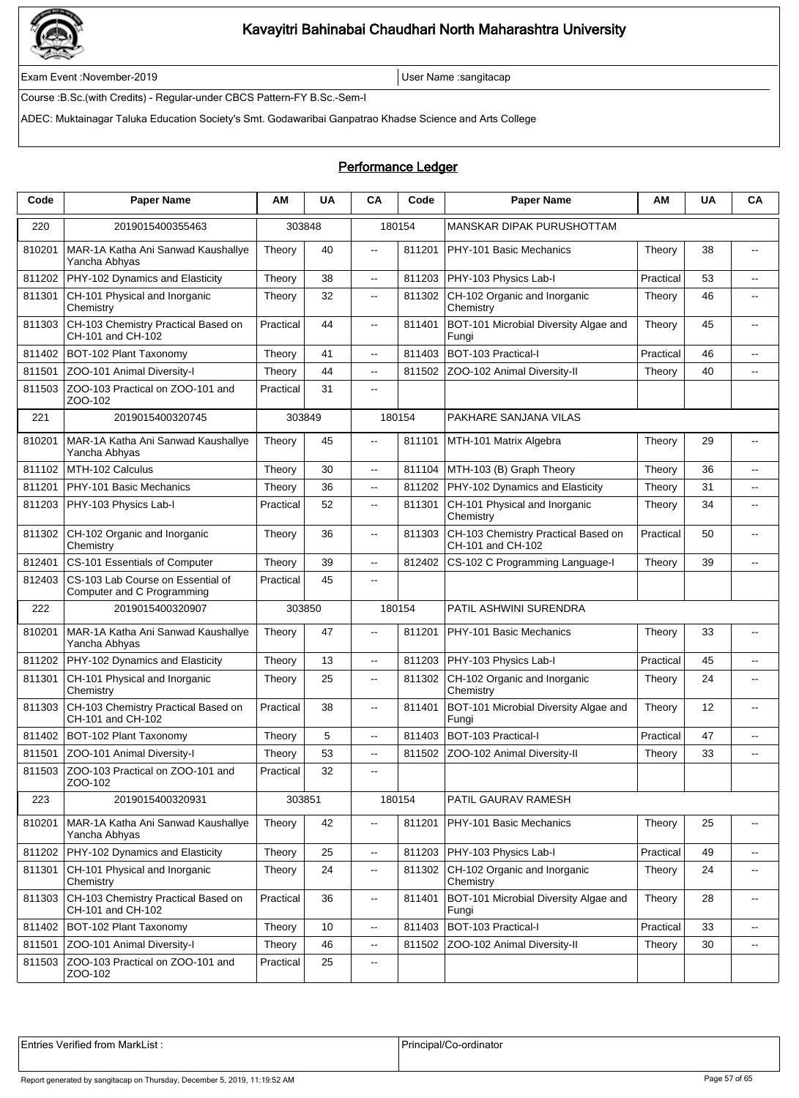

Exam Event :November-2019 User Name :sangitacap

Course :B.Sc.(with Credits) - Regular-under CBCS Pattern-FY B.Sc.-Sem-I

ADEC: Muktainagar Taluka Education Society's Smt. Godawaribai Ganpatrao Khadse Science and Arts College

### Performance Ledger

| Code   | <b>Paper Name</b>                                               | ΑМ        | <b>UA</b> | CA                       | Code   | <b>Paper Name</b>                                        | ΑМ        | <b>UA</b> | CA                                            |
|--------|-----------------------------------------------------------------|-----------|-----------|--------------------------|--------|----------------------------------------------------------|-----------|-----------|-----------------------------------------------|
| 220    | 2019015400355463                                                |           | 303848    |                          | 180154 | <b>MANSKAR DIPAK PURUSHOTTAM</b>                         |           |           |                                               |
| 810201 | MAR-1A Katha Ani Sanwad Kaushallye<br>Yancha Abhyas             | Theory    | 40        | $\overline{\phantom{a}}$ | 811201 | PHY-101 Basic Mechanics                                  | Theory    | 38        | $\overline{\phantom{a}}$                      |
| 811202 | PHY-102 Dynamics and Elasticity                                 | Theory    | 38        | --                       | 811203 | PHY-103 Physics Lab-I                                    | Practical | 53        | $\sim$                                        |
| 811301 | CH-101 Physical and Inorganic<br>Chemistry                      | Theory    | 32        | н.                       | 811302 | CH-102 Organic and Inorganic<br>Chemistry                | Theory    | 46        | $\overline{\phantom{a}}$                      |
| 811303 | CH-103 Chemistry Practical Based on<br>CH-101 and CH-102        | Practical | 44        | $\overline{\phantom{a}}$ | 811401 | BOT-101 Microbial Diversity Algae and<br>Fungi           | Theory    | 45        | $\overline{a}$                                |
| 811402 | BOT-102 Plant Taxonomy                                          | Theory    | 41        | --                       | 811403 | BOT-103 Practical-I                                      | Practical | 46        | $\overline{a}$                                |
| 811501 | ZOO-101 Animal Diversity-I                                      | Theory    | 44        | --                       | 811502 | ZOO-102 Animal Diversity-II                              | Theory    | 40        | Ξ.                                            |
| 811503 | ZOO-103 Practical on ZOO-101 and<br>ZOO-102                     | Practical | 31        | --                       |        |                                                          |           |           |                                               |
| 221    | 2019015400320745                                                |           | 303849    |                          | 180154 | PAKHARE SANJANA VILAS                                    |           |           |                                               |
| 810201 | MAR-1A Katha Ani Sanwad Kaushallye<br>Yancha Abhyas             | Theory    | 45        | $\overline{a}$           | 811101 | MTH-101 Matrix Algebra                                   | Theory    | 29        | $\overline{a}$                                |
| 811102 | MTH-102 Calculus                                                | Theory    | 30        | $\overline{\phantom{a}}$ | 811104 | MTH-103 (B) Graph Theory                                 | Theory    | 36        | $\overline{\phantom{a}}$                      |
| 811201 | PHY-101 Basic Mechanics                                         | Theory    | 36        | Ξ.                       | 811202 | PHY-102 Dynamics and Elasticity                          | Theory    | 31        | --                                            |
| 811203 | PHY-103 Physics Lab-I                                           | Practical | 52        | $- -$                    | 811301 | CH-101 Physical and Inorganic<br>Chemistry               | Theory    | 34        | $\overline{a}$                                |
| 811302 | CH-102 Organic and Inorganic<br>Chemistry                       | Theory    | 36        | --                       | 811303 | CH-103 Chemistry Practical Based on<br>CH-101 and CH-102 | Practical | 50        | --                                            |
| 812401 | CS-101 Essentials of Computer                                   | Theory    | 39        | Ξ.                       | 812402 | CS-102 C Programming Language-I                          | Theory    | 39        | $\sim$                                        |
| 812403 | CS-103 Lab Course on Essential of<br>Computer and C Programming | Practical | 45        | $\overline{a}$           |        |                                                          |           |           |                                               |
| 222    | 2019015400320907                                                |           | 303850    |                          | 180154 | PATIL ASHWINI SURENDRA                                   |           |           |                                               |
| 810201 | MAR-1A Katha Ani Sanwad Kaushallye<br>Yancha Abhyas             | Theory    | 47        | $- -$                    | 811201 | PHY-101 Basic Mechanics                                  | Theory    | 33        | $\overline{a}$                                |
| 811202 | PHY-102 Dynamics and Elasticity                                 | Theory    | 13        | --                       | 811203 | PHY-103 Physics Lab-I                                    | Practical | 45        | --                                            |
| 811301 | CH-101 Physical and Inorganic<br>Chemistry                      | Theory    | 25        | --                       | 811302 | CH-102 Organic and Inorganic<br>Chemistry                | Theory    | 24        | $\overline{\phantom{a}}$                      |
| 811303 | CH-103 Chemistry Practical Based on<br>CH-101 and CH-102        | Practical | 38        | $\overline{\phantom{a}}$ | 811401 | BOT-101 Microbial Diversity Algae and<br>Fungi           | Theory    | 12        | $\overline{a}$                                |
| 811402 | BOT-102 Plant Taxonomy                                          | Theory    | 5         | $\overline{\phantom{a}}$ | 811403 | BOT-103 Practical-I                                      | Practical | 47        | $\overline{a}$                                |
| 811501 | ZOO-101 Animal Diversity-I                                      | Theory    | 53        | $\overline{\phantom{a}}$ | 811502 | ZOO-102 Animal Diversity-II                              | Theory    | 33        | $\overline{\phantom{a}}$                      |
|        | 811503 ZOO-103 Practical on ZOO-101 and<br>ZOO-102              | Practical | 32        | $\overline{a}$           |        |                                                          |           |           |                                               |
| 223    | 2019015400320931                                                |           | 303851    |                          | 180154 | PATIL GAURAV RAMESH                                      |           |           |                                               |
| 810201 | MAR-1A Katha Ani Sanwad Kaushallye<br>Yancha Abhyas             | Theory    | 42        | .,                       | 811201 | PHY-101 Basic Mechanics                                  | Theory    | 25        | --                                            |
| 811202 | PHY-102 Dynamics and Elasticity                                 | Theory    | 25        | Ξ.                       | 811203 | PHY-103 Physics Lab-I                                    | Practical | 49        | $\sim$                                        |
| 811301 | CH-101 Physical and Inorganic<br>Chemistry                      | Theory    | 24        | ۰.                       | 811302 | CH-102 Organic and Inorganic<br>Chemistry                | Theory    | 24        | --                                            |
| 811303 | CH-103 Chemistry Practical Based on<br>CH-101 and CH-102        | Practical | 36        | .,                       | 811401 | BOT-101 Microbial Diversity Algae and<br>Fungi           | Theory    | 28        | $\overline{\phantom{a}}$                      |
| 811402 | BOT-102 Plant Taxonomy                                          | Theory    | 10        | .,                       | 811403 | BOT-103 Practical-I                                      | Practical | 33        | --                                            |
| 811501 | ZOO-101 Animal Diversity-I                                      | Theory    | 46        | .,                       | 811502 | ZOO-102 Animal Diversity-II                              | Theory    | 30        | $\mathord{\hspace{1pt}\text{--}\hspace{1pt}}$ |
| 811503 | ZOO-103 Practical on ZOO-101 and<br>ZOO-102                     | Practical | 25        | .,                       |        |                                                          |           |           |                                               |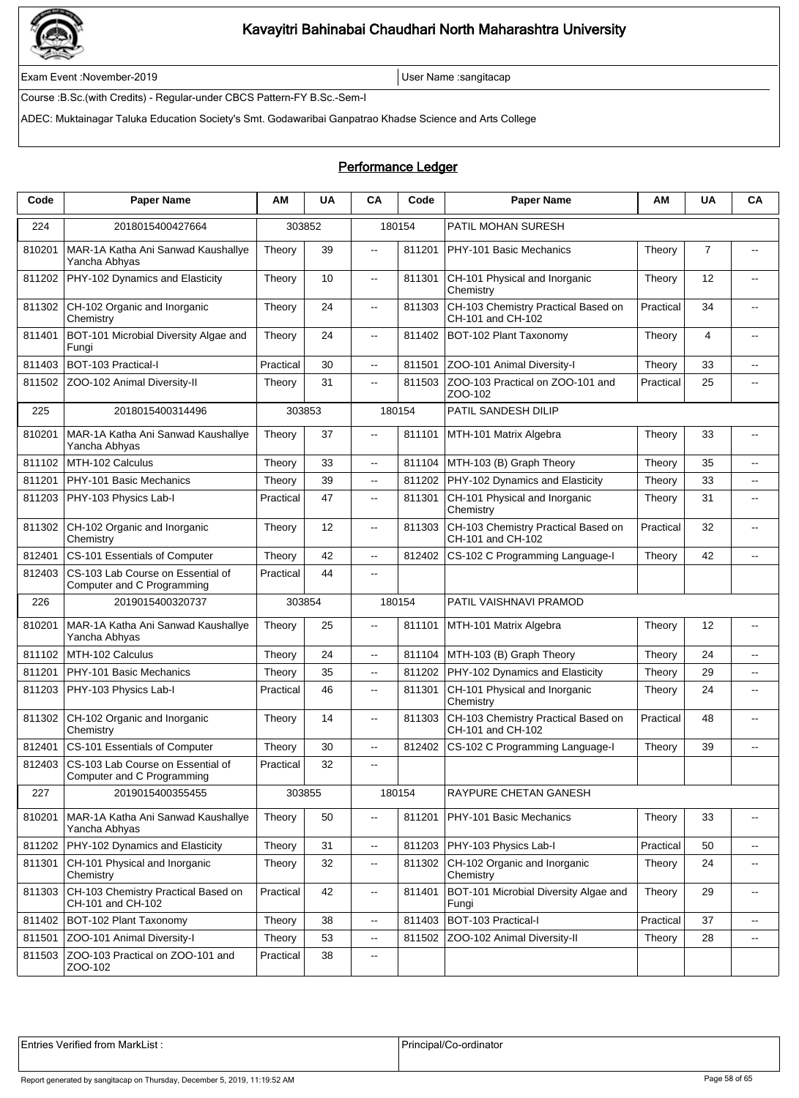

Exam Event :November-2019 User Name :sangitacap

Course :B.Sc.(with Credits) - Regular-under CBCS Pattern-FY B.Sc.-Sem-I

ADEC: Muktainagar Taluka Education Society's Smt. Godawaribai Ganpatrao Khadse Science and Arts College

#### Performance Ledger

| Code   | <b>Paper Name</b>                                               | ΑМ        | <b>UA</b> | CA                       | Code   | <b>Paper Name</b>                                        | ΑМ        | <b>UA</b>      | CA                       |
|--------|-----------------------------------------------------------------|-----------|-----------|--------------------------|--------|----------------------------------------------------------|-----------|----------------|--------------------------|
| 224    | 2018015400427664                                                |           | 303852    |                          | 180154 | PATIL MOHAN SURESH                                       |           |                |                          |
| 810201 | MAR-1A Katha Ani Sanwad Kaushallye<br>Yancha Abhyas             | Theory    | 39        | .,                       | 811201 | PHY-101 Basic Mechanics                                  | Theory    | $\overline{7}$ | $\overline{\phantom{a}}$ |
| 811202 | PHY-102 Dynamics and Elasticity                                 | Theory    | 10        | $\overline{\phantom{a}}$ | 811301 | CH-101 Physical and Inorganic<br>Chemistry               | Theory    | 12             | $\overline{a}$           |
| 811302 | CH-102 Organic and Inorganic<br>Chemistry                       | Theory    | 24        | $\overline{\phantom{a}}$ | 811303 | CH-103 Chemistry Practical Based on<br>CH-101 and CH-102 | Practical | 34             |                          |
| 811401 | BOT-101 Microbial Diversity Algae and<br>Fungi                  | Theory    | 24        | .,                       | 811402 | BOT-102 Plant Taxonomy                                   | Theory    | $\overline{4}$ | $\overline{\phantom{a}}$ |
| 811403 | BOT-103 Practical-I                                             | Practical | 30        | .,                       | 811501 | ZOO-101 Animal Diversity-I                               | Theory    | 33             | $\overline{\phantom{a}}$ |
| 811502 | ZOO-102 Animal Diversity-II                                     | Theory    | 31        | н.                       | 811503 | ZOO-103 Practical on ZOO-101 and<br>ZOO-102              | Practical | 25             | $\overline{\phantom{a}}$ |
| 225    | 2018015400314496                                                | 303853    |           |                          | 180154 | PATIL SANDESH DILIP                                      |           |                |                          |
| 810201 | MAR-1A Katha Ani Sanwad Kaushallye<br>Yancha Abhyas             | Theory    | 37        | $\overline{\phantom{a}}$ | 811101 | MTH-101 Matrix Algebra                                   | Theory    | 33             | $\overline{\phantom{a}}$ |
| 811102 | MTH-102 Calculus                                                | Theory    | 33        | Ξ.                       | 811104 | MTH-103 (B) Graph Theory                                 | Theory    | 35             | $\overline{\phantom{a}}$ |
| 811201 | PHY-101 Basic Mechanics                                         | Theory    | 39        | -−                       | 811202 | PHY-102 Dynamics and Elasticity                          | Theory    | 33             | --                       |
| 811203 | PHY-103 Physics Lab-I                                           | Practical | 47        | .,                       | 811301 | CH-101 Physical and Inorganic<br>Chemistry               | Theory    | 31             | $\overline{\phantom{a}}$ |
| 811302 | CH-102 Organic and Inorganic<br>Chemistry                       | Theory    | 12        | $\overline{\phantom{a}}$ | 811303 | CH-103 Chemistry Practical Based on<br>CH-101 and CH-102 | Practical | 32             | $\overline{a}$           |
| 812401 | CS-101 Essentials of Computer                                   | Theory    | 42        | Ξ.                       | 812402 | CS-102 C Programming Language-I                          | Theory    | 42             | $\overline{\phantom{a}}$ |
| 812403 | CS-103 Lab Course on Essential of<br>Computer and C Programming | Practical | 44        | $\overline{\phantom{a}}$ |        |                                                          |           |                |                          |
| 226    | 2019015400320737                                                |           | 303854    |                          | 180154 | PATIL VAISHNAVI PRAMOD                                   |           |                |                          |
| 810201 | MAR-1A Katha Ani Sanwad Kaushallye<br>Yancha Abhyas             | Theory    | 25        | $\overline{\phantom{a}}$ | 811101 | MTH-101 Matrix Algebra                                   | Theory    | 12             | $\overline{\phantom{a}}$ |
| 811102 | MTH-102 Calculus                                                | Theory    | 24        | --                       | 811104 | MTH-103 (B) Graph Theory                                 | Theory    | 24             | ۰.                       |
| 811201 | PHY-101 Basic Mechanics                                         | Theory    | 35        | .,                       | 811202 | PHY-102 Dynamics and Elasticity                          | Theory    | 29             | $\overline{\phantom{a}}$ |
| 811203 | PHY-103 Physics Lab-I                                           | Practical | 46        | .,                       | 811301 | CH-101 Physical and Inorganic<br>Chemistry               | Theory    | 24             | $\overline{\phantom{a}}$ |
| 811302 | CH-102 Organic and Inorganic<br>Chemistry                       | Theory    | 14        | $\overline{\phantom{a}}$ | 811303 | CH-103 Chemistry Practical Based on<br>CH-101 and CH-102 | Practical | 48             | $\overline{\phantom{a}}$ |
| 812401 | CS-101 Essentials of Computer                                   | Theory    | 30        | --                       | 812402 | CS-102 C Programming Language-I                          | Theory    | 39             | --                       |
| 812403 | CS-103 Lab Course on Essential of<br>Computer and C Programming | Practical | 32        | $\overline{\phantom{a}}$ |        |                                                          |           |                |                          |
| 227    | 2019015400355455                                                |           | 303855    |                          | 180154 | RAYPURE CHETAN GANESH                                    |           |                |                          |
| 810201 | MAR-1A Katha Ani Sanwad Kaushallye<br>Yancha Abhyas             | Theory    | 50        | $\overline{\phantom{a}}$ | 811201 | PHY-101 Basic Mechanics                                  | Theory    | 33             | --                       |
| 811202 | PHY-102 Dynamics and Elasticity                                 | Theory    | 31        | .,                       |        | 811203   PHY-103 Physics Lab-I                           | Practical | 50             | $\overline{\phantom{a}}$ |
| 811301 | CH-101 Physical and Inorganic<br>Chemistry                      | Theory    | 32        | .,                       | 811302 | CH-102 Organic and Inorganic<br>Chemistry                | Theory    | 24             | $\overline{\phantom{a}}$ |
| 811303 | CH-103 Chemistry Practical Based on<br>CH-101 and CH-102        | Practical | 42        | .,                       | 811401 | BOT-101 Microbial Diversity Algae and<br>Fungi           | Theory    | 29             | $\overline{\phantom{a}}$ |
| 811402 | BOT-102 Plant Taxonomy                                          | Theory    | 38        | --                       | 811403 | BOT-103 Practical-I                                      | Practical | 37             | --                       |
| 811501 | ZOO-101 Animal Diversity-I                                      | Theory    | 53        | --                       | 811502 | ZOO-102 Animal Diversity-II                              | Theory    | 28             | --                       |
| 811503 | ZOO-103 Practical on ZOO-101 and<br>ZOO-102                     | Practical | 38        | ۰.                       |        |                                                          |           |                |                          |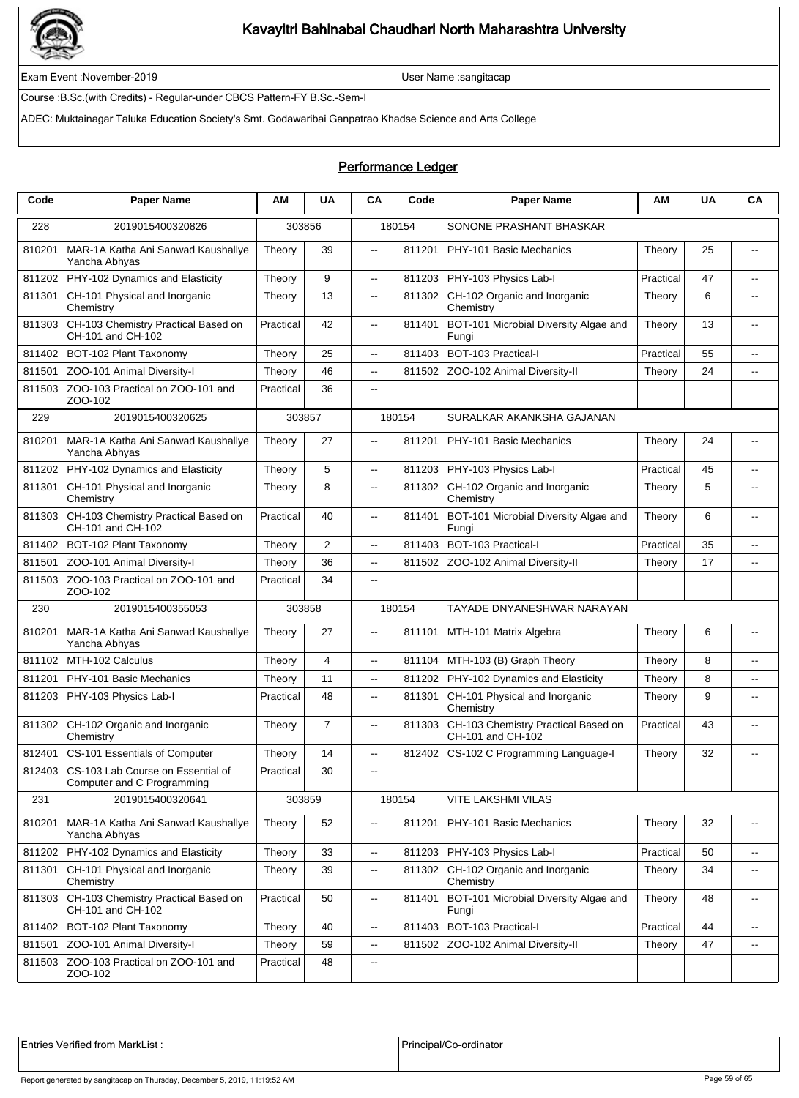

Exam Event :November-2019 User Name :sangitacap

Course :B.Sc.(with Credits) - Regular-under CBCS Pattern-FY B.Sc.-Sem-I

ADEC: Muktainagar Taluka Education Society's Smt. Godawaribai Ganpatrao Khadse Science and Arts College

### Performance Ledger

| Code   | <b>Paper Name</b>                                               | ΑМ        | <b>UA</b>      | CA                       | Code   | <b>Paper Name</b>                                        | AM        | <b>UA</b> | CA                       |
|--------|-----------------------------------------------------------------|-----------|----------------|--------------------------|--------|----------------------------------------------------------|-----------|-----------|--------------------------|
| 228    | 2019015400320826                                                |           | 303856         |                          | 180154 | SONONE PRASHANT BHASKAR                                  |           |           |                          |
| 810201 | MAR-1A Katha Ani Sanwad Kaushallye<br>Yancha Abhyas             | Theory    | 39             | $\overline{\phantom{a}}$ | 811201 | PHY-101 Basic Mechanics                                  | Theory    | 25        | $\overline{\phantom{a}}$ |
| 811202 | PHY-102 Dynamics and Elasticity                                 | Theory    | 9              | $\overline{\phantom{a}}$ | 811203 | PHY-103 Physics Lab-I                                    | Practical | 47        | $\overline{a}$           |
| 811301 | CH-101 Physical and Inorganic<br>Chemistry                      | Theory    | 13             | $\overline{\phantom{a}}$ | 811302 | CH-102 Organic and Inorganic<br>Chemistry                | Theory    | 6         | $\overline{\phantom{a}}$ |
| 811303 | CH-103 Chemistry Practical Based on<br>CH-101 and CH-102        | Practical | 42             | $\overline{\phantom{a}}$ | 811401 | BOT-101 Microbial Diversity Algae and<br>Fungi           | Theory    | 13        | --                       |
| 811402 | BOT-102 Plant Taxonomy                                          | Theory    | 25             | цц.                      | 811403 | BOT-103 Practical-I                                      | Practical | 55        | $\overline{a}$           |
| 811501 | ZOO-101 Animal Diversity-I                                      | Theory    | 46             | $\overline{a}$           | 811502 | ZOO-102 Animal Diversity-II                              | Theory    | 24        | цц.                      |
| 811503 | ZOO-103 Practical on ZOO-101 and<br>ZOO-102                     | Practical | 36             | ۰.                       |        |                                                          |           |           |                          |
| 229    | 2019015400320625                                                | 303857    |                |                          | 180154 | SURALKAR AKANKSHA GAJANAN                                |           |           |                          |
| 810201 | MAR-1A Katha Ani Sanwad Kaushallye<br>Yancha Abhyas             | Theory    | 27             | цц.                      | 811201 | PHY-101 Basic Mechanics                                  | Theory    | 24        |                          |
| 811202 | PHY-102 Dynamics and Elasticity                                 | Theory    | 5              | Ξ.                       | 811203 | PHY-103 Physics Lab-I                                    | Practical | 45        | $\overline{\phantom{a}}$ |
| 811301 | CH-101 Physical and Inorganic<br>Chemistry                      | Theory    | 8              | Ξ.                       | 811302 | CH-102 Organic and Inorganic<br>Chemistry                | Theory    | 5         | --                       |
| 811303 | CH-103 Chemistry Practical Based on<br>CH-101 and CH-102        | Practical | 40             | .,                       | 811401 | BOT-101 Microbial Diversity Algae and<br>Fungi           | Theory    | 6         | $\overline{\phantom{a}}$ |
| 811402 | BOT-102 Plant Taxonomy                                          | Theory    | $\overline{2}$ | $- -$                    | 811403 | BOT-103 Practical-I                                      | Practical | 35        | $\overline{\phantom{a}}$ |
| 811501 | ZOO-101 Animal Diversity-I                                      | Theory    | 36             | $\overline{\phantom{a}}$ | 811502 | ZOO-102 Animal Diversity-II                              | Theory    | 17        | $\overline{\phantom{a}}$ |
| 811503 | ZOO-103 Practical on ZOO-101 and<br>ZOO-102                     | Practical | 34             | $\overline{a}$           |        |                                                          |           |           |                          |
| 230    | 2019015400355053                                                |           | 303858         |                          | 180154 | TAYADE DNYANESHWAR NARAYAN                               |           |           |                          |
| 810201 | MAR-1A Katha Ani Sanwad Kaushallye<br>Yancha Abhyas             | Theory    | 27             | --                       | 811101 | MTH-101 Matrix Algebra                                   | Theory    | 6         | --                       |
| 811102 | MTH-102 Calculus                                                | Theory    | $\overline{4}$ | $\overline{\phantom{a}}$ | 811104 | MTH-103 (B) Graph Theory                                 | Theory    | 8         | $\overline{\phantom{a}}$ |
| 811201 | PHY-101 Basic Mechanics                                         | Theory    | 11             | --                       | 811202 | PHY-102 Dynamics and Elasticity                          | Theory    | 8         | ۰.                       |
| 811203 | PHY-103 Physics Lab-I                                           | Practical | 48             | --                       | 811301 | CH-101 Physical and Inorganic<br>Chemistry               | Theory    | 9         | $\overline{\phantom{a}}$ |
| 811302 | CH-102 Organic and Inorganic<br>Chemistry                       | Theory    | $\overline{7}$ | $- -$                    | 811303 | CH-103 Chemistry Practical Based on<br>CH-101 and CH-102 | Practical | 43        | $-$                      |
| 812401 | CS-101 Essentials of Computer                                   | Theory    | 14             | $\overline{\phantom{a}}$ | 812402 | CS-102 C Programming Language-I                          | Theory    | 32        | --                       |
| 812403 | CS-103 Lab Course on Essential of<br>Computer and C Programming | Practical | 30             | $- -$                    |        |                                                          |           |           |                          |
| 231    | 2019015400320641                                                |           | 303859         |                          | 180154 | VITE LAKSHMI VILAS                                       |           |           |                          |
| 810201 | MAR-1A Katha Ani Sanwad Kaushallye<br>Yancha Abhyas             | Theory    | 52             | --                       | 811201 | PHY-101 Basic Mechanics                                  | Theory    | 32        | --                       |
| 811202 | PHY-102 Dynamics and Elasticity                                 | Theory    | 33             | щ.                       | 811203 | PHY-103 Physics Lab-I                                    | Practical | 50        | $\sim$                   |
| 811301 | CH-101 Physical and Inorganic<br>Chemistry                      | Theory    | 39             | щ.                       | 811302 | CH-102 Organic and Inorganic<br>Chemistry                | Theory    | 34        | $\overline{\phantom{a}}$ |
| 811303 | CH-103 Chemistry Practical Based on<br>CH-101 and CH-102        | Practical | 50             | Ξ.                       | 811401 | BOT-101 Microbial Diversity Algae and<br>Fungi           | Theory    | 48        | $\overline{\phantom{a}}$ |
| 811402 | BOT-102 Plant Taxonomy                                          | Theory    | 40             | --                       | 811403 | BOT-103 Practical-I                                      | Practical | 44        | --                       |
| 811501 | ZOO-101 Animal Diversity-I                                      | Theory    | 59             | --                       | 811502 | ZOO-102 Animal Diversity-II                              | Theory    | 47        | $\overline{\phantom{a}}$ |
| 811503 | ZOO-103 Practical on ZOO-101 and<br>ZOO-102                     | Practical | 48             | $\overline{\phantom{a}}$ |        |                                                          |           |           |                          |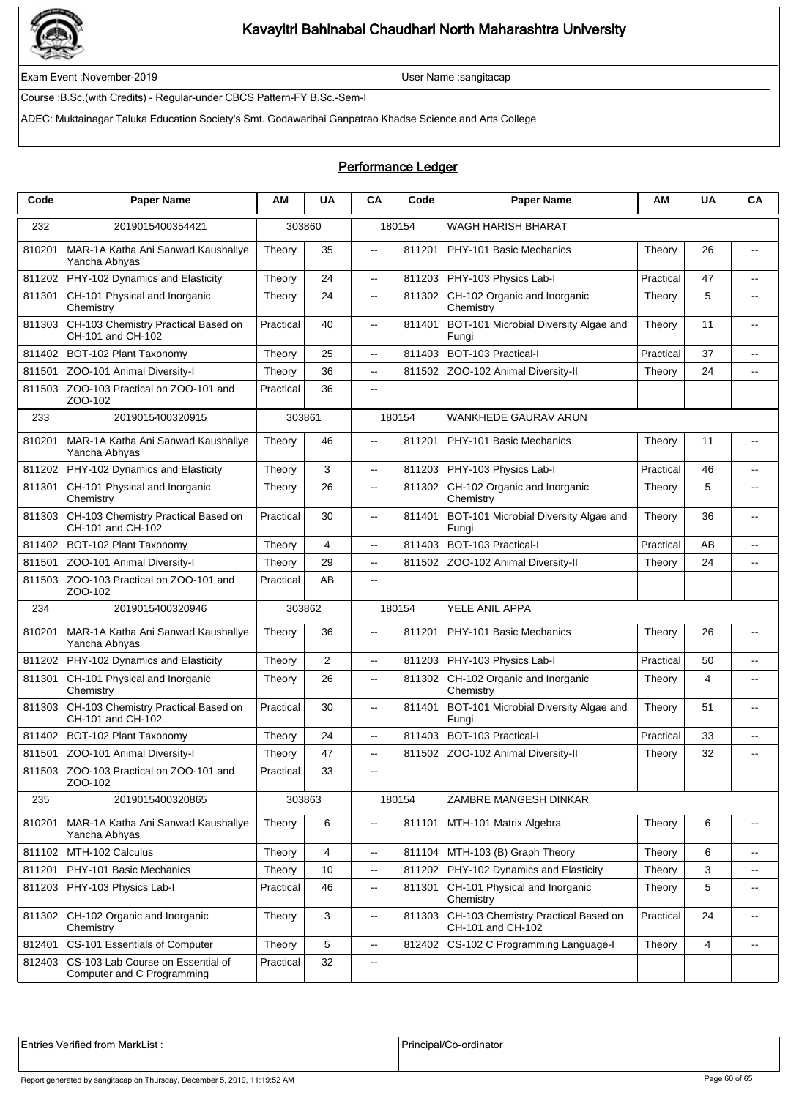

Exam Event :November-2019 User Name :sangitacap

Course :B.Sc.(with Credits) - Regular-under CBCS Pattern-FY B.Sc.-Sem-I

ADEC: Muktainagar Taluka Education Society's Smt. Godawaribai Ganpatrao Khadse Science and Arts College

### Performance Ledger

| Code   | <b>Paper Name</b>                                               | АM        | <b>UA</b>               | CA                       | Code   | <b>Paper Name</b>                                        | AM        | <b>UA</b> | CA                       |  |
|--------|-----------------------------------------------------------------|-----------|-------------------------|--------------------------|--------|----------------------------------------------------------|-----------|-----------|--------------------------|--|
| 232    | 2019015400354421                                                |           | 303860                  |                          | 180154 | WAGH HARISH BHARAT                                       |           |           |                          |  |
| 810201 | MAR-1A Katha Ani Sanwad Kaushallye<br>Yancha Abhyas             | Theory    | 35                      | $\overline{\phantom{a}}$ | 811201 | PHY-101 Basic Mechanics                                  | Theory    | 26        | $\sim$                   |  |
| 811202 | PHY-102 Dynamics and Elasticity                                 | Theory    | 24                      | $\overline{\phantom{a}}$ | 811203 | PHY-103 Physics Lab-I                                    | Practical | 47        | $\overline{a}$           |  |
| 811301 | CH-101 Physical and Inorganic<br>Chemistry                      | Theory    | 24                      | $\overline{\phantom{a}}$ | 811302 | CH-102 Organic and Inorganic<br>Chemistry                | Theory    | 5         | $\overline{\phantom{a}}$ |  |
| 811303 | CH-103 Chemistry Practical Based on<br>CH-101 and CH-102        | Practical | 40                      | $\overline{\phantom{a}}$ | 811401 | BOT-101 Microbial Diversity Algae and<br>Fungi           | Theory    | 11        | --                       |  |
| 811402 | BOT-102 Plant Taxonomy                                          | Theory    | 25                      | $\overline{\phantom{a}}$ | 811403 | BOT-103 Practical-I                                      | Practical | 37        | $\overline{a}$           |  |
| 811501 | ZOO-101 Animal Diversity-I                                      | Theory    | 36                      | $\overline{a}$           | 811502 | ZOO-102 Animal Diversity-II                              | Theory    | 24        | $\overline{\phantom{a}}$ |  |
| 811503 | ZOO-103 Practical on ZOO-101 and<br>ZOO-102                     | Practical | 36                      | $\overline{a}$           |        |                                                          |           |           |                          |  |
| 233    | 2019015400320915                                                | 303861    |                         |                          | 180154 | WANKHEDE GAURAV ARUN                                     |           |           |                          |  |
| 810201 | MAR-1A Katha Ani Sanwad Kaushallye<br>Yancha Abhyas             | Theory    | 46                      | $\overline{\phantom{a}}$ | 811201 | PHY-101 Basic Mechanics                                  | Theory    | 11        | $\overline{a}$           |  |
| 811202 | PHY-102 Dynamics and Elasticity                                 | Theory    | 3                       | Ξ.                       | 811203 | PHY-103 Physics Lab-I                                    | Practical | 46        | $\overline{\phantom{a}}$ |  |
| 811301 | CH-101 Physical and Inorganic<br>Chemistry                      | Theory    | 26                      | Ξ.                       | 811302 | CH-102 Organic and Inorganic<br>Chemistry                | Theory    | 5         | --                       |  |
| 811303 | CH-103 Chemistry Practical Based on<br>CH-101 and CH-102        | Practical | 30                      | --                       | 811401 | BOT-101 Microbial Diversity Algae and<br>Fungi           | Theory    | 36        | $\overline{\phantom{a}}$ |  |
| 811402 | BOT-102 Plant Taxonomv                                          | Theory    | 4                       | $- -$                    | 811403 | BOT-103 Practical-I                                      | Practical | AB        | $\overline{a}$           |  |
| 811501 | ZOO-101 Animal Diversity-I                                      | Theory    | 29                      | $\overline{\phantom{a}}$ | 811502 | ZOO-102 Animal Diversity-II                              | Theory    | 24        | $\overline{\phantom{a}}$ |  |
| 811503 | ZOO-103 Practical on ZOO-101 and<br>ZOO-102                     | Practical | AB                      | $\overline{a}$           |        |                                                          |           |           |                          |  |
| 234    | 2019015400320946                                                |           | 303862                  | 180154                   |        | YELE ANIL APPA                                           |           |           |                          |  |
| 810201 | MAR-1A Katha Ani Sanwad Kaushallye<br>Yancha Abhyas             | Theory    | 36                      | $\overline{\phantom{a}}$ | 811201 | PHY-101 Basic Mechanics                                  | Theory    | 26        | $\overline{\phantom{a}}$ |  |
| 811202 | PHY-102 Dynamics and Elasticity                                 | Theory    | $\overline{2}$          | Ξ.                       | 811203 | PHY-103 Physics Lab-I                                    | Practical | 50        | $\overline{a}$           |  |
| 811301 | CH-101 Physical and Inorganic<br>Chemistry                      | Theory    | 26                      | --                       | 811302 | CH-102 Organic and Inorganic<br>Chemistry                | Theory    | 4         | $\overline{\phantom{a}}$ |  |
| 811303 | CH-103 Chemistry Practical Based on<br>CH-101 and CH-102        | Practical | 30                      | $- -$                    | 811401 | BOT-101 Microbial Diversity Algae and<br>Fungi           | Theory    | 51        | $\overline{a}$           |  |
| 811402 | BOT-102 Plant Taxonomy                                          | Theory    | 24                      | Ξ.                       | 811403 | BOT-103 Practical-I                                      | Practical | 33        | $\overline{\phantom{a}}$ |  |
| 811501 | ZOO-101 Animal Diversity-I                                      | Theory    | 47                      | Ξ.                       | 811502 | ZOO-102 Animal Diversity-II                              | Theory    | 32        | $\overline{a}$           |  |
|        | 811503 ZOO-103 Practical on ZOO-101 and<br>ZOO-102              | Practical | 33                      | $\overline{\phantom{a}}$ |        |                                                          |           |           |                          |  |
| 235    | 2019015400320865                                                |           | 303863                  |                          | 180154 | ZAMBRE MANGESH DINKAR                                    |           |           |                          |  |
| 810201 | MAR-1A Katha Ani Sanwad Kaushallye<br>Yancha Abhyas             | Theory    | 6                       | --                       | 811101 | MTH-101 Matrix Algebra                                   | Theory    | 6         | --                       |  |
| 811102 | MTH-102 Calculus                                                | Theory    | $\overline{\mathbf{4}}$ | --                       |        | 811104   MTH-103 (B) Graph Theory                        | Theory    | 6         | $\sim$                   |  |
| 811201 | PHY-101 Basic Mechanics                                         | Theory    | 10                      | --                       | 811202 | PHY-102 Dynamics and Elasticity                          | Theory    | 3         | $\mathbf{H}$             |  |
| 811203 | PHY-103 Physics Lab-I                                           | Practical | 46                      | ۰.                       | 811301 | CH-101 Physical and Inorganic<br>Chemistry               | Theory    | 5         | $\overline{\phantom{a}}$ |  |
| 811302 | CH-102 Organic and Inorganic<br>Chemistry                       | Theory    | $\mathbf{3}$            | --                       | 811303 | CH-103 Chemistry Practical Based on<br>CH-101 and CH-102 | Practical | 24        | $\mathbf{H}$             |  |
| 812401 | CS-101 Essentials of Computer                                   | Theory    | 5                       | --                       | 812402 | CS-102 C Programming Language-I                          | Theory    | 4         | $\overline{\phantom{a}}$ |  |
| 812403 | CS-103 Lab Course on Essential of<br>Computer and C Programming | Practical | 32                      | ۰.                       |        |                                                          |           |           |                          |  |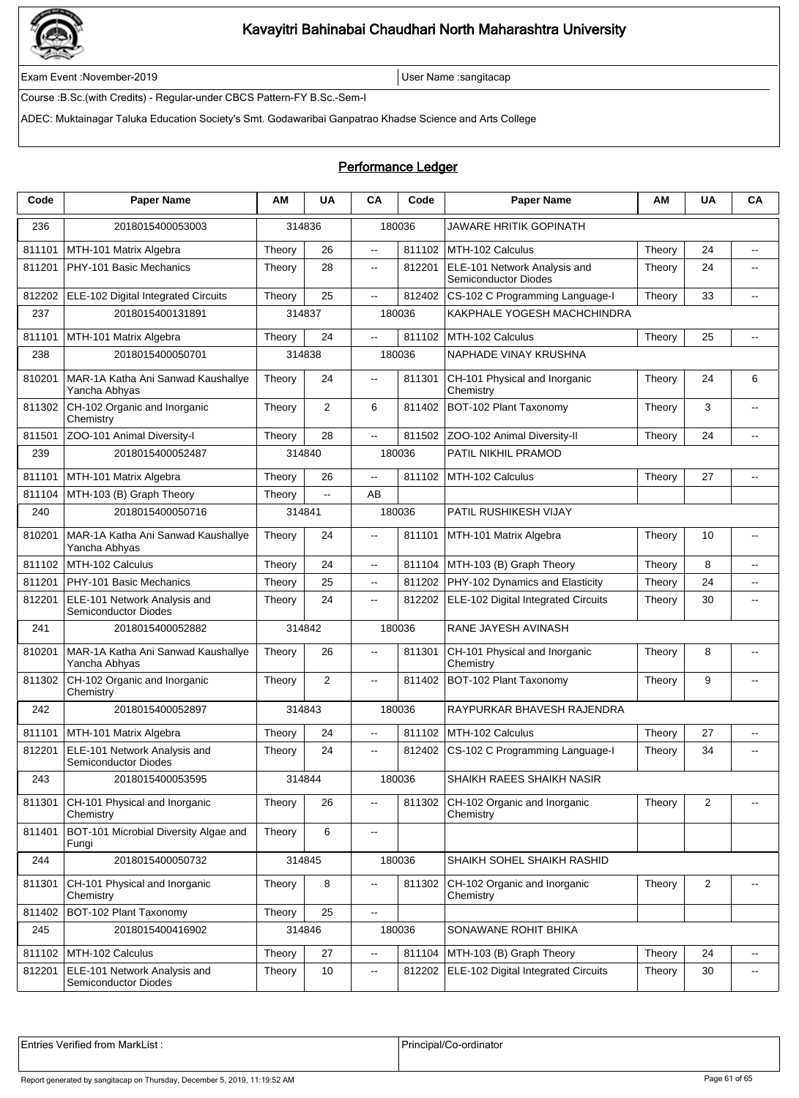

Exam Event :November-2019 User Name :sangitacap

Course :B.Sc.(with Credits) - Regular-under CBCS Pattern-FY B.Sc.-Sem-I

ADEC: Muktainagar Taluka Education Society's Smt. Godawaribai Ganpatrao Khadse Science and Arts College

### Performance Ledger

| Code   | <b>Paper Name</b>                                           | AМ     | <b>UA</b> | <b>CA</b>                | Code   | <b>Paper Name</b>                                    | ΑM     | <b>UA</b>      | CA                       |  |
|--------|-------------------------------------------------------------|--------|-----------|--------------------------|--------|------------------------------------------------------|--------|----------------|--------------------------|--|
| 236    | 2018015400053003                                            |        | 314836    |                          | 180036 | JAWARE HRITIK GOPINATH                               |        |                |                          |  |
| 811101 | MTH-101 Matrix Algebra                                      | Theory | 26        | ц.                       | 811102 | MTH-102 Calculus                                     | Theory | 24             | $\overline{\phantom{a}}$ |  |
| 811201 | PHY-101 Basic Mechanics                                     | Theory | 28        | Ξ.                       | 812201 | ELE-101 Network Analysis and<br>Semiconductor Diodes | Theory | 24             | $\overline{\phantom{a}}$ |  |
| 812202 | ELE-102 Digital Integrated Circuits                         | Theory | 25        | $\overline{a}$           | 812402 | CS-102 C Programming Language-I                      | Theory | 33             | $\overline{a}$           |  |
| 237    | 2018015400131891                                            |        | 314837    |                          | 180036 | KAKPHALE YOGESH MACHCHINDRA                          |        |                |                          |  |
| 811101 | MTH-101 Matrix Algebra                                      | Theory | 24        | μ.                       | 811102 | MTH-102 Calculus                                     | Theory | 25             | $\overline{a}$           |  |
| 238    | 2018015400050701                                            |        | 314838    | 180036                   |        | NAPHADE VINAY KRUSHNA                                |        |                |                          |  |
| 810201 | MAR-1A Katha Ani Sanwad Kaushallye<br>Yancha Abhyas         | Theory | 24        | $\overline{a}$           | 811301 | CH-101 Physical and Inorganic<br>Chemistry           | Theory | 24             | 6                        |  |
| 811302 | CH-102 Organic and Inorganic<br>Chemistry                   | Theory | 2         | 6                        | 811402 | BOT-102 Plant Taxonomy                               | Theory | 3              | $-$                      |  |
| 811501 | ZOO-101 Animal Diversity-I                                  | Theory | 28        | Ξ.                       | 811502 | ZOO-102 Animal Diversity-II                          | Theory | 24             | $\overline{\phantom{a}}$ |  |
| 239    | 2018015400052487                                            |        | 314840    |                          | 180036 | PATIL NIKHIL PRAMOD                                  |        |                |                          |  |
| 811101 | MTH-101 Matrix Algebra                                      | Theory | 26        | Ш,                       | 811102 | MTH-102 Calculus                                     | Theory | 27             | $\overline{\phantom{a}}$ |  |
| 811104 | MTH-103 (B) Graph Theory                                    | Theory | Ξ.        | AB                       |        |                                                      |        |                |                          |  |
| 240    | 2018015400050716                                            |        | 314841    |                          | 180036 | PATIL RUSHIKESH VIJAY                                |        |                |                          |  |
| 810201 | MAR-1A Katha Ani Sanwad Kaushallye<br>Yancha Abhyas         | Theory | 24        | $\overline{a}$           | 811101 | MTH-101 Matrix Algebra                               | Theory | 10             | $\overline{a}$           |  |
| 811102 | MTH-102 Calculus                                            | Theory | 24        | Ξ.                       | 811104 | MTH-103 (B) Graph Theory                             | Theory | 8              | $\overline{\phantom{a}}$ |  |
| 811201 | PHY-101 Basic Mechanics                                     | Theory | 25        | Ξ.                       | 811202 | PHY-102 Dynamics and Elasticity                      | Theory | 24             | $\overline{a}$           |  |
| 812201 | ELE-101 Network Analysis and<br><b>Semiconductor Diodes</b> | Theory | 24        | $\overline{\phantom{a}}$ | 812202 | ELE-102 Digital Integrated Circuits                  | Theory | 30             | $\overline{\phantom{a}}$ |  |
| 241    | 2018015400052882                                            |        | 314842    |                          | 180036 | RANE JAYESH AVINASH                                  |        |                |                          |  |
| 810201 | MAR-1A Katha Ani Sanwad Kaushallye<br>Yancha Abhyas         | Theory | 26        | $\overline{a}$           | 811301 | CH-101 Physical and Inorganic<br>Chemistry           | Theory | 8              | $\overline{a}$           |  |
| 811302 | CH-102 Organic and Inorganic<br>Chemistry                   | Theory | 2         | $\overline{\phantom{a}}$ | 811402 | BOT-102 Plant Taxonomy                               | Theory | 9              | $-$                      |  |
| 242    | 2018015400052897                                            |        | 314843    |                          | 180036 | RAYPURKAR BHAVESH RAJENDRA                           |        |                |                          |  |
| 811101 | MTH-101 Matrix Algebra                                      | Theory | 24        | $\overline{\phantom{a}}$ | 811102 | MTH-102 Calculus                                     | Theory | 27             | $\overline{\phantom{a}}$ |  |
| 812201 | ELE-101 Network Analysis and<br>Semiconductor Diodes        | Theory | 24        | --                       | 812402 | CS-102 C Programming Language-I                      | Theory | 34             | $\overline{\phantom{a}}$ |  |
| 243    | 2018015400053595                                            |        | 314844    | 180036                   |        | SHAIKH RAEES SHAIKH NASIR                            |        |                |                          |  |
| 811301 | CH-101 Physical and Inorganic<br>Chemistry                  | Theory | 26        | $\overline{a}$           | 811302 | CH-102 Organic and Inorganic<br>Chemistry            | Theory | $\overline{2}$ | $-$                      |  |
| 811401 | BOT-101 Microbial Diversity Algae and<br>Fungi              | Theory | 6         | --                       |        |                                                      |        |                |                          |  |
| 244    | 2018015400050732                                            |        | 314845    |                          | 180036 | SHAIKH SOHEL SHAIKH RASHID                           |        |                |                          |  |
| 811301 | CH-101 Physical and Inorganic<br>Chemistry                  | Theory | 8         | --                       | 811302 | CH-102 Organic and Inorganic<br>Chemistry            | Theory | $\overline{2}$ | $\overline{\phantom{a}}$ |  |
| 811402 | BOT-102 Plant Taxonomy                                      | Theory | 25        | Ξ.                       |        |                                                      |        |                |                          |  |
| 245    | 2018015400416902                                            |        | 314846    |                          | 180036 | SONAWANE ROHIT BHIKA                                 |        |                |                          |  |
| 811102 | MTH-102 Calculus                                            | Theory | 27        | ц.                       | 811104 | MTH-103 (B) Graph Theory                             | Theory | 24             | $\overline{a}$           |  |
| 812201 | ELE-101 Network Analysis and<br>Semiconductor Diodes        | Theory | 10        | ۰.                       | 812202 | ELE-102 Digital Integrated Circuits                  | Theory | 30             | $\overline{\phantom{a}}$ |  |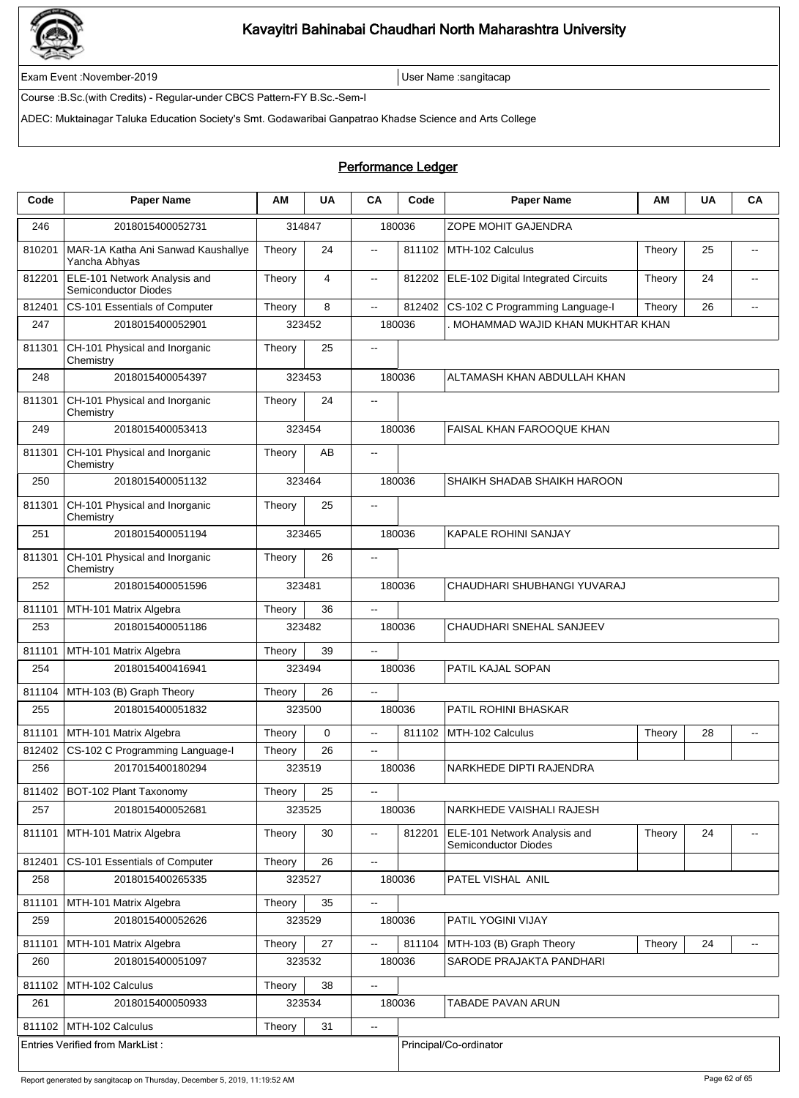

Exam Event :November-2019 User Name :sangitacap

Course :B.Sc.(with Credits) - Regular-under CBCS Pattern-FY B.Sc.-Sem-I

ADEC: Muktainagar Taluka Education Society's Smt. Godawaribai Ganpatrao Khadse Science and Arts College

### Performance Ledger

| Code   | <b>Paper Name</b>                                           | АM     | <b>UA</b> | CA                       | Code   | <b>Paper Name</b>                                           | ΑM     | <b>UA</b> | CA                       |  |
|--------|-------------------------------------------------------------|--------|-----------|--------------------------|--------|-------------------------------------------------------------|--------|-----------|--------------------------|--|
| 246    | 2018015400052731                                            | 314847 |           |                          | 180036 | ZOPE MOHIT GAJENDRA                                         |        |           |                          |  |
| 810201 | MAR-1A Katha Ani Sanwad Kaushallye<br>Yancha Abhyas         | Theory | 24        | $\overline{\phantom{a}}$ | 811102 | MTH-102 Calculus                                            | Theory | 25        | $\overline{a}$           |  |
| 812201 | ELE-101 Network Analysis and<br><b>Semiconductor Diodes</b> | Theory | 4         | ц.                       | 812202 | ELE-102 Digital Integrated Circuits                         | Theory | 24        | $\overline{a}$           |  |
| 812401 | CS-101 Essentials of Computer                               | Theory | 8         | Ξ.                       | 812402 | CS-102 C Programming Language-I                             | Theory | 26        | $\overline{a}$           |  |
| 247    | 2018015400052901                                            |        | 323452    |                          | 180036 | MOHAMMAD WAJID KHAN MUKHTAR KHAN                            |        |           |                          |  |
| 811301 | CH-101 Physical and Inorganic<br>Chemistry                  | Theory | 25        | $\overline{\phantom{a}}$ |        |                                                             |        |           |                          |  |
| 248    | 2018015400054397                                            | 323453 |           |                          | 180036 | ALTAMASH KHAN ABDULLAH KHAN                                 |        |           |                          |  |
| 811301 | CH-101 Physical and Inorganic<br>Chemistry                  | Theory | 24        | $\overline{a}$           |        |                                                             |        |           |                          |  |
| 249    | 2018015400053413                                            |        | 323454    |                          | 180036 | FAISAL KHAN FAROOQUE KHAN                                   |        |           |                          |  |
| 811301 | CH-101 Physical and Inorganic<br>Chemistry                  | Theory | AB        | $\overline{\phantom{a}}$ |        |                                                             |        |           |                          |  |
| 250    | 2018015400051132                                            |        | 323464    |                          | 180036 | SHAIKH SHADAB SHAIKH HAROON                                 |        |           |                          |  |
| 811301 | CH-101 Physical and Inorganic<br>Chemistry                  | Theory | 25        | --                       |        |                                                             |        |           |                          |  |
| 251    | 2018015400051194                                            |        | 323465    |                          | 180036 | KAPALE ROHINI SANJAY                                        |        |           |                          |  |
| 811301 | CH-101 Physical and Inorganic<br>Chemistry                  | Theory | 26        | $\overline{a}$           |        |                                                             |        |           |                          |  |
| 252    | 2018015400051596                                            |        | 323481    |                          | 180036 | CHAUDHARI SHUBHANGI YUVARAJ                                 |        |           |                          |  |
| 811101 | MTH-101 Matrix Algebra                                      | Theory | 36        | Ξ.                       |        |                                                             |        |           |                          |  |
| 253    | 2018015400051186                                            |        | 323482    |                          | 180036 | CHAUDHARI SNEHAL SANJEEV                                    |        |           |                          |  |
| 811101 | MTH-101 Matrix Algebra                                      | Theory | 39        | $\overline{\phantom{a}}$ |        |                                                             |        |           |                          |  |
| 254    | 2018015400416941                                            | 323494 |           |                          | 180036 | PATIL KAJAL SOPAN                                           |        |           |                          |  |
| 811104 | MTH-103 (B) Graph Theory                                    | Theory | 26        | $\overline{\phantom{a}}$ |        |                                                             |        |           |                          |  |
| 255    | 2018015400051832                                            |        | 323500    |                          | 180036 | PATIL ROHINI BHASKAR                                        |        |           |                          |  |
| 811101 | MTH-101 Matrix Algebra                                      | Theory | 0         | $\overline{\phantom{a}}$ | 811102 | MTH-102 Calculus                                            | Theory | 28        | $\overline{\phantom{a}}$ |  |
| 812402 | CS-102 C Programming Language-I                             | Theory | 26        | $\overline{a}$           |        |                                                             |        |           |                          |  |
| 256    | 2017015400180294                                            |        | 323519    |                          | 180036 | NARKHEDE DIPTI RAJENDRA                                     |        |           |                          |  |
| 811402 | BOT-102 Plant Taxonomy                                      | Theory | 25        | $-$                      |        |                                                             |        |           |                          |  |
| 257    | 2018015400052681                                            |        | 323525    |                          | 180036 | NARKHEDE VAISHALI RAJESH                                    |        |           |                          |  |
| 811101 | MTH-101 Matrix Algebra                                      | Theory | 30        | $\overline{\phantom{a}}$ | 812201 | ELE-101 Network Analysis and<br><b>Semiconductor Diodes</b> | Theory | 24        |                          |  |
| 812401 | CS-101 Essentials of Computer                               | Theory | 26        | Ξ.                       |        |                                                             |        |           |                          |  |
| 258    | 2018015400265335                                            |        | 323527    |                          | 180036 | PATEL VISHAL ANIL                                           |        |           |                          |  |
| 811101 | MTH-101 Matrix Algebra                                      | Theory | 35        | --                       |        |                                                             |        |           |                          |  |
| 259    | 2018015400052626                                            |        | 323529    |                          | 180036 | PATIL YOGINI VIJAY                                          |        |           |                          |  |
| 811101 | MTH-101 Matrix Algebra                                      | Theory | 27        | ц,                       | 811104 | MTH-103 (B) Graph Theory                                    | Theory | 24        | $\overline{\phantom{a}}$ |  |
| 260    | 2018015400051097                                            |        | 323532    |                          | 180036 | SARODE PRAJAKTA PANDHARI                                    |        |           |                          |  |
| 811102 | MTH-102 Calculus                                            | Theory | 38        | --                       |        |                                                             |        |           |                          |  |
| 261    | 2018015400050933                                            |        | 323534    |                          | 180036 | TABADE PAVAN ARUN                                           |        |           |                          |  |
| 811102 | MTH-102 Calculus                                            | Theory | 31        | $\overline{\phantom{a}}$ |        |                                                             |        |           |                          |  |
|        | <b>Entries Verified from MarkList:</b>                      |        |           |                          |        | Principal/Co-ordinator                                      |        |           |                          |  |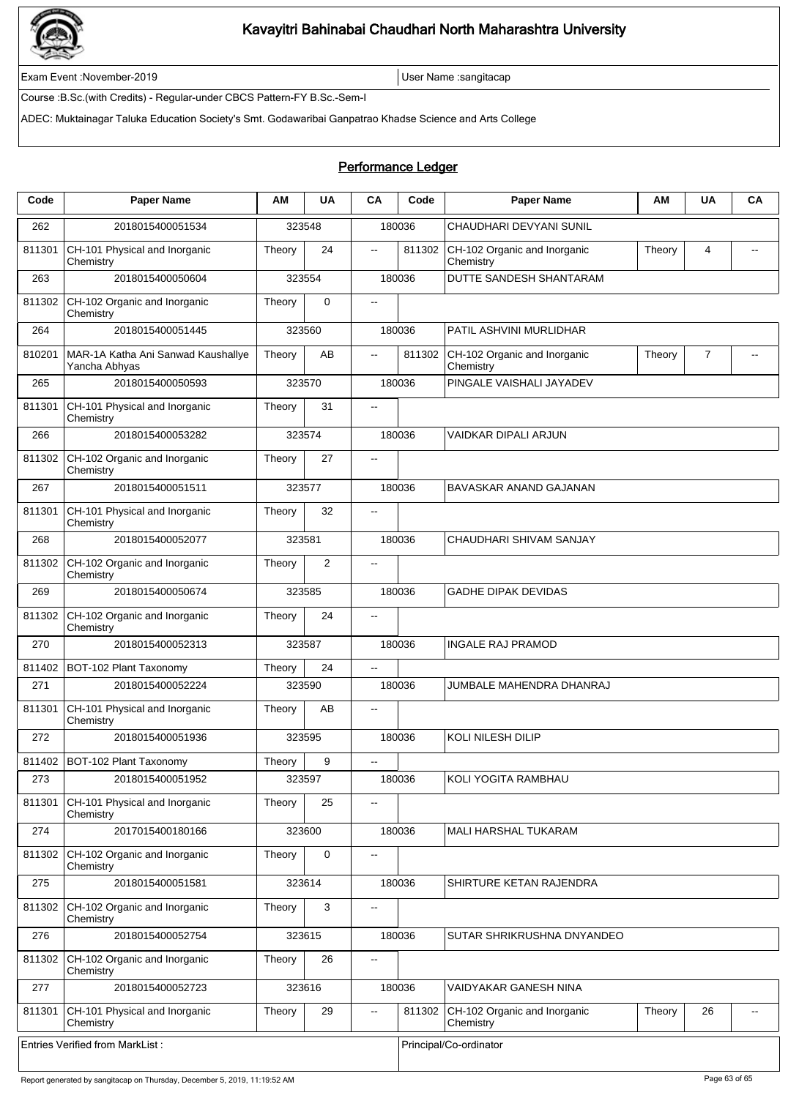

Exam Event :November-2019 User Name :sangitacap

Course :B.Sc.(with Credits) - Regular-under CBCS Pattern-FY B.Sc.-Sem-I

ADEC: Muktainagar Taluka Education Society's Smt. Godawaribai Ganpatrao Khadse Science and Arts College

### Performance Ledger

| Code   | <b>Paper Name</b>                                   | ΑМ     | <b>UA</b>   | CA                       | Code   | <b>Paper Name</b>                         | AM     | <b>UA</b> | CA |
|--------|-----------------------------------------------------|--------|-------------|--------------------------|--------|-------------------------------------------|--------|-----------|----|
| 262    | 2018015400051534                                    |        | 323548      |                          | 180036 | CHAUDHARI DEVYANI SUNIL                   |        |           |    |
| 811301 | CH-101 Physical and Inorganic<br>Chemistry          | Theory | 24          | $\overline{a}$           | 811302 | CH-102 Organic and Inorganic<br>Chemistry | Theory | 4         |    |
| 263    | 2018015400050604                                    | 323554 |             |                          | 180036 | DUTTE SANDESH SHANTARAM                   |        |           |    |
| 811302 | CH-102 Organic and Inorganic<br>Chemistry           | Theory | $\mathbf 0$ | $\overline{\phantom{a}}$ |        |                                           |        |           |    |
| 264    | 2018015400051445                                    | 323560 |             |                          | 180036 | PATIL ASHVINI MURLIDHAR                   |        |           |    |
| 810201 | MAR-1A Katha Ani Sanwad Kaushallye<br>Yancha Abhyas | Theory | AB          | $\mathbf{u}$             | 811302 | CH-102 Organic and Inorganic<br>Chemistry | Theory | 7         |    |
| 265    | 2018015400050593                                    |        | 323570      |                          | 180036 | PINGALE VAISHALI JAYADEV                  |        |           |    |
| 811301 | CH-101 Physical and Inorganic<br>Chemistry          | Theory | 31          | $\overline{\phantom{a}}$ |        |                                           |        |           |    |
| 266    | 2018015400053282                                    | 323574 |             |                          | 180036 | VAIDKAR DIPALI ARJUN                      |        |           |    |
| 811302 | CH-102 Organic and Inorganic<br>Chemistry           | Theory | 27          | $\overline{\phantom{a}}$ |        |                                           |        |           |    |
| 267    | 2018015400051511                                    | 323577 |             |                          | 180036 | BAVASKAR ANAND GAJANAN                    |        |           |    |
| 811301 | CH-101 Physical and Inorganic<br>Chemistry          | Theory | 32          | $\overline{\phantom{a}}$ |        |                                           |        |           |    |
| 268    | 2018015400052077                                    | 323581 |             |                          | 180036 | CHAUDHARI SHIVAM SANJAY                   |        |           |    |
| 811302 | CH-102 Organic and Inorganic<br>Chemistry           | Theory | 2           | $\overline{\phantom{a}}$ |        |                                           |        |           |    |
| 269    | 2018015400050674                                    |        | 323585      |                          | 180036 | <b>GADHE DIPAK DEVIDAS</b>                |        |           |    |
| 811302 | CH-102 Organic and Inorganic<br>Chemistry           | Theory | 24          | $\overline{\phantom{a}}$ |        |                                           |        |           |    |
| 270    | 2018015400052313                                    | 323587 |             |                          | 180036 | <b>INGALE RAJ PRAMOD</b>                  |        |           |    |
| 811402 | BOT-102 Plant Taxonomy                              | Theory | 24          | $\overline{\phantom{a}}$ |        |                                           |        |           |    |
| 271    | 2018015400052224                                    | 323590 |             |                          | 180036 | JUMBALE MAHENDRA DHANRAJ                  |        |           |    |
| 811301 | CH-101 Physical and Inorganic<br>Chemistry          | Theory | AB          | $\overline{\phantom{a}}$ |        |                                           |        |           |    |
| 272    | 2018015400051936                                    |        | 323595      |                          | 180036 | <b>KOLI NILESH DILIP</b>                  |        |           |    |
| 811402 | BOT-102 Plant Taxonomy                              | Theory | 9           | $\overline{\phantom{a}}$ |        |                                           |        |           |    |
| 273    | 2018015400051952                                    |        | 323597      |                          | 180036 | KOLI YOGITA RAMBHAU                       |        |           |    |
| 811301 | CH-101 Physical and Inorganic<br>Chemistry          | Theory | 25          | $\overline{\phantom{a}}$ |        |                                           |        |           |    |
| 274    | 2017015400180166                                    |        | 323600      |                          | 180036 | MALI HARSHAL TUKARAM                      |        |           |    |
| 811302 | CH-102 Organic and Inorganic<br>Chemistry           | Theory | $\mathbf 0$ | $\overline{\phantom{a}}$ |        |                                           |        |           |    |
| 275    | 2018015400051581                                    |        | 323614      |                          | 180036 | SHIRTURE KETAN RAJENDRA                   |        |           |    |
| 811302 | CH-102 Organic and Inorganic<br>Chemistry           | Theory | 3           | $\overline{\phantom{a}}$ |        |                                           |        |           |    |
| 276    | 2018015400052754                                    |        | 323615      |                          | 180036 | SUTAR SHRIKRUSHNA DNYANDEO                |        |           |    |
| 811302 | CH-102 Organic and Inorganic<br>Chemistry           | Theory | 26          | ц.                       |        |                                           |        |           |    |
| 277    | 2018015400052723                                    |        | 323616      |                          | 180036 | VAIDYAKAR GANESH NINA                     |        |           |    |
| 811301 | CH-101 Physical and Inorganic<br>Chemistry          | Theory | 29          | $\overline{\phantom{a}}$ | 811302 | CH-102 Organic and Inorganic<br>Chemistry | Theory | 26        |    |
|        | <b>Entries Verified from MarkList:</b>              |        |             |                          |        | Principal/Co-ordinator                    |        |           |    |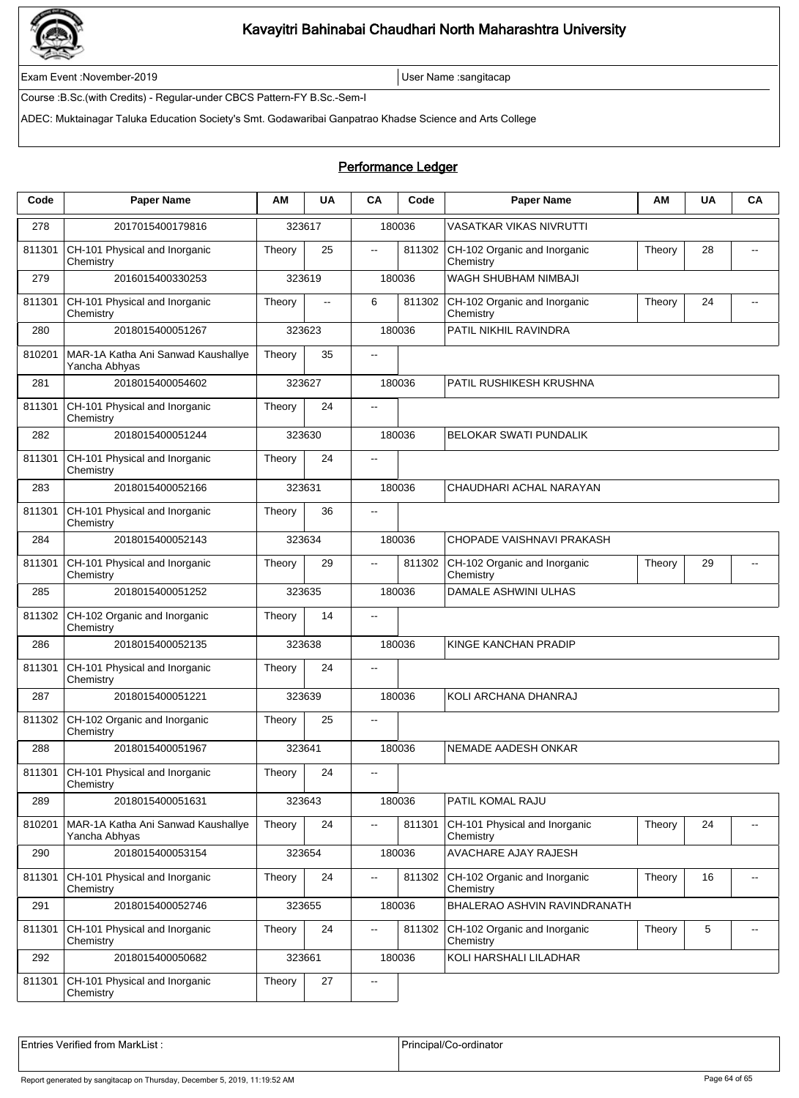

Exam Event :November-2019 User Name :sangitacap

Course :B.Sc.(with Credits) - Regular-under CBCS Pattern-FY B.Sc.-Sem-I

ADEC: Muktainagar Taluka Education Society's Smt. Godawaribai Ganpatrao Khadse Science and Arts College

### Performance Ledger

| Code   | <b>Paper Name</b>                                   | ΑM     | <b>UA</b>    | CA                       | Code   | <b>Paper Name</b>                          | ΑM     | <b>UA</b> | CA                       |  |  |
|--------|-----------------------------------------------------|--------|--------------|--------------------------|--------|--------------------------------------------|--------|-----------|--------------------------|--|--|
| 278    | 2017015400179816                                    |        | 323617       |                          | 180036 | <b>VASATKAR VIKAS NIVRUTTI</b>             |        |           |                          |  |  |
| 811301 | CH-101 Physical and Inorganic<br>Chemistry          | Theory | 25           | $\overline{\phantom{a}}$ | 811302 | CH-102 Organic and Inorganic<br>Chemistry  | Theory | 28        |                          |  |  |
| 279    | 2016015400330253                                    |        | 323619       |                          | 180036 | WAGH SHUBHAM NIMBAJI                       |        |           |                          |  |  |
| 811301 | CH-101 Physical and Inorganic<br>Chemistry          | Theory | $\mathbf{L}$ | 6                        | 811302 | CH-102 Organic and Inorganic<br>Chemistry  | Theory | 24        | $-$                      |  |  |
| 280    | 2018015400051267                                    |        | 323623       |                          | 180036 | PATIL NIKHIL RAVINDRA                      |        |           |                          |  |  |
| 810201 | MAR-1A Katha Ani Sanwad Kaushallye<br>Yancha Abhyas | Theory | 35           | $\overline{\phantom{a}}$ |        |                                            |        |           |                          |  |  |
| 281    | 2018015400054602                                    |        | 323627       |                          | 180036 | PATIL RUSHIKESH KRUSHNA                    |        |           |                          |  |  |
| 811301 | CH-101 Physical and Inorganic<br>Chemistry          | Theory | 24           | $\ddotsc$                |        |                                            |        |           |                          |  |  |
| 282    | 2018015400051244                                    |        | 323630       |                          | 180036 | BELOKAR SWATI PUNDALIK                     |        |           |                          |  |  |
| 811301 | CH-101 Physical and Inorganic<br>Chemistry          | Theory | 24           | $\overline{\phantom{a}}$ |        |                                            |        |           |                          |  |  |
| 283    | 2018015400052166                                    | 323631 |              |                          | 180036 | CHAUDHARI ACHAL NARAYAN                    |        |           |                          |  |  |
| 811301 | CH-101 Physical and Inorganic<br>Chemistry          | Theory | 36           | $\overline{\phantom{a}}$ |        |                                            |        |           |                          |  |  |
| 284    | 2018015400052143                                    |        | 323634       |                          | 180036 | CHOPADE VAISHNAVI PRAKASH                  |        |           |                          |  |  |
| 811301 | CH-101 Physical and Inorganic<br>Chemistry          | Theory | 29           | $\overline{\phantom{a}}$ | 811302 | CH-102 Organic and Inorganic<br>Chemistry  | Theory | 29        | $\overline{a}$           |  |  |
| 285    | 2018015400051252                                    |        | 323635       |                          | 180036 | DAMALE ASHWINI ULHAS                       |        |           |                          |  |  |
| 811302 | CH-102 Organic and Inorganic<br>Chemistry           | Theory | 14           | $\overline{a}$           |        |                                            |        |           |                          |  |  |
| 286    | 2018015400052135                                    |        | 323638       |                          | 180036 | KINGE KANCHAN PRADIP                       |        |           |                          |  |  |
| 811301 | CH-101 Physical and Inorganic<br>Chemistry          | Theory | 24           | $\overline{\phantom{a}}$ |        |                                            |        |           |                          |  |  |
| 287    | 2018015400051221                                    |        | 323639       |                          | 180036 | KOLI ARCHANA DHANRAJ                       |        |           |                          |  |  |
| 811302 | CH-102 Organic and Inorganic<br>Chemistry           | Theory | 25           | $\overline{\phantom{a}}$ |        |                                            |        |           |                          |  |  |
| 288    | 2018015400051967                                    | 323641 |              |                          | 180036 | NEMADE AADESH ONKAR                        |        |           |                          |  |  |
| 811301 | CH-101 Physical and Inorganic<br>Chemistry          | Theory | 24           | $\overline{\phantom{m}}$ |        |                                            |        |           |                          |  |  |
| 289    | 2018015400051631                                    |        | 323643       |                          | 180036 | PATIL KOMAL RAJU                           |        |           |                          |  |  |
| 810201 | MAR-1A Katha Ani Sanwad Kaushallye<br>Yancha Abhyas | Theory | 24           | $\overline{a}$           | 811301 | CH-101 Physical and Inorganic<br>Chemistry | Theory | 24        |                          |  |  |
| 290    | 2018015400053154                                    |        | 323654       |                          | 180036 | AVACHARE AJAY RAJESH                       |        |           |                          |  |  |
| 811301 | CH-101 Physical and Inorganic<br>Chemistry          | Theory | 24           | $\overline{\phantom{a}}$ | 811302 | CH-102 Organic and Inorganic<br>Chemistry  | Theory | 16        | $\overline{\phantom{a}}$ |  |  |
| 291    | 2018015400052746                                    |        | 323655       |                          | 180036 | BHALERAO ASHVIN RAVINDRANATH               |        |           |                          |  |  |
| 811301 | CH-101 Physical and Inorganic<br>Chemistry          | Theory | 24           | $\overline{\phantom{a}}$ | 811302 | CH-102 Organic and Inorganic<br>Chemistry  | Theory | 5         | $\overline{\phantom{a}}$ |  |  |
| 292    | 2018015400050682                                    |        | 323661       |                          | 180036 | KOLI HARSHALI LILADHAR                     |        |           |                          |  |  |
| 811301 | CH-101 Physical and Inorganic<br>Chemistry          | Theory | 27           | $\overline{\phantom{a}}$ |        |                                            |        |           |                          |  |  |